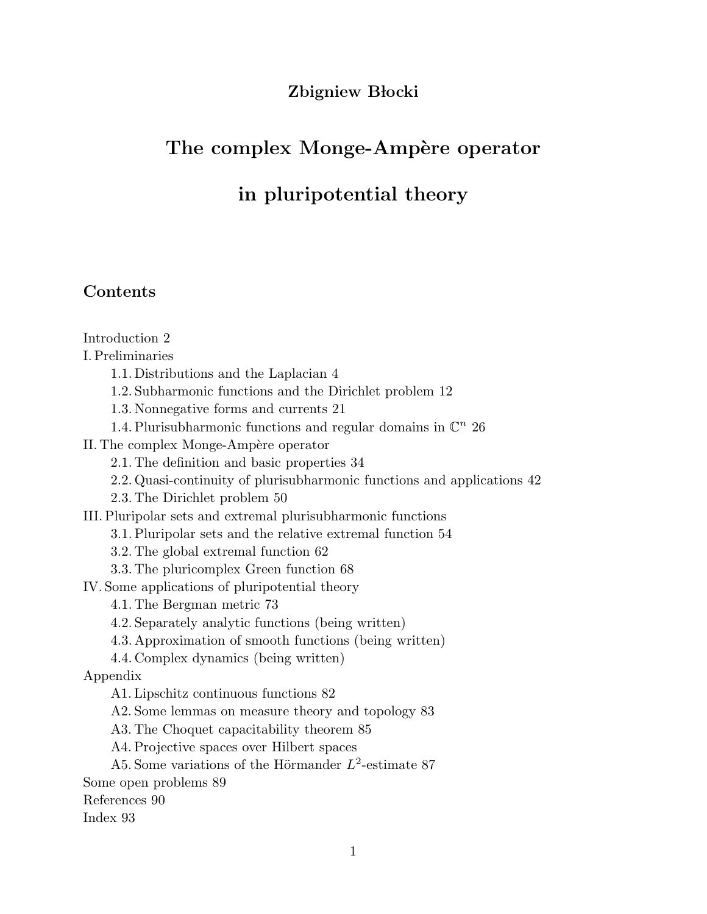# Zbigniew Błocki

# The complex Monge-Ampère operator

# in pluripotential theory

# Contents

Introduction 2

I. Preliminaries

1.1. Distributions and the Laplacian 4

1.2. Subharmonic functions and the Dirichlet problem 12

1.3. Nonnegative forms and currents 21

1.4. Plurisubharmonic functions and regular domains in  $\mathbb{C}^n$  26

II. The complex Monge-Ampère operator

2.1. The definition and basic properties 34

2.2. Quasi-continuity of plurisubharmonic functions and applications 42

2.3. The Dirichlet problem 50

III. Pluripolar sets and extremal plurisubharmonic functions

3.1. Pluripolar sets and the relative extremal function 54

3.2. The global extremal function 62

3.3. The pluricomplex Green function 68

IV. Some applications of pluripotential theory

4.1. The Bergman metric 73

4.2. Separately analytic functions (being written)

4.3. Approximation of smooth functions (being written)

4.4. Complex dynamics (being written)

Appendix

A1. Lipschitz continuous functions 82

A2. Some lemmas on measure theory and topology 83

A3. The Choquet capacitability theorem 85

A4. Projective spaces over Hilbert spaces

A5. Some variations of the Hörmander  $L^2$ -estimate 87

Some open problems 89

References 90

Index 93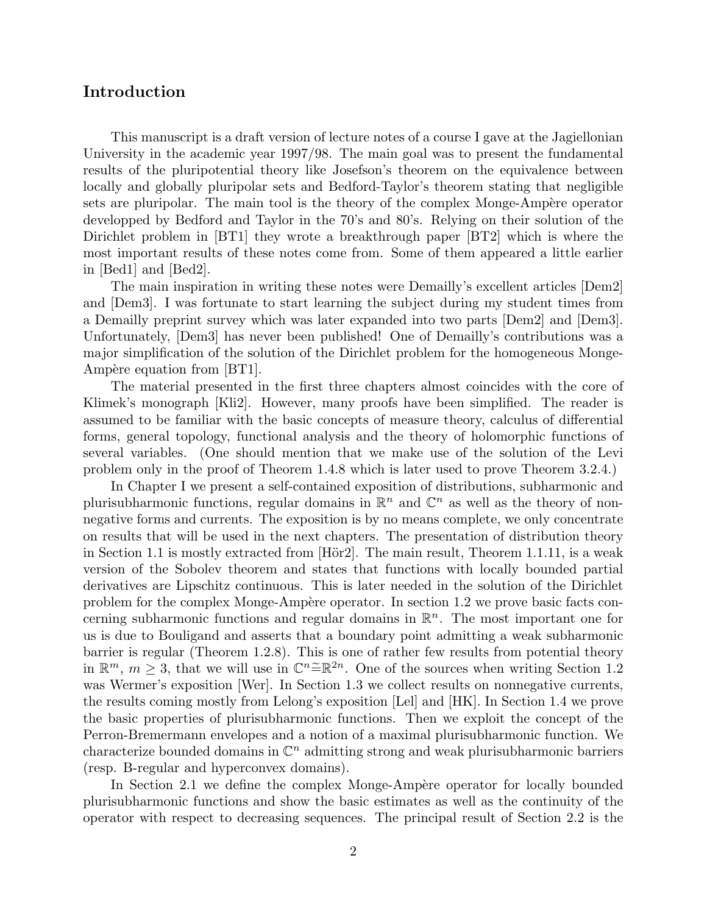## Introduction

This manuscript is a draft version of lecture notes of a course I gave at the Jagiellonian University in the academic year 1997/98. The main goal was to present the fundamental results of the pluripotential theory like Josefson's theorem on the equivalence between locally and globally pluripolar sets and Bedford-Taylor's theorem stating that negligible sets are pluripolar. The main tool is the theory of the complex Monge-Ampère operator developped by Bedford and Taylor in the 70's and 80's. Relying on their solution of the Dirichlet problem in [BT1] they wrote a breakthrough paper [BT2] which is where the most important results of these notes come from. Some of them appeared a little earlier in [Bed1] and [Bed2].

The main inspiration in writing these notes were Demailly's excellent articles [Dem2] and [Dem3]. I was fortunate to start learning the subject during my student times from a Demailly preprint survey which was later expanded into two parts [Dem2] and [Dem3]. Unfortunately, [Dem3] has never been published! One of Demailly's contributions was a major simplification of the solution of the Dirichlet problem for the homogeneous Monge-Ampère equation from [BT1].

The material presented in the first three chapters almost coincides with the core of Klimek's monograph [Kli2]. However, many proofs have been simplified. The reader is assumed to be familiar with the basic concepts of measure theory, calculus of differential forms, general topology, functional analysis and the theory of holomorphic functions of several variables. (One should mention that we make use of the solution of the Levi problem only in the proof of Theorem 1.4.8 which is later used to prove Theorem 3.2.4.)

In Chapter I we present a self-contained exposition of distributions, subharmonic and plurisubharmonic functions, regular domains in  $\mathbb{R}^n$  and  $\mathbb{C}^n$  as well as the theory of nonnegative forms and currents. The exposition is by no means complete, we only concentrate on results that will be used in the next chapters. The presentation of distribution theory in Section 1.1 is mostly extracted from  $[H\ddot{\sigma}z]$ . The main result, Theorem 1.1.11, is a weak version of the Sobolev theorem and states that functions with locally bounded partial derivatives are Lipschitz continuous. This is later needed in the solution of the Dirichlet problem for the complex Monge-Ampère operator. In section 1.2 we prove basic facts concerning subharmonic functions and regular domains in  $\mathbb{R}^n$ . The most important one for us is due to Bouligand and asserts that a boundary point admitting a weak subharmonic barrier is regular (Theorem 1.2.8). This is one of rather few results from potential theory in  $\mathbb{R}^m$ ,  $m \geq 3$ , that we will use in  $\mathbb{C}^n \widetilde{=} \mathbb{R}^{2n}$ . One of the sources when writing Section 1.2 was Wermer's exposition [Wer]. In Section 1.3 we collect results on nonnegative currents, the results coming mostly from Lelong's exposition [Lel] and [HK]. In Section 1.4 we prove the basic properties of plurisubharmonic functions. Then we exploit the concept of the Perron-Bremermann envelopes and a notion of a maximal plurisubharmonic function. We characterize bounded domains in  $\mathbb{C}^n$  admitting strong and weak plurisubharmonic barriers (resp. B-regular and hyperconvex domains).

In Section 2.1 we define the complex Monge-Ampère operator for locally bounded plurisubharmonic functions and show the basic estimates as well as the continuity of the operator with respect to decreasing sequences. The principal result of Section 2.2 is the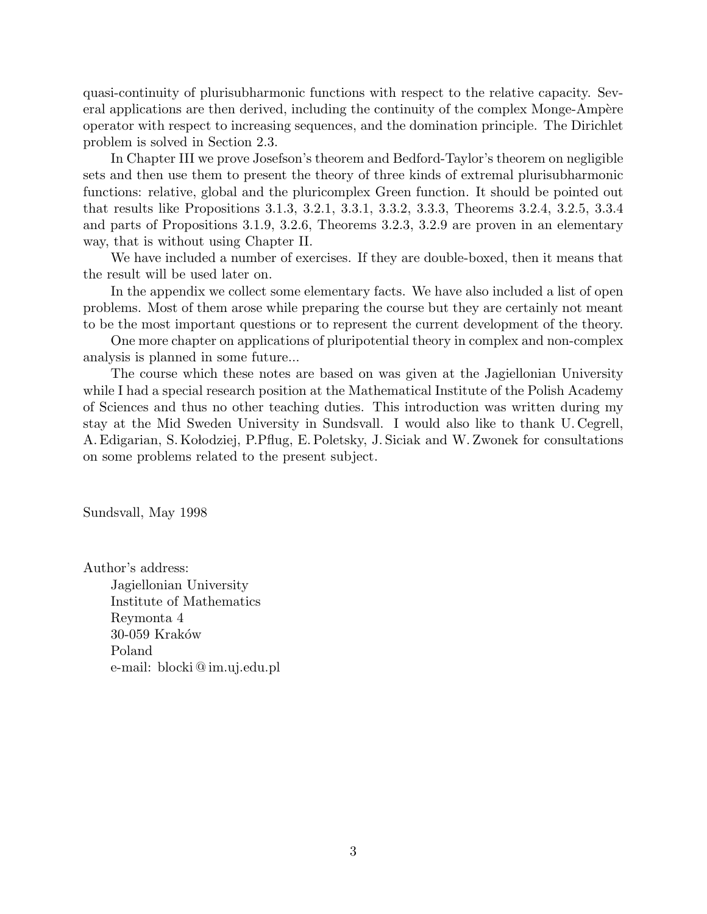quasi-continuity of plurisubharmonic functions with respect to the relative capacity. Several applications are then derived, including the continuity of the complex Monge-Ampère operator with respect to increasing sequences, and the domination principle. The Dirichlet problem is solved in Section 2.3.

In Chapter III we prove Josefson's theorem and Bedford-Taylor's theorem on negligible sets and then use them to present the theory of three kinds of extremal plurisubharmonic functions: relative, global and the pluricomplex Green function. It should be pointed out that results like Propositions 3.1.3, 3.2.1, 3.3.1, 3.3.2, 3.3.3, Theorems 3.2.4, 3.2.5, 3.3.4 and parts of Propositions 3.1.9, 3.2.6, Theorems 3.2.3, 3.2.9 are proven in an elementary way, that is without using Chapter II.

We have included a number of exercises. If they are double-boxed, then it means that the result will be used later on.

In the appendix we collect some elementary facts. We have also included a list of open problems. Most of them arose while preparing the course but they are certainly not meant to be the most important questions or to represent the current development of the theory.

One more chapter on applications of pluripotential theory in complex and non-complex analysis is planned in some future...

The course which these notes are based on was given at the Jagiellonian University while I had a special research position at the Mathematical Institute of the Polish Academy of Sciences and thus no other teaching duties. This introduction was written during my stay at the Mid Sweden University in Sundsvall. I would also like to thank U. Cegrell, A. Edigarian, S. Kołodziej, P.Pflug, E. Poletsky, J. Siciak and W. Zwonek for consultations on some problems related to the present subject.

Sundsvall, May 1998

Author's address: Jagiellonian University Institute of Mathematics Reymonta 4 30-059 Kraków Poland e-mail: blocki @ im.uj.edu.pl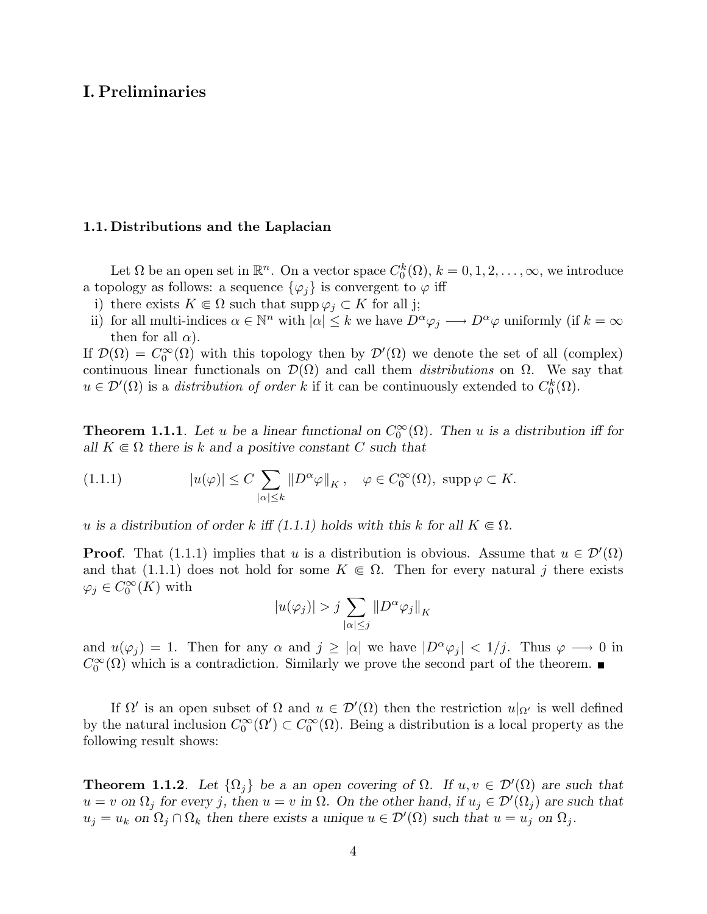### I. Preliminaries

#### 1.1. Distributions and the Laplacian

Let  $\Omega$  be an open set in  $\mathbb{R}^n$ . On a vector space  $C_0^k(\Omega)$ ,  $k = 0, 1, 2, \ldots, \infty$ , we introduce a topology as follows: a sequence  $\{\varphi_j\}$  is convergent to  $\varphi$  iff

- i) there exists  $K \subseteq \Omega$  such that supp  $\varphi_j \subset K$  for all j;
- ii) for all multi-indices  $\alpha \in \mathbb{N}^n$  with  $|\alpha| \leq k$  we have  $D^{\alpha} \varphi_j \longrightarrow D^{\alpha} \varphi$  uniformly (if  $k = \infty$ ) then for all  $\alpha$ ).

If  $\mathcal{D}(\Omega) = C_0^{\infty}(\Omega)$  with this topology then by  $\mathcal{D}'(\Omega)$  we denote the set of all (complex) continuous linear functionals on  $\mathcal{D}(\Omega)$  and call them *distributions* on  $\Omega$ . We say that  $u \in \mathcal{D}'(\Omega)$  is a distribution of order k if it can be continuously extended to  $C_0^k(\Omega)$ .

**Theorem 1.1.1**. Let u be a linear functional on  $C_0^{\infty}(\Omega)$ . Then u is a distribution iff for all  $K \in \Omega$  there is k and a positive constant C such that

(1.1.1) 
$$
|u(\varphi)| \le C \sum_{|\alpha| \le k} \|D^{\alpha}\varphi\|_{K}, \quad \varphi \in C_0^{\infty}(\Omega), \text{ supp } \varphi \subset K.
$$

u is a distribution of order k iff (1.1.1) holds with this k for all  $K \in \Omega$ .

**Proof.** That (1.1.1) implies that u is a distribution is obvious. Assume that  $u \in \mathcal{D}'(\Omega)$ and that (1.1.1) does not hold for some  $K \in \Omega$ . Then for every natural j there exists  $\varphi_j \in C_0^{\infty}(K)$  with

$$
|u(\varphi_j)| > j \sum_{|\alpha| \le j} ||D^{\alpha} \varphi_j||_K
$$

and  $u(\varphi_j) = 1$ . Then for any  $\alpha$  and  $j \geq |\alpha|$  we have  $|D^{\alpha}\varphi_j| < 1/j$ . Thus  $\varphi \longrightarrow 0$  in  $C_0^{\infty}(\Omega)$  which is a contradiction. Similarly we prove the second part of the theorem.

If  $\Omega'$  is an open subset of  $\Omega$  and  $u \in \mathcal{D}'(\Omega)$  then the restriction  $u|_{\Omega'}$  is well defined by the natural inclusion  $C_0^{\infty}(\Omega') \subset C_0^{\infty}(\Omega)$ . Being a distribution is a local property as the following result shows:

**Theorem 1.1.2**. Let  $\{\Omega_j\}$  be a an open covering of  $\Omega$ . If  $u, v \in \mathcal{D}'(\Omega)$  are such that  $u = v$  on  $\Omega_j$  for every j, then  $u = v$  in  $\Omega$ . On the other hand, if  $u_j \in \mathcal{D}'(\Omega_j)$  are such that  $u_j = u_k$  on  $\Omega_j \cap \Omega_k$  then there exists a unique  $u \in \mathcal{D}'(\Omega)$  such that  $u = u_j$  on  $\Omega_j$ .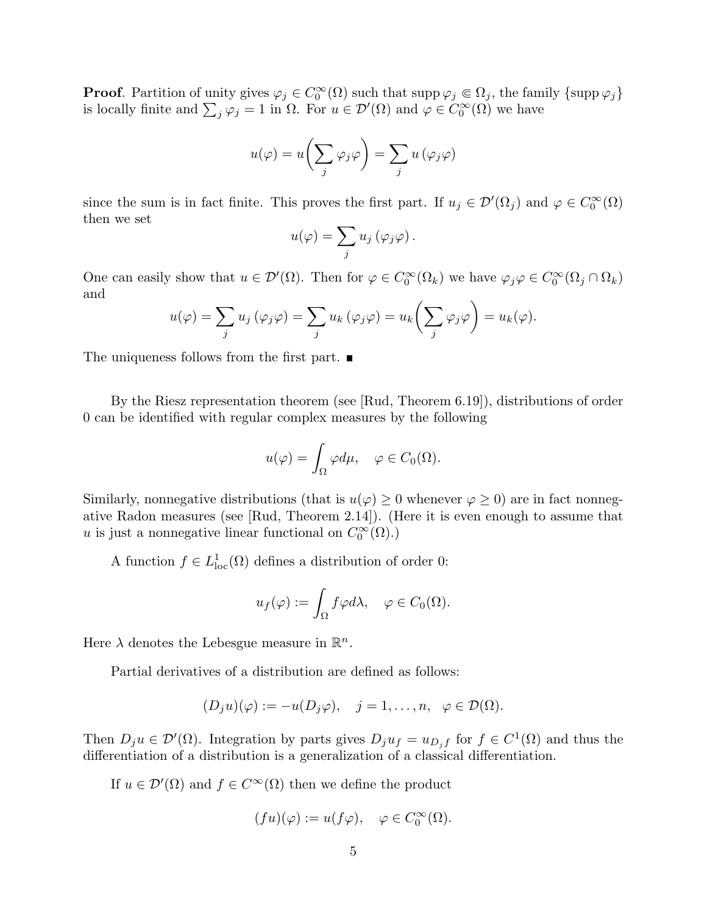**Proof.** Partition of unity gives  $\varphi_j \in C_0^{\infty}(\Omega)$  such that  $\text{supp }\varphi_j \in \Omega_j$ , the family  $\{\text{supp }\varphi_j\}$ **Froot**. Partition of the gives  $\varphi_j \in C_0^{\infty}(\Omega)$  such that supp  $\varphi_j \in \Omega_j$ , the family singlet is locally finite and  $\sum_j \varphi_j = 1$  in  $\Omega$ . For  $u \in \mathcal{D}'(\Omega)$  and  $\varphi \in C_0^{\infty}(\Omega)$  we have

$$
u(\varphi) = u\bigg(\sum_{j} \varphi_{j} \varphi\bigg) = \sum_{j} u\left(\varphi_{j} \varphi\right)
$$

since the sum is in fact finite. This proves the first part. If  $u_j \in \mathcal{D}'(\Omega_j)$  and  $\varphi \in C_0^{\infty}(\Omega)$ then we set

$$
u(\varphi) = \sum_{j} u_j(\varphi_j \varphi).
$$

One can easily show that  $u \in \mathcal{D}'(\Omega)$ . Then for  $\varphi \in C_0^{\infty}(\Omega_k)$  we have  $\varphi_j \varphi \in C_0^{\infty}(\Omega_j \cap \Omega_k)$ and  $\sqrt{ }$  $\mathbf{r}$ 

$$
u(\varphi) = \sum_j u_j (\varphi_j \varphi) = \sum_j u_k (\varphi_j \varphi) = u_k \left( \sum_j \varphi_j \varphi \right) = u_k(\varphi).
$$

The uniqueness follows from the first part.  $\blacksquare$ 

By the Riesz representation theorem (see [Rud, Theorem 6.19]), distributions of order 0 can be identified with regular complex measures by the following

$$
u(\varphi) = \int_{\Omega} \varphi d\mu, \quad \varphi \in C_0(\Omega).
$$

Similarly, nonnegative distributions (that is  $u(\varphi) \geq 0$  whenever  $\varphi \geq 0$ ) are in fact nonnegative Radon measures (see [Rud, Theorem 2.14]). (Here it is even enough to assume that u is just a nonnegative linear functional on  $C_0^{\infty}(\Omega)$ .)

A function  $f \in L^1_{loc}(\Omega)$  defines a distribution of order 0:

$$
u_f(\varphi) := \int_{\Omega} f \varphi d\lambda, \quad \varphi \in C_0(\Omega).
$$

Here  $\lambda$  denotes the Lebesgue measure in  $\mathbb{R}^n$ .

Partial derivatives of a distribution are defined as follows:

$$
(D_j u)(\varphi) := -u(D_j \varphi), \quad j = 1, \dots, n, \ \varphi \in \mathcal{D}(\Omega).
$$

Then  $D_j u \in \mathcal{D}'(\Omega)$ . Integration by parts gives  $D_j u_f = u_{D_j} f$  for  $f \in C^1(\Omega)$  and thus the differentiation of a distribution is a generalization of a classical differentiation.

If  $u \in \mathcal{D}'(\Omega)$  and  $f \in C^{\infty}(\Omega)$  then we define the product

$$
(fu)(\varphi) := u(f\varphi), \quad \varphi \in C_0^{\infty}(\Omega).
$$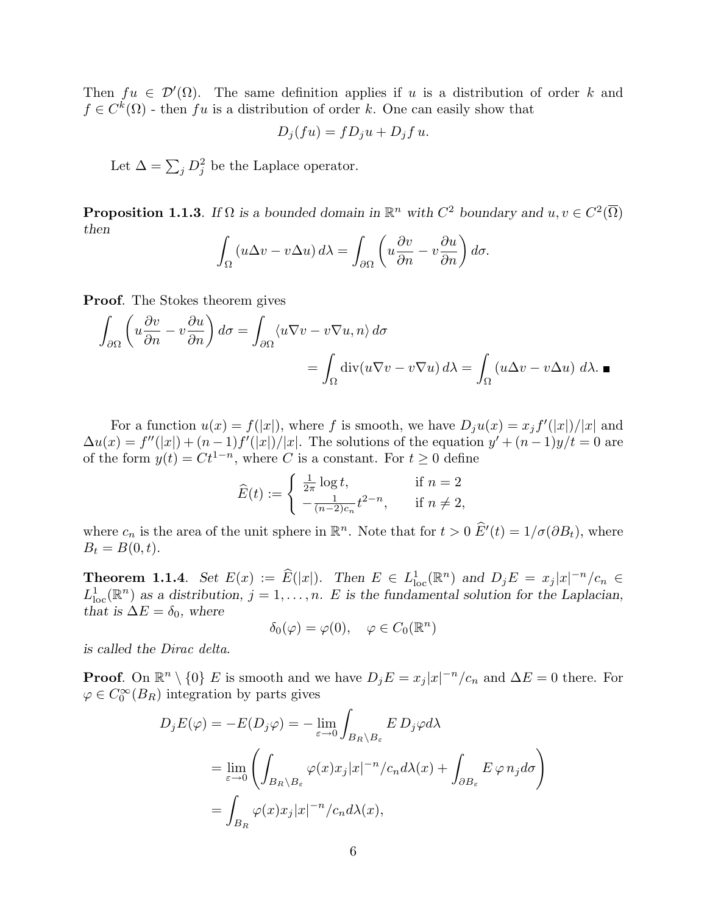Then  $fu \in \mathcal{D}'(\Omega)$ . The same definition applies if u is a distribution of order k and  $f \in C^k(\Omega)$  - then fu is a distribution of order k. One can easily show that

$$
D_j(fu) = fD_ju + D_jf u.
$$

Let  $\Delta = \sum_j D_j^2$  be the Laplace operator.

**Proposition 1.1.3**. If  $\Omega$  is a bounded domain in  $\mathbb{R}^n$  with  $C^2$  boundary and  $u, v \in C^2(\overline{\Omega})$ then  $\overline{a}$ 

$$
\int_{\Omega} \left( u \Delta v - v \Delta u \right) d\lambda = \int_{\partial \Omega} \left( u \frac{\partial v}{\partial n} - v \frac{\partial u}{\partial n} \right) d\sigma.
$$

Proof. The Stokes theorem gives

$$
\int_{\partial\Omega} \left( u \frac{\partial v}{\partial n} - v \frac{\partial u}{\partial n} \right) d\sigma = \int_{\partial\Omega} \langle u \nabla v - v \nabla u, n \rangle d\sigma
$$

$$
= \int_{\Omega} \text{div}(u \nabla v - v \nabla u) d\lambda = \int_{\Omega} (u \Delta v - v \Delta u) d\lambda.
$$

For a function  $u(x) = f(|x|)$ , where f is smooth, we have  $D_j u(x) = x_j f(|x|)/|x|$  and  $\Delta u(x) = f''(|x|) + (n-1)f'(|x|)/|x|$ . The solutions of the equation  $y' + (n-1)y/t = 0$  are of the form  $y(t) = Ct^{1-n}$ , where C is a constant. For  $t \ge 0$  define

$$
\widehat{E}(t) := \begin{cases} \frac{1}{2\pi} \log t, & \text{if } n = 2 \\ -\frac{1}{(n-2)c_n} t^{2-n}, & \text{if } n \neq 2, \end{cases}
$$

where  $c_n$  is the area of the unit sphere in  $\mathbb{R}^n$ . Note that for  $t > 0$   $\hat{E}'(t) = 1/\sigma(\partial B_t)$ , where  $B_t = B(0, t).$ 

**Theorem 1.1.4.** Set  $E(x) := \widehat{E}(|x|)$ . Then  $E \in L^1_{loc}(\mathbb{R}^n)$  and  $D_j E = x_j |x|^{-n}/c_n \in$  $L^1_{loc}(\mathbb{R}^n)$  as a distribution,  $j=1,\ldots,n$ . E is the fundamental solution for the Laplacian, that is  $\Delta E = \delta_0$ , where

$$
\delta_0(\varphi) = \varphi(0), \quad \varphi \in C_0(\mathbb{R}^n)
$$

is called the Dirac delta.

**Proof.** On  $\mathbb{R}^n \setminus \{0\}$  E is smooth and we have  $D_j E = x_j |x|^{-n}/c_n$  and  $\Delta E = 0$  there. For  $\varphi \in C_0^{\infty}(B_R)$  integration by parts gives

$$
D_j E(\varphi) = -E(D_j \varphi) = -\lim_{\varepsilon \to 0} \int_{B_R \setminus B_\varepsilon} E D_j \varphi d\lambda
$$
  
= 
$$
\lim_{\varepsilon \to 0} \left( \int_{B_R \setminus B_\varepsilon} \varphi(x) x_j |x|^{-n} / c_n d\lambda(x) + \int_{\partial B_\varepsilon} E \varphi n_j d\sigma \right)
$$
  
= 
$$
\int_{B_R} \varphi(x) x_j |x|^{-n} / c_n d\lambda(x),
$$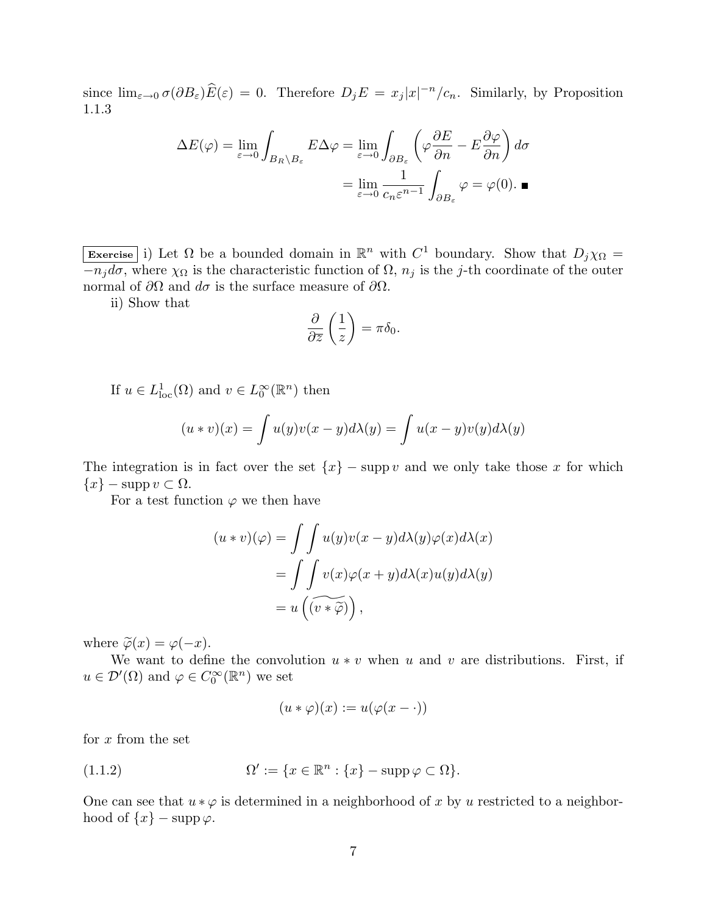since  $\lim_{\varepsilon\to 0} \sigma(\partial B_{\varepsilon})\widehat{E}(\varepsilon) = 0$ . Therefore  $D_j E = x_j |x|^{-n}/c_n$ . Similarly, by Proposition 1.1.3

$$
\Delta E(\varphi) = \lim_{\varepsilon \to 0} \int_{B_R \setminus B_{\varepsilon}} E \Delta \varphi = \lim_{\varepsilon \to 0} \int_{\partial B_{\varepsilon}} \left( \varphi \frac{\partial E}{\partial n} - E \frac{\partial \varphi}{\partial n} \right) d\sigma
$$

$$
= \lim_{\varepsilon \to 0} \frac{1}{c_n \varepsilon^{n-1}} \int_{\partial B_{\varepsilon}} \varphi = \varphi(0). \blacksquare
$$

Exercise i) Let  $\Omega$  be a bounded domain in  $\mathbb{R}^n$  with  $C^1$  boundary. Show that  $D_j \chi_{\Omega} =$  $-\overline{n_jd\sigma}$ , where  $\chi_{\Omega}$  is the characteristic function of  $\Omega$ ,  $n_j$  is the j-th coordinate of the outer normal of  $\partial\Omega$  and  $d\sigma$  is the surface measure of  $\partial\Omega$ .

ii) Show that

$$
\frac{\partial}{\partial \overline{z}}\left(\frac{1}{z}\right) = \pi \delta_0.
$$

If  $u \in L^1_{loc}(\Omega)$  and  $v \in L^\infty_0(\mathbb{R}^n)$  then

$$
(u * v)(x) = \int u(y)v(x - y)d\lambda(y) = \int u(x - y)v(y)d\lambda(y)
$$

The integration is in fact over the set  ${x}$  – supp v and we only take those x for which  ${x} - \text{supp } v \subset \Omega$ .

For a test function  $\varphi$  we then have

$$
(u * v)(\varphi) = \int \int u(y)v(x - y)d\lambda(y)\varphi(x)d\lambda(x)
$$
  
= 
$$
\int \int v(x)\varphi(x + y)d\lambda(x)u(y)d\lambda(y)
$$
  
= 
$$
u(\widetilde{(v * \widetilde{\varphi})})
$$
,

where  $\widetilde{\varphi}(x) = \varphi(-x)$ .

We want to define the convolution  $u * v$  when u and v are distributions. First, if  $u \in \mathcal{D}'(\Omega)$  and  $\varphi \in C_0^{\infty}(\mathbb{R}^n)$  we set

$$
(u * \varphi)(x) := u(\varphi(x - \cdot))
$$

for  $x$  from the set

(1.1.2) 
$$
\Omega' := \{x \in \mathbb{R}^n : \{x\} - \operatorname{supp} \varphi \subset \Omega\}.
$$

One can see that  $u * \varphi$  is determined in a neighborhood of x by u restricted to a neighborhood of  $\{x\}$  – supp  $\varphi$ .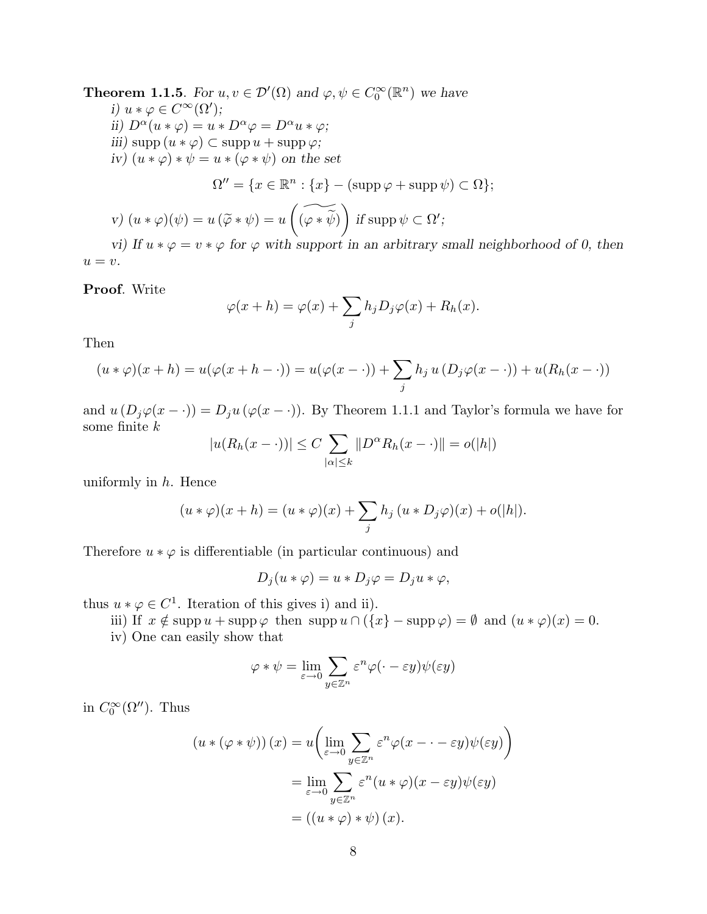**Theorem 1.1.5**. For  $u, v \in \mathcal{D}'(\Omega)$  and  $\varphi, \psi \in C_0^{\infty}(\mathbb{R}^n)$  we have i)  $u * \varphi \in C^{\infty}(\Omega')$ ; ii)  $D^{\alpha}(u * \varphi) = u * D^{\alpha}\varphi = D^{\alpha}u * \varphi;$ iii) supp  $(u * \varphi) \subset \text{supp } u + \text{supp } \varphi$ ; iv)  $(u * \varphi) * \psi = u * (\varphi * \psi)$  on the set  $\Omega'' = \{x \in \mathbb{R}^n : \{x\} - (\text{supp}\,\varphi + \text{supp}\,\psi) \subset \Omega\};$ v)  $(u * \varphi)(\psi) = u (\widetilde{\varphi} * \psi) = u$  $\overline{a}$  $\widetilde{(\varphi * \widetilde{\psi})}$  $\mathbf{r}$ if supp  $\psi \subset \Omega'$ ;

vi) If  $u * \varphi = v * \varphi$  for  $\varphi$  with support in an arbitrary small neighborhood of 0, then  $u = v.$ 

Proof. Write

$$
\varphi(x+h) = \varphi(x) + \sum_j h_j D_j \varphi(x) + R_h(x).
$$

Then

$$
(u * \varphi)(x+h) = u(\varphi(x+h-\cdot)) = u(\varphi(x-\cdot)) + \sum_j h_j u(D_j \varphi(x-\cdot)) + u(R_h(x-\cdot))
$$

and  $u(D_j\varphi(x-\cdot)) = D_ju(\varphi(x-\cdot))$ . By Theorem 1.1.1 and Taylor's formula we have for some finite k  $\overline{\phantom{a}}$ 

$$
|u(R_h(x-\cdot))| \le C \sum_{|\alpha| \le k} ||D^{\alpha}R_h(x-\cdot)|| = o(|h|)
$$

uniformly in  $h$ . Hence

$$
(u * \varphi)(x+h) = (u * \varphi)(x) + \sum_j h_j (u * D_j \varphi)(x) + o(|h|).
$$

Therefore  $u * \varphi$  is differentiable (in particular continuous) and

$$
D_j(u * \varphi) = u * D_j \varphi = D_j u * \varphi,
$$

thus  $u * \varphi \in C^1$ . Iteration of this gives i) and ii).

iii) If  $x \notin \text{supp } u + \text{supp } \varphi$  then  $\text{supp } u \cap (\{x\} - \text{supp } \varphi) = \emptyset$  and  $(u * \varphi)(x) = 0$ .

iv) One can easily show that

$$
\varphi * \psi = \lim_{\varepsilon \to 0} \sum_{y \in \mathbb{Z}^n} \varepsilon^n \varphi(\cdot - \varepsilon y) \psi(\varepsilon y)
$$

in  $C_0^{\infty}(\Omega'')$ . Thus

$$
(u * (\varphi * \psi))(x) = u \left( \lim_{\varepsilon \to 0} \sum_{y \in \mathbb{Z}^n} \varepsilon^n \varphi(x - \varepsilon y) \psi(\varepsilon y) \right)
$$
  
= 
$$
\lim_{\varepsilon \to 0} \sum_{y \in \mathbb{Z}^n} \varepsilon^n (u * \varphi)(x - \varepsilon y) \psi(\varepsilon y)
$$
  
= 
$$
((u * \varphi) * \psi)(x).
$$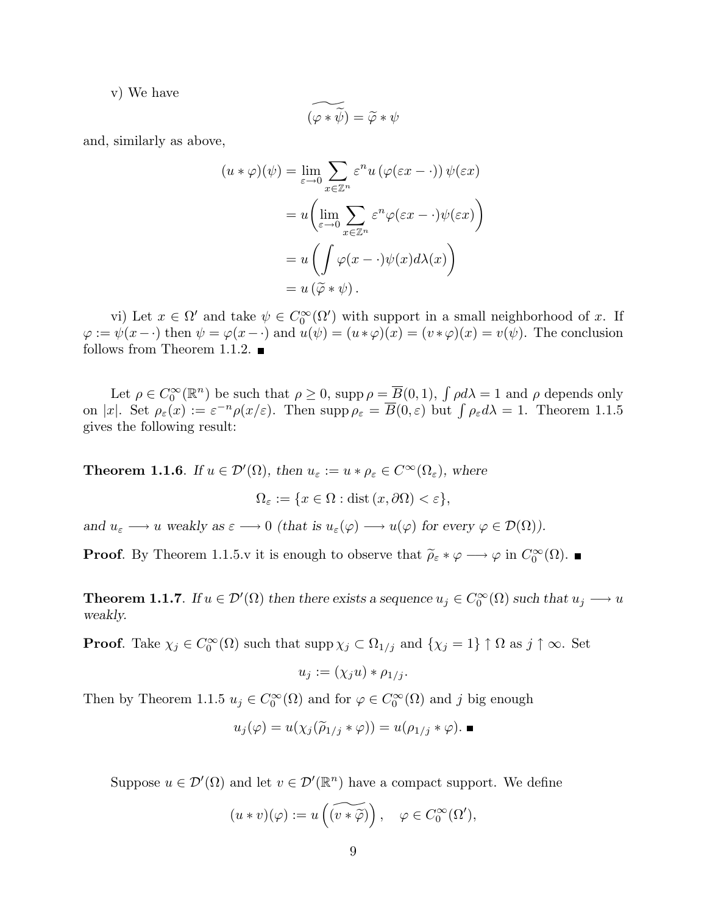v) We have

$$
\widetilde{(\varphi*\widetilde{\psi})}=\widetilde{\varphi}*\psi
$$

and, similarly as above,

$$
(u * \varphi)(\psi) = \lim_{\varepsilon \to 0} \sum_{x \in \mathbb{Z}^n} \varepsilon^n u (\varphi(\varepsilon x - \cdot)) \psi(\varepsilon x)
$$

$$
= u \left( \lim_{\varepsilon \to 0} \sum_{x \in \mathbb{Z}^n} \varepsilon^n \varphi(\varepsilon x - \cdot) \psi(\varepsilon x) \right)
$$

$$
= u \left( \int \varphi(x - \cdot) \psi(x) d\lambda(x) \right)
$$

$$
= u (\widetilde{\varphi} * \psi).
$$

vi) Let  $x \in \Omega'$  and take  $\psi \in C_0^{\infty}(\Omega')$  with support in a small neighborhood of x. If  $\varphi := \psi(x - \cdot)$  then  $\psi = \varphi(x - \cdot)$  and  $u(\psi) = (u * \varphi)(x) = (v * \varphi)(x) = v(\psi)$ . The conclusion follows from Theorem 1.1.2.  $\blacksquare$ 

Let  $\rho \in C_0^{\infty}(\mathbb{R}^n)$  be such that  $\rho \geq 0$ , supp  $\rho = \overline{B}(0,1)$ ,  $\int \rho d\lambda = 1$  and  $\rho$  depends only Let  $\rho \in C_0^{\infty}(\mathbb{R}^n)$  be such that  $\rho \geq 0$ , supp  $\rho = B(0, 1)$ ,  $\int \rho a \lambda = 1$  and  $\rho$  depends only<br>on |x|. Set  $\rho_{\varepsilon}(x) := \varepsilon^{-n} \rho(x/\varepsilon)$ . Then supp  $\rho_{\varepsilon} = \overline{B}(0, \varepsilon)$  but  $\int \rho_{\varepsilon} d\lambda = 1$ . Theorem 1.1.5 gives the following result:

**Theorem 1.1.6**. If  $u \in \mathcal{D}'(\Omega)$ , then  $u_{\varepsilon} := u * \rho_{\varepsilon} \in C^{\infty}(\Omega_{\varepsilon})$ , where

 $\Omega_{\varepsilon} := \{x \in \Omega : \text{dist}(x, \partial \Omega) < \varepsilon\},\$ 

and  $u_{\varepsilon} \longrightarrow u$  weakly as  $\varepsilon \longrightarrow 0$  (that is  $u_{\varepsilon}(\varphi) \longrightarrow u(\varphi)$  for every  $\varphi \in \mathcal{D}(\Omega)$ ).

**Proof.** By Theorem 1.1.5.v it is enough to observe that  $\tilde{\rho}_{\varepsilon} * \varphi \longrightarrow \varphi$  in  $C_0^{\infty}(\Omega)$ .

**Theorem 1.1.7**. If  $u \in \mathcal{D}'(\Omega)$  then there exists a sequence  $u_j \in C_0^{\infty}(\Omega)$  such that  $u_j \longrightarrow u$ weakly.

**Proof.** Take  $\chi_j \in C_0^{\infty}(\Omega)$  such that  $\text{supp }\chi_j \subset \Omega_{1/j}$  and  $\{\chi_j = 1\} \uparrow \Omega$  as  $j \uparrow \infty$ . Set

$$
u_j := (\chi_j u) * \rho_{1/j}.
$$

Then by Theorem 1.1.5  $u_j \in C_0^{\infty}(\Omega)$  and for  $\varphi \in C_0^{\infty}(\Omega)$  and j big enough

$$
u_j(\varphi) = u(\chi_j(\widetilde{\rho}_{1/j} * \varphi)) = u(\rho_{1/j} * \varphi).
$$

Suppose  $u \in \mathcal{D}'(\Omega)$  and let  $v \in \mathcal{D}'(\mathbb{R}^n)$  have a compact support. We define

$$
(u * v)(\varphi) := u\left(\widetilde{(v * \widetilde{\varphi})}\right), \quad \varphi \in C_0^{\infty}(\Omega'),
$$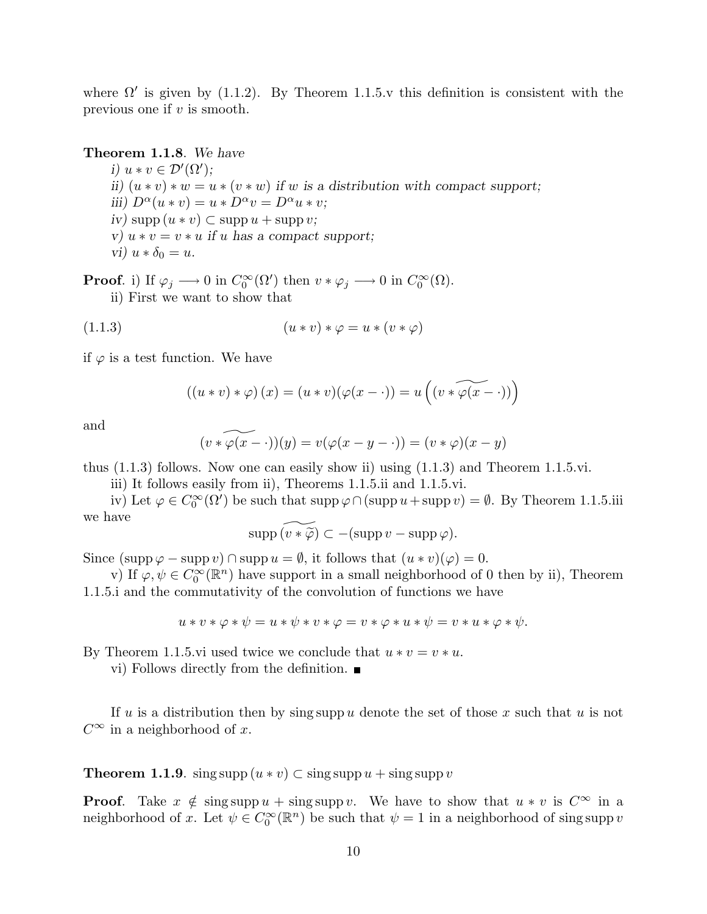where  $\Omega'$  is given by (1.1.2). By Theorem 1.1.5.v this definition is consistent with the previous one if  $v$  is smooth.

Theorem 1.1.8. We have i)  $u * v \in \mathcal{D}'(\Omega')$ ; ii)  $(u * v) * w = u * (v * w)$  if w is a distribution with compact support; iii)  $D^{\alpha}(u * v) = u * D^{\alpha}v = D^{\alpha}u * v;$  $iv)$  supp  $(u * v) \subset$  supp  $u +$  supp  $v$ ; v)  $u * v = v * u$  if u has a compact support; vi)  $u * \delta_0 = u$ .

**Proof.** i) If  $\varphi_j \longrightarrow 0$  in  $C_0^{\infty}(\Omega')$  then  $v * \varphi_j \longrightarrow 0$  in  $C_0^{\infty}(\Omega)$ . ii) First we want to show that

$$
(1.1.3) \qquad (u * v) * \varphi = u * (v * \varphi)
$$

if  $\varphi$  is a test function. We have

$$
((u * v) * \varphi)(x) = (u * v)(\varphi(x - \cdot)) = u((v * \widetilde{\varphi(x - \cdot)}))
$$

and

$$
(v * \widetilde{\varphi(x - \cdot)})(y) = v(\varphi(x - y - \cdot)) = (v * \varphi)(x - y)
$$

thus (1.1.3) follows. Now one can easily show ii) using (1.1.3) and Theorem 1.1.5.vi.

iii) It follows easily from ii), Theorems 1.1.5.ii and 1.1.5.vi.

iv) Let  $\varphi \in C_0^{\infty}(\Omega')$  be such that  $\text{supp }\varphi \cap (\text{supp } u + \text{supp } v) = \emptyset$ . By Theorem 1.1.5.iii we have

$$
\operatorname{supp}\widetilde{(v*\widetilde{\varphi})}\subset -(\operatorname{supp} v-\operatorname{supp}\varphi).
$$

Since  $(\text{supp }\varphi - \text{supp } v) \cap \text{supp } u = \emptyset$ , it follows that  $(u * v)(\varphi) = 0$ .

v) If  $\varphi, \psi \in C_0^{\infty}(\mathbb{R}^n)$  have support in a small neighborhood of 0 then by ii), Theorem 1.1.5.i and the commutativity of the convolution of functions we have

 $u * v * \varphi * \psi = u * \psi * v * \varphi = v * \varphi * u * \psi = v * u * \varphi * \psi.$ 

By Theorem 1.1.5.vi used twice we conclude that  $u * v = v * u$ .

vi) Follows directly from the definition.

If u is a distribution then by sing supp u denote the set of those x such that u is not  $C^{\infty}$  in a neighborhood of x.

**Theorem 1.1.9.** sing supp  $(u * v) \subset \text{sing supp } u + \text{sing supp } v$ 

**Proof.** Take  $x \notin \text{sing supp } u + \text{sing supp } v$ . We have to show that  $u * v$  is  $C^{\infty}$  in a neighborhood of x. Let  $\psi \in C_0^{\infty}(\mathbb{R}^n)$  be such that  $\psi = 1$  in a neighborhood of sing supp v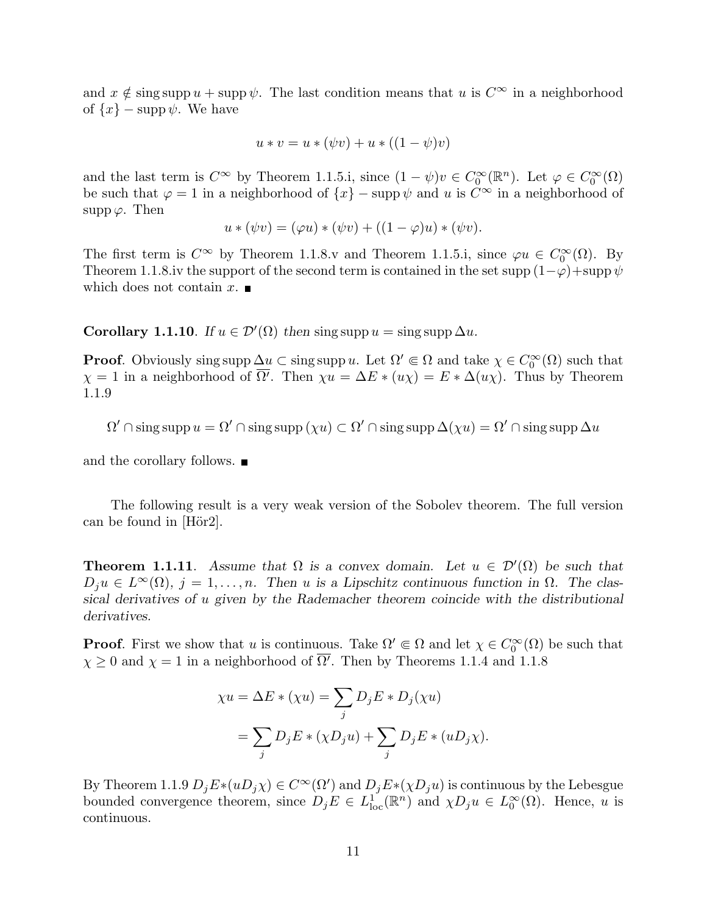and  $x \notin \text{sing supp } u + \text{supp }\psi$ . The last condition means that u is  $C^{\infty}$  in a neighborhood of  $\{x\}$  – supp  $\psi$ . We have

$$
u * v = u * (\psi v) + u * ((1 - \psi)v)
$$

and the last term is  $C^{\infty}$  by Theorem 1.1.5.i, since  $(1 - \psi)v \in C_0^{\infty}(\mathbb{R}^n)$ . Let  $\varphi \in C_0^{\infty}(\Omega)$ be such that  $\varphi = 1$  in a neighborhood of  $\{x\}$  – supp  $\psi$  and u is  $C^{\infty}$  in a neighborhood of supp  $\varphi$ . Then

$$
u * (\psi v) = (\varphi u) * (\psi v) + ((1 - \varphi)u) * (\psi v).
$$

The first term is  $C^{\infty}$  by Theorem 1.1.8.v and Theorem 1.1.5.i, since  $\varphi u \in C_0^{\infty}(\Omega)$ . By Theorem 1.1.8.iv the support of the second term is contained in the set supp  $(1-\varphi)$ +supp  $\psi$ which does not contain x.  $\blacksquare$ 

**Corollary 1.1.10**. If  $u \in \mathcal{D}'(\Omega)$  then sing supp  $u = \text{sing supp } \Delta u$ .

**Proof.** Obviously sing supp  $\Delta u \subset \text{sing supp } u$ . Let  $\Omega' \subset \Omega$  and take  $\chi \in C_0^{\infty}(\Omega)$  such that  $\chi = 1$  in a neighborhood of  $\overline{\Omega'}$ . Then  $\chi u = \Delta E * (u\chi) = E * \Delta(u\chi)$ . Thus by Theorem 1.1.9

$$
\Omega' \cap \operatorname{sing} \operatorname{supp} u = \Omega' \cap \operatorname{sing} \operatorname{supp} (\chi u) \subset \Omega' \cap \operatorname{sing} \operatorname{supp} \Delta(\chi u) = \Omega' \cap \operatorname{sing} \operatorname{supp} \Delta u
$$

and the corollary follows.  $\blacksquare$ 

The following result is a very weak version of the Sobolev theorem. The full version can be found in  $[H\ddot{o}r2]$ .

**Theorem 1.1.11.** Assume that  $\Omega$  is a convex domain. Let  $u \in \mathcal{D}'(\Omega)$  be such that  $D_j u \in L^{\infty}(\Omega)$ ,  $j = 1, ..., n$ . Then u is a Lipschitz continuous function in  $\Omega$ . The classical derivatives of u given by the Rademacher theorem coincide with the distributional derivatives.

**Proof.** First we show that u is continuous. Take  $\Omega' \in \Omega$  and let  $\chi \in C_0^{\infty}(\Omega)$  be such that  $\chi \geq 0$  and  $\chi = 1$  in a neighborhood of  $\overline{\Omega'}$ . Then by Theorems 1.1.4 and 1.1.8

$$
\chi u = \Delta E * (\chi u) = \sum_j D_j E * D_j(\chi u)
$$
  
= 
$$
\sum_j D_j E * (\chi D_j u) + \sum_j D_j E * (u D_j \chi).
$$

By Theorem 1.1.9  $D_j E_*(uD_j \chi) \in C^\infty(\Omega')$  and  $D_j E_*(\chi D_j u)$  is continuous by the Lebesgue bounded convergence theorem, since  $D_j E \in L^1_{loc}(\mathbb{R}^n)$  and  $\chi D_j u \in L^{\infty}_0(\Omega)$ . Hence, u is continuous.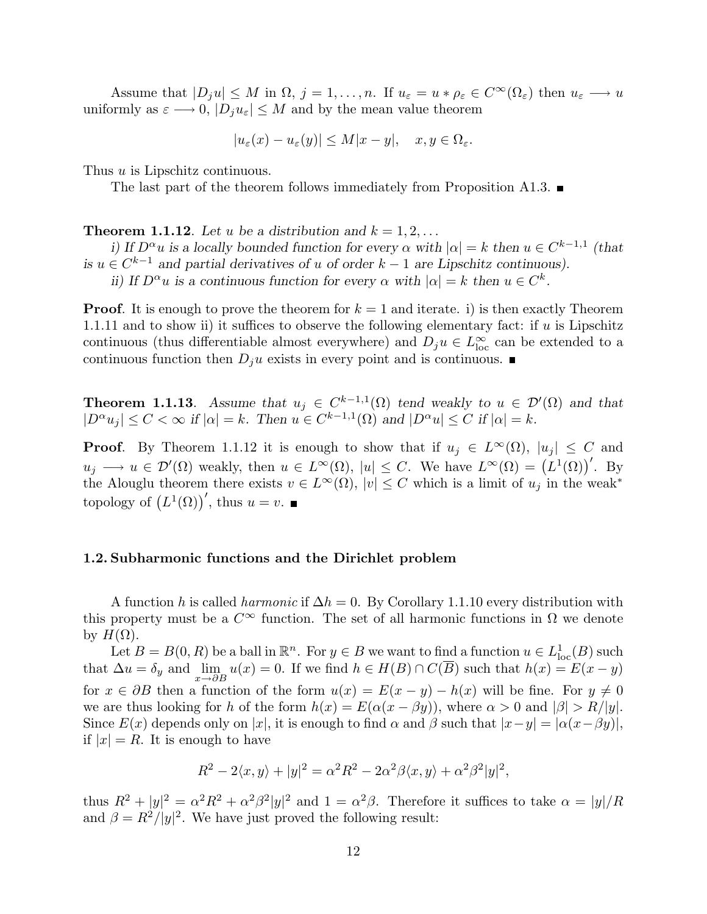Assume that  $|D_j u| \leq M$  in  $\Omega$ ,  $j = 1, \ldots, n$ . If  $u_{\varepsilon} = u * \rho_{\varepsilon} \in C^{\infty}(\Omega_{\varepsilon})$  then  $u_{\varepsilon} \longrightarrow u$ uniformly as  $\varepsilon \longrightarrow 0$ ,  $|D_j u_\varepsilon| \leq M$  and by the mean value theorem

$$
|u_{\varepsilon}(x) - u_{\varepsilon}(y)| \le M|x - y|, \quad x, y \in \Omega_{\varepsilon}.
$$

Thus *u* is Lipschitz continuous.

The last part of the theorem follows immediately from Proposition A1.3.  $\blacksquare$ 

**Theorem 1.1.12**. Let u be a distribution and  $k = 1, 2, ...$ 

i) If  $D^{\alpha}u$  is a locally bounded function for every  $\alpha$  with  $|\alpha|=k$  then  $u \in C^{k-1,1}$  (that is  $u \in C^{k-1}$  and partial derivatives of u of order  $k-1$  are Lipschitz continuous).

ii) If  $D^{\alpha}u$  is a continuous function for every  $\alpha$  with  $|\alpha|=k$  then  $u \in C^k$ .

**Proof.** It is enough to prove the theorem for  $k = 1$  and iterate. i) is then exactly Theorem 1.1.11 and to show ii) it suffices to observe the following elementary fact: if  $u$  is Lipschitz continuous (thus differentiable almost everywhere) and  $D_j u \in L^{\infty}_{loc}$  can be extended to a continuous function then  $D_j u$  exists in every point and is continuous.

**Theorem 1.1.13**. Assume that  $u_j \in C^{k-1,1}(\Omega)$  tend weakly to  $u \in \mathcal{D}'(\Omega)$  and that  $|D^{\alpha}u_j| \leq C < \infty$  if  $|\alpha| = k$ . Then  $u \in C^{k-1,1}(\Omega)$  and  $|D^{\alpha}u| \leq C$  if  $|\alpha| = k$ .

**Proof.** By Theorem 1.1.12 it is enough to show that if  $u_j \in L^{\infty}(\Omega)$ ,  $|u_j| \leq C$  and **Theorem 1.1.12** It is enough to show that if  $u_j \text{ }\in L^{\infty}(\Omega)$ ,  $|u_j| \leq C$  and  $u_j \longrightarrow u \in \mathcal{D}'(\Omega)$  weakly, then  $u \in L^{\infty}(\Omega)$ ,  $|u| \leq C$ . We have  $L^{\infty}(\Omega) = (L^1(\Omega))'$ . By the Alouglu theorem there exists  $v \in L^{\infty}(\Omega)$ ,  $|v| \leq C$  which is a limit of  $u_j$  in the weak<sup>\*</sup> topology of  $(L^1(\Omega))'$ , thus  $u = v$ .

#### 1.2. Subharmonic functions and the Dirichlet problem

A function h is called *harmonic* if  $\Delta h = 0$ . By Corollary 1.1.10 every distribution with this property must be a  $C^{\infty}$  function. The set of all harmonic functions in  $\Omega$  we denote by  $H(\Omega)$ .

Let  $B = B(0, R)$  be a ball in  $\mathbb{R}^n$ . For  $y \in B$  we want to find a function  $u \in L^1_{loc}(B)$  such that  $\Delta u = \delta_y$  and  $\lim_{x \to \partial B} u(x) = 0$ . If we find  $h \in H(B) \cap C(\overline{B})$  such that  $h(x) = E(x - y)$ for  $x \in \partial B$  then a function of the form  $u(x) = E(x - y) - h(x)$  will be fine. For  $y \neq 0$ we are thus looking for h of the form  $h(x) = E(\alpha(x - \beta y))$ , where  $\alpha > 0$  and  $|\beta| > R/|y|$ . Since  $E(x)$  depends only on |x|, it is enough to find  $\alpha$  and  $\beta$  such that  $|x-y| = |\alpha(x-\beta y)|$ , if  $|x| = R$ . It is enough to have

$$
R^2 - 2\langle x, y \rangle + |y|^2 = \alpha^2 R^2 - 2\alpha^2 \beta \langle x, y \rangle + \alpha^2 \beta^2 |y|^2,
$$

thus  $R^2 + |y|^2 = \alpha^2 R^2 + \alpha^2 \beta^2 |y|^2$  and  $1 = \alpha^2 \beta$ . Therefore it suffices to take  $\alpha = |y|/R$ and  $\beta = R^2/|y|^2$ . We have just proved the following result: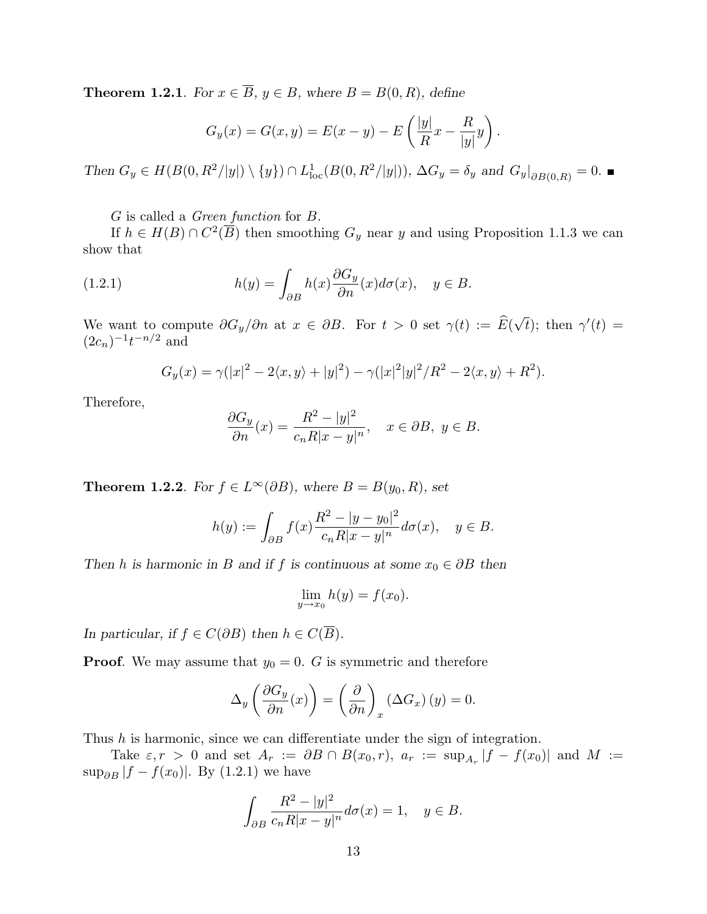**Theorem 1.2.1.** For  $x \in \overline{B}$ ,  $y \in B$ , where  $B = B(0, R)$ , define

$$
G_y(x) = G(x, y) = E(x - y) - E\left(\frac{|y|}{R}x - \frac{R}{|y|}y\right).
$$

Then  $G_y \in H(B(0, R^2/|y|) \setminus \{y\}) \cap L^1_{loc}(B(0, R^2/|y|)), \Delta G_y = \delta_y$  and  $G_y|_{\partial B(0,R)} = 0$ .

G is called a Green function for B.

If  $h \in H(B) \cap C^2(\overline{B})$  then smoothing  $G_y$  near y and using Proposition 1.1.3 we can show that

(1.2.1) 
$$
h(y) = \int_{\partial B} h(x) \frac{\partial G_y}{\partial n}(x) d\sigma(x), \quad y \in B.
$$

We want to compute  $\partial G_y/\partial n$  at  $x \in \partial B$ . For  $t > 0$  set  $\gamma(t) := \widehat{E}(\sqrt{t})$  $\overline{t}$ ); then  $\gamma'(t) =$  $(2c_n)^{-1}t^{-n/2}$  and

$$
G_y(x) = \gamma(|x|^2 - 2\langle x, y \rangle + |y|^2) - \gamma(|x|^2|y|^2/R^2 - 2\langle x, y \rangle + R^2).
$$

Therefore,

$$
\frac{\partial G_y}{\partial n}(x) = \frac{R^2 - |y|^2}{c_n R |x - y|^n}, \quad x \in \partial B, \ y \in B.
$$

**Theorem 1.2.2**. For  $f \in L^{\infty}(\partial B)$ , where  $B = B(y_0, R)$ , set

$$
h(y) := \int_{\partial B} f(x) \frac{R^2 - |y - y_0|^2}{c_n R |x - y|^n} d\sigma(x), \quad y \in B.
$$

Then h is harmonic in B and if f is continuous at some  $x_0 \in \partial B$  then

$$
\lim_{y \to x_0} h(y) = f(x_0).
$$

In particular, if  $f \in C(\partial B)$  then  $h \in C(\overline{B})$ .

**Proof.** We may assume that  $y_0 = 0$ . G is symmetric and therefore

$$
\Delta_y \left( \frac{\partial G_y}{\partial n}(x) \right) = \left( \frac{\partial}{\partial n} \right)_x (\Delta G_x) (y) = 0.
$$

Thus  $h$  is harmonic, since we can differentiate under the sign of integration.

Take  $\varepsilon$ ,  $r > 0$  and set  $A_r := \partial B \cap B(x_0, r)$ ,  $a_r := \sup_{A_r} |f - f(x_0)|$  and  $M :=$ sup<sub>∂B</sub>  $|f - f(x_0)|$ . By (1.2.1) we have

$$
\int_{\partial B} \frac{R^2 - |y|^2}{c_n R |x - y|^n} d\sigma(x) = 1, \quad y \in B.
$$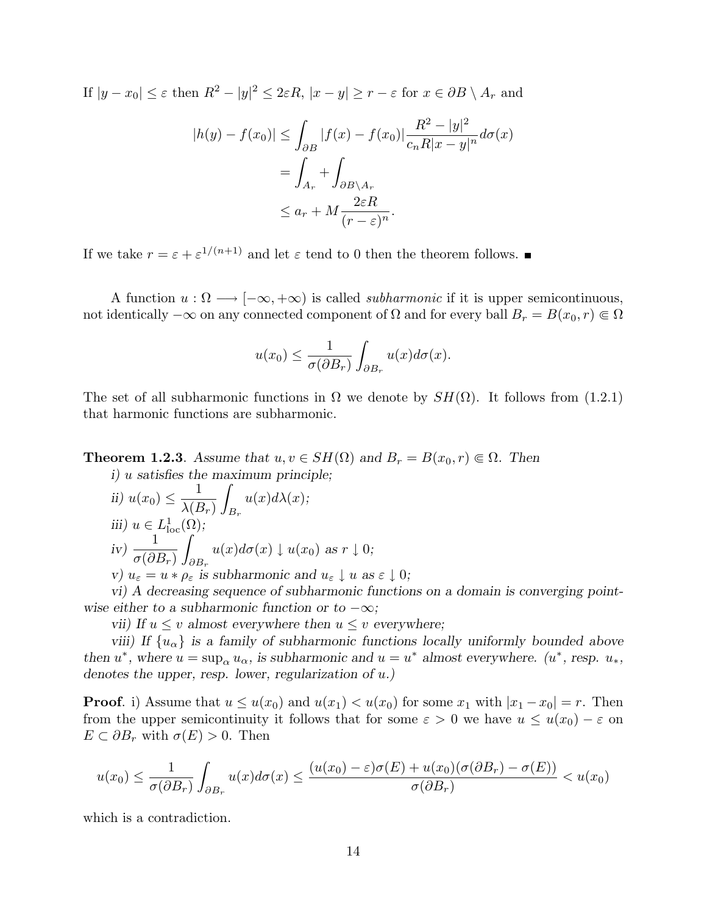If  $|y-x_0|\leq \varepsilon$  then  $R^2-|y|^2\leq 2\varepsilon R$ ,  $|x-y|\geq r-\varepsilon$  for  $x\in \partial B\setminus A_r$  and

$$
|h(y) - f(x_0)| \le \int_{\partial B} |f(x) - f(x_0)| \frac{R^2 - |y|^2}{c_n R |x - y|^n} d\sigma(x)
$$
  
= 
$$
\int_{A_r} + \int_{\partial B \setminus A_r} + \int_{\partial E \setminus B \setminus A_r} \frac{2\varepsilon R}{(r - \varepsilon)^n}.
$$

If we take  $r = \varepsilon + \varepsilon^{1/(n+1)}$  and let  $\varepsilon$  tend to 0 then the theorem follows.

A function  $u : \Omega \longrightarrow [-\infty, +\infty)$  is called *subharmonic* if it is upper semicontinuous, not identically  $-\infty$  on any connected component of  $\Omega$  and for every ball  $B_r = B(x_0, r) \in \Omega$ 

$$
u(x_0) \le \frac{1}{\sigma(\partial B_r)} \int_{\partial B_r} u(x) d\sigma(x).
$$

The set of all subharmonic functions in  $\Omega$  we denote by  $SH(\Omega)$ . It follows from (1.2.1) that harmonic functions are subharmonic.

**Theorem 1.2.3.** Assume that  $u, v \in SH(\Omega)$  and  $B_r = B(x_0, r) \in \Omega$ . Then  $i)$  u satisfies the maximum principle;

ii) 
$$
u(x_0) \le \frac{1}{\lambda(B_r)} \int_{B_r} u(x) d\lambda(x)
$$
;  
\niii)  $u \in L^1_{loc}(\Omega)$ ;  
\niv)  $\frac{1}{\sigma(\partial B_r)} \int_{\partial B_r} u(x) d\sigma(x) \downarrow u(x_0)$  as  $r \downarrow 0$ ;  
\nv)  $u_{\varepsilon} = u * \rho_{\varepsilon}$  is subharmonic and  $u_{\varepsilon} \downarrow u$  as  $\varepsilon \downarrow 0$ ;

vi) A decreasing sequence of subharmonic functions on a domain is converging pointwise either to a subharmonic function or to  $-\infty$ ;

vii) If  $u \leq v$  almost everywhere then  $u \leq v$  everywhere;

viii) If  $\{u_{\alpha}\}\$ is a family of subharmonic functions locally uniformly bounded above then  $u^*$ , where  $u = \sup_{\alpha} u_{\alpha}$ , is subharmonic and  $u = u^*$  almost everywhere.  $(u^*$ , resp.  $u_*,$ denotes the upper, resp. lower, regularization of u.)

**Proof.** i) Assume that  $u \leq u(x_0)$  and  $u(x_1) < u(x_0)$  for some  $x_1$  with  $|x_1 - x_0| = r$ . Then from the upper semicontinuity it follows that for some  $\varepsilon > 0$  we have  $u \leq u(x_0) - \varepsilon$  on  $E \subset \partial B_r$  with  $\sigma(E) > 0$ . Then

$$
u(x_0) \le \frac{1}{\sigma(\partial B_r)} \int_{\partial B_r} u(x) d\sigma(x) \le \frac{(u(x_0) - \varepsilon)\sigma(E) + u(x_0)(\sigma(\partial B_r) - \sigma(E))}{\sigma(\partial B_r)} < u(x_0)
$$

which is a contradiction.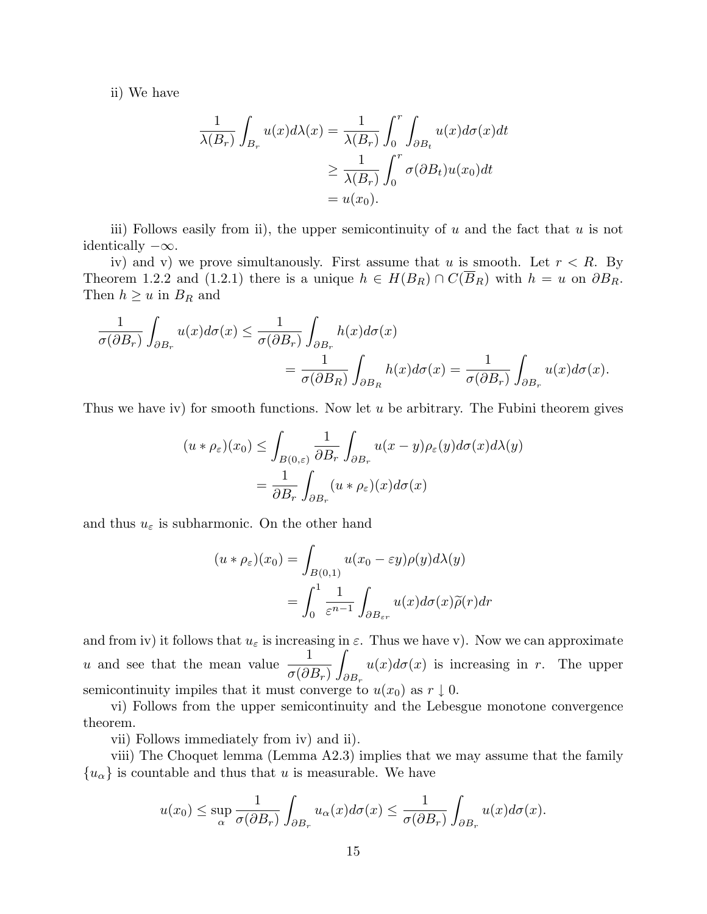ii) We have

$$
\frac{1}{\lambda(B_r)} \int_{B_r} u(x) d\lambda(x) = \frac{1}{\lambda(B_r)} \int_0^r \int_{\partial B_t} u(x) d\sigma(x) dt
$$

$$
\geq \frac{1}{\lambda(B_r)} \int_0^r \sigma(\partial B_t) u(x_0) dt
$$

$$
= u(x_0).
$$

iii) Follows easily from ii), the upper semicontinuity of  $u$  and the fact that  $u$  is not identically  $-\infty$ .

iv) and v) we prove simultanously. First assume that u is smooth. Let  $r < R$ . By Theorem 1.2.2 and (1.2.1) there is a unique  $h \in H(B_R) \cap C(\overline{B}_R)$  with  $h = u$  on  $\partial B_R$ . Then  $h \geq u$  in  $B_R$  and

$$
\frac{1}{\sigma(\partial B_r)} \int_{\partial B_r} u(x) d\sigma(x) \le \frac{1}{\sigma(\partial B_r)} \int_{\partial B_r} h(x) d\sigma(x)
$$
  
= 
$$
\frac{1}{\sigma(\partial B_R)} \int_{\partial B_R} h(x) d\sigma(x) = \frac{1}{\sigma(\partial B_r)} \int_{\partial B_r} u(x) d\sigma(x).
$$

Thus we have iv) for smooth functions. Now let  $u$  be arbitrary. The Fubini theorem gives

$$
(u * \rho_{\varepsilon})(x_0) \le \int_{B(0,\varepsilon)} \frac{1}{\partial B_r} \int_{\partial B_r} u(x - y) \rho_{\varepsilon}(y) d\sigma(x) d\lambda(y)
$$

$$
= \frac{1}{\partial B_r} \int_{\partial B_r} (u * \rho_{\varepsilon})(x) d\sigma(x)
$$

and thus  $u_{\varepsilon}$  is subharmonic. On the other hand

$$
(u * \rho_{\varepsilon})(x_0) = \int_{B(0,1)} u(x_0 - \varepsilon y) \rho(y) d\lambda(y)
$$

$$
= \int_0^1 \frac{1}{\varepsilon^{n-1}} \int_{\partial B_{\varepsilon r}} u(x) d\sigma(x) \widetilde{\rho}(r) dr
$$

and from iv) it follows that  $u_{\varepsilon}$  is increasing in  $\varepsilon$ . Thus we have v). Now we can approximate u and see that the mean value  $\frac{1}{\sqrt{2}}$  $\sigma(\partial B_r)\;f_{\partial B_r}$  $u(x)d\sigma(x)$  is increasing in r. The upper semicontinuity impiles that it must converge to  $u(x_0)$  as  $r \downarrow 0$ .

vi) Follows from the upper semicontinuity and the Lebesgue monotone convergence theorem.

vii) Follows immediately from iv) and ii).

viii) The Choquet lemma (Lemma A2.3) implies that we may assume that the family  ${u_{\alpha}}$  is countable and thus that u is measurable. We have

$$
u(x_0) \le \sup_{\alpha} \frac{1}{\sigma(\partial B_r)} \int_{\partial B_r} u_{\alpha}(x) d\sigma(x) \le \frac{1}{\sigma(\partial B_r)} \int_{\partial B_r} u(x) d\sigma(x).
$$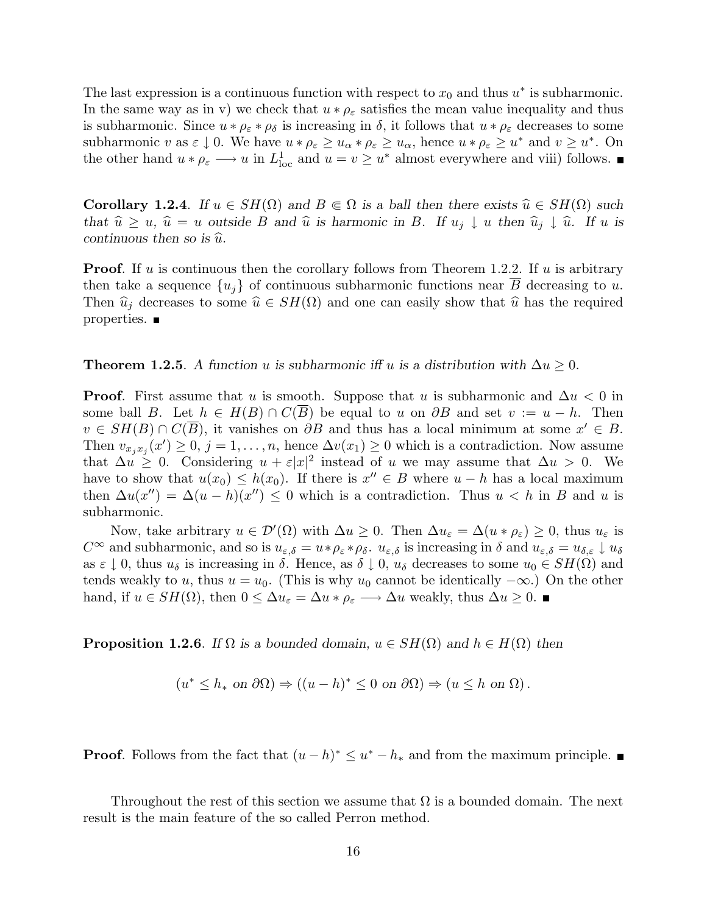The last expression is a continuous function with respect to  $x_0$  and thus  $u^*$  is subharmonic. In the same way as in v) we check that  $u * \rho_{\varepsilon}$  satisfies the mean value inequality and thus is subharmonic. Since  $u * \rho_{\varepsilon} * \rho_{\delta}$  is increasing in  $\delta$ , it follows that  $u * \rho_{\varepsilon}$  decreases to some subharmonic v as  $\varepsilon \downarrow 0$ . We have  $u * \rho_{\varepsilon} \geq u_{\alpha} * \rho_{\varepsilon} \geq u_{\alpha}$ , hence  $u * \rho_{\varepsilon} \geq u^*$  and  $v \geq u^*$ . On the other hand  $u * \rho_{\varepsilon} \longrightarrow u$  in  $L^1_{loc}$  and  $u = v \geq u^*$  almost everywhere and viii) follows.

**Corollary 1.2.4**. If  $u \in SH(\Omega)$  and  $B \in \Omega$  is a ball then there exists  $\hat{u} \in SH(\Omega)$  such that  $\hat{u} \ge u$ ,  $\hat{u} = u$  outside B and  $\hat{u}$  is harmonic in B. If  $u_j \downarrow u$  then  $\hat{u}_j \downarrow \hat{u}$ . If u is continuous then so is  $\hat{u}$ .

**Proof.** If u is continuous then the corollary follows from Theorem 1.2.2. If u is arbitrary then take a sequence  $\{u_i\}$  of continuous subharmonic functions near  $\overline{B}$  decreasing to u. Then  $\hat{u}_j$  decreases to some  $\hat{u} \in SH(\Omega)$  and one can easily show that  $\hat{u}$  has the required properties. ■

**Theorem 1.2.5.** A function u is subharmonic if u is a distribution with  $\Delta u \geq 0$ .

**Proof.** First assume that u is smooth. Suppose that u is subharmonic and  $\Delta u < 0$  in some ball B. Let  $h \in H(B) \cap C(B)$  be equal to u on  $\partial B$  and set  $v := u - h$ . Then  $v \in SH(B) \cap C(\overline{B})$ , it vanishes on  $\partial B$  and thus has a local minimum at some  $x' \in B$ . Then  $v_{x_jx_j}(x') \geq 0$ ,  $j = 1, \ldots, n$ , hence  $\Delta v(x_1) \geq 0$  which is a contradiction. Now assume that  $\Delta u \geq 0$ . Considering  $u + \varepsilon |x|^2$  instead of u we may assume that  $\Delta u > 0$ . We have to show that  $u(x_0) \leq h(x_0)$ . If there is  $x'' \in B$  where  $u - h$  has a local maximum then  $\Delta u(x'') = \Delta(u - h)(x'') \leq 0$  which is a contradiction. Thus  $u < h$  in B and u is subharmonic.

Now, take arbitrary  $u \in \mathcal{D}'(\Omega)$  with  $\Delta u \geq 0$ . Then  $\Delta u_{\varepsilon} = \Delta(u * \rho_{\varepsilon}) \geq 0$ , thus  $u_{\varepsilon}$  is  $C^{\infty}$  and subharmonic, and so is  $u_{\varepsilon,\delta} = u * \rho_{\varepsilon} * \rho_{\delta}$ .  $u_{\varepsilon,\delta}$  is increasing in  $\delta$  and  $u_{\varepsilon,\delta} = u_{\delta,\varepsilon} \downarrow u_{\delta}$ as  $\varepsilon \downarrow 0$ , thus  $u_{\delta}$  is increasing in  $\delta$ . Hence, as  $\delta \downarrow 0$ ,  $u_{\delta}$  decreases to some  $u_0 \in SH(\Omega)$  and tends weakly to u, thus  $u = u_0$ . (This is why u<sub>0</sub> cannot be identically  $-\infty$ .) On the other hand, if  $u \in SH(\Omega)$ , then  $0 \leq \Delta u_{\varepsilon} = \Delta u * \rho_{\varepsilon} \longrightarrow \Delta u$  weakly, thus  $\Delta u \geq 0$ .

**Proposition 1.2.6**. If  $\Omega$  is a bounded domain,  $u \in SH(\Omega)$  and  $h \in H(\Omega)$  then

$$
(u^* \le h_* \text{ on } \partial \Omega) \Rightarrow ((u - h)^* \le 0 \text{ on } \partial \Omega) \Rightarrow (u \le h \text{ on } \Omega).
$$

**Proof.** Follows from the fact that  $(u-h)^* \leq u^* - h_*$  and from the maximum principle.

Throughout the rest of this section we assume that  $\Omega$  is a bounded domain. The next result is the main feature of the so called Perron method.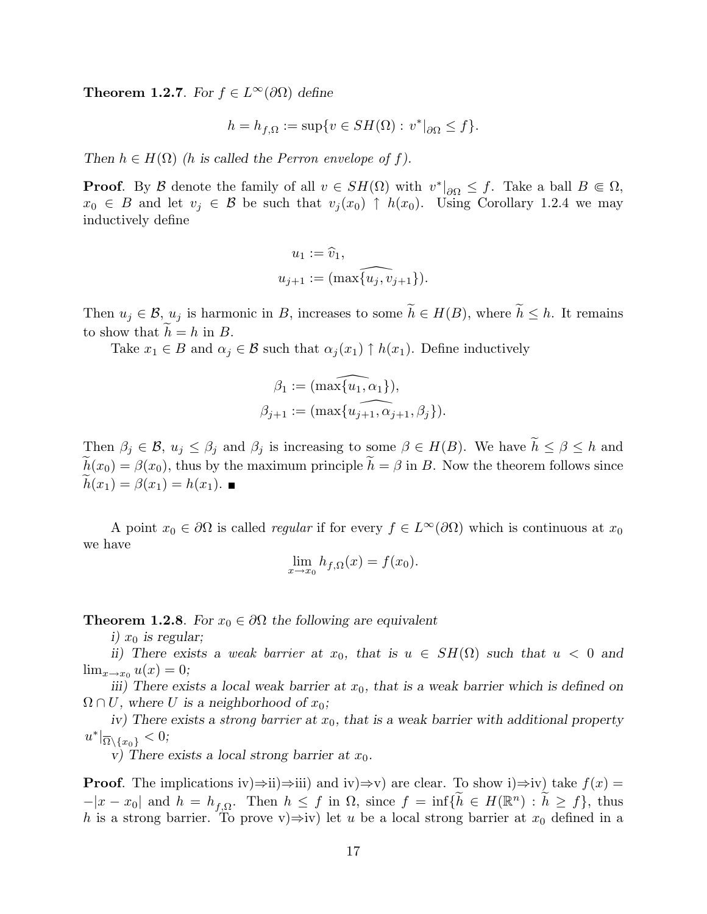**Theorem 1.2.7**. For  $f \in L^{\infty}(\partial\Omega)$  define

$$
h = h_{f,\Omega} := \sup \{ v \in SH(\Omega) : v^*|_{\partial \Omega} \le f \}.
$$

Then  $h \in H(\Omega)$  (h is called the Perron envelope of f).

**Proof.** By B denote the family of all  $v \in SH(\Omega)$  with  $v^*|_{\partial\Omega} \leq f$ . Take a ball  $B \in \Omega$ ,  $x_0 \in B$  and let  $v_j \in B$  be such that  $v_j(x_0) \uparrow h(x_0)$ . Using Corollary 1.2.4 we may inductively define

$$
u_1 := \widehat{v}_1,
$$
  

$$
u_{j+1} := (\max\{\widehat{u_j, v_{j+1}}\}).
$$

Then  $u_j \in \mathcal{B}$ ,  $u_j$  is harmonic in B, increases to some  $\widetilde{h} \in H(B)$ , where  $\widetilde{h} \leq h$ . It remains to show that  $h = h$  in B.

Take  $x_1 \in B$  and  $\alpha_j \in B$  such that  $\alpha_j(x_1) \uparrow h(x_1)$ . Define inductively

$$
\beta_1 := (\max\{u_1, \alpha_1\}),
$$
  

$$
\beta_{j+1} := (\max\{u_{j+1}, \alpha_{j+1}, \beta_j\}).
$$

Then  $\beta_j \in \mathcal{B}$ ,  $u_j \leq \beta_j$  and  $\beta_j$  is increasing to some  $\beta \in H(B)$ . We have  $\widetilde{h} \leq \beta \leq h$  and  $ilde{h}(x_0) = \beta(x_0)$ , thus by the maximum principle  $\tilde{h} = \beta$  in B. Now the theorem follows since  $h(x_1) = \beta(x_1) = h(x_1)$ .

A point  $x_0 \in \partial\Omega$  is called *regular* if for every  $f \in L^{\infty}(\partial\Omega)$  which is continuous at  $x_0$ we have

$$
\lim_{x \to x_0} h_{f,\Omega}(x) = f(x_0).
$$

**Theorem 1.2.8**. For  $x_0 \in \partial\Omega$  the following are equivalent

i)  $x_0$  is regular;

ii) There exists a weak barrier at  $x_0$ , that is  $u \in SH(\Omega)$  such that  $u < 0$  and  $\lim_{x\to x_0} u(x) = 0;$ 

iii) There exists a local weak barrier at  $x_0$ , that is a weak barrier which is defined on  $\Omega \cap U$ , where U is a neighborhood of  $x_0$ ;

iv) There exists a strong barrier at  $x_0$ , that is a weak barrier with additional property  $u^*|_{\overline{\Omega}\setminus\{x_0\}} < 0;$ 

v) There exists a local strong barrier at  $x_0$ .

**Proof.** The implications iv)⇒ii)⇒iii) and iv)⇒v) are clear. To show i)⇒iv) take  $f(x) =$  $-|x-x_0|$  and  $h = h_{f,\Omega}$ . Then  $h \leq f$  in  $\Omega$ , since  $f = \inf \{ \widetilde{h} \in H(\mathbb{R}^n) : \widetilde{h} \geq f \}$ , thus h is a strong barrier. To prove v)⇒iv) let u be a local strong barrier at  $x_0$  defined in a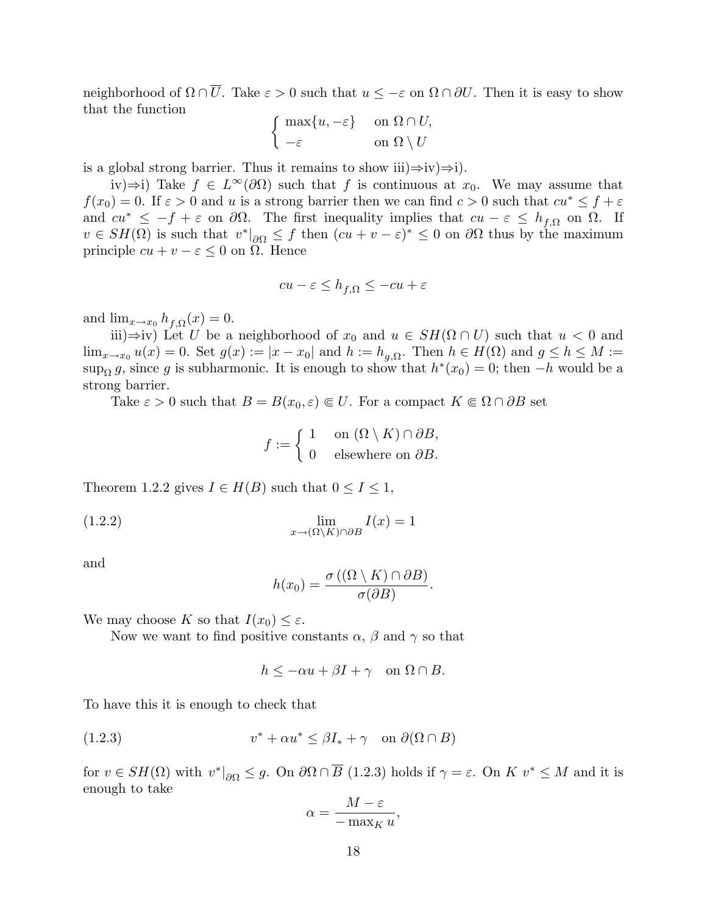neighborhood of  $\Omega \cap \overline{U}$ . Take  $\varepsilon > 0$  such that  $u \leq -\varepsilon$  on  $\Omega \cap \partial U$ . Then it is easy to show that the function ½

$$
\begin{cases} \max\{u, -\varepsilon\} & \text{ on } \Omega \cap U, \\ -\varepsilon & \text{ on } \Omega \setminus U \end{cases}
$$

is a global strong barrier. Thus it remains to show iii) $\Rightarrow$ iv) $\Rightarrow$ i).

iv)⇒i) Take  $f \text{ } \in L^{\infty}(\partial \Omega)$  such that f is continuous at  $x_0$ . We may assume that  $f(x_0) = 0$ . If  $\varepsilon > 0$  and u is a strong barrier then we can find  $c > 0$  such that  $cu^* \leq f + \varepsilon$ and  $cu^* \leq -f + \varepsilon$  on  $\partial\Omega$ . The first inequality implies that  $cu - \varepsilon \leq h_{f,\Omega}$  on  $\Omega$ . If  $v \in SH(\Omega)$  is such that  $v^*|_{\partial\Omega} \leq f$  then  $(cu + v - \varepsilon)^* \leq 0$  on  $\partial\Omega$  thus by the maximum principle  $cu + v - \varepsilon \leq 0$  on  $\Omega$ . Hence

$$
cu - \varepsilon \le h_{f,\Omega} \le -cu + \varepsilon
$$

and  $\lim_{x\to x_0} h_{f,\Omega}(x) = 0.$ 

iii)⇒iv) Let U be a neighborhood of  $x_0$  and  $u \in SH(\Omega \cap U)$  such that  $u < 0$  and  $\lim_{x\to x_0} u(x) = 0.$  Set  $g(x) := |x - x_0|$  and  $h := h_{g,\Omega}$ . Then  $h \in H(\Omega)$  and  $g \le h \le M :=$ sup<sub>Ω</sub> g, since g is subharmonic. It is enough to show that  $h^*(x_0) = 0$ ; then  $-h$  would be a strong barrier.

Take  $\varepsilon > 0$  such that  $B = B(x_0, \varepsilon) \in U$ . For a compact  $K \in \Omega \cap \partial B$  set

$$
f := \begin{cases} 1 & \text{on } (\Omega \setminus K) \cap \partial B, \\ 0 & \text{elsewhere on } \partial B. \end{cases}
$$

Theorem 1.2.2 gives  $I \in H(B)$  such that  $0 \leq I \leq 1$ ,

(1.2.2) 
$$
\lim_{x \to (\Omega \setminus K) \cap \partial B} I(x) = 1
$$

and

$$
h(x_0) = \frac{\sigma((\Omega \setminus K) \cap \partial B)}{\sigma(\partial B)}.
$$

We may choose K so that  $I(x_0) \leq \varepsilon$ .

Now we want to find positive constants  $\alpha$ ,  $\beta$  and  $\gamma$  so that

$$
h \le -\alpha u + \beta I + \gamma \quad \text{on } \Omega \cap B.
$$

To have this it is enough to check that

(1.2.3) 
$$
v^* + \alpha u^* \le \beta I_* + \gamma \quad \text{on } \partial(\Omega \cap B)
$$

for  $v \in SH(\Omega)$  with  $v^*|_{\partial\Omega} \leq g$ . On  $\partial\Omega \cap \overline{B}$  (1.2.3) holds if  $\gamma = \varepsilon$ . On  $K v^* \leq M$  and it is enough to take

$$
\alpha = \frac{M - \varepsilon}{-\max_K u},
$$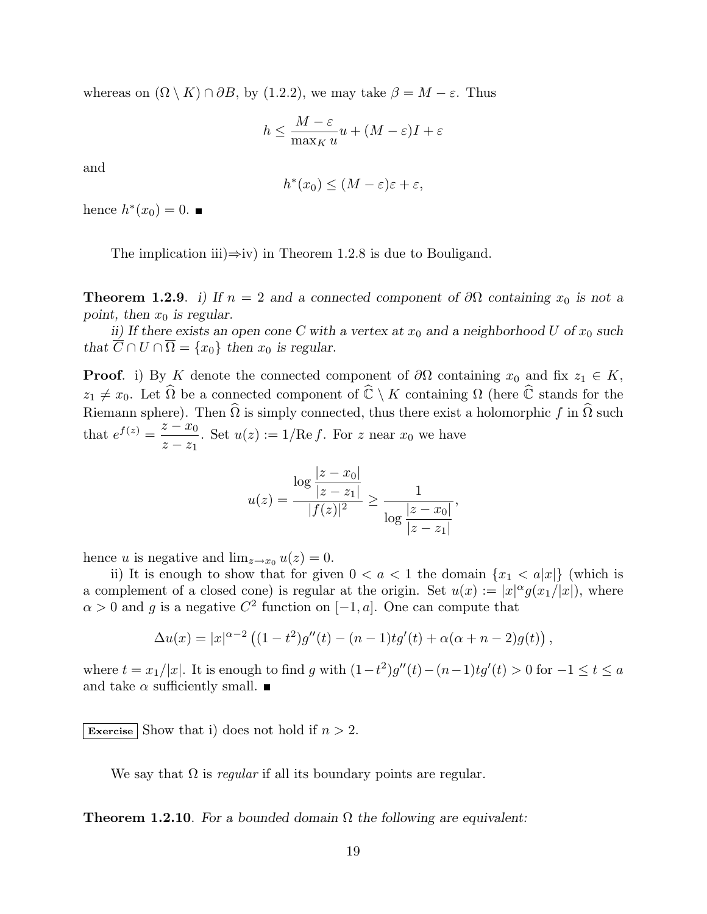whereas on  $(\Omega \setminus K) \cap \partial B$ , by (1.2.2), we may take  $\beta = M - \varepsilon$ . Thus

$$
h \le \frac{M - \varepsilon}{\max_K u} u + (M - \varepsilon)I + \varepsilon
$$

and

$$
h^*(x_0) \le (M - \varepsilon)\varepsilon + \varepsilon,
$$

hence  $h^*(x_0) = 0$ .

The implication iii) $\Rightarrow$ iv) in Theorem 1.2.8 is due to Bouligand.

**Theorem 1.2.9.** i) If  $n = 2$  and a connected component of  $\partial\Omega$  containing  $x_0$  is not a point, then  $x_0$  is regular.

ii) If there exists an open cone C with a vertex at  $x_0$  and a neighborhood U of  $x_0$  such that  $\overline{C} \cap U \cap \overline{\Omega} = \{x_0\}$  then  $x_0$  is regular.

**Proof.** i) By K denote the connected component of  $\partial\Omega$  containing  $x_0$  and fix  $z_1 \in K$ ,  $z_1 \neq x_0$ . Let  $\widehat{\Omega}$  be a connected component of  $\widehat{\mathbb{C}} \setminus K$  containing  $\Omega$  (here  $\widehat{\mathbb{C}}$  stands for the Riemann sphere). Then  $\widehat{\Omega}$  is simply connected, thus there exist a holomorphic f in  $\widehat{\Omega}$  such that  $e^{f(z)} = \frac{z - x_0}{z}$  $z - z_1$ . Set  $u(z) := 1/\text{Re } f$ . For z near  $x_0$  we have

$$
u(z) = \frac{\log \frac{|z - x_0|}{|z - z_1|}}{|f(z)|^2} \ge \frac{1}{\log \frac{|z - x_0|}{|z - z_1|}},
$$

hence u is negative and  $\lim_{z\to x_0} u(z) = 0$ .

ii) It is enough to show that for given  $0 < a < 1$  the domain  $\{x_1 < a|x|\}$  (which is a complement of a closed cone) is regular at the origin. Set  $u(x) := |x|^{\alpha} g(x_1/|x|)$ , where  $\alpha > 0$  and g is a negative  $C^2$  function on  $[-1, a]$ . One can compute that

$$
\Delta u(x) = |x|^{\alpha - 2} \left( (1 - t^2) g''(t) - (n - 1) t g'(t) + \alpha (\alpha + n - 2) g(t) \right),
$$

where  $t = x_1/|x|$ . It is enough to find g with  $(1-t^2)g''(t) - (n-1)tg'(t) > 0$  for  $-1 \le t \le a$ and take  $\alpha$  sufficiently small.  $\blacksquare$ 

Exercise Show that i) does not hold if  $n > 2$ .

We say that  $\Omega$  is *regular* if all its boundary points are regular.

**Theorem 1.2.10**. For a bounded domain  $\Omega$  the following are equivalent: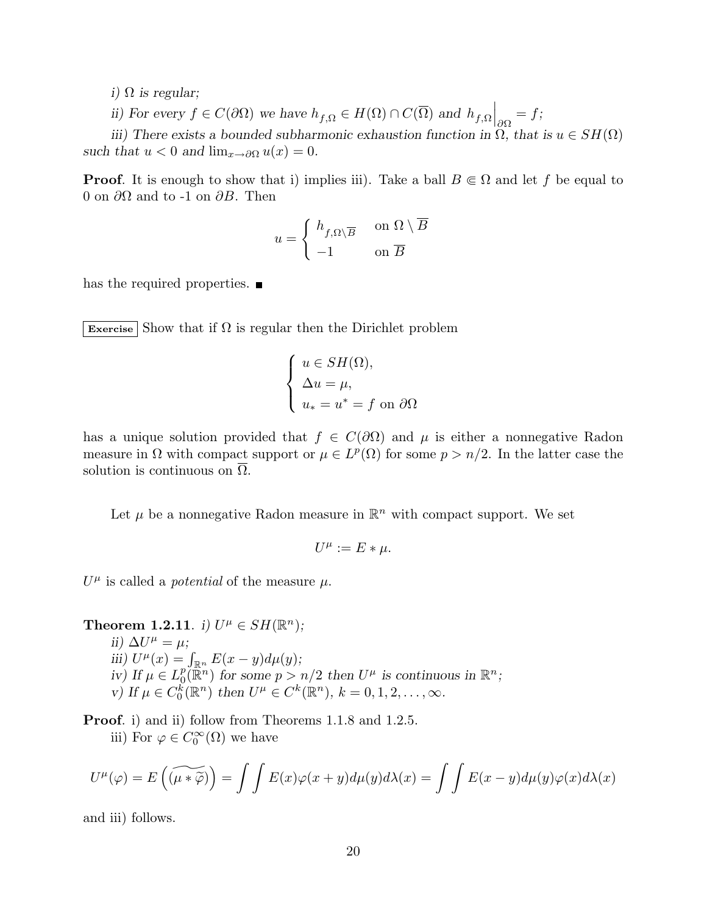i)  $\Omega$  is regular;

ii) For every  $f \in C(\partial\Omega)$  we have  $h_{f,\Omega} \in H(\Omega) \cap C(\overline{\Omega})$  and  $h_{f,\Omega}$  $\Big|_{\partial\Omega} = f;$ 

iii) There exists a bounded subharmonic exhaustion function in  $\Omega$ , that is  $u \in SH(\Omega)$ such that  $u < 0$  and  $\lim_{x \to \partial \Omega} u(x) = 0$ .

**Proof.** It is enough to show that i) implies iii). Take a ball  $B \subseteq \Omega$  and let f be equal to 0 on  $\partial\Omega$  and to -1 on  $\partial B$ . Then

$$
u = \begin{cases} h_{f,\Omega \setminus \overline{B}} & \text{on } \Omega \setminus \overline{B} \\ -1 & \text{on } \overline{B} \end{cases}
$$

has the required properties.  $\blacksquare$ 

Exercise Show that if  $\Omega$  is regular then the Dirichlet problem

$$
\begin{cases}\n u \in SH(\Omega), \\
\Delta u = \mu, \\
u_* = u^* = f \text{ on } \partial\Omega\n\end{cases}
$$

has a unique solution provided that  $f \in C(\partial\Omega)$  and  $\mu$  is either a nonnegative Radon measure in  $\Omega$  with compact support or  $\mu \in L^p(\Omega)$  for some  $p > n/2$ . In the latter case the solution is continuous on  $\Omega$ .

Let  $\mu$  be a nonnegative Radon measure in  $\mathbb{R}^n$  with compact support. We set

$$
U^{\mu} := E * \mu.
$$

 $U^{\mu}$  is called a *potential* of the measure  $\mu$ .

**Theorem 1.2.11.** i)  $U^{\mu} \in SH(\mathbb{R}^n)$ ; ii)  $\Delta U^{\mu} = \mu$ ; iii)  $U^{\mu}(x) = \int_{\mathbb{R}^n} E(x - y) d\mu(y);$ iv) If  $\mu \in L_0^p$  $p\overline{p}(\mathbb{R}^n)$  for some  $p > n/2$  then  $U^{\mu}$  is continuous in  $\mathbb{R}^n$ ; v) If  $\mu \in C_0^{\vec{k}}(\mathbb{R}^n)$  then  $U^{\mu} \in C^k(\mathbb{R}^n)$ ,  $k = 0, 1, 2, ..., \infty$ .

Proof. i) and ii) follow from Theorems 1.1.8 and 1.2.5. iii) For  $\varphi \in C_0^{\infty}(\Omega)$  we have

$$
U^{\mu}(\varphi) = E\left(\widetilde{(\mu * \widetilde{\varphi})}\right) = \int \int E(x)\varphi(x+y)d\mu(y)d\lambda(x) = \int \int E(x-y)d\mu(y)\varphi(x)d\lambda(x)
$$

and iii) follows.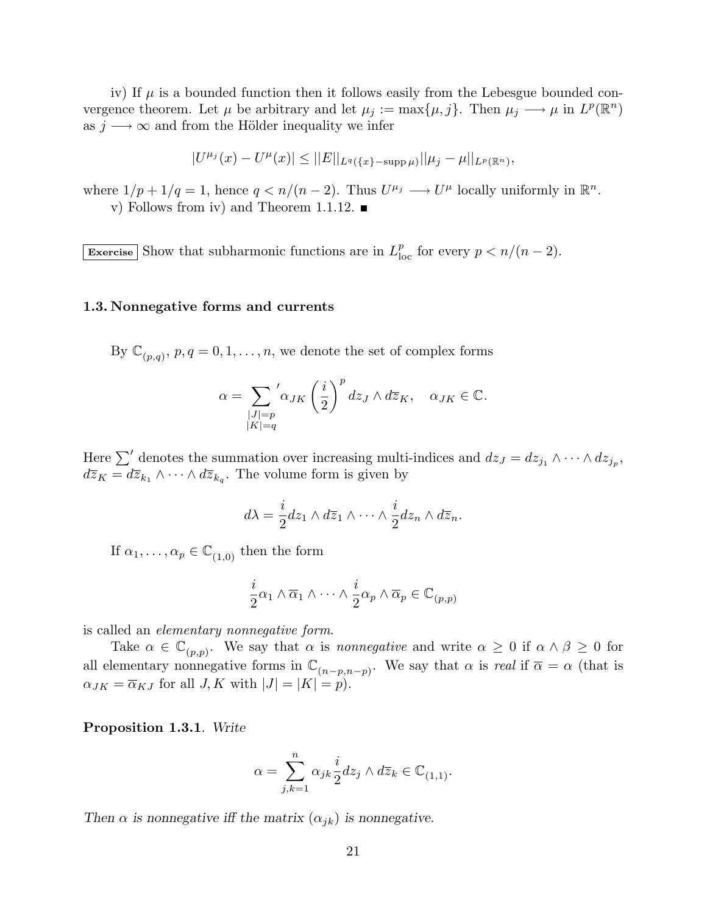iv) If  $\mu$  is a bounded function then it follows easily from the Lebesgue bounded convergence theorem. Let  $\mu$  be arbitrary and let  $\mu_j := \max{\mu, j}$ . Then  $\mu_j \longrightarrow \mu$  in  $L^p(\mathbb{R}^n)$ as  $j \rightarrow \infty$  and from the Hölder inequality we infer

$$
|U^{\mu_j}(x) - U^{\mu}(x)| \leq ||E||_{L^q(\{x\} - \sup p\,\mu)}||\mu_j - \mu||_{L^p(\mathbb{R}^n)},
$$

where  $1/p + 1/q = 1$ , hence  $q \lt n/(n-2)$ . Thus  $U^{\mu_j} \longrightarrow U^{\mu}$  locally uniformly in  $\mathbb{R}^n$ . v) Follows from iv) and Theorem 1.1.12.  $\blacksquare$ 

Exercise Show that subharmonic functions are in  $L_{\text{loc}}^p$  for every  $p < n/(n-2)$ .

#### 1.3. Nonnegative forms and currents

By  $\mathbb{C}_{(p,q)}, p, q = 0, 1, \ldots, n$ , we denote the set of complex forms

$$
\alpha = \sum_{\substack{|J|=p \\ |K|=q}} \alpha_{JK} \left(\frac{i}{2}\right)^p dz_J \wedge d\overline{z}_K, \quad \alpha_{JK} \in \mathbb{C}.
$$

Here  $\sum'$  denotes the summation over increasing multi-indices and  $dz_J = dz_{j_1} \wedge \cdots \wedge dz_{j_p}$ ,  $d\overline{z}_K = d\overline{z}_{k_1} \wedge \cdots \wedge d\overline{z}_{k_q}$ . The volume form is given by

$$
d\lambda = \frac{i}{2} dz_1 \wedge d\overline{z}_1 \wedge \cdots \wedge \frac{i}{2} dz_n \wedge d\overline{z}_n.
$$

If  $\alpha_1, \ldots, \alpha_p \in \mathbb{C}_{(1,0)}$  then the form

$$
\frac{i}{2}\alpha_1 \wedge \overline{\alpha}_1 \wedge \cdots \wedge \frac{i}{2}\alpha_p \wedge \overline{\alpha}_p \in \mathbb{C}_{(p,p)}
$$

is called an elementary nonnegative form.

Take  $\alpha \in \mathbb{C}_{(p,p)}$ . We say that  $\alpha$  is *nonnegative* and write  $\alpha \geq 0$  if  $\alpha \wedge \beta \geq 0$  for all elementary nonnegative forms in  $\mathbb{C}_{(n-p,n-p)}$ . We say that  $\alpha$  is real if  $\overline{\alpha} = \alpha$  (that is  $\alpha_{JK} = \overline{\alpha}_{KJ}$  for all  $J, K$  with  $|J| = |K| = p$ .

Proposition 1.3.1. Write

$$
\alpha=\sum_{j,k=1}^n\alpha_{jk}\frac{i}{2}dz_j\wedge d\overline{z}_k\in\mathbb{C}_{(1,1)}.
$$

Then  $\alpha$  is nonnegative iff the matrix  $(\alpha_{jk})$  is nonnegative.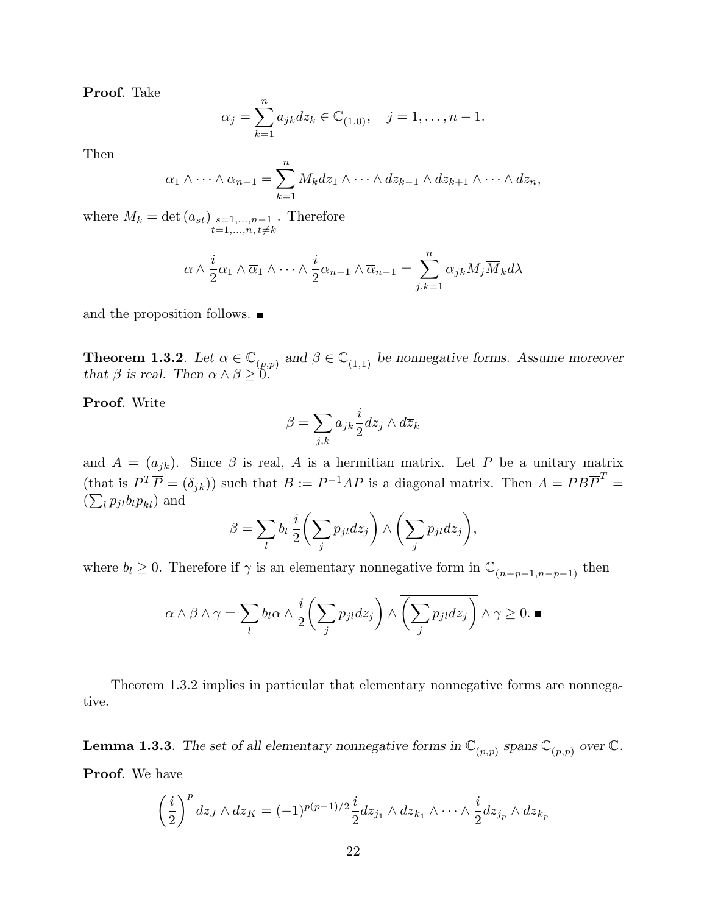Proof. Take

$$
\alpha_j = \sum_{k=1}^n a_{jk} dz_k \in \mathbb{C}_{(1,0)}, \quad j = 1, \dots, n-1.
$$

Then

$$
\alpha_1 \wedge \cdots \wedge \alpha_{n-1} = \sum_{k=1}^n M_k dz_1 \wedge \cdots \wedge dz_{k-1} \wedge dz_{k+1} \wedge \cdots \wedge dz_n,
$$

where  $M_k = \det(a_{st})$  s=1,...,n-1  $t=1,\ldots,n$ ,  $t\neq k$ . Therefore

$$
\alpha \wedge \frac{i}{2}\alpha_1 \wedge \overline{\alpha}_1 \wedge \cdots \wedge \frac{i}{2}\alpha_{n-1} \wedge \overline{\alpha}_{n-1} = \sum_{j,k=1}^n \alpha_{jk} M_j \overline{M}_k d\lambda
$$

and the proposition follows.

**Theorem 1.3.2**. Let  $\alpha \in \mathbb{C}_{(p,p)}$  and  $\beta \in \mathbb{C}_{(1,1)}$  be nonnegative forms. Assume moreover that  $\beta$  is real. Then  $\alpha \wedge \beta \geq 0$ .

Proof. Write

$$
\beta = \sum_{j,k} a_{jk} \frac{i}{2} dz_j \wedge d\overline{z}_k
$$

and  $A = (a_{jk})$ . Since  $\beta$  is real, A is a hermitian matrix. Let P be a unitary matrix (that is  $P^T \overline{P} = (\delta_{jk})$ ) such that  $B := P^{-1}AP$  is a diagonal matrix. Then  $A = PB\overline{P}^T = (B_{jk})$  $(\sum_l p_{jl} b_l \overline{p}_{kl})$  and  $\mathbf{r}$  $\overline{ }$ 

$$
\beta = \sum_l b_l \, \frac{i}{2} \bigg( \sum_j p_{jl} dz_j \bigg) \wedge \overline{\bigg( \sum_j p_{jl} dz_j \bigg)},
$$

where  $b_l \geq 0$ . Therefore if  $\gamma$  is an elementary nonnegative form in  $\mathbb{C}_{(n-p-1,n-p-1)}$  then

$$
\alpha \wedge \beta \wedge \gamma = \sum_{l} b_l \alpha \wedge \frac{i}{2} \left( \sum_{j} p_{jl} dz_j \right) \wedge \overline{\left( \sum_{j} p_{jl} dz_j \right)} \wedge \gamma \ge 0. \blacksquare
$$

Theorem 1.3.2 implies in particular that elementary nonnegative forms are nonnegative.

**Lemma 1.3.3**. The set of all elementary nonnegative forms in  $\mathbb{C}_{(p,p)}$  spans  $\mathbb{C}_{(p,p)}$  over  $\mathbb{C}$ . Proof. We have

$$
\left(\frac{i}{2}\right)^p dz_J \wedge d\overline{z}_K = (-1)^{p(p-1)/2} \frac{i}{2} dz_{j_1} \wedge d\overline{z}_{k_1} \wedge \cdots \wedge \frac{i}{2} dz_{j_p} \wedge d\overline{z}_{k_p}
$$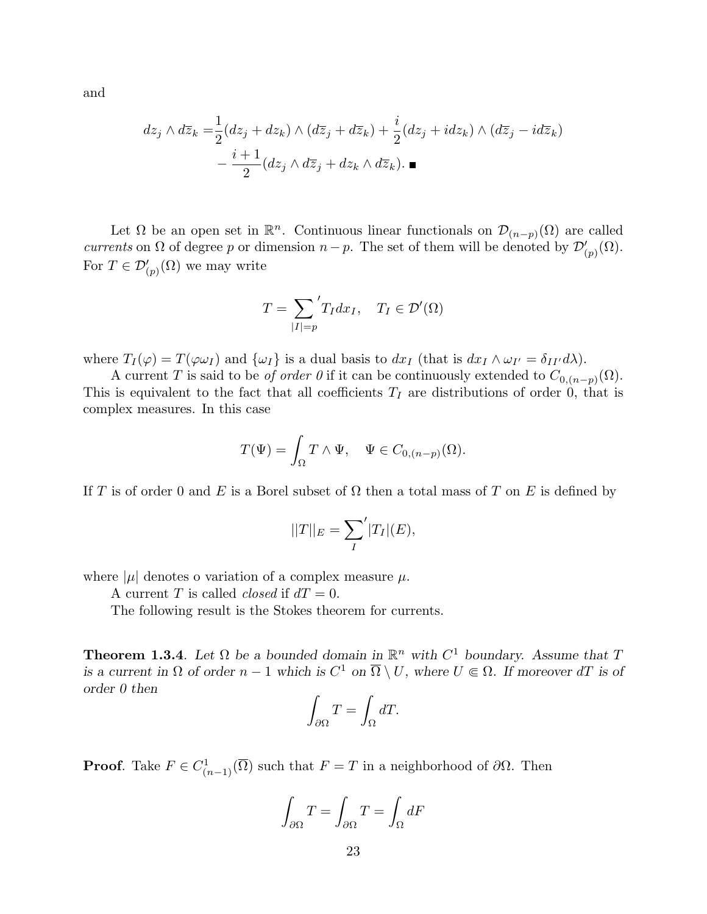and

$$
dz_j \wedge d\overline{z}_k = \frac{1}{2} (dz_j + dz_k) \wedge (d\overline{z}_j + d\overline{z}_k) + \frac{i}{2} (dz_j + idz_k) \wedge (d\overline{z}_j - id\overline{z}_k)
$$

$$
- \frac{i+1}{2} (dz_j \wedge d\overline{z}_j + dz_k \wedge d\overline{z}_k). \blacksquare
$$

Let  $\Omega$  be an open set in  $\mathbb{R}^n$ . Continuous linear functionals on  $\mathcal{D}_{(n-p)}(\Omega)$  are called currents on  $\Omega$  of degree p or dimension  $n-p$ . The set of them will be denoted by  $\mathcal{D}'_{(p)}(\Omega)$ . For  $T \in \mathcal{D}'_{(p)}(\Omega)$  we may write

$$
T = \sum_{|I|=p} 'T_I dx_I, \quad T_I \in \mathcal{D}'(\Omega)
$$

where  $T_I(\varphi) = T(\varphi \omega_I)$  and  $\{\omega_I\}$  is a dual basis to  $dx_I$  (that is  $dx_I \wedge \omega_{I'} = \delta_{II'} d\lambda$ ).

A current T is said to be *of order* 0 if it can be continuously extended to  $C_{0,(n-p)}(\Omega)$ . This is equivalent to the fact that all coefficients  $T_I$  are distributions of order 0, that is complex measures. In this case

$$
T(\Psi) = \int_{\Omega} T \wedge \Psi, \quad \Psi \in C_{0,(n-p)}(\Omega).
$$

If T is of order 0 and E is a Borel subset of  $\Omega$  then a total mass of T on E is defined by

$$
||T||_E = \sum_I \langle |T_I|(E),
$$

where  $|\mu|$  denotes o variation of a complex measure  $\mu$ .

A current T is called *closed* if  $dT = 0$ .

The following result is the Stokes theorem for currents.

**Theorem 1.3.4**. Let  $\Omega$  be a bounded domain in  $\mathbb{R}^n$  with  $C^1$  boundary. Assume that T is a current in  $\Omega$  of order  $n-1$  which is  $C^1$  on  $\overline{\Omega} \setminus U$ , where  $U \in \Omega$ . If moreover dT is of order 0 then

$$
\int_{\partial\Omega} T = \int_{\Omega} dT.
$$

**Proof.** Take  $F \in C^1_{(n-1)}(\overline{\Omega})$  such that  $F = T$  in a neighborhood of  $\partial\Omega$ . Then

$$
\int_{\partial\Omega} T = \int_{\partial\Omega} T = \int_{\Omega} dF
$$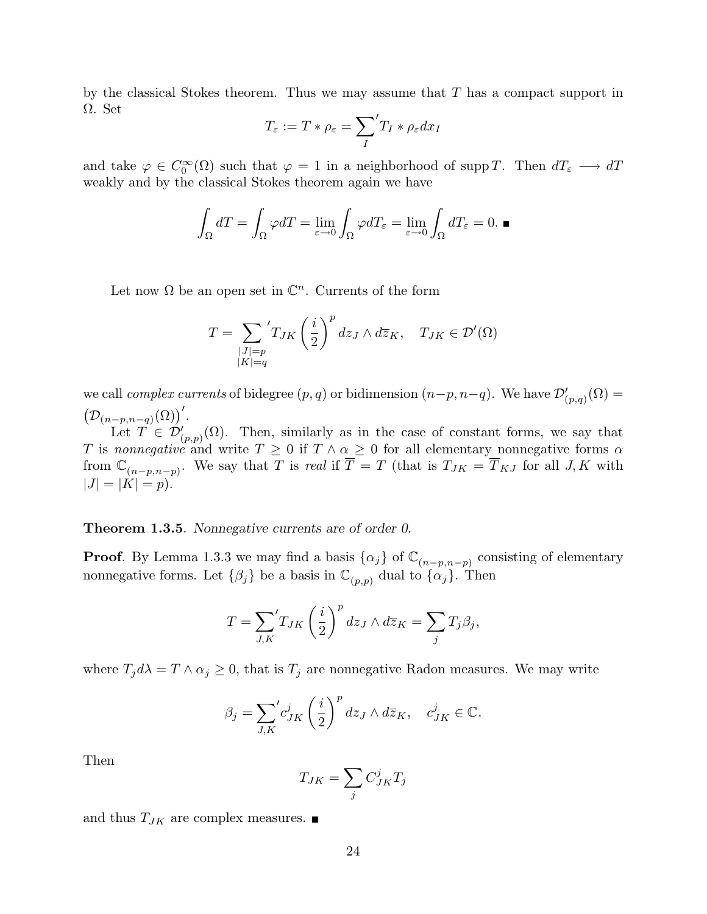by the classical Stokes theorem. Thus we may assume that  $T$  has a compact support in  $\Omega$ . Set  $\overline{\phantom{a}}$ 

$$
T_{\varepsilon} := T * \rho_{\varepsilon} = \sum_{I} 'T_I * \rho_{\varepsilon} dx_I
$$

and take  $\varphi \in C_0^{\infty}(\Omega)$  such that  $\varphi = 1$  in a neighborhood of supp T. Then  $dT_{\varepsilon} \longrightarrow dT$ weakly and by the classical Stokes theorem again we have

$$
\int_{\Omega} dT = \int_{\Omega} \varphi dT = \lim_{\varepsilon \to 0} \int_{\Omega} \varphi dT_{\varepsilon} = \lim_{\varepsilon \to 0} \int_{\Omega} dT_{\varepsilon} = 0.
$$

Let now  $\Omega$  be an open set in  $\mathbb{C}^n$ . Currents of the form

$$
T = \sum_{\substack{|J|=p\\|K|=q}} 'T_{JK} \left(\frac{i}{2}\right)^p dz_J \wedge d\overline{z}_K, \quad T_{JK} \in \mathcal{D}'(\Omega)
$$

we call *complex currents* of bidegree  $(p, q)$  or bidimension  $(n-p, n-q)$ . We have  $\mathcal{D}'_{(p,q)}(\Omega) =$ ¡  ${\mathcal D}_{(n-p,n-q)}(\Omega) \big)'.$ 

Let  $T \in \mathcal{D}'_{(p,p)}(\Omega)$ . Then, similarly as in the case of constant forms, we say that T is nonnegative and write  $T \geq 0$  if  $T \wedge \alpha \geq 0$  for all elementary nonnegative forms  $\alpha$ from  $\mathbb{C}_{(n-p,n-p)}$ . We say that T is real if  $\overline{T} = T$  (that is  $T_{JK} = \overline{T}_{KJ}$  for all J, K with  $|J| = |K| = p$ .

#### **Theorem 1.3.5.** Nonnegative currents are of order 0.

**Proof.** By Lemma 1.3.3 we may find a basis  $\{\alpha_j\}$  of  $\mathbb{C}_{(n-p,n-p)}$  consisting of elementary nonnegative forms. Let  $\{\beta_j\}$  be a basis in  $\mathbb{C}_{(p,p)}$  dual to  $\{\alpha_j\}$ . Then

$$
T = \sum_{J,K} 'T_{JK} \left(\frac{i}{2}\right)^p dz_J \wedge d\overline{z}_K = \sum_j T_j \beta_j,
$$

where  $T_j d\lambda = T \wedge \alpha_j \geq 0$ , that is  $T_j$  are nonnegative Radon measures. We may write

$$
\beta_j = \sum_{J,K}^{\prime} c_{JK}^j \left(\frac{i}{2}\right)^p dz_J \wedge d\overline{z}_K, \quad c_{JK}^j \in \mathbb{C}.
$$

Then

$$
T_{JK} = \sum_j C_{JK}^j T_j
$$

and thus  $T_{JK}$  are complex measures.  $\blacksquare$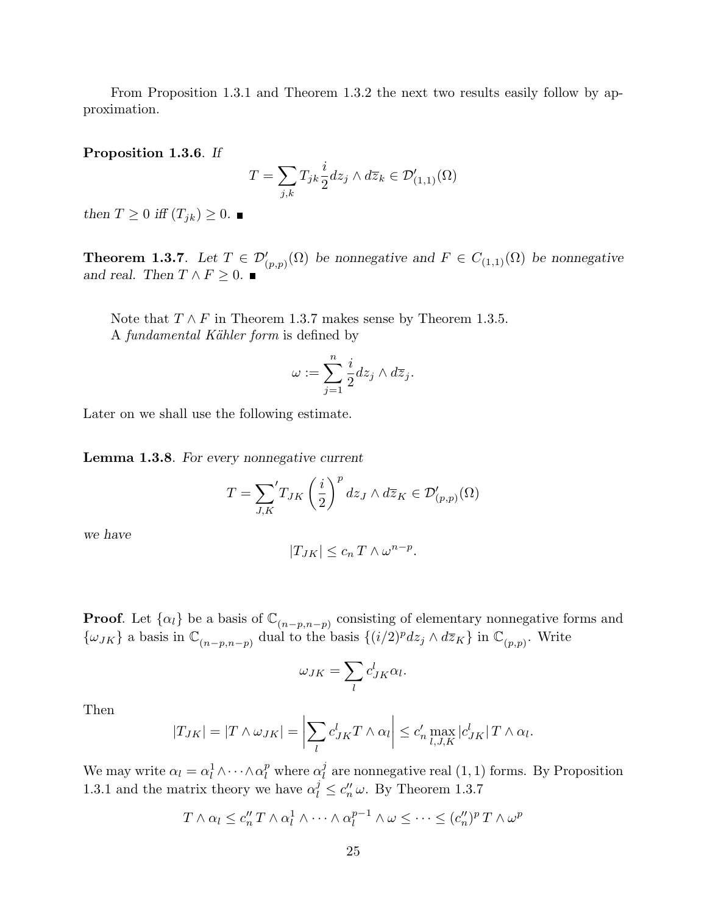From Proposition 1.3.1 and Theorem 1.3.2 the next two results easily follow by approximation.

Proposition 1.3.6. If

$$
T = \sum_{j,k} T_{jk} \frac{i}{2} dz_j \wedge d\overline{z}_k \in \mathcal{D}'_{(1,1)}(\Omega)
$$

then  $T \geq 0$  iff  $(T_{jk}) \geq 0$ .

**Theorem 1.3.7.** Let  $T \in \mathcal{D}'_{(p,p)}(\Omega)$  be nonnegative and  $F \in C_{(1,1)}(\Omega)$  be nonnegative and real. Then  $T \wedge F \geq 0$ .

Note that  $T \wedge F$  in Theorem 1.3.7 makes sense by Theorem 1.3.5. A *fundamental Kähler form* is defined by

$$
\omega := \sum_{j=1}^n \frac{i}{2} dz_j \wedge d\overline{z}_j.
$$

Later on we shall use the following estimate.

Lemma 1.3.8. For every nonnegative current

$$
T = \sum_{J,K} 'T_{JK} \left(\frac{i}{2}\right)^p dz_J \wedge d\overline{z}_K \in \mathcal{D}'_{(p,p)}(\Omega)
$$

we have

$$
|T_{JK}| \le c_n T \wedge \omega^{n-p}.
$$

**Proof.** Let  $\{\alpha_l\}$  be a basis of  $\mathbb{C}_{(n-p,n-p)}$  consisting of elementary nonnegative forms and  $\{\omega_{JK}\}\$ a basis in  $\mathbb{C}_{(n-p,n-p)}$  dual to the basis  $\{(i/2)^p dz_j \wedge d\overline{z}_K\}$  in  $\mathbb{C}_{(p,p)}$ . Write

$$
\omega_{JK} = \sum_l c_{JK}^l \alpha_l.
$$

Then

$$
|T_{JK}| = |T \wedge \omega_{JK}| = \left| \sum_l c_{JK}^l T \wedge \alpha_l \right| \leq c_n' \max_{l,J,K} |c_{JK}^l| T \wedge \alpha_l.
$$

We may write  $\alpha_l = \alpha_l^1 \wedge \cdots \wedge \alpha_l^p$  $\ell_l^p$  where  $\alpha_l^j$  $\ell_l^j$  are nonnegative real  $(1, 1)$  forms. By Proposition 1.3.1 and the matrix theory we have  $\alpha_l^j \leq c_n^{\prime\prime} \omega$ . By Theorem 1.3.7

$$
T \wedge \alpha_l \leq c''_n T \wedge \alpha_l^1 \wedge \cdots \wedge \alpha_l^{p-1} \wedge \omega \leq \cdots \leq (c''_n)^p T \wedge \omega^p
$$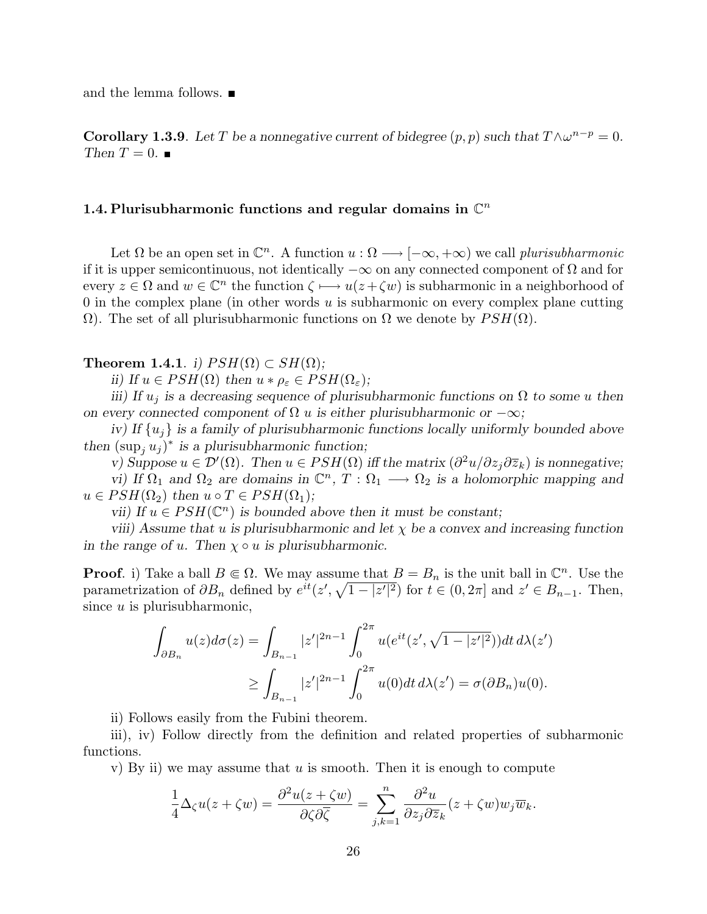and the lemma follows.

**Corollary 1.3.9**. Let T be a nonnegative current of bidegree  $(p, p)$  such that  $T \wedge \omega^{n-p} = 0$ . Then  $T=0$ .

## 1.4. Plurisubharmonic functions and regular domains in  $\mathbb{C}^n$

Let  $\Omega$  be an open set in  $\mathbb{C}^n$ . A function  $u : \Omega \longrightarrow [-\infty, +\infty)$  we call plurisubharmonic if it is upper semicontinuous, not identically  $-\infty$  on any connected component of  $\Omega$  and for every  $z \in \Omega$  and  $w \in \mathbb{C}^n$  the function  $\zeta \mapsto u(z + \zeta w)$  is subharmonic in a neighborhood of 0 in the complex plane (in other words  $u$  is subharmonic on every complex plane cutting  $\Omega$ ). The set of all plurisubharmonic functions on  $\Omega$  we denote by  $PSH(\Omega)$ .

#### **Theorem 1.4.1**. i)  $PSH(\Omega) \subset SH(\Omega)$ ;

ii) If  $u \in PSH(\Omega)$  then  $u * \rho_{\varepsilon} \in PSH(\Omega_{\varepsilon});$ 

iii) If  $u_i$  is a decreasing sequence of plurisubharmonic functions on  $\Omega$  to some u then on every connected component of  $\Omega$  u is either plurisubharmonic or  $-\infty$ ;

iv) If  $\{u_i\}$  is a family of plurisubharmonic functions locally uniformly bounded above then  $(\sup_j u_j)^*$  is a plurisubharmonic function;

v) Suppose  $u \in \mathcal{D}'(\Omega)$ . Then  $u \in PSH(\Omega)$  iff the matrix  $\left(\frac{\partial^2 u}{\partial z_j \partial \overline{z}_k}\right)$  is nonnegative; vi) If  $\Omega_1$  and  $\Omega_2$  are domains in  $\mathbb{C}^n$ ,  $T: \Omega_1 \longrightarrow \Omega_2$  is a holomorphic mapping and  $u \in PSH(\Omega_2)$  then  $u \circ T \in PSH(\Omega_1);$ 

vii) If  $u \in PSH(\mathbb{C}^n)$  is bounded above then it must be constant;

viii) Assume that u is plurisubharmonic and let  $\chi$  be a convex and increasing function in the range of u. Then  $\chi \circ u$  is plurisubharmonic.

**Proof.** i) Take a ball  $B \subseteq \Omega$ . We may assume that  $B = B_n$  is the unit ball in  $\mathbb{C}^n$ . Use the parametrization of  $\partial B_n$  defined by  $e^{it}(z', \sqrt{1-|z'|^2})$  for  $t \in (0, 2\pi]$  and  $z' \in B_{n-1}$ . Then, since  $u$  is plurisubharmonic,

$$
\int_{\partial B_n} u(z) d\sigma(z) = \int_{B_{n-1}} |z'|^{2n-1} \int_0^{2\pi} u(e^{it}(z', \sqrt{1-|z'|^2})) dt \, d\lambda(z')
$$
  

$$
\geq \int_{B_{n-1}} |z'|^{2n-1} \int_0^{2\pi} u(0) dt \, d\lambda(z') = \sigma(\partial B_n) u(0).
$$

ii) Follows easily from the Fubini theorem.

iii), iv) Follow directly from the definition and related properties of subharmonic functions.

v) By ii) we may assume that  $u$  is smooth. Then it is enough to compute

$$
\frac{1}{4}\Delta_\zeta u(z+\zeta w)=\frac{\partial^2 u(z+\zeta w)}{\partial \zeta \partial \overline{\zeta}}=\sum_{j,k=1}^n \frac{\partial^2 u}{\partial z_j\partial \overline{z}_k}(z+\zeta w)w_j\overline{w}_k.
$$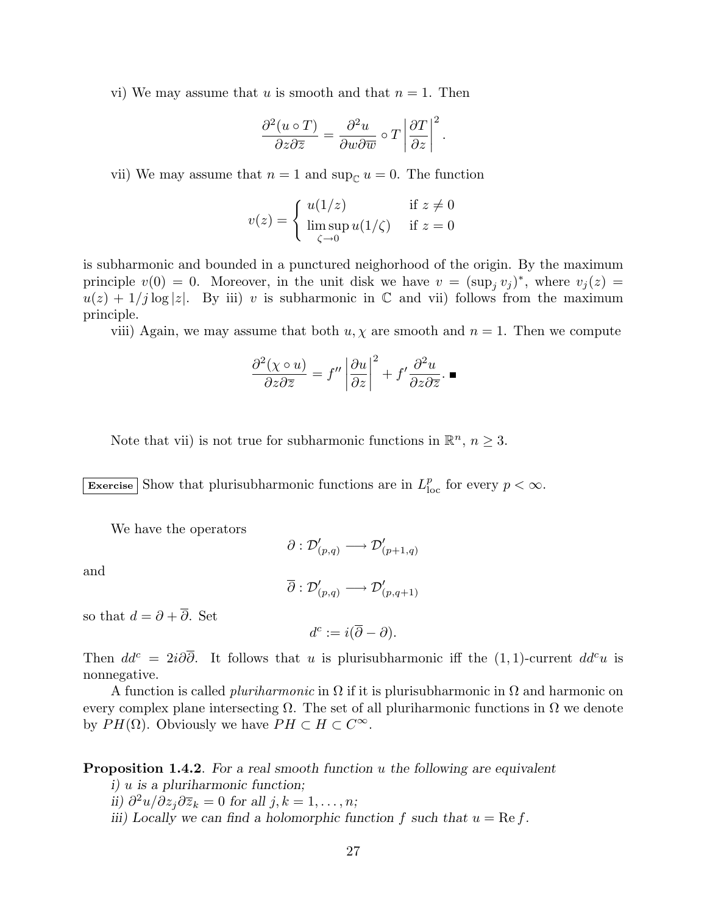vi) We may assume that u is smooth and that  $n = 1$ . Then

$$
\frac{\partial^2 (u \circ T)}{\partial z \partial \overline{z}} = \frac{\partial^2 u}{\partial w \partial \overline{w}} \circ T \left| \frac{\partial T}{\partial z} \right|^2.
$$

vii) We may assume that  $n = 1$  and sup<sub>C</sub>  $u = 0$ . The function

$$
v(z) = \begin{cases} u(1/z) & \text{if } z \neq 0\\ \limsup_{\zeta \to 0} u(1/\zeta) & \text{if } z = 0 \end{cases}
$$

is subharmonic and bounded in a punctured neighorhood of the origin. By the maximum principle  $v(0) = 0$ . Moreover, in the unit disk we have  $v = (\sup_j v_j)^*$ , where  $v_j(z) =$  $u(z) + 1/j \log |z|$ . By iii) v is subharmonic in C and vii) follows from the maximum principle.

viii) Again, we may assume that both  $u, \chi$  are smooth and  $n = 1$ . Then we compute

$$
\frac{\partial^2 (\chi \circ u)}{\partial z \partial \overline{z}} = f'' \left| \frac{\partial u}{\partial z} \right|^2 + f' \frac{\partial^2 u}{\partial z \partial \overline{z}}. \blacksquare
$$

Note that vii) is not true for subharmonic functions in  $\mathbb{R}^n$ ,  $n \geq 3$ .

Exercise Show that plurisubharmonic functions are in  $L_{\text{loc}}^p$  for every  $p < \infty$ .

We have the operators

$$
\partial:\mathcal{D}'_{(p,q)}\longrightarrow\mathcal{D}'_{(p+1,q)}
$$

and

$$
\overline{\partial}:\mathcal{D}^\prime_{(p,q)}\longrightarrow\mathcal{D}^\prime_{(p,q+1)}
$$

so that  $d = \partial + \overline{\partial}$ . Set

$$
d^c := i(\overline{\partial} - \partial).
$$

Then  $dd^c = 2i\partial\overline{\partial}$ . It follows that u is plurisubharmonic iff the (1,1)-current  $dd^c u$  is nonnegative.

A function is called *pluriharmonic* in  $\Omega$  if it is plurisubharmonic in  $\Omega$  and harmonic on every complex plane intersecting  $\Omega$ . The set of all pluriharmonic functions in  $\Omega$  we denote by  $PH(\Omega)$ . Obviously we have  $PH \subset H \subset C^{\infty}$ .

**Proposition 1.4.2.** For a real smooth function u the following are equivalent

i) u is a pluriharmonic function;

ii)  $\partial^2 u / \partial z_j \partial \overline{z}_k = 0$  for all  $j, k = 1, \ldots, n;$ 

iii) Locally we can find a holomorphic function f such that  $u = \text{Re } f$ .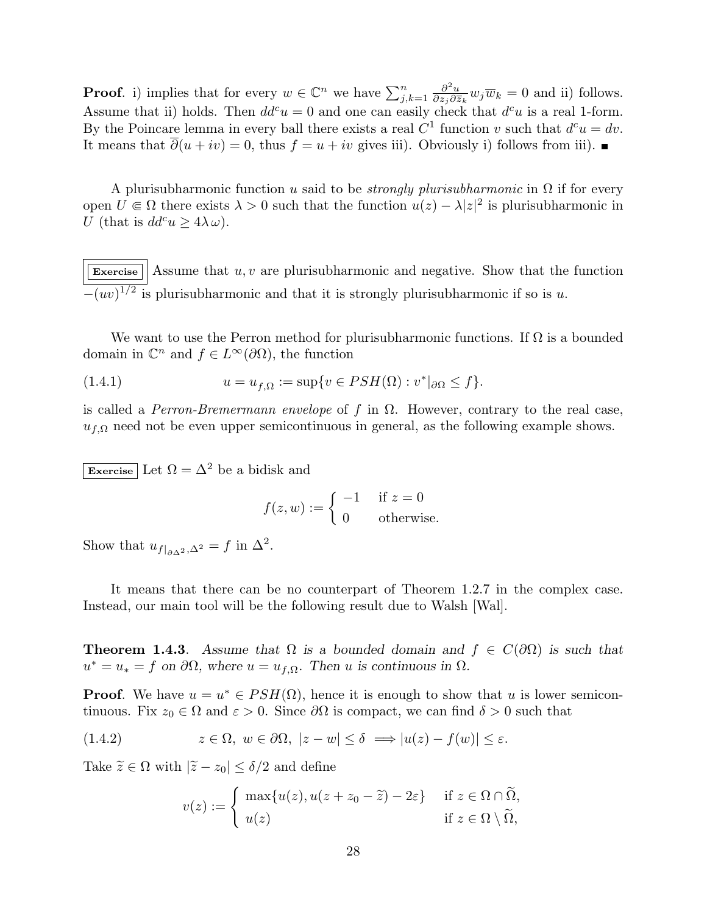**Proof.** i) implies that for every  $w \in \mathbb{C}^n$  we have  $\sum_{j,k=1}^n$  $\partial^2 u$  $\frac{\partial^2 u}{\partial z_j \partial \overline{z}_k} w_j \overline{w}_k = 0$  and ii) follows. Assume that ii) holds. Then  $dd^c u = 0$  and one can easily check that  $d^c u$  is a real 1-form. By the Poincare lemma in every ball there exists a real  $C^1$  function v such that  $d^c u = dv$ . It means that  $\overline{\partial}(u + iv) = 0$ , thus  $f = u + iv$  gives iii). Obviously i) follows from iii). ■

A plurisubharmonic function u said to be *strongly plurisubharmonic* in  $\Omega$  if for every open  $U \\\in \\Omega$  there exists  $\lambda > 0$  such that the function  $u(z) - \lambda |z|^2$  is plurisubharmonic in U (that is  $dd^c u \geq 4\lambda \omega$ ).

Exercise  $\vert$  Assume that u, v are plurisubharmonic and negative. Show that the function  $-(uv)^{1/2}$  is plurisubharmonic and that it is strongly plurisubharmonic if so is u.

We want to use the Perron method for plurisubharmonic functions. If  $\Omega$  is a bounded domain in  $\mathbb{C}^n$  and  $f \in L^{\infty}(\partial\Omega)$ , the function

(1.4.1) 
$$
u = u_{f,\Omega} := \sup\{v \in PSH(\Omega) : v^*|_{\partial\Omega} \leq f\}.
$$

is called a Perron-Bremermann envelope of f in  $\Omega$ . However, contrary to the real case,  $u_{f,\Omega}$  need not be even upper semicontinuous in general, as the following example shows.

Exercise Let  $\Omega = \Delta^2$  be a bidisk and

$$
f(z, w) := \begin{cases} -1 & \text{if } z = 0\\ 0 & \text{otherwise.} \end{cases}
$$

Show that  $u_{f|_{\partial \Delta^2},\Delta^2} = f$  in  $\Delta^2$ .

It means that there can be no counterpart of Theorem 1.2.7 in the complex case. Instead, our main tool will be the following result due to Walsh [Wal].

**Theorem 1.4.3.** Assume that  $\Omega$  is a bounded domain and  $f \in C(\partial\Omega)$  is such that  $u^* = u_* = f$  on  $\partial\Omega$ , where  $u = u_{f,\Omega}$ . Then u is continuous in  $\Omega$ .

**Proof.** We have  $u = u^* \in PSH(\Omega)$ , hence it is enough to show that u is lower semicontinuous. Fix  $z_0 \in \Omega$  and  $\varepsilon > 0$ . Since  $\partial\Omega$  is compact, we can find  $\delta > 0$  such that

(1.4.2) 
$$
z \in \Omega
$$
,  $w \in \partial\Omega$ ,  $|z - w| \le \delta \implies |u(z) - f(w)| \le \varepsilon$ .

Take  $\widetilde{z} \in \Omega$  with  $|\widetilde{z}-z_0| \leq \delta/2$  and define

$$
v(z) := \begin{cases} \max\{u(z), u(z+z_0-\widetilde{z}) - 2\varepsilon\} & \text{if } z \in \Omega \cap \widetilde{\Omega}, \\ u(z) & \text{if } z \in \Omega \setminus \widetilde{\Omega}, \end{cases}
$$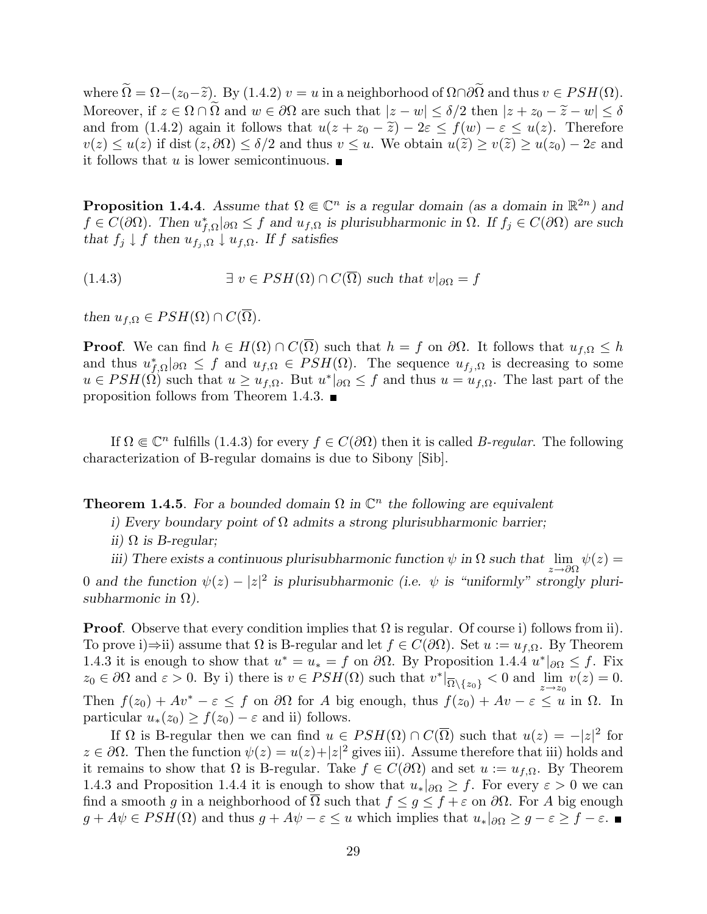where  $\widetilde{\Omega} = \Omega - (z_0 - \widetilde{z})$ . By  $(1.4.2)$   $v = u$  in a neighborhood of  $\Omega \cap \partial \widetilde{\Omega}$  and thus  $v \in PSH(\Omega)$ . Moreover, if  $z \in \Omega \cap \tilde{\Omega}$  and  $w \in \partial \Omega$  are such that  $|z-w| \leq \delta/2$  then  $|z+z_0-\tilde{z}-w| \leq \delta$ and from (1.4.2) again it follows that  $u(z + z_0 - \tilde{z}) - 2\varepsilon \le f(w) - \varepsilon \le u(z)$ . Therefore  $v(z) \le u(z)$  if dist  $(z, \partial \Omega) \le \delta/2$  and thus  $v \le u$ . We obtain  $u(\tilde{z}) \ge v(\tilde{z}) \ge u(z_0) - 2\varepsilon$  and it follows that u is lower semicontinuous.  $\blacksquare$ 

**Proposition 1.4.4**. Assume that  $\Omega \in \mathbb{C}^n$  is a regular domain (as a domain in  $\mathbb{R}^{2n}$ ) and  $f \in C(\partial\Omega)$ . Then  $u_{f,\Omega}^*|_{\partial\Omega} \leq f$  and  $u_{f,\Omega}$  is plurisubharmonic in  $\Omega$ . If  $f_j \in C(\partial\Omega)$  are such that  $f_j \downarrow f$  then  $u_{f_i,\Omega} \downarrow u_{f,\Omega}$ . If f satisfies

(1.4.3)  $\exists v \in PSH(\Omega) \cap C(\overline{\Omega})$  such that  $v|_{\partial\Omega} = f$ 

then  $u_{f,\Omega} \in PSH(\Omega) \cap C(\overline{\Omega}).$ 

**Proof.** We can find  $h \in H(\Omega) \cap C(\overline{\Omega})$  such that  $h = f$  on  $\partial\Omega$ . It follows that  $u_{f,\Omega} \leq h$ and thus  $u_{f,\Omega}^*|_{\partial\Omega} \leq f$  and  $u_{f,\Omega} \in PSH(\Omega)$ . The sequence  $u_{f_j,\Omega}$  is decreasing to some  $u \in PSH(\Omega)$  such that  $u \geq u_{f,\Omega}$ . But  $u^*|_{\partial\Omega} \leq f$  and thus  $u = u_{f,\Omega}$ . The last part of the proposition follows from Theorem 1.4.3.  $\blacksquare$ 

If  $\Omega \in \mathbb{C}^n$  fulfills (1.4.3) for every  $f \in C(\partial \Omega)$  then it is called B-regular. The following characterization of B-regular domains is due to Sibony [Sib].

**Theorem 1.4.5**. For a bounded domain  $\Omega$  in  $\mathbb{C}^n$  the following are equivalent

i) Every boundary point of  $\Omega$  admits a strong plurisubharmonic barrier;

ii)  $\Omega$  is B-regular;

iii) There exists a continuous plurisubharmonic function  $\psi$  in  $\Omega$  such that  $\lim_{z\to\partial\Omega}\psi(z) =$ 0 and the function  $\psi(z) - |z|^2$  is plurisubharmonic (i.e.  $\psi$  is "uniformly" strongly plurisubharmonic in  $\Omega$ ).

**Proof.** Observe that every condition implies that  $\Omega$  is regular. Of course i) follows from ii). To prove i)⇒ii) assume that  $\Omega$  is B-regular and let  $f \in C(\partial\Omega)$ . Set  $u := u_{f,\Omega}$ . By Theorem 1.4.3 it is enough to show that  $u^* = u_* = f$  on  $\partial\Omega$ . By Proposition 1.4.4  $u^*|_{\partial\Omega} \leq f$ . Fix  $z_0 \in \partial\Omega$  and  $\varepsilon > 0$ . By i) there is  $v \in PSH(\Omega)$  such that  $v^*|_{\overline{\Omega} \setminus \{z_0\}} < 0$  and  $\lim_{z \to z_0} v(z) = 0$ . Then  $f(z_0) + Av^* - \varepsilon \leq f$  on  $\partial\Omega$  for A big enough, thus  $f(z_0) + Av - \varepsilon \leq u$  in  $\Omega$ . In particular  $u_*(z_0) \ge f(z_0) - \varepsilon$  and ii) follows.

If  $\Omega$  is B-regular then we can find  $u \in PSH(\Omega) \cap C(\overline{\Omega})$  such that  $u(z) = -|z|^2$  for  $z \in \partial \Omega$ . Then the function  $\psi(z) = u(z) + |z|^2$  gives iii). Assume therefore that iii) holds and it remains to show that  $\Omega$  is B-regular. Take  $f \in C(\partial\Omega)$  and set  $u := u_{f,\Omega}$ . By Theorem 1.4.3 and Proposition 1.4.4 it is enough to show that  $u_*|_{\partial\Omega} \geq f$ . For every  $\varepsilon > 0$  we can find a smooth g in a neighborhood of  $\overline{\Omega}$  such that  $f \leq g \leq f + \varepsilon$  on  $\partial\Omega$ . For A big enough  $g + A\psi \in PSH(\Omega)$  and thus  $g + A\psi - \varepsilon \leq u$  which implies that  $u_*|_{\partial\Omega} \geq g - \varepsilon \geq f - \varepsilon$ .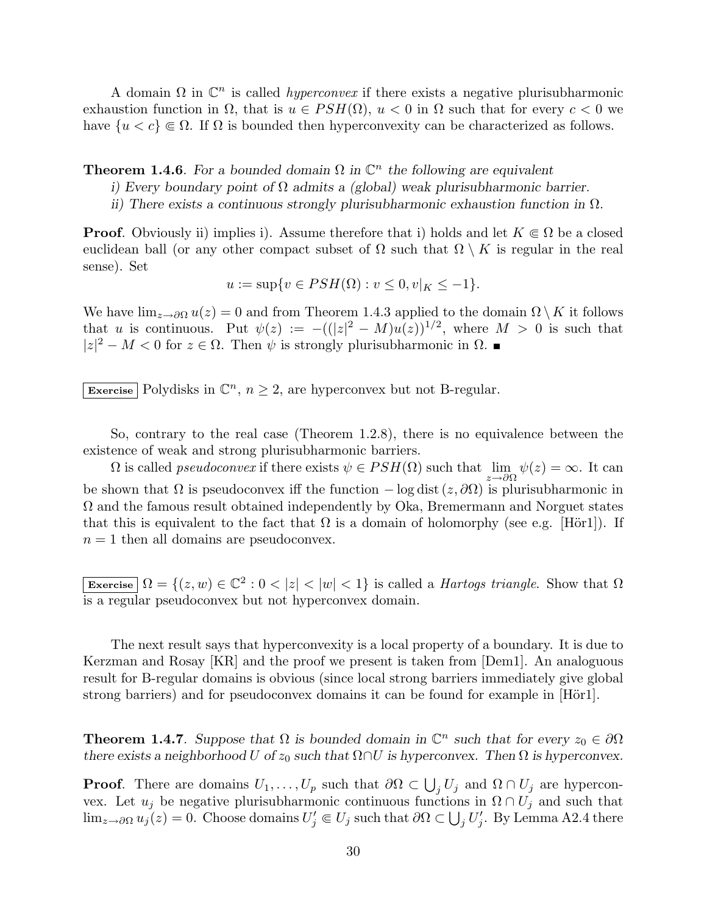A domain  $\Omega$  in  $\mathbb{C}^n$  is called *hyperconvex* if there exists a negative plurisubharmonic exhaustion function in  $\Omega$ , that is  $u \in PSH(\Omega)$ ,  $u < 0$  in  $\Omega$  such that for every  $c < 0$  we have  $\{u < c\} \in \Omega$ . If  $\Omega$  is bounded then hyperconvexity can be characterized as follows.

**Theorem 1.4.6**. For a bounded domain  $\Omega$  in  $\mathbb{C}^n$  the following are equivalent

i) Every boundary point of  $\Omega$  admits a (global) weak plurisubharmonic barrier.

ii) There exists a continuous strongly plurisubharmonic exhaustion function in  $\Omega$ .

**Proof.** Obviously ii) implies i). Assume therefore that i) holds and let  $K \subseteq \Omega$  be a closed euclidean ball (or any other compact subset of  $\Omega$  such that  $\Omega \setminus K$  is regular in the real sense). Set

$$
u := \sup\{v \in PSH(\Omega) : v \le 0, v|_{K} \le -1\}.
$$

We have  $\lim_{z\to\partial\Omega}u(z)=0$  and from Theorem 1.4.3 applied to the domain  $\Omega\setminus K$  it follows that u is continuous. Put  $\psi(z) := -((|z|^2 - M)u(z))^{1/2}$ , where  $M > 0$  is such that  $|z|^2 - M < 0$  for  $z \in \Omega$ . Then  $\psi$  is strongly plurisubharmonic in  $\Omega$ .

Exercise Polydisks in  $\mathbb{C}^n$ ,  $n \geq 2$ , are hyperconvex but not B-regular.

So, contrary to the real case (Theorem 1.2.8), there is no equivalence between the existence of weak and strong plurisubharmonic barriers.

 $\Omega$  is called *pseudoconvex* if there exists  $\psi \in PSH(\Omega)$  such that  $\lim_{z \to \partial \Omega} \psi(z) = \infty$ . It can be shown that  $\Omega$  is pseudoconvex iff the function  $-\log \text{dist}(z, \partial \Omega)$  is plurisubharmonic in  $\Omega$  and the famous result obtained independently by Oka, Bremermann and Norguet states that this is equivalent to the fact that  $\Omega$  is a domain of holomorphy (see e.g. [Hör1]). If  $n = 1$  then all domains are pseudoconvex.

Exercise  $\Omega = \{(z, w) \in \mathbb{C}^2 : 0 < |z| < |w| < 1\}$  is called a *Hartogs triangle*. Show that  $\Omega$ is a regular pseudoconvex but not hyperconvex domain.

The next result says that hyperconvexity is a local property of a boundary. It is due to Kerzman and Rosay [KR] and the proof we present is taken from [Dem1]. An analoguous result for B-regular domains is obvious (since local strong barriers immediately give global strong barriers) and for pseudoconvex domains it can be found for example in [Hör1].

**Theorem 1.4.7**. Suppose that  $\Omega$  is bounded domain in  $\mathbb{C}^n$  such that for every  $z_0 \in \partial \Omega$ there exists a neighborhood U of  $z_0$  such that  $\Omega \cap U$  is hyperconvex. Then  $\Omega$  is hyperconvex.

**Proof.** There are domains  $U_1, \ldots, U_p$  such that  $\partial\Omega \subset$ S  $j U_j$  and  $\Omega \cap U_j$  are hyperconvex. Let  $u_j$  be negative plurisubharmonic continuous functions in  $\Omega \cap U_j$  and such that  $\lim_{z\to\partial\Omega}u_j(z)=0.$  Choose domains  $U'_j\Subset U_j$  such that  $\partial\Omega\subset\bigcup_jU'_j.$  By Lemma A2.4 there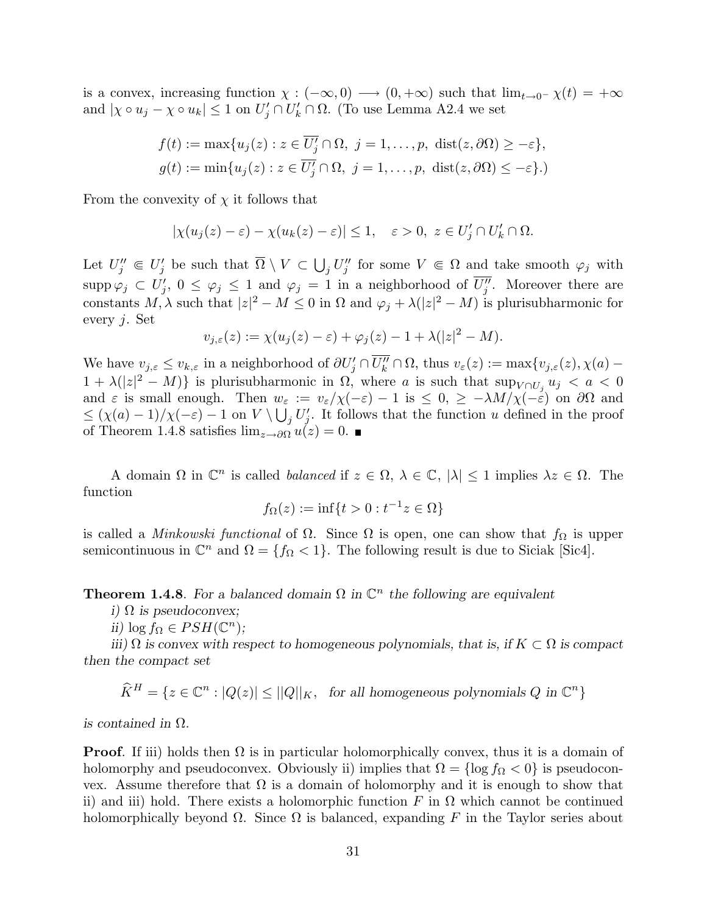is a convex, increasing function  $\chi: (-\infty, 0) \longrightarrow (0, +\infty)$  such that  $\lim_{t\to 0^-} \chi(t) = +\infty$ and  $|\chi \circ u_j - \chi \circ u_k| \leq 1$  on  $U'_j \cap U'_k \cap \Omega$ . (To use Lemma A2.4 we set

$$
f(t) := \max\{u_j(z) : z \in \overline{U'_j} \cap \Omega, \ j = 1, \dots, p, \ \text{dist}(z, \partial \Omega) \ge -\varepsilon\},
$$
  

$$
g(t) := \min\{u_j(z) : z \in \overline{U'_j} \cap \Omega, \ j = 1, \dots, p, \ \text{dist}(z, \partial \Omega) \le -\varepsilon\}.
$$

From the convexity of  $\chi$  it follows that

$$
|\chi(u_j(z)-\varepsilon)-\chi(u_k(z)-\varepsilon)|\leq 1,\quad \varepsilon>0,\,\,z\in U'_j\cap U'_k\cap\Omega.
$$

Let  $U''_j \in U'_j$  be such that  $\overline{\Omega} \setminus V \subset$ S  $j U''_j$  for some  $V \in \Omega$  and take smooth  $\varphi_j$  with  $\text{supp }\varphi_j \subset U'_j, 0 \le \varphi_j \le 1$  and  $\varphi_j = 1$  in a neighborhood of  $\overline{U''_j}$ . Moreover there are constants  $M, \lambda$  such that  $|z|^2 - M \leq 0$  in  $\Omega$  and  $\varphi_j + \lambda (|z|^2 - M)$  is plurisubharmonic for every j. Set

$$
v_{j,\varepsilon}(z) := \chi(u_j(z) - \varepsilon) + \varphi_j(z) - 1 + \lambda(|z|^2 - M).
$$

We have  $v_{j,\varepsilon} \leq v_{k,\varepsilon}$  in a neighborhood of  $\partial U_j' \cap \overline{U_k''} \cap \Omega$ , thus  $v_{\varepsilon}(z) := \max\{v_{j,\varepsilon}(z), \chi(a) 1 + \lambda(|z|^2 - M)$  is plurisubharmonic in  $\Omega$ , where a is such that  $\sup_{V \cap U_j} u_j < a < 0$ and  $\varepsilon$  is small enough. Then  $w_{\varepsilon} := v_{\varepsilon}/\chi(-\varepsilon) - 1$  is  $\leq 0, \geq -\lambda M/\chi(-\varepsilon)$  on  $\partial\Omega$  and  $\leq (\chi(a)-1)/\chi(-\varepsilon)-1$  on  $V \setminus \bigcup_j U'_j$ . It follows that the function u defined in the proof of Theorem 1.4.8 satisfies  $\lim_{z\to\partial\Omega}u(z)=0$ . ■

A domain  $\Omega$  in  $\mathbb{C}^n$  is called *balanced* if  $z \in \Omega$ ,  $\lambda \in \mathbb{C}$ ,  $|\lambda| \leq 1$  implies  $\lambda z \in \Omega$ . The function

$$
f_{\Omega}(z) := \inf\{t > 0 : t^{-1}z \in \Omega\}
$$

is called a *Minkowski functional* of  $\Omega$ . Since  $\Omega$  is open, one can show that  $f_{\Omega}$  is upper semicontinuous in  $\mathbb{C}^n$  and  $\Omega = \{f_{\Omega} < 1\}$ . The following result is due to Siciak [Sic4].

**Theorem 1.4.8**. For a balanced domain  $\Omega$  in  $\mathbb{C}^n$  the following are equivalent

i)  $\Omega$  is pseudoconvex;

ii)  $\log f_{\Omega} \in PSH(\mathbb{C}^n);$ 

iii)  $\Omega$  is convex with respect to homogeneous polynomials, that is, if  $K \subset \Omega$  is compact then the compact set

$$
\widehat{K}^H = \{ z \in \mathbb{C}^n : |Q(z)| \le ||Q||_K, \text{ for all homogeneous polynomials } Q \text{ in } \mathbb{C}^n \}
$$

is contained in  $\Omega$ .

**Proof.** If iii) holds then  $\Omega$  is in particular holomorphically convex, thus it is a domain of holomorphy and pseudoconvex. Obviously ii) implies that  $\Omega = \{\log f_{\Omega} < 0\}$  is pseudoconvex. Assume therefore that  $\Omega$  is a domain of holomorphy and it is enough to show that ii) and iii) hold. There exists a holomorphic function F in  $\Omega$  which cannot be continued holomorphically beyond  $\Omega$ . Since  $\Omega$  is balanced, expanding F in the Taylor series about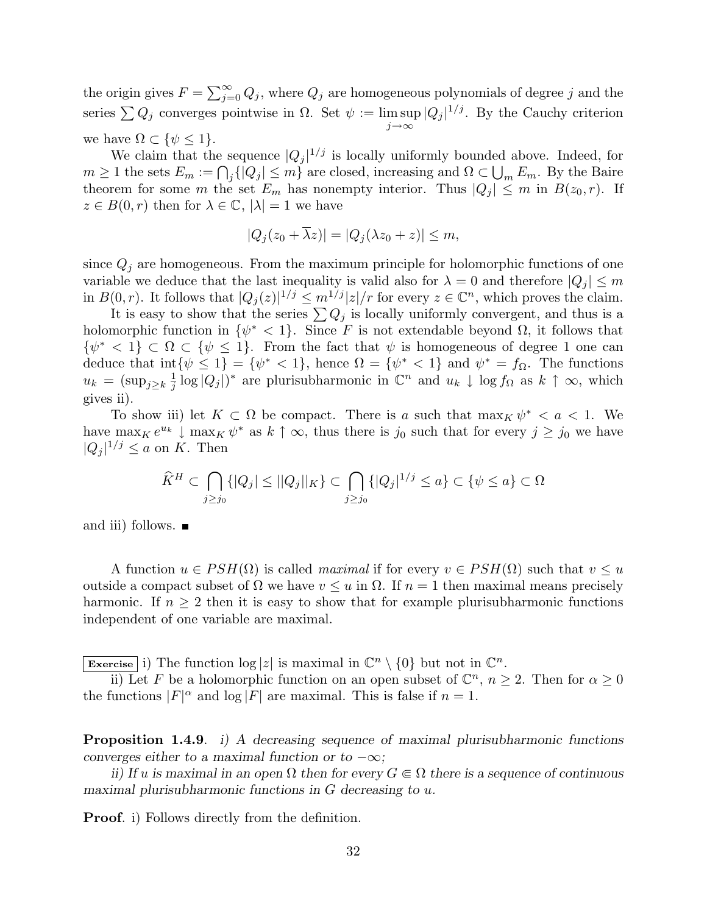the origin gives  $F = \sum_{i=1}^{\infty}$  $\sum_{j=0}^{\infty} Q_j$ , where  $Q_j$  are homogeneous polynomials of degree  $j$  and the series  $\sum Q_j$  converges pointwise in  $\Omega$ . Set  $\psi := \limsup |Q_j|^{1/j}$ . By the Cauchy criterion  $j \rightarrow \infty$ we have  $\Omega \subset \{\psi \leq 1\}.$ 

We claim that the sequence  $|Q_j|^{1/j}$  is locally uniformly bounded above. Indeed, for we claim that the sequence  $|Q_j| \leq$  is locally uniformly bounded above. Indeed, for  $m \geq 1$  the sets  $E_m := \bigcap_j \{|Q_j| \leq m\}$  are closed, increasing and  $\Omega \subset \bigcup_m E_m$ . By the Baire theorem for some m the set  $E_m$  has nonempty interior. Thus  $|Q_j| \leq m$  in  $B(z_0, r)$ . If  $z \in B(0,r)$  then for  $\lambda \in \mathbb{C}$ ,  $|\lambda|=1$  we have

$$
|Q_j(z_0 + \overline{\lambda}z)| = |Q_j(\lambda z_0 + z)| \le m,
$$

since  $Q_i$  are homogeneous. From the maximum principle for holomorphic functions of one variable we deduce that the last inequality is valid also for  $\lambda = 0$  and therefore  $|Q_i| \le m$ in  $B(0,r)$ . It follows that  $|Q_j(z)|^{1/j} \leq m^{1/j}|z|/r$  for every  $z \in \mathbb{C}^n$ , which proves the claim.

It is easy to show that the series  $\sum Q_j$  is locally uniformly convergent, and thus is a holomorphic function in  $\{\psi^* < 1\}$ . Since F is not extendable beyond  $\Omega$ , it follows that  $\{\psi^* \leq 1\} \subset \Omega \subset \{\psi \leq 1\}.$  From the fact that  $\psi$  is homogeneous of degree 1 one can deduce that  $\text{int}\{\psi \leq 1\} = \{\psi^* < 1\}$ , hence  $\Omega = \{\psi^* < 1\}$  and  $\psi^* = f_{\Omega}$ . The functions  $u_k = (\sup_{j \geq k} \frac{1}{i})$  $\frac{1}{j} \log |Q_j|$ <sup>\*</sup> are plurisubharmonic in  $\mathbb{C}^n$  and  $u_k \downarrow \log f_{\Omega}$  as  $k \uparrow \infty$ , which gives ii).

To show iii) let  $K \subset \Omega$  be compact. There is a such that  $\max_K \psi^* < a < 1$ . We have max<sub>K</sub>  $e^{u_k} \downarrow \max_K \psi^*$  as  $k \uparrow \infty$ , thus there is j<sub>0</sub> such that for every  $j \ge j_0$  we have  $|Q_j|^{1/j} \le a$  on K. Then

$$
\widehat{K}^{H} \subset \bigcap_{j \geq j_0} \{|Q_j| \leq ||Q_j||_K\} \subset \bigcap_{j \geq j_0} \{|Q_j|^{1/j} \leq a\} \subset \{\psi \leq a\} \subset \Omega
$$

and iii) follows.  $\blacksquare$ 

A function  $u \in PSH(\Omega)$  is called *maximal* if for every  $v \in PSH(\Omega)$  such that  $v \leq u$ outside a compact subset of  $\Omega$  we have  $v \leq u$  in  $\Omega$ . If  $n = 1$  then maximal means precisely harmonic. If  $n \geq 2$  then it is easy to show that for example plurisubharmonic functions independent of one variable are maximal.

Exercise i) The function  $\log |z|$  is maximal in  $\mathbb{C}^n \setminus \{0\}$  but not in  $\mathbb{C}^n$ .

ii) Let F be a holomorphic function on an open subset of  $\mathbb{C}^n$ ,  $n \geq 2$ . Then for  $\alpha \geq 0$ the functions  $|F|^{\alpha}$  and  $\log |F|$  are maximal. This is false if  $n = 1$ .

Proposition 1.4.9. i) A decreasing sequence of maximal plurisubharmonic functions converges either to a maximal function or to  $-\infty$ ;

ii) If u is maximal in an open  $\Omega$  then for every  $G \in \Omega$  there is a sequence of continuous maximal plurisubharmonic functions in  $G$  decreasing to  $u$ .

Proof. i) Follows directly from the definition.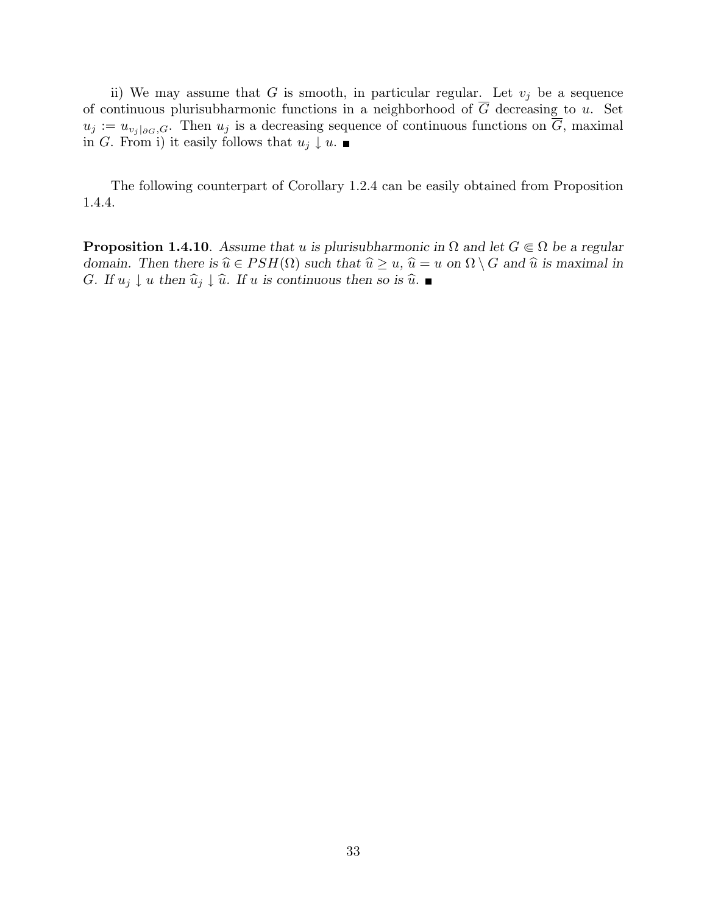ii) We may assume that G is smooth, in particular regular. Let  $v_j$  be a sequence of continuous plurisubharmonic functions in a neighborhood of  $\overline{G}$  decreasing to u. Set  $u_j := u_{v_j|_{\partial G},G}$ . Then  $u_j$  is a decreasing sequence of continuous functions on  $\overline{G}$ , maximal in G. From i) it easily follows that  $u_j \downarrow u$ .

The following counterpart of Corollary 1.2.4 can be easily obtained from Proposition 1.4.4.

**Proposition 1.4.10**. Assume that u is plurisubharmonic in  $\Omega$  and let  $G \in \Omega$  be a regular domain. Then there is  $\hat{u} \in PSH(\Omega)$  such that  $\hat{u} \ge u$ ,  $\hat{u} = u$  on  $\Omega \setminus G$  and  $\hat{u}$  is maximal in G. If  $u_j \downarrow u$  then  $\widehat{u}_j \downarrow \widehat{u}$ . If u is continuous then so is  $\widehat{u}$ .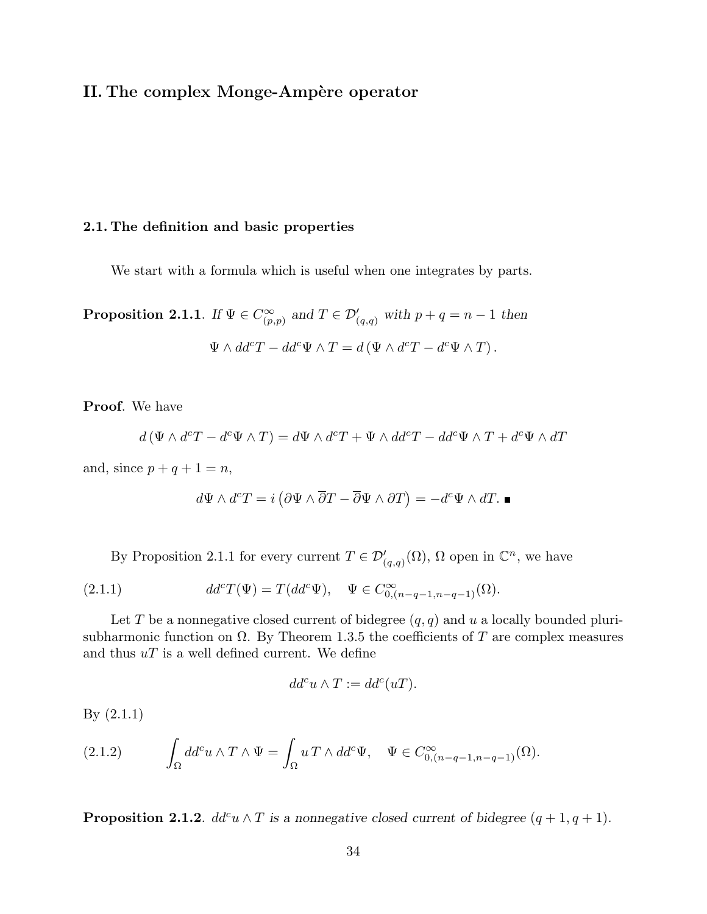## II. The complex Monge-Ampère operator

#### 2.1. The definition and basic properties

We start with a formula which is useful when one integrates by parts.

Proposition 2.1.1. If  $\Psi \in C_{\infty}^{\infty}$  $(\sum_{(p,p)}^{\infty}$  and  $T \in \mathcal{D}'_{(q,q)}$  with  $p+q=n-1$  then  $\Psi \wedge dd^cT - dd^c\Psi \wedge T = d(\Psi \wedge d^cT - d^c\Psi \wedge T).$ 

Proof. We have

$$
d(\Psi \wedge d^cT - d^c\Psi \wedge T) = d\Psi \wedge d^cT + \Psi \wedge dd^cT - dd^c\Psi \wedge T + d^c\Psi \wedge dT
$$

and, since  $p + q + 1 = n$ ,

$$
d\Psi \wedge d^c T = i \left( \partial \Psi \wedge \overline{\partial} T - \overline{\partial} \Psi \wedge \partial T \right) = -d^c \Psi \wedge dT. \blacksquare
$$

By Proposition 2.1.1 for every current  $T \in \mathcal{D}'_{(q,q)}(\Omega)$ ,  $\Omega$  open in  $\mathbb{C}^n$ , we have

(2.1.1) 
$$
dd^{c}T(\Psi) = T(dd^{c}\Psi), \quad \Psi \in C_{0,(n-q-1,n-q-1)}^{\infty}(\Omega).
$$

Let T be a nonnegative closed current of bidegree  $(q, q)$  and u a locally bounded plurisubharmonic function on  $\Omega$ . By Theorem 1.3.5 the coefficients of T are complex measures and thus  $uT$  is a well defined current. We define

$$
dd^c u \wedge T := dd^c(uT).
$$

By (2.1.1)

(2.1.2) 
$$
\int_{\Omega} dd^c u \wedge T \wedge \Psi = \int_{\Omega} u T \wedge dd^c \Psi, \quad \Psi \in C^{\infty}_{0,(n-q-1,n-q-1)}(\Omega).
$$

**Proposition 2.1.2.**  $dd^c u \wedge T$  is a nonnegative closed current of bidegree  $(q + 1, q + 1)$ .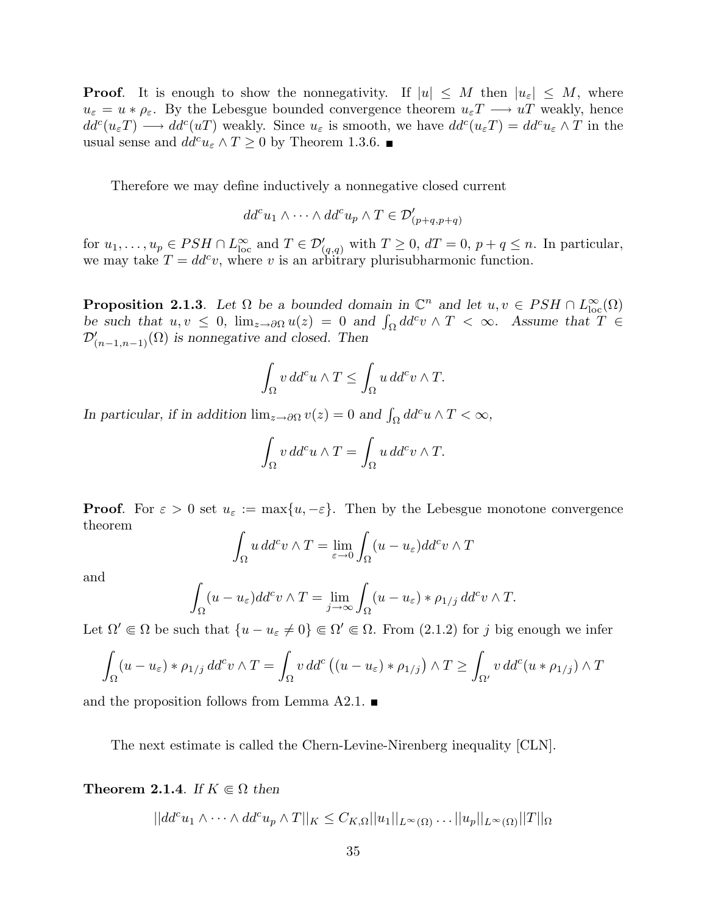**Proof.** It is enough to show the nonnegativity. If  $|u| \leq M$  then  $|u_{\varepsilon}| \leq M$ , where  $u_{\varepsilon} = u * \rho_{\varepsilon}$ . By the Lebesgue bounded convergence theorem  $u_{\varepsilon}T \longrightarrow uT$  weakly, hence  $dd^c(u_\varepsilon T) \longrightarrow dd^c(uT)$  weakly. Since  $u_\varepsilon$  is smooth, we have  $dd^c(u_\varepsilon T) = dd^c u_\varepsilon \wedge T$  in the usual sense and  $dd^c u_{\varepsilon} \wedge T \ge 0$  by Theorem 1.3.6.

Therefore we may define inductively a nonnegative closed current

$$
dd^c u_1 \wedge \cdots \wedge dd^c u_p \wedge T \in \mathcal{D}'_{(p+q,p+q)}
$$

for  $u_1, \ldots, u_p \in PSH \cap L^{\infty}_{loc}$  and  $T \in \mathcal{D}'_{(q,q)}$  with  $T \geq 0$ ,  $dT = 0$ ,  $p + q \leq n$ . In particular, we may take  $T = dd^c v$ , where v is an arbitrary plurisubharmonic function.

**Proposition 2.1.3**. Let  $\Omega$  be a bounded domain in  $\mathbb{C}^n$  and let  $u, v \in PSH \cap L^{\infty}_{loc}(\Omega)$ **Proposition 2.1.3.** Let  $\Omega$  be a bounded domain in  $\mathbb{C}^n$  and let  $u, v \in PSH \cap L^{\infty}_{loc}(\Omega)$ <br>be such that  $u, v \leq 0$ ,  $\lim_{z \to \partial \Omega} u(z) = 0$  and  $\int_{\Omega} dd^c v \wedge T < \infty$ . Assume that  $T \in$  $\mathcal{D}'_{(n-1,n-1)}(\Omega)$  is nonnegative and closed. Then

$$
\int_{\Omega} v \, dd^c u \wedge T \le \int_{\Omega} u \, dd^c v \wedge T.
$$

In particular, if in addition  $\lim_{z\to\partial\Omega} v(z) = 0$  and  $\int_{\Omega} dd^c u \wedge T < \infty$ ,

$$
\int_{\Omega} v \, dd^c u \wedge T = \int_{\Omega} u \, dd^c v \wedge T.
$$

**Proof.** For  $\varepsilon > 0$  set  $u_{\varepsilon} := \max\{u, -\varepsilon\}$ . Then by the Lebesgue monotone convergence theorem

$$
\int_{\Omega} u \, dd^c v \wedge T = \lim_{\varepsilon \to 0} \int_{\Omega} (u - u_{\varepsilon}) dd^c v \wedge T
$$

and

$$
\int_{\Omega} (u - u_{\varepsilon}) dd^c v \wedge T = \lim_{j \to \infty} \int_{\Omega} (u - u_{\varepsilon}) \cdot \rho_{1/j} dd^c v \wedge T.
$$

Let  $\Omega' \in \Omega$  be such that  $\{u - u_{\varepsilon} \neq 0\} \in \Omega' \in \Omega$ . From  $(2.1.2)$  for j big enough we infer

$$
\int_{\Omega} (u - u_{\varepsilon}) * \rho_{1/j} dd^c v \wedge T = \int_{\Omega} v dd^c ((u - u_{\varepsilon}) * \rho_{1/j}) \wedge T \ge \int_{\Omega'} v dd^c (u * \rho_{1/j}) \wedge T
$$

and the proposition follows from Lemma A2.1.  $\blacksquare$ 

The next estimate is called the Chern-Levine-Nirenberg inequality [CLN].

**Theorem 2.1.4.** If  $K \in \Omega$  then

 $||dd^c u_1 \wedge \cdots \wedge dd^c u_p \wedge T||_K \leq C_{K,\Omega} ||u_1||_{L^{\infty}(\Omega)} \ldots ||u_p||_{L^{\infty}(\Omega)} ||T||_{\Omega}$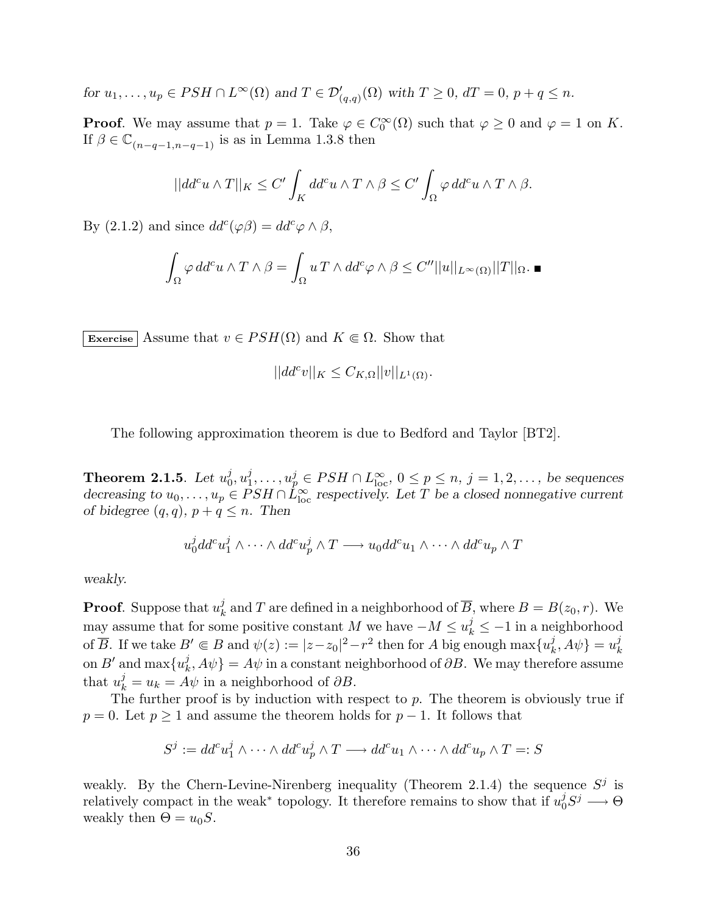for  $u_1, \ldots, u_p \in PSH \cap L^{\infty}(\Omega)$  and  $T \in \mathcal{D}'_{(q,q)}(\Omega)$  with  $T \geq 0$ ,  $dT = 0$ ,  $p + q \leq n$ .

**Proof.** We may assume that  $p = 1$ . Take  $\varphi \in C_0^{\infty}(\Omega)$  such that  $\varphi \geq 0$  and  $\varphi = 1$  on K. If  $\beta \in \mathbb{C}_{(n-q-1,n-q-1)}$  is as in Lemma 1.3.8 then

$$
||dd^{c}u\wedge T||_{K}\leq C'\int_{K}dd^{c}u\wedge T\wedge\beta\leq C'\int_{\Omega}\varphi\,dd^{c}u\wedge T\wedge\beta.
$$

By (2.1.2) and since  $dd^c(\varphi\beta) = dd^c\varphi \wedge \beta$ ,

$$
\int_{\Omega} \varphi \, dd^c u \wedge T \wedge \beta = \int_{\Omega} u \, T \wedge dd^c \varphi \wedge \beta \le C'' ||u||_{L^{\infty}(\Omega)} ||T||_{\Omega}.
$$

Exercise Assume that  $v \in PSH(\Omega)$  and  $K \in \Omega$ . Show that

$$
||dd^c v||_K \leq C_{K,\Omega} ||v||_{L^1(\Omega)}.
$$

The following approximation theorem is due to Bedford and Taylor [BT2].

Theorem 2.1.5. Let  $u_0^j$  $_{0}^{j},u_{1}^{j}$  $u_1^j, \ldots, u_p^j \in PSH \cap L_{\text{loc}}^{\infty}, \, 0 \leq p \leq n, \, j = 1, 2, \ldots, \, \text{be sequences}$ decreasing to  $u_0, \ldots, u_p \in PSH \cap \dot{L}_{\text{loc}}^{\infty}$  respectively. Let T be a closed nonnegative current of bidegree  $(q, q)$ ,  $p + q \leq n$ . Then

$$
u_0^j d d^c u_1^j \wedge \cdots \wedge d d^c u_p^j \wedge T \longrightarrow u_0 d d^c u_1 \wedge \cdots \wedge d d^c u_p \wedge T
$$

weakly.

**Proof.** Suppose that  $u_k^j$  $k<sub>k</sub>$  and T are defined in a neighborhood of  $\overline{B}$ , where  $B = B(z<sub>0</sub>, r)$ . We may assume that for some positive constant M we have  $-M \le u_k^j \le -1$  in a neighborhood of  $\overline{B}$ . If we take  $B' \Subset B$  and  $\psi(z) := |z - z_0|^2 - r^2$  then for A big enough  $\max\{u_k^j\}$  $\{i_k, A\psi\} = u_k^j$ k on  $B'$  and  $\max\{u^j_k\}$  $\{\psi_k,A\psi\} = A\psi$  in a constant neighborhood of  $\partial B$ . We may therefore assume that  $u_k^j = u_k = A\psi$  in a neighborhood of  $\partial B$ .

The further proof is by induction with respect to  $p$ . The theorem is obviously true if  $p = 0$ . Let  $p \ge 1$  and assume the theorem holds for  $p - 1$ . It follows that

$$
S^j := dd^c u_1^j \wedge \cdots \wedge dd^c u_p^j \wedge T \longrightarrow dd^c u_1 \wedge \cdots \wedge dd^c u_p \wedge T =: S
$$

weakly. By the Chern-Levine-Nirenberg inequality (Theorem 2.1.4) the sequence  $S^j$  is relatively compact in the weak<sup>\*</sup> topology. It therefore remains to show that if  $u_0^j$  $j\llap{0} S^j \longrightarrow \Theta$ weakly then  $\Theta = u_0 S$ .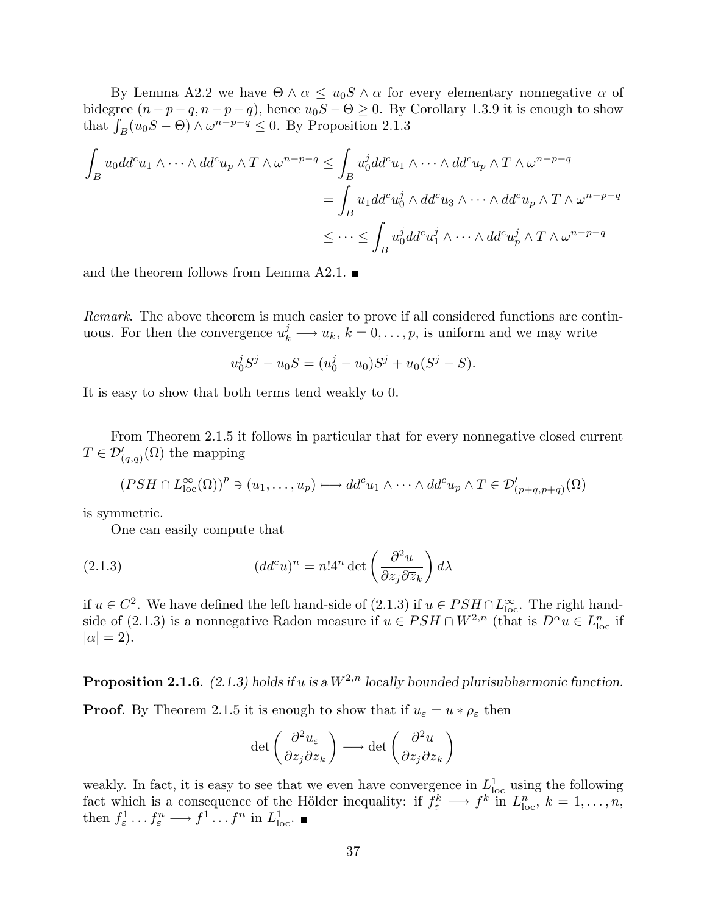By Lemma A2.2 we have  $\Theta \wedge \alpha \leq u_0 S \wedge \alpha$  for every elementary nonnegative  $\alpha$  of bidegree  $(n-p-q, n-p-q)$ , hence  $u_0S - \Theta \geq 0$ . By Corollary 1.3.9 it is enough to show bloagree  $(n-p-q, n-p-q)$ , nence  $u_0S - \Theta \ge 0$ . By that  $\int_B (u_0S - \Theta) \wedge \omega^{n-p-q} \le 0$ . By Proposition 2.1.3

$$
\int_{B} u_0 d d^{c} u_1 \wedge \cdots \wedge d d^{c} u_p \wedge T \wedge \omega^{n-p-q} \leq \int_{B} u_0^{j} d d^{c} u_1 \wedge \cdots \wedge d d^{c} u_p \wedge T \wedge \omega^{n-p-q}
$$
\n
$$
= \int_{B} u_1 d d^{c} u_0^{j} \wedge d d^{c} u_3 \wedge \cdots \wedge d d^{c} u_p \wedge T \wedge \omega^{n-p-q}
$$
\n
$$
\leq \cdots \leq \int_{B} u_0^{j} d d^{c} u_1^{j} \wedge \cdots \wedge d d^{c} u_p^{j} \wedge T \wedge \omega^{n-p-q}
$$

and the theorem follows from Lemma A2.1.  $\blacksquare$ 

Remark. The above theorem is much easier to prove if all considered functions are continuous. For then the convergence  $u_k^j \longrightarrow u_k$ ,  $k = 0, \ldots, p$ , is uniform and we may write

$$
u_0^j S^j - u_0 S = (u_0^j - u_0) S^j + u_0 (S^j - S).
$$

It is easy to show that both terms tend weakly to 0.

From Theorem 2.1.5 it follows in particular that for every nonnegative closed current  $T \in \mathcal{D}'_{(q,q)}(\Omega)$  the mapping

$$
(PSH \cap L^{\infty}_{loc}(\Omega))^{p} \ni (u_1,\ldots,u_p) \longmapsto dd^{c}u_1 \wedge \cdots \wedge dd^{c}u_p \wedge T \in \mathcal{D}'_{(p+q,p+q)}(\Omega)
$$

is symmetric.

One can easily compute that

(2.1.3) 
$$
(dd^c u)^n = n! 4^n \det \left( \frac{\partial^2 u}{\partial z_j \partial \overline{z}_k} \right) d\lambda
$$

if  $u \in C^2$ . We have defined the left hand-side of (2.1.3) if  $u \in PSH \cap L^{\infty}_{loc}$ . The right handside of (2.1.3) is a nonnegative Radon measure if  $u \in PSH \cap W^{2,n}$  (that is  $D^{\alpha}u \in L_{loc}^{n}$  if  $|\alpha| = 2$ ).

**Proposition 2.1.6.** (2.1.3) holds if u is a  $W^{2,n}$  locally bounded plurisubharmonic function.

**Proof.** By Theorem 2.1.5 it is enough to show that if  $u_{\varepsilon} = u * \rho_{\varepsilon}$  then

$$
\det\left(\frac{\partial^2 u_{\varepsilon}}{\partial z_j \partial \overline{z}_k}\right) \longrightarrow \det\left(\frac{\partial^2 u}{\partial z_j \partial \overline{z}_k}\right)
$$

weakly. In fact, it is easy to see that we even have convergence in  $L^1_{loc}$  using the following fact which is a consequence of the Hölder inequality: if  $f_{\varepsilon}^k \longrightarrow f^k$  in  $L_{\text{loc}}^n$ ,  $k = 1, \ldots, n$ , then  $f_{\varepsilon}^1 \dots f_{\varepsilon}^n \longrightarrow f^1 \dots f^n$  in  $L^1_{\text{loc}}$ .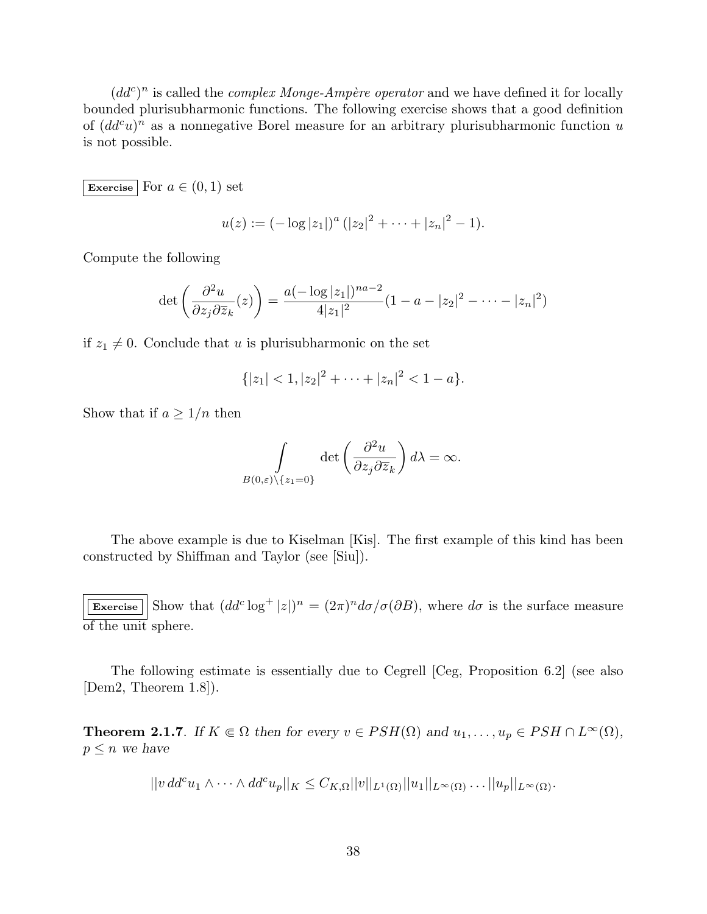$(dd^c)^n$  is called the *complex Monge-Ampère operator* and we have defined it for locally bounded plurisubharmonic functions. The following exercise shows that a good definition of  $(dd^c u)^n$  as a nonnegative Borel measure for an arbitrary plurisubharmonic function u is not possible.

Exercise For  $a \in (0,1)$  set

$$
u(z) := (-\log|z_1|)^a (|z_2|^2 + \cdots + |z_n|^2 - 1).
$$

Compute the following

$$
\det\left(\frac{\partial^2 u}{\partial z_j \partial \overline{z}_k}(z)\right) = \frac{a(-\log|z_1|)^{na-2}}{4|z_1|^2} (1 - a - |z_2|^2 - \dots - |z_n|^2)
$$

if  $z_1 \neq 0$ . Conclude that u is plurisubharmonic on the set

$$
\{|z_1|<1, |z_2|^2+\cdots+|z_n|^2<1-a\}.
$$

Show that if  $a \geq 1/n$  then

$$
\int\limits_{B(0,\varepsilon)\setminus\{z_1=0\}} \det\left(\frac{\partial^2 u}{\partial z_j \partial \overline{z}_k}\right) d\lambda = \infty.
$$

The above example is due to Kiselman [Kis]. The first example of this kind has been constructed by Shiffman and Taylor (see [Siu]).

Exercise  $\left|\right|$  Show that  $(dd^c\log^+|z|)^n = (2\pi)^n d\sigma/\sigma(\partial B)$ , where  $d\sigma$  is the surface measure of the unit sphere.

The following estimate is essentially due to Cegrell [Ceg, Proposition 6.2] (see also [Dem2, Theorem 1.8]).

**Theorem 2.1.7.** If  $K \subseteq \Omega$  then for every  $v \in PSH(\Omega)$  and  $u_1, \ldots, u_p \in PSH \cap L^{\infty}(\Omega)$ ,  $p \leq n$  we have

$$
||v\,dd^c u_1 \wedge \cdots \wedge dd^c u_p||_K \leq C_{K,\Omega}||v||_{L^1(\Omega)}||u_1||_{L^{\infty}(\Omega)}\ldots ||u_p||_{L^{\infty}(\Omega)}.
$$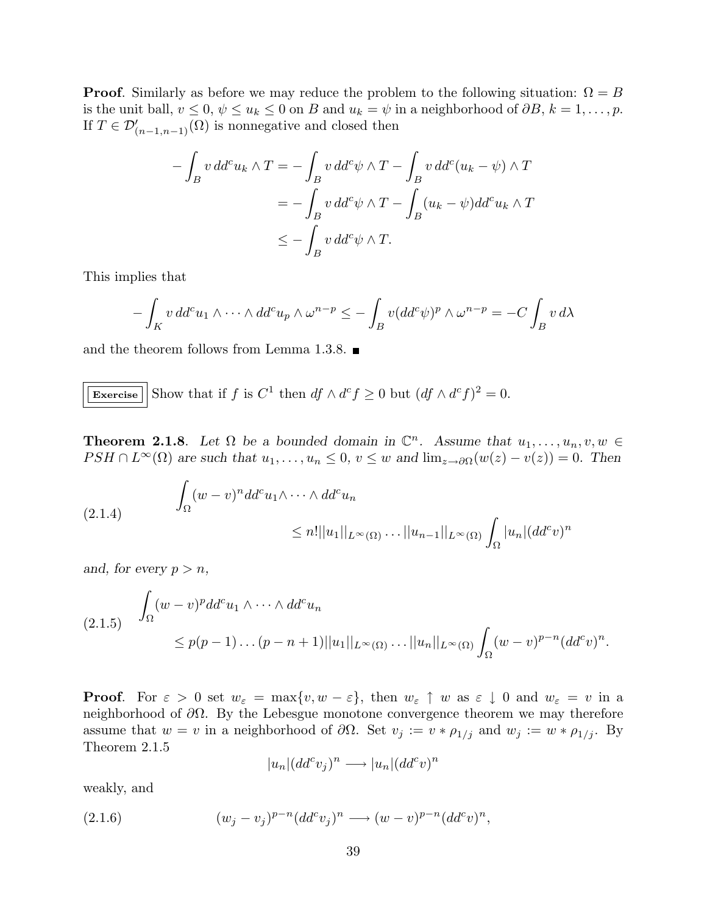**Proof.** Similarly as before we may reduce the problem to the following situation:  $\Omega = B$ is the unit ball,  $v \le 0$ ,  $\psi \le u_k \le 0$  on B and  $u_k = \psi$  in a neighborhood of  $\partial B$ ,  $k = 1, \ldots, p$ . If  $T \in \mathcal{D}'_{(n-1,n-1)}(\Omega)$  is nonnegative and closed then

$$
-\int_{B} v \, dd^{c}u_{k} \wedge T = -\int_{B} v \, dd^{c}\psi \wedge T - \int_{B} v \, dd^{c}(u_{k} - \psi) \wedge T
$$

$$
= -\int_{B} v \, dd^{c}\psi \wedge T - \int_{B} (u_{k} - \psi) dd^{c}u_{k} \wedge T
$$

$$
\leq -\int_{B} v \, dd^{c}\psi \wedge T.
$$

This implies that

$$
-\int_{K} v \, dd^{c}u_{1}\wedge\cdots\wedge dd^{c}u_{p}\wedge \omega^{n-p}\leq -\int_{B} v (dd^{c}\psi)^{p}\wedge \omega^{n-p}=-C\int_{B} v \, d\lambda
$$

and the theorem follows from Lemma 1.3.8.  $\blacksquare$ 

**Exercise** Show that if 
$$
f
$$
 is  $C^1$  then  $df \wedge d^c f \ge 0$  but  $(df \wedge d^c f)^2 = 0$ .

**Theorem 2.1.8**. Let  $\Omega$  be a bounded domain in  $\mathbb{C}^n$ . Assume that  $u_1, \ldots, u_n, v, w \in \Omega$  $PSH \cap L^{\infty}(\Omega)$  are such that  $u_1, \ldots, u_n \leq 0, v \leq w$  and  $\lim_{z \to \partial \Omega} (w(z) - v(z)) = 0$ . Then

(2.1.4) 
$$
\int_{\Omega} (w-v)^n dd^c u_1 \wedge \cdots \wedge dd^c u_n
$$

$$
\leq n! ||u_1||_{L^{\infty}(\Omega)} \dots ||u_{n-1}||_{L^{\infty}(\Omega)} \int_{\Omega} |u_n| (dd^c v)^n
$$

and, for every  $p > n$ ,

$$
(2.1.5) \quad \int_{\Omega} (w-v)^p dd^c u_1 \wedge \cdots \wedge dd^c u_n
$$
  

$$
\leq p(p-1) \dots (p-n+1) ||u_1||_{L^{\infty}(\Omega)} \dots ||u_n||_{L^{\infty}(\Omega)} \int_{\Omega} (w-v)^{p-n} (dd^c v)^n.
$$

**Proof.** For  $\varepsilon > 0$  set  $w_{\varepsilon} = \max\{v, w - \varepsilon\}$ , then  $w_{\varepsilon} \uparrow w$  as  $\varepsilon \downarrow 0$  and  $w_{\varepsilon} = v$  in a neighborhood of  $\partial\Omega$ . By the Lebesgue monotone convergence theorem we may therefore assume that  $w = v$  in a neighborhood of  $\partial\Omega$ . Set  $v_j := v * \rho_{1/j}$  and  $w_j := w * \rho_{1/j}$ . By Theorem 2.1.5

$$
|u_n|(dd^cv_j)^n \longrightarrow |u_n|(dd^cv)^n
$$

weakly, and

(2.1.6) 
$$
(w_j - v_j)^{p-n} (dd^c v_j)^n \longrightarrow (w - v)^{p-n} (dd^c v)^n,
$$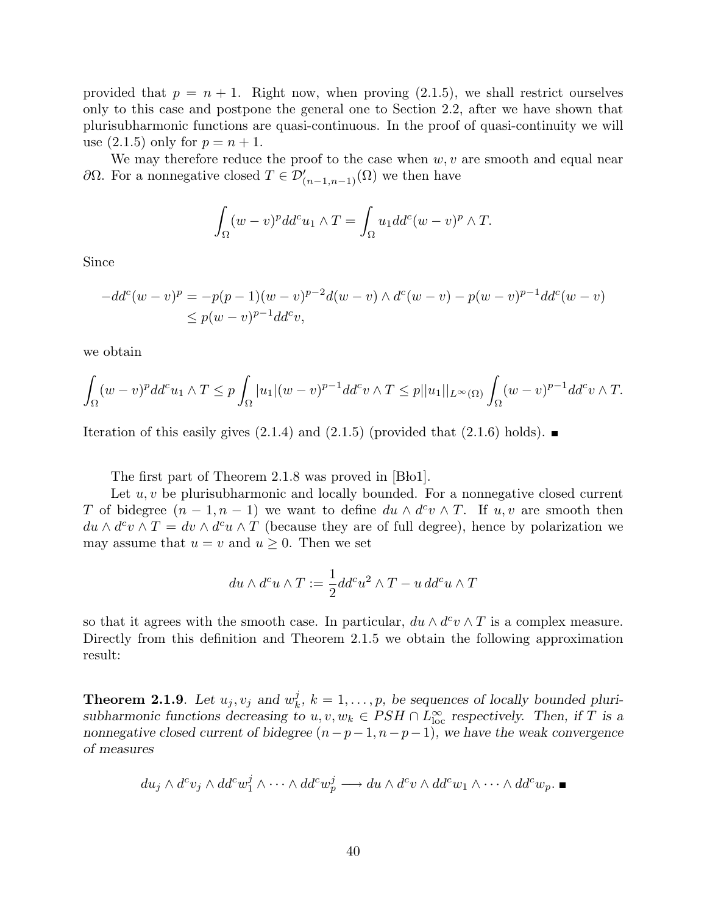provided that  $p = n + 1$ . Right now, when proving  $(2.1.5)$ , we shall restrict ourselves only to this case and postpone the general one to Section 2.2, after we have shown that plurisubharmonic functions are quasi-continuous. In the proof of quasi-continuity we will use  $(2.1.5)$  only for  $p = n + 1$ .

We may therefore reduce the proof to the case when  $w, v$  are smooth and equal near ∂Ω. For a nonnegative closed  $T \in \mathcal{D}'_{(n-1,n-1)}(\Omega)$  we then have

$$
\int_{\Omega} (w-v)^p dd^c u_1 \wedge T = \int_{\Omega} u_1 dd^c (w-v)^p \wedge T.
$$

Since

$$
-dd^{c}(w-v)^{p} = -p(p-1)(w-v)^{p-2}d(w-v) \wedge d^{c}(w-v) - p(w-v)^{p-1}dd^{c}(w-v) \le p(w-v)^{p-1}dd^{c}v,
$$

we obtain

$$
\int_{\Omega} (w-v)^p dd^c u_1 \wedge T \le p \int_{\Omega} |u_1| (w-v)^{p-1} dd^c v \wedge T \le p ||u_1||_{L^{\infty}(\Omega)} \int_{\Omega} (w-v)^{p-1} dd^c v \wedge T.
$$

Iteration of this easily gives  $(2.1.4)$  and  $(2.1.5)$  (provided that  $(2.1.6)$  holds).

The first part of Theorem  $2.1.8$  was proved in  $[B<sub>tol</sub>]$ .

Let  $u, v$  be plurisubharmonic and locally bounded. For a nonnegative closed current T of bidegree  $(n-1, n-1)$  we want to define  $du \wedge d^c v \wedge T$ . If  $u, v$  are smooth then  $du \wedge d^c v \wedge T = dv \wedge d^c u \wedge T$  (because they are of full degree), hence by polarization we may assume that  $u = v$  and  $u \geq 0$ . Then we set

$$
du \wedge d^c u \wedge T := \frac{1}{2} dd^c u^2 \wedge T - u \, dd^c u \wedge T
$$

so that it agrees with the smooth case. In particular,  $du \wedge d^c v \wedge T$  is a complex measure. Directly from this definition and Theorem 2.1.5 we obtain the following approximation result:

**Theorem 2.1.9**. Let  $u_j, v_j$  and  $w_k^j$  $\lambda_k^j$ ,  $k = 1, \ldots, p$ , be sequences of locally bounded plurisubharmonic functions decreasing to  $u, v, w_k \in PSH \cap L^{\infty}_{loc}$  respectively. Then, if T is a nonnegative closed current of bidegree  $(n-p-1, n-p-1)$ , we have the weak convergence of measures

$$
du_j \wedge d^c v_j \wedge dd^c w_1^j \wedge \cdots \wedge dd^c w_p^j \longrightarrow du \wedge d^c v \wedge dd^c w_1 \wedge \cdots \wedge dd^c w_p.
$$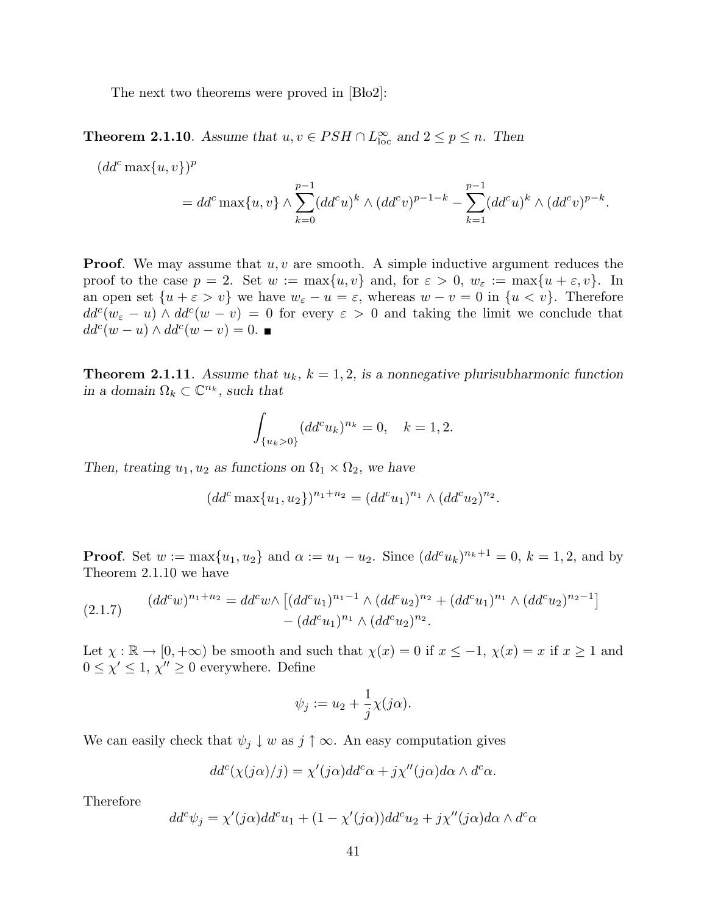The next two theorems were proved in  $[\text{Bdo2}]$ :

**Theorem 2.1.10**. Assume that  $u, v \in PSH \cap L^{\infty}_{loc}$  and  $2 \leq p \leq n$ . Then

 $(dd^c\max\{u,v\})^p$  $= dd^c \max\{u, v\} \wedge \sum^{p-1}$  $k=0$  $(dd^c u)^k \wedge (dd^c v)^{p-1-k}$  –  $\frac{p-1}{\sqrt{p}}$  $k=1$  $(dd^c u)^k \wedge (dd^c v)^{p-k}.$ 

**Proof.** We may assume that  $u, v$  are smooth. A simple inductive argument reduces the proof to the case  $p = 2$ . Set  $w := \max\{u, v\}$  and, for  $\varepsilon > 0$ ,  $w_{\varepsilon} := \max\{u + \varepsilon, v\}$ . In an open set  $\{u + \varepsilon > v\}$  we have  $w_{\varepsilon} - u = \varepsilon$ , whereas  $w - v = 0$  in  $\{u < v\}$ . Therefore  $dd^c(w_{\varepsilon} - u) \wedge dd^c(w - v) = 0$  for every  $\varepsilon > 0$  and taking the limit we conclude that  $dd^c(w - u) \wedge dd^c(w - v) = 0.$ 

**Theorem 2.1.11**. Assume that  $u_k$ ,  $k = 1, 2$ , is a nonnegative plurisubharmonic function in a domain  $\Omega_k \subset \mathbb{C}^{n_k}$ , such that

$$
\int_{\{u_k>0\}} (dd^c u_k)^{n_k} = 0, \quad k = 1, 2.
$$

Then, treating  $u_1, u_2$  as functions on  $\Omega_1 \times \Omega_2$ , we have

$$
(dd^c \max\{u_1, u_2\})^{n_1+n_2} = (dd^c u_1)^{n_1} \wedge (dd^c u_2)^{n_2}.
$$

**Proof.** Set  $w := \max\{u_1, u_2\}$  and  $\alpha := u_1 - u_2$ . Since  $(dd^c u_k)^{n_k+1} = 0$ ,  $k = 1, 2$ , and by Theorem 2.1.10 we have

$$
(2.1.7) \qquad (dd^c w)^{n_1+n_2} = dd^c w \wedge \left[ (dd^c u_1)^{n_1-1} \wedge (dd^c u_2)^{n_2} + (dd^c u_1)^{n_1} \wedge (dd^c u_2)^{n_2-1} \right] - (dd^c u_1)^{n_1} \wedge (dd^c u_2)^{n_2}.
$$

Let  $\chi : \mathbb{R} \to [0, +\infty)$  be smooth and such that  $\chi(x) = 0$  if  $x \leq -1$ ,  $\chi(x) = x$  if  $x \geq 1$  and  $0 \leq \chi' \leq 1, \chi'' \geq 0$  everywhere. Define

$$
\psi_j := u_2 + \frac{1}{j} \chi(j\alpha).
$$

We can easily check that  $\psi_j \downarrow w$  as  $j \uparrow \infty$ . An easy computation gives

$$
dd^{c}(\chi(j\alpha)/j) = \chi'(j\alpha)dd^{c}\alpha + j\chi''(j\alpha)d\alpha \wedge d^{c}\alpha.
$$

Therefore

$$
dd^c\psi_j = \chi'(j\alpha)dd^c u_1 + (1 - \chi'(j\alpha))dd^c u_2 + j\chi''(j\alpha)d\alpha \wedge d^c\alpha
$$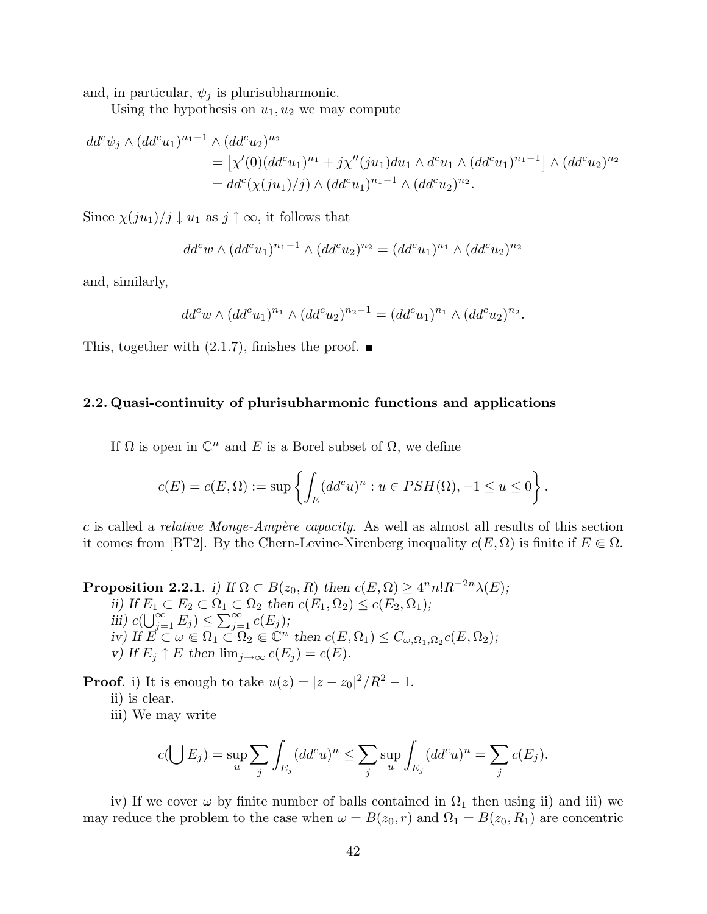and, in particular,  $\psi_j$  is plurisubharmonic.

Using the hypothesis on  $u_1, u_2$  we may compute

$$
dd^{c}\psi_{j} \wedge (dd^{c}u_{1})^{n_{1}-1} \wedge (dd^{c}u_{2})^{n_{2}}
$$
  
= 
$$
[\chi'(0)(dd^{c}u_{1})^{n_{1}} + j\chi''(ju_{1})du_{1} \wedge d^{c}u_{1} \wedge (dd^{c}u_{1})^{n_{1}-1}] \wedge (dd^{c}u_{2})^{n_{2}}
$$
  
= 
$$
dd^{c}(\chi(ju_{1})/j) \wedge (dd^{c}u_{1})^{n_{1}-1} \wedge (dd^{c}u_{2})^{n_{2}}.
$$

Since  $\chi(ju_1)/j \downarrow u_1$  as  $j \uparrow \infty$ , it follows that

$$
dd^c w \wedge (dd^c u_1)^{n_1 - 1} \wedge (dd^c u_2)^{n_2} = (dd^c u_1)^{n_1} \wedge (dd^c u_2)^{n_2}
$$

and, similarly,

$$
dd^c w \wedge (dd^c u_1)^{n_1} \wedge (dd^c u_2)^{n_2 - 1} = (dd^c u_1)^{n_1} \wedge (dd^c u_2)^{n_2}.
$$

This, together with  $(2.1.7)$ , finishes the proof.  $\blacksquare$ 

## 2.2. Quasi-continuity of plurisubharmonic functions and applications

If  $\Omega$  is open in  $\mathbb{C}^n$  and E is a Borel subset of  $\Omega$ , we define

$$
c(E) = c(E, \Omega) := \sup \left\{ \int_E (dd^c u)^n : u \in PSH(\Omega), -1 \le u \le 0 \right\}.
$$

c is called a *relative Monge-Ampère capacity*. As well as almost all results of this section it comes from [BT2]. By the Chern-Levine-Nirenberg inequality  $c(E, \Omega)$  is finite if  $E \in \Omega$ .

**Proposition 2.2.1**. i) If  $\Omega \subset B(z_0, R)$  then  $c(E, \Omega) \geq 4^n n! R^{-2n} \lambda(E)$ ;

ii) If  $E_1 \subset E_2 \subset \Omega_1 \subset \Omega_2$  then  $c(E_1, \Omega_2) \leq c(E_2, \Omega_1)$ ;  $\lim_{i \to i}$   $\lim_{i \to i}$   $c(\bigcup_{i=1}^{\infty}$  $\sum_{j=1}^{\infty} E_j$ )  $\leq$  $\overset{\iota_1}{\mathop{\rightharpoonup}}\overset{\mathrel{\mathop{\cup}}}{\mathop{\sim}}$  $\sum_{j=1}^{\infty} c(E_j)$ ; iv) If  $E \subset \omega \in \Omega_1 \subset \Omega_2 \in \mathbb{C}^n$  then  $c(E, \Omega_1) \leq C_{\omega, \Omega_1, \Omega_2} c(E, \Omega_2);$ v) If  $E_j \uparrow E$  then  $\lim_{j\to\infty} c(E_j) = c(E)$ .

**Proof.** i) It is enough to take  $u(z) = |z - z_0|^2/R^2 - 1$ .

ii) is clear.

iii) We may write

$$
c(\bigcup E_j) = \sup_u \sum_j \int_{E_j} (dd^c u)^n \le \sum_j \sup_u \int_{E_j} (dd^c u)^n = \sum_j c(E_j).
$$

iv) If we cover  $\omega$  by finite number of balls contained in  $\Omega_1$  then using ii) and iii) we may reduce the problem to the case when  $\omega = B(z_0, r)$  and  $\Omega_1 = B(z_0, R_1)$  are concentric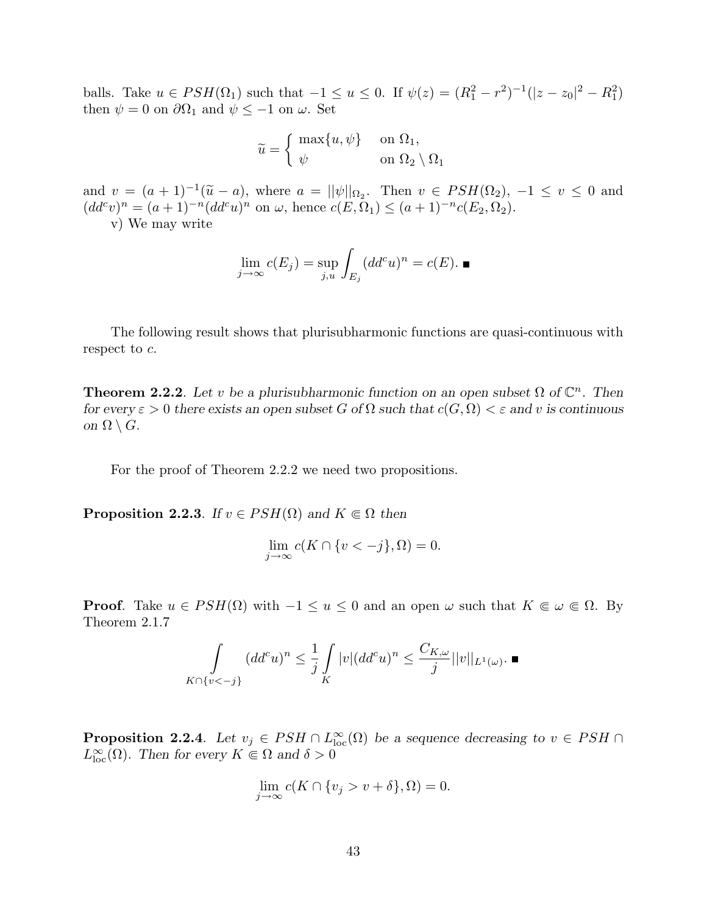balls. Take  $u \in PSH(\Omega_1)$  such that  $-1 \le u \le 0$ . If  $\psi(z) = (R_1^2 - r^2)^{-1}(|z - z_0|^2 - R_1^2)$ then  $\psi = 0$  on  $\partial \Omega_1$  and  $\psi \le -1$  on  $\omega$ . Set

$$
\widetilde{u} = \begin{cases} \max\{u, \psi\} & \text{on } \Omega_1, \\ \psi & \text{on } \Omega_2 \setminus \Omega_1 \end{cases}
$$

and  $v = (a+1)^{-1}(\tilde{u}-a)$ , where  $a = ||\psi||_{\Omega_2}$ . Then  $v \in PSH(\Omega_2)$ ,  $-1 \le v \le 0$  and  $(dd^c v)^n = (a+1)^{-n} (dd^c u)^n$  on  $\omega$ , hence  $c(E, \Omega_1) \leq (a+1)^{-n} c(E_2, \Omega_2)$ .

v) We may write

$$
\lim_{j \to \infty} c(E_j) = \sup_{j,u} \int_{E_j} (dd^c u)^n = c(E). \blacksquare
$$

The following result shows that plurisubharmonic functions are quasi-continuous with respect to  $c$ .

**Theorem 2.2.2**. Let v be a plurisubharmonic function on an open subset  $\Omega$  of  $\mathbb{C}^n$ . Then for every  $\varepsilon > 0$  there exists an open subset G of  $\Omega$  such that  $c(G, \Omega) < \varepsilon$  and v is continuous on  $\Omega \setminus G$ .

For the proof of Theorem 2.2.2 we need two propositions.

**Proposition 2.2.3.** If  $v \in PSH(\Omega)$  and  $K \subseteq \Omega$  then

$$
\lim_{j \to \infty} c(K \cap \{v < -j\}, \Omega) = 0.
$$

**Proof.** Take  $u \in PSH(\Omega)$  with  $-1 \le u \le 0$  and an open  $\omega$  such that  $K \in \omega \in \Omega$ . By Theorem 2.1.7

$$
\int\limits_{K \cap \{v < -j\}} (dd^c u)^n \le \frac{1}{j} \int\limits_K |v| (dd^c u)^n \le \frac{C_{K,\omega}}{j} ||v||_{L^1(\omega)}.
$$

**Proposition 2.2.4**. Let  $v_j \in PSH \cap L^{\infty}_{loc}(\Omega)$  be a sequence decreasing to  $v \in PSH \cap$  $L^{\infty}_{\text{loc}}(\Omega)$ . Then for every  $K \Subset \Omega$  and  $\delta > 0$ 

$$
\lim_{j \to \infty} c(K \cap \{v_j > v + \delta\}, \Omega) = 0.
$$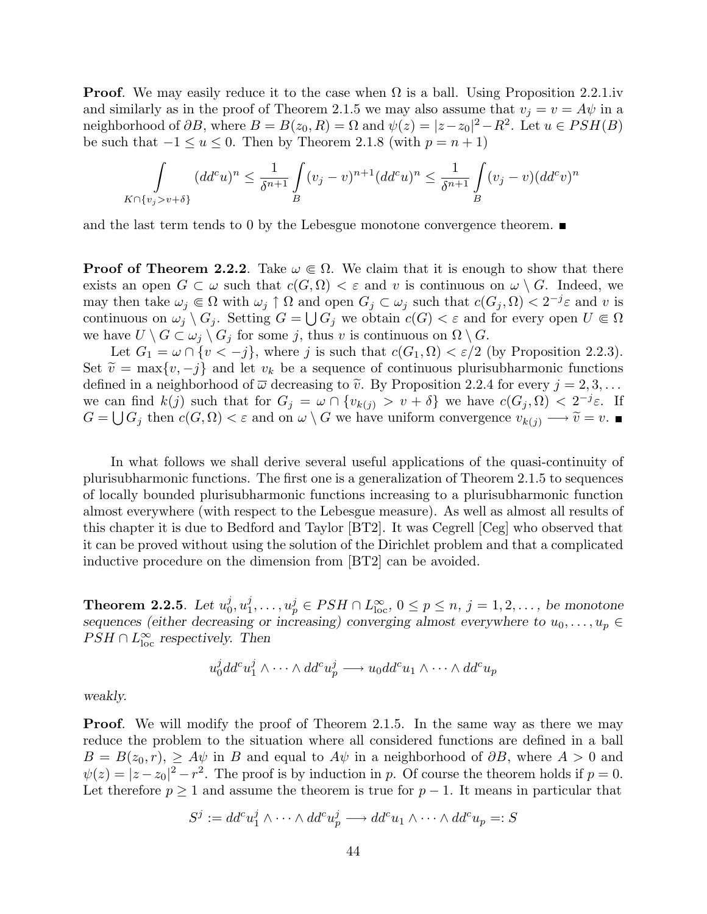**Proof.** We may easily reduce it to the case when  $\Omega$  is a ball. Using Proposition 2.2.1.iv and similarly as in the proof of Theorem 2.1.5 we may also assume that  $v_i = v = A\psi$  in a neighborhood of  $\partial B$ , where  $B = B(z_0, R) = \Omega$  and  $\psi(z) = |z - z_0|^2 - R^2$ . Let  $u \in PSH(B)$ be such that  $-1 \le u \le 0$ . Then by Theorem 2.1.8 (with  $p = n + 1$ )

$$
\int\limits_{K\cap\{v_j>v+\delta\}} (dd^c u)^n \leq \frac{1}{\delta^{n+1}} \int\limits_B (v_j - v)^{n+1} (dd^c u)^n \leq \frac{1}{\delta^{n+1}} \int\limits_B (v_j - v) (dd^c v)^n
$$

and the last term tends to 0 by the Lebesgue monotone convergence theorem.  $\blacksquare$ 

**Proof of Theorem 2.2.2.** Take  $\omega \in \Omega$ . We claim that it is enough to show that there exists an open  $G \subset \omega$  such that  $c(G, \Omega) < \varepsilon$  and v is continuous on  $\omega \setminus G$ . Indeed, we may then take  $\omega_j \in \Omega$  with  $\omega_j \uparrow \Omega$  and open  $G_j \subset \omega_j$  such that  $c(G_j, \Omega) < 2^{-j}\varepsilon$  and v is continuous on  $\omega_j \setminus G_j$ . Setting  $G = \bigcup G_j$  we obtain  $c(G) < \varepsilon$  and for every open  $U \Subset \Omega$ we have  $U \setminus G \subset \omega_j \setminus G_j$  for some j, thus v is continuous on  $\Omega \setminus G$ .

Let  $G_1 = \omega \cap \{v < -j\}$ , where j is such that  $c(G_1, \Omega) < \varepsilon/2$  (by Proposition 2.2.3). Set  $\tilde{v} = \max\{v, -j\}$  and let  $v_k$  be a sequence of continuous plurisubharmonic functions defined in a neighborhood of  $\overline{\omega}$  decreasing to  $\tilde{v}$ . By Proposition 2.2.4 for every  $j = 2, 3, \ldots$ we can find  $k(j)$  such that for  $G_j = \omega \cap \{v_{k(j)} > v + \delta\}$  we have  $c(G_j, \Omega) < 2^{-j}\varepsilon$ . If  $G = \bigcup G_j$  then  $c(G, \Omega) < \varepsilon$  and on  $\omega \setminus G$  we have uniform convergence  $v_{k(j)} \longrightarrow \tilde{v} = v$ .

In what follows we shall derive several useful applications of the quasi-continuity of plurisubharmonic functions. The first one is a generalization of Theorem 2.1.5 to sequences of locally bounded plurisubharmonic functions increasing to a plurisubharmonic function almost everywhere (with respect to the Lebesgue measure). As well as almost all results of this chapter it is due to Bedford and Taylor [BT2]. It was Cegrell [Ceg] who observed that it can be proved without using the solution of the Dirichlet problem and that a complicated inductive procedure on the dimension from [BT2] can be avoided.

Theorem 2.2.5. Let  $u_0^j$  $_{0}^{j},u_{1}^{j}$  $u_1^j, \ldots, u_p^j \in PSH \cap L_{\text{loc}}^{\infty}, \ 0 \leq p \leq n, \ j = 1, 2, \ldots, \ be \ monotone$ sequences (either decreasing or increasing) converging almost everywhere to  $u_0, \ldots, u_p \in$  $PSH \cap L^{\infty}_{loc}$  respectively. Then

$$
u_0^j d d^c u_1^j \wedge \cdots \wedge d d^c u_p^j \longrightarrow u_0 d d^c u_1 \wedge \cdots \wedge d d^c u_p
$$

weakly.

**Proof.** We will modify the proof of Theorem 2.1.5. In the same way as there we may reduce the problem to the situation where all considered functions are defined in a ball  $B = B(z_0, r)$ ,  $\geq A\psi$  in B and equal to  $A\psi$  in a neighborhood of  $\partial B$ , where  $A > 0$  and  $\psi(z) = |z - z_0|^2 - r^2$ . The proof is by induction in p. Of course the theorem holds if  $p = 0$ . Let therefore  $p \geq 1$  and assume the theorem is true for  $p-1$ . It means in particular that

$$
S^j := dd^c u_1^j \wedge \cdots \wedge dd^c u_p^j \longrightarrow dd^c u_1 \wedge \cdots \wedge dd^c u_p =: S
$$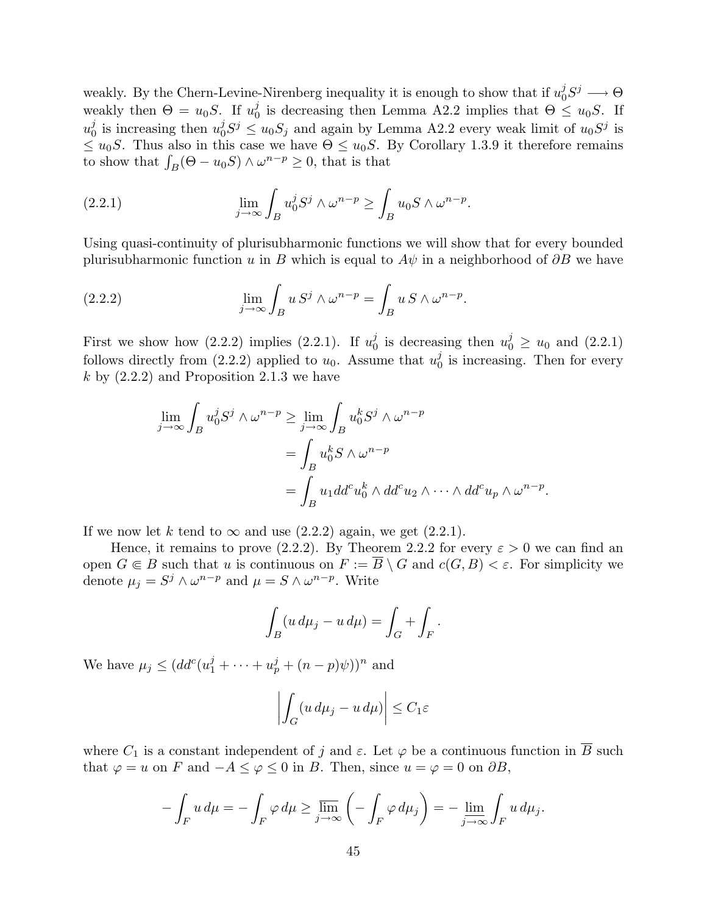weakly. By the Chern-Levine-Nirenberg inequality it is enough to show that if  $u_0^j$  $j_0^j S^j \longrightarrow \Theta$ weakly then  $\Theta = u_0 S$ . If  $u_0^j$ <sup>j</sup><sub>0</sub> is decreasing then Lemma A2.2 implies that  $\Theta \leq u_0 S$ . If  $u_0^j$  $\frac{j}{0}$  is increasing then  $u_0^j$  $j_0^j S^j \leq u_0 S_j$  and again by Lemma A2.2 every weak limit of  $u_0 S^j$  is  $\leq u_0S$ . Thus also in this case we have  $\Theta \leq u_0S$ . By Corollary 1.3.9 it therefore remains  $\leq u_0$ . Thus also in this case we have  $\Theta \leq u_0$ .<br>to show that  $\int_B (\Theta - u_0 S) \wedge \omega^{n-p} \geq 0$ , that is that

(2.2.1) 
$$
\lim_{j \to \infty} \int_B u_0^j S^j \wedge \omega^{n-p} \ge \int_B u_0 S \wedge \omega^{n-p}.
$$

Using quasi-continuity of plurisubharmonic functions we will show that for every bounded plurisubharmonic function u in B which is equal to  $A\psi$  in a neighborhood of  $\partial B$  we have

(2.2.2) 
$$
\lim_{j \to \infty} \int_B u S^j \wedge \omega^{n-p} = \int_B u S \wedge \omega^{n-p}.
$$

First we show how  $(2.2.2)$  implies  $(2.2.1)$ . If  $u_0^j$  $y_0^j$  is decreasing then  $u_0^j \ge u_0$  and  $(2.2.1)$ follows directly from (2.2.2) applied to  $u_0$ . Assume that  $u_0^j$  $\int_0^j$  is increasing. Then for every  $k$  by  $(2.2.2)$  and Proposition 2.1.3 we have

$$
\lim_{j \to \infty} \int_B u_0^j S^j \wedge \omega^{n-p} \ge \lim_{j \to \infty} \int_B u_0^k S^j \wedge \omega^{n-p}
$$
  
= 
$$
\int_B u_0^k S \wedge \omega^{n-p}
$$
  
= 
$$
\int_B u_1 d d^c u_0^k \wedge d d^c u_2 \wedge \cdots \wedge d d^c u_p \wedge \omega^{n-p}.
$$

If we now let k tend to  $\infty$  and use (2.2.2) again, we get (2.2.1).

Hence, it remains to prove (2.2.2). By Theorem 2.2.2 for every  $\varepsilon > 0$  we can find an open  $G \in B$  such that u is continuous on  $F := \overline{B} \setminus G$  and  $c(G, B) < \varepsilon$ . For simplicity we denote  $\mu_j = S^j \wedge \omega^{n-p}$  and  $\mu = S \wedge \omega^{n-p}$ . Write

$$
\int_B (u \, d\mu_j - u \, d\mu) = \int_G + \int_F.
$$

We have  $\mu_j \leq (dd^c(u_1^j + \cdots + u_p^j + (n-p)\psi))^n$  and

$$
\left| \int_G (u \, d\mu_j - u \, d\mu) \right| \le C_1 \varepsilon
$$

where  $C_1$  is a constant independent of j and  $\varepsilon$ . Let  $\varphi$  be a continuous function in  $\overline{B}$  such that  $\varphi = u$  on F and  $-A \leq \varphi \leq 0$  in B. Then, since  $u = \varphi = 0$  on  $\partial B$ ,

$$
-\int_F u \, d\mu = -\int_F \varphi \, d\mu \ge \varlimsup_{j \to \infty} \left( -\int_F \varphi \, d\mu_j \right) = -\varliminf_{j \to \infty} \int_F u \, d\mu_j.
$$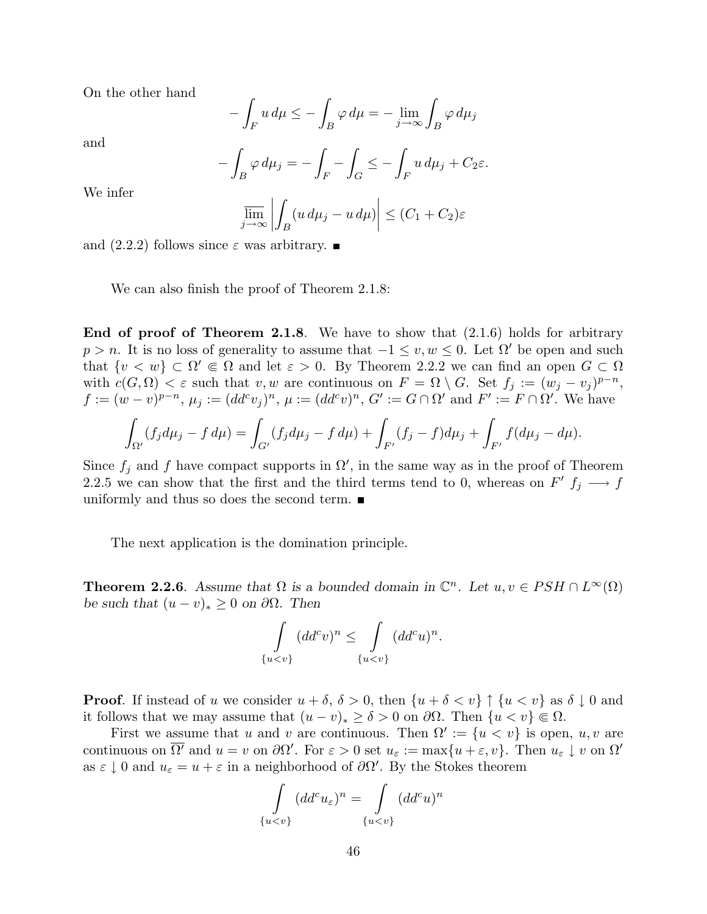On the other hand

$$
-\int_{F} u \, d\mu \le -\int_{B} \varphi \, d\mu = -\lim_{j \to \infty} \int_{B} \varphi \, d\mu_{j}
$$

and

$$
-\int_B \varphi \, d\mu_j = -\int_F - \int_G \le -\int_F u \, d\mu_j + C_2 \varepsilon.
$$

We infer

$$
\overline{\lim}_{j \to \infty} \left| \int_B (u \, d\mu_j - u \, d\mu) \right| \le (C_1 + C_2) \varepsilon
$$

and  $(2.2.2)$  follows since  $\varepsilon$  was arbitrary.

We can also finish the proof of Theorem 2.1.8:

**End of proof of Theorem 2.1.8.** We have to show that  $(2.1.6)$  holds for arbitrary  $p > n$ . It is no loss of generality to assume that  $-1 \le v, w \le 0$ . Let  $\Omega'$  be open and such that  $\{v \leq w\} \subset \Omega' \Subset \Omega$  and let  $\varepsilon > 0$ . By Theorem 2.2.2 we can find an open  $G \subset \Omega$ with  $c(G, \Omega) < \varepsilon$  such that  $v, w$  are continuous on  $F = \Omega \setminus G$ . Set  $f_j := (w_j - v_j)^{p-n}$ ,  $f := (w - v)^{p-n}, \, \mu_j := (dd^c v_j)^n, \, \mu := (dd^c v)^n, \, G' := G \cap \Omega' \text{ and } F' := F \cap \Omega'.$  We have

$$
\int_{\Omega'} (f_j d\mu_j - f d\mu) = \int_{G'} (f_j d\mu_j - f d\mu) + \int_{F'} (f_j - f) d\mu_j + \int_{F'} f (d\mu_j - d\mu).
$$

Since  $f_j$  and f have compact supports in  $\Omega'$ , in the same way as in the proof of Theorem 2.2.5 we can show that the first and the third terms tend to 0, whereas on  $F'$   $f_j \longrightarrow f$ uniformly and thus so does the second term.  $\blacksquare$ 

The next application is the domination principle.

**Theorem 2.2.6.** Assume that  $\Omega$  is a bounded domain in  $\mathbb{C}^n$ . Let  $u, v \in PSH \cap L^{\infty}(\Omega)$ be such that  $(u - v)_* \geq 0$  on  $\partial\Omega$ . Then

$$
\int_{\{u
$$

.

**Proof.** If instead of u we consider  $u + \delta$ ,  $\delta > 0$ , then  $\{u + \delta < v\} \uparrow \{u < v\}$  as  $\delta \downarrow 0$  and it follows that we may assume that  $(u - v)_* \ge \delta > 0$  on  $\partial\Omega$ . Then  $\{u \le v\} \in \Omega$ .

First we assume that u and v are continuous. Then  $\Omega' := \{u \lt v\}$  is open, u, v are continuous on  $\overline{\Omega'}$  and  $u = v$  on  $\partial\Omega'$ . For  $\varepsilon > 0$  set  $u_{\varepsilon} := \max\{u + \varepsilon, v\}$ . Then  $u_{\varepsilon} \downarrow v$  on  $\Omega'$ as  $\varepsilon \downarrow 0$  and  $u_{\varepsilon} = u + \varepsilon$  in a neighborhood of  $\partial \Omega'$ . By the Stokes theorem

$$
\int_{\{u
$$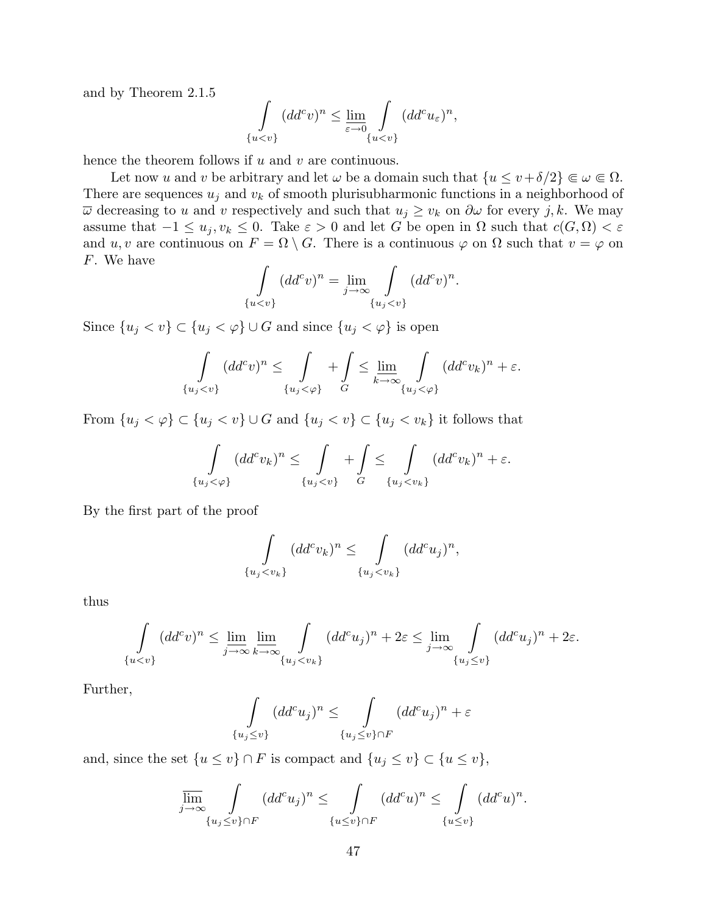and by Theorem 2.1.5

$$
\int_{\{u
$$

hence the theorem follows if  $u$  and  $v$  are continuous.

Let now u and v be arbitrary and let  $\omega$  be a domain such that  $\{u \le v + \delta/2\} \in \omega \in \Omega$ . There are sequences  $u_j$  and  $v_k$  of smooth plurisubharmonic functions in a neighborhood of  $\overline{\omega}$  decreasing to u and v respectively and such that  $u_j \geq v_k$  on  $\partial \omega$  for every j, k. We may assume that  $-1 \le u_j, v_k \le 0$ . Take  $\varepsilon > 0$  and let G be open in  $\Omega$  such that  $c(G, \Omega) < \varepsilon$ and u, v are continuous on  $F = \Omega \setminus G$ . There is a continuous  $\varphi$  on  $\Omega$  such that  $v = \varphi$  on F. We have

$$
\int_{\{u
$$

Since  $\{u_j < v\} \subset \{u_j < \varphi\} \cup G$  and since  $\{u_j < \varphi\}$  is open

$$
\int_{\{u_j < v\}} (dd^c v)^n \le \int_{\{u_j < \varphi\}} + \int_G \le \lim_{k \to \infty} \int_{\{u_j < \varphi\}} (dd^c v_k)^n + \varepsilon.
$$

From  $\{u_j < \varphi\} \subset \{u_j < v\} \cup G$  and  $\{u_j < v\} \subset \{u_j < v_k\}$  it follows that

$$
\int_{\{u_j<\varphi\}} (dd^c v_k)^n \leq \int_{\{u_j< v\}} + \int_{G} \leq \int_{\{u_j< v_k\}} (dd^c v_k)^n + \varepsilon.
$$

By the first part of the proof

$$
\int_{\{u_j < v_k\}} (dd^c v_k)^n \leq \int_{\{u_j < v_k\}} (dd^c u_j)^n,
$$

thus

$$
\int_{\{u
$$

Further,

$$
\int_{\{u_j \le v\}} (dd^c u_j)^n \le \int_{\{u_j \le v\} \cap F} (dd^c u_j)^n + \varepsilon
$$

and, since the set  $\{u \le v\} \cap F$  is compact and  $\{u_j \le v\} \subset \{u \le v\},\$ 

$$
\overline{\lim}_{j \to \infty} \int_{\{u_j \le v\} \cap F} (dd^c u_j)^n \le \int_{\{u \le v\} \cap F} (dd^c u)^n \le \int_{\{u \le v\}} (dd^c u)^n.
$$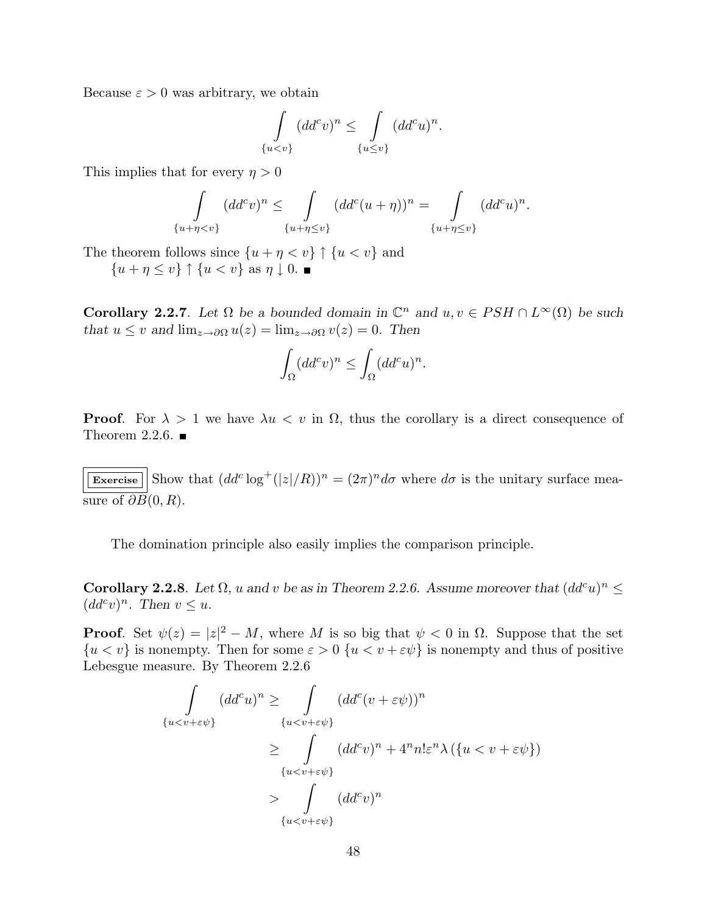Because  $\varepsilon > 0$  was arbitrary, we obtain

$$
\int_{\{u
$$

This implies that for every  $\eta > 0$ 

$$
\int_{\{u+\eta
$$

.

The theorem follows since  $\{u + \eta < v\} \uparrow \{u < v\}$  and

 ${u + \eta \leq v} \uparrow \{u < v\}$  as  $\eta \downarrow 0$ .

**Corollary 2.2.7**. Let  $\Omega$  be a bounded domain in  $\mathbb{C}^n$  and  $u, v \in PSH \cap L^{\infty}(\Omega)$  be such that  $u \leq v$  and  $\lim_{z \to \partial \Omega} u(z) = \lim_{z \to \partial \Omega} v(z) = 0$ . Then

$$
\int_{\Omega} (dd^c v)^n \le \int_{\Omega} (dd^c u)^n.
$$

**Proof.** For  $\lambda > 1$  we have  $\lambda u < v$  in  $\Omega$ , thus the corollary is a direct consequence of Theorem 2.2.6.  $\blacksquare$ 

Exercise  $|\sin \theta| \leq \frac{1}{2}$  Show that  $(dd^c \log^+(z|/R))^n = (2\pi)^n d\sigma$  where  $d\sigma$  is the unitary surface measure of  $\partial B(0, R)$ .

The domination principle also easily implies the comparison principle.

Corollary 2.2.8. Let  $\Omega$ , u and v be as in Theorem 2.2.6. Assume moreover that  $(dd^c u)^n \leq$  $(dd^c v)^n$ . Then  $v \leq u$ .

**Proof.** Set  $\psi(z) = |z|^2 - M$ , where M is so big that  $\psi < 0$  in  $\Omega$ . Suppose that the set  ${u < v}$  is nonempty. Then for some  $\varepsilon > 0$   ${u < v + \varepsilon\psi}$  is nonempty and thus of positive Lebesgue measure. By Theorem 2.2.6

$$
\int_{\{u  

$$
\ge \int_{\{u  

$$
> \int_{\{u
$$
$$
$$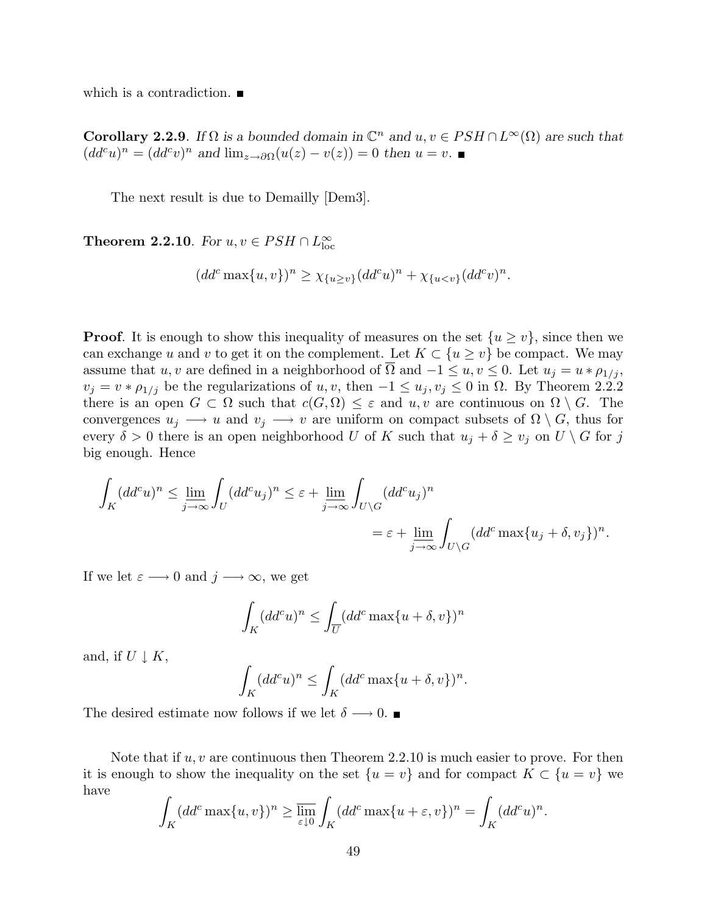which is a contradiction.

**Corollary 2.2.9**. If  $\Omega$  is a bounded domain in  $\mathbb{C}^n$  and  $u, v \in PSH \cap L^{\infty}(\Omega)$  are such that  $(dd^c u)^n = (dd^c v)^n$  and  $\lim_{z\to\partial\Omega}(u(z) - v(z)) = 0$  then  $u = v$ .

The next result is due to Demailly [Dem3].

**Theorem 2.2.10**. For  $u, v \in PSH \cap L^{\infty}_{loc}$ 

$$
(dd^c \max\{u, v\})^n \ge \chi_{\{u \ge v\}} (dd^c u)^n + \chi_{\{u < v\}} (dd^c v)^n.
$$

**Proof.** It is enough to show this inequality of measures on the set  $\{u \geq v\}$ , since then we can exchange u and v to get it on the complement. Let  $K \subset \{u \ge v\}$  be compact. We may assume that u, v are defined in a neighborhood of  $\overline{\Omega}$  and  $-1 \le u, v \le 0$ . Let  $u_j = u * \rho_{1/j}$ ,  $v_j = v * \rho_{1/j}$  be the regularizations of u, v, then  $-1 \le u_j, v_j \le 0$  in  $\Omega$ . By Theorem 2.2.2 there is an open  $G \subset \Omega$  such that  $c(G, \Omega) \leq \varepsilon$  and  $u, v$  are continuous on  $\Omega \setminus G$ . The convergences  $u_j \longrightarrow u$  and  $v_j \longrightarrow v$  are uniform on compact subsets of  $\Omega \setminus G$ , thus for every  $\delta > 0$  there is an open neighborhood U of K such that  $u_j + \delta \geq v_j$  on  $U \setminus G$  for j big enough. Hence

$$
\int_{K} (dd^{c}u)^{n} \le \lim_{j \to \infty} \int_{U} (dd^{c}u_{j})^{n} \le \varepsilon + \lim_{j \to \infty} \int_{U \setminus G} (dd^{c}u_{j})^{n}
$$
\n
$$
= \varepsilon + \lim_{j \to \infty} \int_{U \setminus G} (dd^{c} \max\{u_{j} + \delta, v_{j}\})^{n}.
$$

If we let  $\varepsilon \longrightarrow 0$  and  $j \longrightarrow \infty$ , we get

$$
\int_{K} (dd^{c}u)^{n} \leq \int_{\overline{U}} (dd^{c} \max\{u + \delta, v\})^{n}
$$

and, if  $U \downarrow K$ ,

$$
\int_{K} (dd^{c}u)^{n} \leq \int_{K} (dd^{c} \max\{u + \delta, v\})^{n}.
$$

The desired estimate now follows if we let  $\delta \longrightarrow 0$ .

Note that if  $u, v$  are continuous then Theorem 2.2.10 is much easier to prove. For then it is enough to show the inequality on the set  $\{u = v\}$  and for compact  $K \subset \{u = v\}$  we have

$$
\int_{K} (dd^c \max\{u, v\})^n \ge \overline{\lim_{\varepsilon \downarrow 0}} \int_{K} (dd^c \max\{u + \varepsilon, v\})^n = \int_{K} (dd^c u)^n.
$$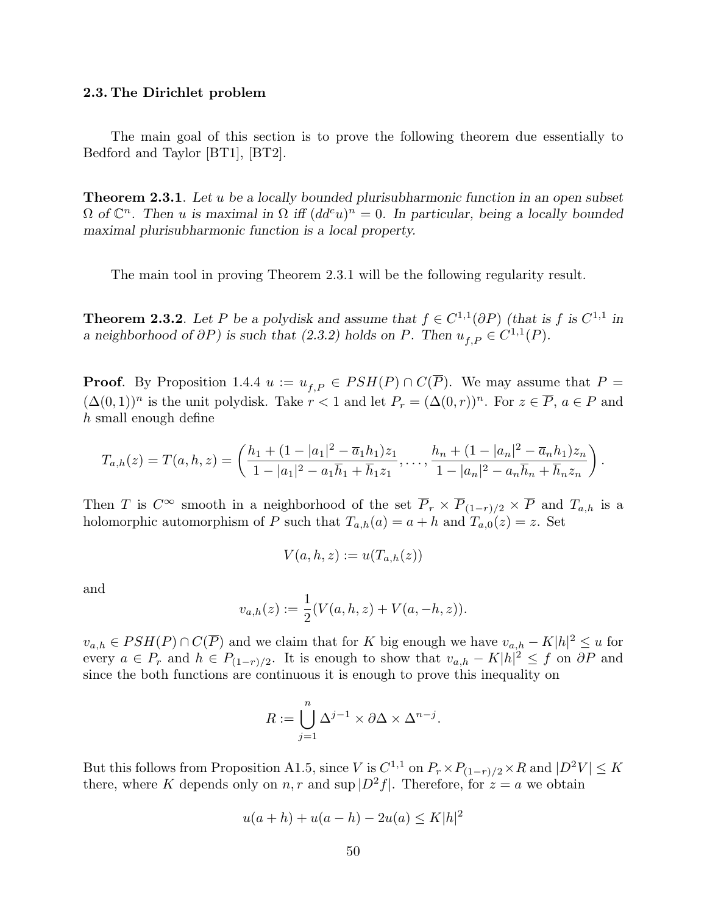## 2.3. The Dirichlet problem

The main goal of this section is to prove the following theorem due essentially to Bedford and Taylor [BT1], [BT2].

**Theorem 2.3.1**. Let u be a locally bounded plurisubharmonic function in an open subset  $\Omega$  of  $\mathbb{C}^n$ . Then u is maximal in  $\Omega$  iff  $(dd^c u)^n=0$ . In particular, being a locally bounded maximal plurisubharmonic function is a local property.

The main tool in proving Theorem 2.3.1 will be the following regularity result.

**Theorem 2.3.2**. Let P be a polydisk and assume that  $f \in C^{1,1}(\partial P)$  (that is f is  $C^{1,1}$  in a neighborhood of  $\partial P$ ) is such that (2.3.2) holds on P. Then  $u_{f,P} \in C^{1,1}(P)$ .

**Proof.** By Proposition 1.4.4  $u := u_{f,P} \in PSH(P) \cap C(\overline{P})$ . We may assume that  $P =$  $(\Delta(0,1))^n$  is the unit polydisk. Take  $r < 1$  and let  $P_r = (\Delta(0,r))^n$ . For  $z \in \overline{P}$ ,  $a \in P$  and h small enough define

$$
T_{a,h}(z) = T(a,h,z) = \left(\frac{h_1 + (1 - |a_1|^2 - \overline{a}_1 h_1)z_1}{1 - |a_1|^2 - a_1 \overline{h}_1 + \overline{h}_1 z_1}, \ldots, \frac{h_n + (1 - |a_n|^2 - \overline{a}_n h_1)z_n}{1 - |a_n|^2 - a_n \overline{h}_n + \overline{h}_n z_n}\right).
$$

Then T is  $C^{\infty}$  smooth in a neighborhood of the set  $\overline{P}_r \times \overline{P}_{(1-r)/2} \times \overline{P}$  and  $T_{a,h}$  is a holomorphic automorphism of P such that  $T_{a,h}(a) = a + h$  and  $T_{a,0}(z) = z$ . Set

$$
V(a, h, z) := u(T_{a,h}(z))
$$

and

$$
v_{a,h}(z) := \frac{1}{2}(V(a,h,z) + V(a,-h,z)).
$$

 $v_{a,h} \in PSH(P) \cap C(\overline{P})$  and we claim that for K big enough we have  $v_{a,h} - K|h|^2 \leq u$  for every  $a \in P_r$  and  $h \in P_{(1-r)/2}$ . It is enough to show that  $v_{a,h} - K|h|^2 \leq f$  on  $\partial P$  and since the both functions are continuous it is enough to prove this inequality on

$$
R := \bigcup_{j=1}^{n} \Delta^{j-1} \times \partial \Delta \times \Delta^{n-j}.
$$

But this follows from Proposition A1.5, since V is  $C^{1,1}$  on  $P_r \times P_{(1-r)/2} \times R$  and  $|D^2 V| \leq K$ there, where K depends only on n, r and sup  $|D^2f|$ . Therefore, for  $z = a$  we obtain

$$
u(a+h) + u(a-h) - 2u(a) \le K|h|^2
$$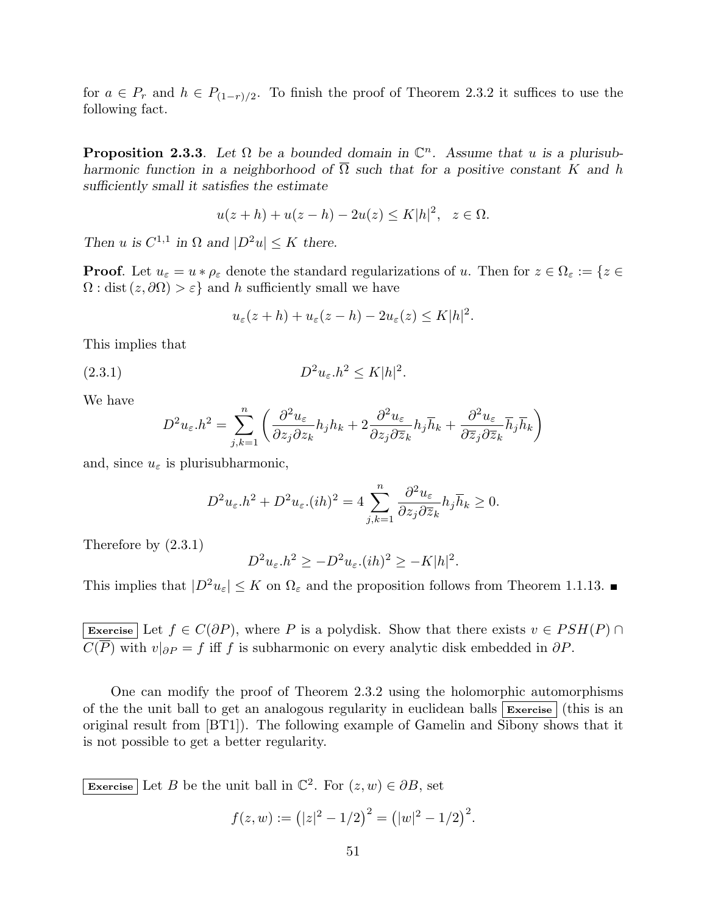for  $a \in P_r$  and  $h \in P_{(1-r)/2}$ . To finish the proof of Theorem 2.3.2 it suffices to use the following fact.

**Proposition 2.3.3**. Let  $\Omega$  be a bounded domain in  $\mathbb{C}^n$ . Assume that u is a plurisubharmonic function in a neighborhood of  $\overline{\Omega}$  such that for a positive constant K and h sufficiently small it satisfies the estimate

$$
u(z+h) + u(z-h) - 2u(z) \le K|h|^2, \quad z \in \Omega.
$$

Then u is  $C^{1,1}$  in  $\Omega$  and  $|D^2u| \leq K$  there.

**Proof.** Let  $u_{\varepsilon} = u * \rho_{\varepsilon}$  denote the standard regularizations of u. Then for  $z \in \Omega_{\varepsilon} := \{z \in$  $\Omega$ : dist  $(z, \partial \Omega) > \varepsilon$  and h sufficiently small we have

$$
u_{\varepsilon}(z+h) + u_{\varepsilon}(z-h) - 2u_{\varepsilon}(z) \le K|h|^2.
$$

This implies that

$$
(2.3.1) \t\t D2u\varepsilon.h2 \le K|h|2.
$$

We have

$$
D^2 u_{\varepsilon} . h^2 = \sum_{j,k=1}^n \left( \frac{\partial^2 u_{\varepsilon}}{\partial z_j \partial z_k} h_j h_k + 2 \frac{\partial^2 u_{\varepsilon}}{\partial z_j \partial \overline{z}_k} h_j \overline{h}_k + \frac{\partial^2 u_{\varepsilon}}{\partial \overline{z}_j \partial \overline{z}_k} \overline{h}_j \overline{h}_k \right)
$$

and, since  $u_{\varepsilon}$  is plurisubharmonic,

$$
D^2 u_{\varepsilon} h^2 + D^2 u_{\varepsilon} (ih)^2 = 4 \sum_{j,k=1}^n \frac{\partial^2 u_{\varepsilon}}{\partial z_j \partial \overline{z}_k} h_j \overline{h}_k \ge 0.
$$

Therefore by (2.3.1)

$$
D^2 u_{\varepsilon} h^2 \ge -D^2 u_{\varepsilon} (ih)^2 \ge -K|h|^2.
$$

This implies that  $|D^2 u_{\varepsilon}| \leq K$  on  $\Omega_{\varepsilon}$  and the proposition follows from Theorem 1.1.13.

Exercise Let  $f \in C(\partial P)$ , where P is a polydisk. Show that there exists  $v \in PSH(P) \cap$  $C(\overline{P})$  with  $v|_{\partial P} = f$  iff f is subharmonic on every analytic disk embedded in  $\partial P$ .

One can modify the proof of Theorem 2.3.2 using the holomorphic automorphisms of the the unit ball to get an analogous regularity in euclidean balls  $|\mathbf{Exercise}|$  (this is an original result from [BT1]). The following example of Gamelin and Sibony shows that it is not possible to get a better regularity.

Exercise Let B be the unit ball in  $\mathbb{C}^2$ . For  $(z, w) \in \partial B$ , set

$$
f(z, w) := (|z|^2 - 1/2)^2 = (|w|^2 - 1/2)^2.
$$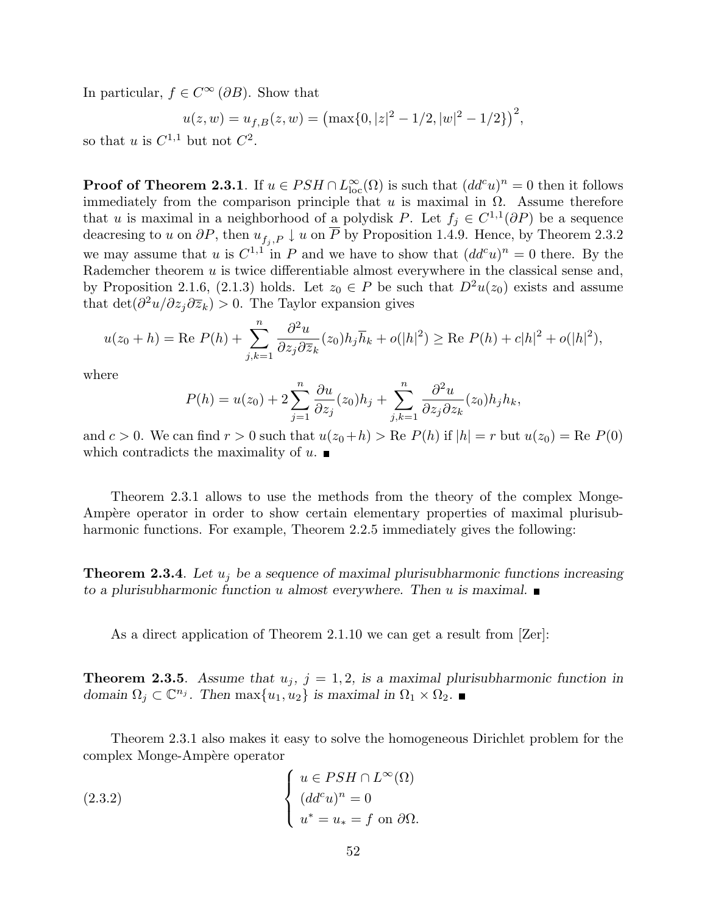In particular,  $f \in C^{\infty}(\partial B)$ . Show that

$$
u(z, w) = u_{f, B}(z, w) = \left(\max\{0, |z|^2 - 1/2, |w|^2 - 1/2\}\right)^2,
$$

so that u is  $C^{1,1}$  but not  $C^2$ .

**Proof of Theorem 2.3.1**. If  $u \in PSH \cap L^{\infty}_{loc}(\Omega)$  is such that  $(dd^c u)^n = 0$  then it follows immediately from the comparison principle that u is maximal in  $\Omega$ . Assume therefore that u is maximal in a neighborhood of a polydisk P. Let  $f_j \in C^{1,1}(\partial P)$  be a sequence deacresing to u on  $\partial P$ , then  $u_{f_j, P} \downarrow u$  on  $\overline{P}$  by Proposition 1.4.9. Hence, by Theorem 2.3.2 we may assume that u is  $C^{1,1}$  in P and we have to show that  $(dd^c u)^n=0$  there. By the Rademcher theorem  $u$  is twice differentiable almost everywhere in the classical sense and, by Proposition 2.1.6, (2.1.3) holds. Let  $z_0 \in P$  be such that  $D^2u(z_0)$  exists and assume that  $\det(\partial^2 u/\partial z_j \partial \overline{z}_k) > 0$ . The Taylor expansion gives

$$
u(z_0 + h) = \text{Re } P(h) + \sum_{j,k=1}^n \frac{\partial^2 u}{\partial z_j \partial \overline{z}_k}(z_0) h_j \overline{h}_k + o(|h|^2) \ge \text{Re } P(h) + c|h|^2 + o(|h|^2),
$$

where

$$
P(h) = u(z_0) + 2\sum_{j=1}^n \frac{\partial u}{\partial z_j}(z_0)h_j + \sum_{j,k=1}^n \frac{\partial^2 u}{\partial z_j \partial z_k}(z_0)h_jh_k,
$$

and  $c > 0$ . We can find  $r > 0$  such that  $u(z_0+h) > \text{Re } P(h)$  if  $|h| = r$  but  $u(z_0) = \text{Re } P(0)$ which contradicts the maximality of  $u$ .

Theorem 2.3.1 allows to use the methods from the theory of the complex Monge-Ampère operator in order to show certain elementary properties of maximal plurisubharmonic functions. For example, Theorem 2.2.5 immediately gives the following:

**Theorem 2.3.4**. Let  $u_i$  be a sequence of maximal plurisubharmonic functions increasing to a plurisubharmonic function u almost everywhere. Then u is maximal.  $\blacksquare$ 

As a direct application of Theorem 2.1.10 we can get a result from [Zer]:

**Theorem 2.3.5.** Assume that  $u_j$ ,  $j = 1, 2$ , is a maximal plurisubharmonic function in domain  $\Omega_j \subset \mathbb{C}^{n_j}$ . Then  $\max\{u_1, u_2\}$  is maximal in  $\Omega_1 \times \Omega_2$ .

Theorem 2.3.1 also makes it easy to solve the homogeneous Dirichlet problem for the complex Monge-Ampère operator  $\overline{a}$ 

(2.3.2) 
$$
\begin{cases} u \in PSH \cap L^{\infty}(\Omega) \\ (dd^c u)^n = 0 \\ u^* = u_* = f \text{ on } \partial \Omega. \end{cases}
$$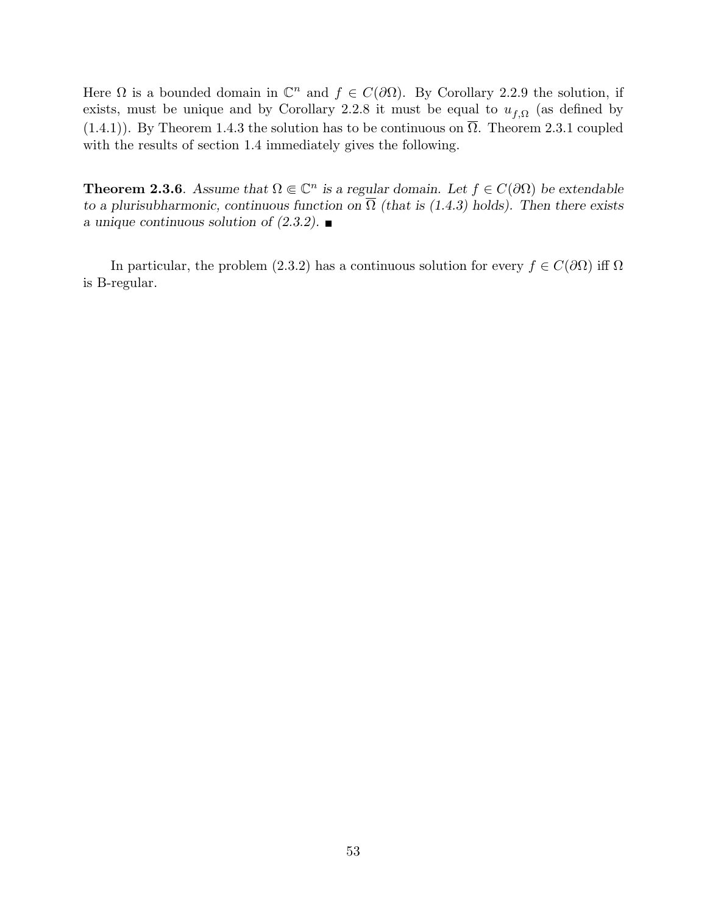Here  $\Omega$  is a bounded domain in  $\mathbb{C}^n$  and  $f \in C(\partial\Omega)$ . By Corollary 2.2.9 the solution, if exists, must be unique and by Corollary 2.2.8 it must be equal to  $u_{f,\Omega}$  (as defined by (1.4.1)). By Theorem 1.4.3 the solution has to be continuous on  $\overline{\Omega}$ . Theorem 2.3.1 coupled with the results of section 1.4 immediately gives the following.

**Theorem 2.3.6**. Assume that  $\Omega \in \mathbb{C}^n$  is a regular domain. Let  $f \in C(\partial \Omega)$  be extendable to a plurisubharmonic, continuous function on  $\overline{\Omega}$  (that is (1.4.3) holds). Then there exists a unique continuous solution of  $(2.3.2)$ .

In particular, the problem (2.3.2) has a continuous solution for every  $f \in C(\partial\Omega)$  iff  $\Omega$ is B-regular.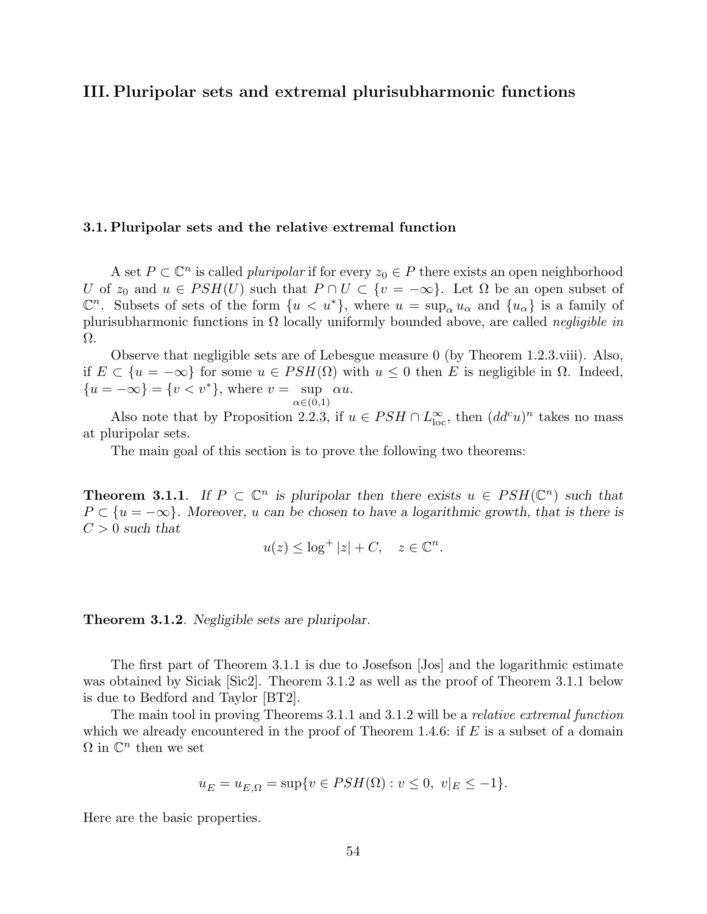## III. Pluripolar sets and extremal plurisubharmonic functions

## 3.1. Pluripolar sets and the relative extremal function

A set  $P \subset \mathbb{C}^n$  is called *pluripolar* if for every  $z_0 \in P$  there exists an open neighborhood U of  $z_0$  and  $u \in PSH(U)$  such that  $P \cap U \subset \{v = -\infty\}$ . Let  $\Omega$  be an open subset of  $\mathbb{C}^n$ . Subsets of sets of the form  $\{u \lt u^*\}$ , where  $u = \sup_{\alpha} u_{\alpha}$  and  $\{u_{\alpha}\}$  is a family of plurisubharmonic functions in  $\Omega$  locally uniformly bounded above, are called *negligible in* Ω.

Observe that negligible sets are of Lebesgue measure 0 (by Theorem 1.2.3.viii). Also, if  $E \subset \{u = -\infty\}$  for some  $u \in PSH(\Omega)$  with  $u \leq 0$  then E is negligible in Ω. Indeed,  $\{u = -\infty\} = \{v < v^*\},\$  where  $v = \sup \alpha u$ .  $\alpha \in (0,1)$ 

Also note that by Proposition 2.2.3, if  $u \in PSH \cap L^{\infty}_{loc}$ , then  $(dd^c u)^n$  takes no mass at pluripolar sets.

The main goal of this section is to prove the following two theorems:

**Theorem 3.1.1.** If  $P \subset \mathbb{C}^n$  is pluripolar then there exists  $u \in PSH(\mathbb{C}^n)$  such that  $P \subset \{u = -\infty\}$ . Moreover, u can be chosen to have a logarithmic growth, that is there is  $C > 0$  such that

$$
u(z) \le \log^+ |z| + C, \quad z \in \mathbb{C}^n.
$$

#### **Theorem 3.1.2**. Negligible sets are pluripolar.

The first part of Theorem 3.1.1 is due to Josefson [Jos] and the logarithmic estimate was obtained by Siciak [Sic2]. Theorem 3.1.2 as well as the proof of Theorem 3.1.1 below is due to Bedford and Taylor [BT2].

The main tool in proving Theorems 3.1.1 and 3.1.2 will be a relative extremal function which we already encountered in the proof of Theorem 1.4.6: if  $E$  is a subset of a domain  $\Omega$  in  $\mathbb{C}^n$  then we set

$$
u_E = u_{E,\Omega} = \sup\{v \in PSH(\Omega) : v \le 0, \ v|_E \le -1\}.
$$

Here are the basic properties.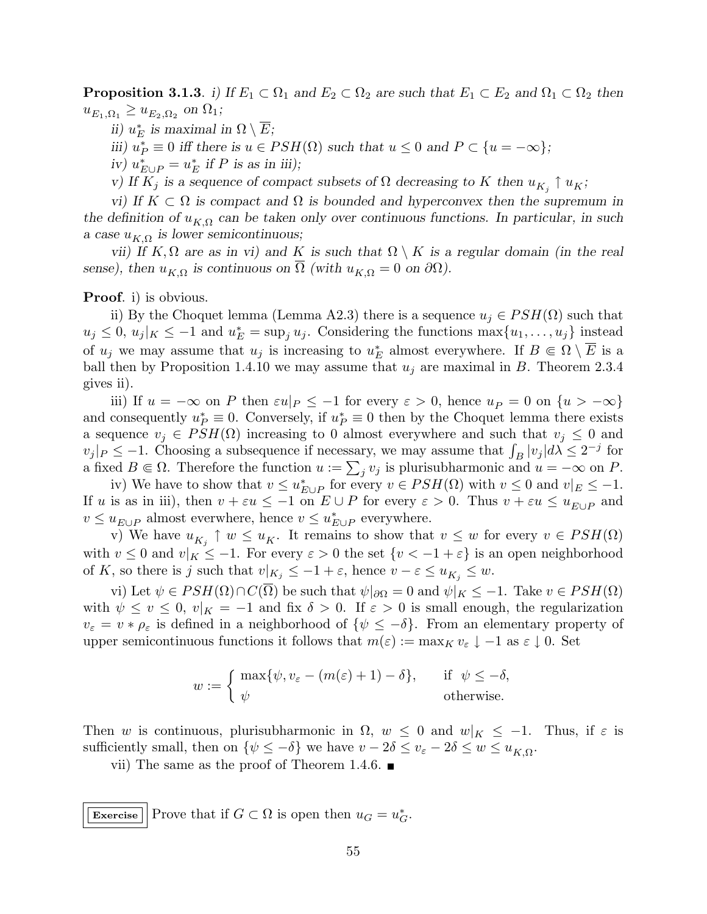**Proposition 3.1.3.** i) If  $E_1 \subset \Omega_1$  and  $E_2 \subset \Omega_2$  are such that  $E_1 \subset E_2$  and  $\Omega_1 \subset \Omega_2$  then  $u_{E_1,\Omega_1} \geq u_{E_2,\Omega_2}$  on  $\Omega_1$ ;

ii)  $u_E^*$  is maximal in  $\Omega \setminus \overline{E}$ ;

iii)  $u_P^* \equiv 0$  iff there is  $u \in PSH(\Omega)$  such that  $u \leq 0$  and  $P \subset \{u = -\infty\};$ 

iv)  $u_{E\cup P}^* = u_E^*$  if P is as in iii);

v) If  $K_j$  is a sequence of compact subsets of  $\Omega$  decreasing to K then  $u_{K_j} \uparrow u_K$ ;

vi) If  $K \subset \Omega$  is compact and  $\Omega$  is bounded and hyperconvex then the supremum in the definition of  $u_{K,\Omega}$  can be taken only over continuous functions. In particular, in such a case  $u_{K,\Omega}$  is lower semicontinuous;

vii) If K,  $\Omega$  are as in vi) and K is such that  $\Omega \setminus K$  is a regular domain (in the real sense), then  $u_{K,\Omega}$  is continuous on  $\Omega$  (with  $u_{K,\Omega} = 0$  on  $\partial\Omega$ ).

Proof. i) is obvious.

ii) By the Choquet lemma (Lemma A2.3) there is a sequence  $u_j \in PSH(\Omega)$  such that  $u_j \leq 0, u_j|_K \leq -1$  and  $u_E^* = \sup_j u_j$ . Considering the functions  $\max\{u_1, \ldots, u_j\}$  instead of  $u_j$  we may assume that  $u_j$  is increasing to  $u_E^*$  almost everywhere. If  $B \in \Omega \setminus \overline{E}$  is a ball then by Proposition 1.4.10 we may assume that  $u_j$  are maximal in B. Theorem 2.3.4 gives ii).

iii) If  $u = -\infty$  on P then  $\varepsilon u|_P \le -1$  for every  $\varepsilon > 0$ , hence  $u_P = 0$  on  $\{u > -\infty\}$ and consequently  $u_P^* \equiv 0$ . Conversely, if  $u_P^* \equiv 0$  then by the Choquet lemma there exists a sequence  $v_j \in PSH(\Omega)$  increasing to 0 almost everywhere and such that  $v_j \leq 0$  and a sequence  $v_j \in PSH(\Omega)$  increasing to 0 almost everywhere and such that  $v_j \leq 0$  and  $v_j |_{P} \leq -1$ . Choosing a subsequence if necessary, we may assume that  $\int_B |v_j| d\lambda \leq 2^{-j}$  for  $v_j|_{P} \leq -1$ . Choosing a subsequence if necessary, we may assume that  $J_B |v_j|$   $a \leq 2$  for a fixed  $B \in \Omega$ . Therefore the function  $u := \sum_j v_j$  is plurisubharmonic and  $u = -\infty$  on P.

iv) We have to show that  $v \leq u^*_{E \cup P}$  for every  $v \in PSH(\Omega)$  with  $v \leq 0$  and  $v|_E \leq -1$ . If u is as in iii), then  $v + \varepsilon u \leq -1$  on  $E \cup P$  for every  $\varepsilon > 0$ . Thus  $v + \varepsilon u \leq u_{E \cup P}$  and  $v ≤ u<sub>E\cup P</sub>$  almost everwhere, hence  $v ≤ u<sub>E\cup P</sub>$  everywhere.

v) We have  $u_{K_j} \uparrow w \leq u_K$ . It remains to show that  $v \leq w$  for every  $v \in PSH(\Omega)$ with  $v \leq 0$  and  $v|_K \leq -1$ . For every  $\varepsilon > 0$  the set  $\{v < -1 + \varepsilon\}$  is an open neighborhood of K, so there is j such that  $v|_{K_j} \leq -1 + \varepsilon$ , hence  $v - \varepsilon \leq u_{K_j} \leq w$ .

vi) Let  $\psi \in PSH(\Omega) \cap C(\overline{\Omega})$  be such that  $\psi|_{\partial \Omega} = 0$  and  $\psi|_K \leq -1$ . Take  $v \in PSH(\Omega)$ with  $\psi \leq v \leq 0$ ,  $v|_{K} = -1$  and fix  $\delta > 0$ . If  $\varepsilon > 0$  is small enough, the regularization  $v_{\varepsilon} = v * \rho_{\varepsilon}$  is defined in a neighborhood of  $\{\psi \leq -\delta\}$ . From an elementary property of upper semicontinuous functions it follows that  $m(\varepsilon) := \max_K v_{\varepsilon} \downarrow -1$  as  $\varepsilon \downarrow 0$ . Set

$$
w := \begin{cases} \max\{\psi, v_{\varepsilon} - (m(\varepsilon) + 1) - \delta\}, & \text{if } \psi \leq -\delta, \\ \psi & \text{otherwise.} \end{cases}
$$

Then w is continuous, plurisubharmonic in  $\Omega$ ,  $w \leq 0$  and  $w|_K \leq -1$ . Thus, if  $\varepsilon$  is sufficiently small, then on  $\{\psi \leq -\delta\}$  we have  $v - 2\delta \leq v_{\varepsilon} - 2\delta \leq w \leq u_{K,\Omega}$ .

vii) The same as the proof of Theorem 1.4.6.  $\blacksquare$ 

Exercise Prove that if  $G \subset \Omega$  is open then  $u_G = u_G^*$ .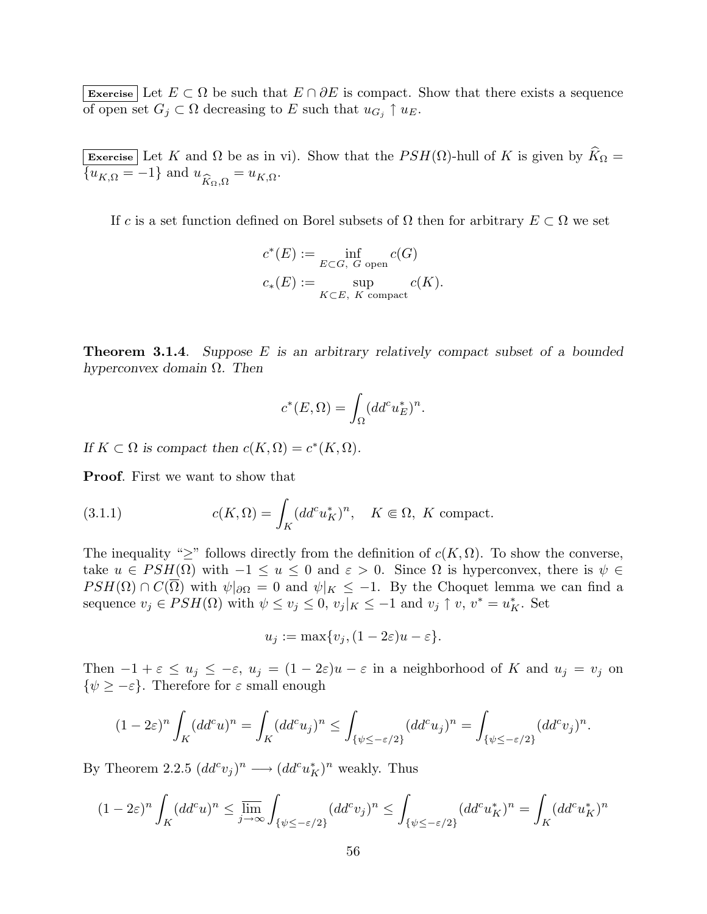Exercise Let  $E \subset \Omega$  be such that  $E \cap \partial E$  is compact. Show that there exists a sequence of open set  $G_j \subset \Omega$  decreasing to E such that  $u_{G_j} \uparrow u_E$ .

Exercise Let K and  $\Omega$  be as in vi). Show that the  $PSH(\Omega)$ -hull of K is given by  $\widehat{K}_{\Omega} =$  ${u_{K,\Omega} = -1}$  and  $u_{\widehat{K}_{\Omega},\Omega} = u_{K,\Omega}$ .

If c is a set function defined on Borel subsets of  $\Omega$  then for arbitrary  $E \subset \Omega$  we set

$$
c^*(E) := \inf_{E \subset G, G \text{ open}} c(G)
$$
  

$$
c_*(E) := \sup_{K \subset E, K \text{ compact}} c(K).
$$

**Theorem 3.1.4.** Suppose E is an arbitrary relatively compact subset of a bounded hyperconvex domain  $\Omega$ . Then

$$
c^*(E, \Omega) = \int_{\Omega} (dd^c u_E^*)^n.
$$

If  $K \subset \Omega$  is compact then  $c(K, \Omega) = c^*(K, \Omega)$ .

Proof. First we want to show that

(3.1.1) 
$$
c(K,\Omega) = \int_K (dd^c u_K^*)^n, \quad K \in \Omega, K \text{ compact.}
$$

The inequality " $\geq$ " follows directly from the definition of  $c(K, \Omega)$ . To show the converse, take  $u \in PSH(\Omega)$  with  $-1 \le u \le 0$  and  $\varepsilon > 0$ . Since  $\Omega$  is hyperconvex, there is  $\psi \in$  $PSH(\Omega) \cap C(\overline{\Omega})$  with  $\psi|_{\partial\Omega} = 0$  and  $\psi|_K \leq -1$ . By the Choquet lemma we can find a sequence  $v_j \in PSH(\Omega)$  with  $\psi \leq v_j \leq 0$ ,  $v_j|_K \leq -1$  and  $v_j \uparrow v$ ,  $v^* = u_K^*$ . Set

$$
u_j := \max\{v_j, (1 - 2\varepsilon)u - \varepsilon\}.
$$

Then  $-1 + \varepsilon \le u_j \le -\varepsilon$ ,  $u_j = (1 - 2\varepsilon)u - \varepsilon$  in a neighborhood of K and  $u_j = v_j$  on  $\{\psi \geq -\varepsilon\}.$  Therefore for  $\varepsilon$  small enough

$$
(1-2\varepsilon)^n \int_K (dd^c u)^n = \int_K (dd^c u_j)^n \le \int_{\{\psi \le -\varepsilon/2\}} (dd^c u_j)^n = \int_{\{\psi \le -\varepsilon/2\}} (dd^c v_j)^n.
$$

By Theorem 2.2.5  $(dd^c v_j)^n \longrightarrow (dd^c u_K^*)^n$  weakly. Thus

$$
(1-2\varepsilon)^n \int_{K} (dd^c u)^n \leq \varlimsup_{j\to\infty} \int_{\{\psi\leq -\varepsilon/2\}} (dd^c v_j)^n \leq \int_{\{\psi\leq -\varepsilon/2\}} (dd^c u^*_K)^n = \int_{K} (dd^c u^*_K)^n
$$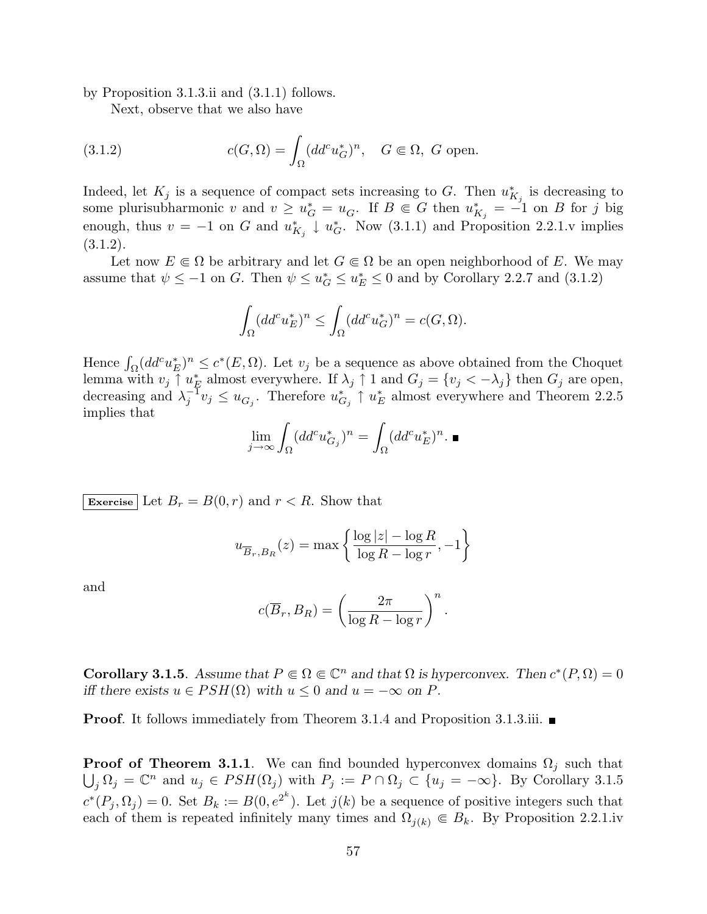by Proposition 3.1.3.ii and (3.1.1) follows.

Next, observe that we also have

(3.1.2) 
$$
c(G,\Omega) = \int_{\Omega} (dd^c u_G^*)^n, \quad G \in \Omega, \ G \text{ open.}
$$

Indeed, let  $K_j$  is a sequence of compact sets increasing to G. Then  $u_{K_j}^*$  is decreasing to some plurisubharmonic v and  $v \geq u_G^* = u_G$ . If  $B \in G$  then  $u_{K_j}^* = -1$  on B for j big enough, thus  $v = -1$  on G and  $u_{K_j}^* \downarrow u_G^*$ . Now (3.1.1) and Proposition 2.2.1.v implies (3.1.2).

Let now  $E \in \Omega$  be arbitrary and let  $G \in \Omega$  be an open neighborhood of E. We may assume that  $\psi \leq -1$  on G. Then  $\psi \leq u_{\mathcal{G}}^* \leq u_{\mathcal{E}}^* \leq 0$  and by Corollary 2.2.7 and (3.1.2)

$$
\int_{\Omega} (dd^c u_E^*)^n \le \int_{\Omega} (dd^c u_G^*)^n = c(G, \Omega).
$$

Hence  $\int_{\Omega} (dd^c u_E^*)^n \leq c^*(E, \Omega)$ . Let  $v_j$  be a sequence as above obtained from the Choquet lemma with  $v_j \uparrow u_E^*$  almost everywhere. If  $\lambda_j \uparrow 1$  and  $G_j = \{v_j < -\lambda_j\}$  then  $G_j$  are open, decreasing and  $\lambda_i^{-1}$  $j^{\text{-}1}v_j \leq u_{G_j}$ . Therefore  $u_{G_j}^* \uparrow u_E^*$  almost everywhere and Theorem 2.2.5 implies that

$$
\lim_{j \to \infty} \int_{\Omega} (dd^c u_{G_j}^*)^n = \int_{\Omega} (dd^c u_E^*)^n. \blacksquare
$$

Exercise Let  $B_r = B(0, r)$  and  $r < R$ . Show that

$$
u_{\overline{B}_r, B_R}(z) = \max \left\{ \frac{\log |z| - \log R}{\log R - \log r}, -1 \right\}
$$

and

$$
c(\overline{B}_r, B_R) = \left(\frac{2\pi}{\log R - \log r}\right)^n.
$$

**Corollary 3.1.5**. Assume that  $P \in \Omega \in \mathbb{C}^n$  and that  $\Omega$  is hyperconvex. Then  $c^*(P, \Omega) = 0$ iff there exists  $u \in PSH(\Omega)$  with  $u \leq 0$  and  $u = -\infty$  on P.

**Proof.** It follows immediately from Theorem 3.1.4 and Proposition 3.1.3.iii.

**Proof of Theorem 3.1.1.** We can find bounded hyperconvex domains  $\Omega_j$  such that  $j_j \Omega_j = \mathbb{C}^n$  and  $u_j \in PSH(\Omega_j)$  with  $P_j := P \cap \Omega_j \subset \{u_j = -\infty\}$ . By Corollary 3.1.5  $c^*(P_j, \Omega_j) = 0$ . Set  $B_k := B(0, e^{2^k})$ . Let  $j(k)$  be a sequence of positive integers such that each of them is repeated infinitely many times and  $\Omega_{i(k)} \in B_k$ . By Proposition 2.2.1.iv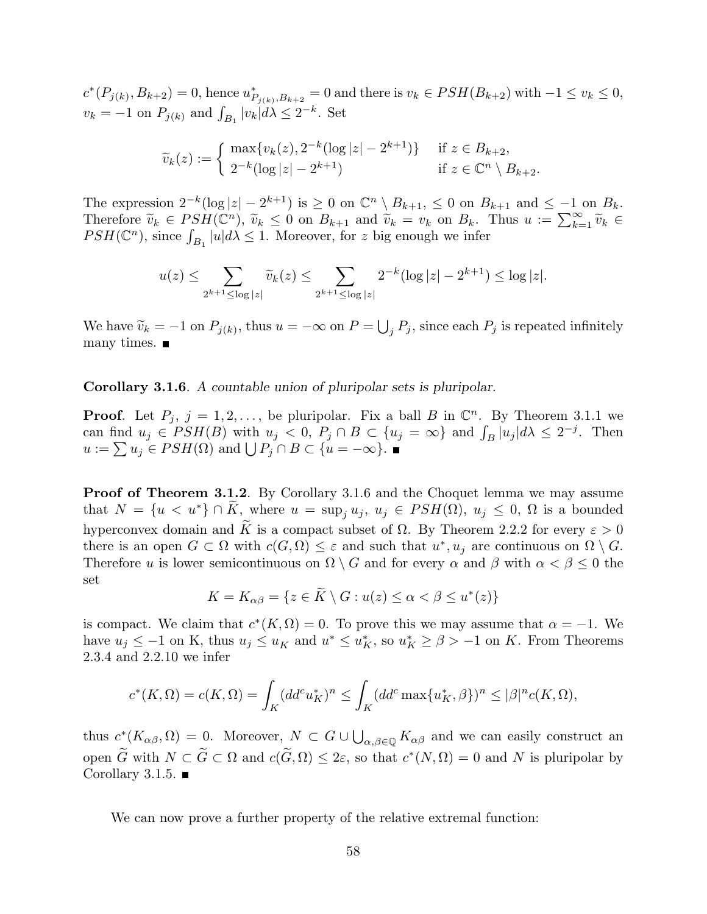$c^*(P_{j(k)}, B_{k+2}) = 0$ , hence  $u^*_{P_{j(k)}, B_{k+2}} = 0$  and there is  $v_k \in PSH(B_{k+2})$  with  $-1 \le v_k \le 0$ ,  $v_k = -1$  on  $P_{j(k)}$  and  $\int_{B_1} |v_k| d\lambda \leq 2^{-k}$ . Set

$$
\widetilde{v}_k(z) := \begin{cases}\n\max\{v_k(z), 2^{-k}(\log|z| - 2^{k+1})\} & \text{if } z \in B_{k+2}, \\
2^{-k}(\log|z| - 2^{k+1}) & \text{if } z \in \mathbb{C}^n \setminus B_{k+2}.\n\end{cases}
$$

The expression  $2^{-k}(\log|z| - 2^{k+1})$  is  $\geq 0$  on  $\mathbb{C}^n \setminus B_{k+1}$ ,  $\leq 0$  on  $B_{k+1}$  and  $\leq -1$  on  $B_k$ . The expression  $2^{\infty}(\log |z| - 2^{\infty})$  is  $\geq 0$  on  $\bigcup_{k=1}^{\infty} \bigcup_{k=1}^{\infty} E_{k+1}$  and  $\widetilde{v}_k = v_k$  on  $B_k$ . Thus  $u := \sum_{k=1}^{\infty} \widetilde{v}_k \in$ <br>Therefore  $\widetilde{v}_k \in PSH(\mathbb{C}^n)$ ,  $\widetilde{v}_k \leq 0$  on  $B_{k+1}$  and  $\widetilde{v}_k$ Therefore  $v_k \in PSH(\mathbb{C}^n)$ ,  $v_k \leq 0$  on  $B_{k+1}$  and  $v_k = v_k$  on  $B_k$ .<br>  $PSH(\mathbb{C}^n)$ , since  $\int_{B_1} |u| d\lambda \leq 1$ . Moreover, for z big enough we infer

$$
u(z) \le \sum_{2^{k+1} \le \log |z|} \widetilde{v}_k(z) \le \sum_{2^{k+1} \le \log |z|} 2^{-k} (\log |z| - 2^{k+1}) \le \log |z|.
$$

We have  $\widetilde{v}_k = -1$  on  $P_{j(k)}$ , thus  $u = -\infty$  on  $P =$ S  $j P_j$ , since each  $P_j$  is repeated infinitely many times.  $\blacksquare$ 

Corollary 3.1.6. A countable union of pluripolar sets is pluripolar.

**Proof.** Let  $P_j$ ,  $j = 1, 2, \ldots$ , be pluripolar. Fix a ball B in  $\mathbb{C}^n$ . By Theorem 3.1.1 we **Proof.** Let  $P_j$ ,  $j = 1, 2, ...$ , be pluripolar. Fix a ball B in  $\mathbb{C}^{\infty}$ . By Theorem 3.1.1 we can find  $u_j \in PSH(B)$  with  $u_j < 0$ ,  $P_j \cap B \subset \{u_j = \infty\}$  and  $\int_B |u_j| d\lambda \leq 2^{-j}$ . Then can ima  $u_j \in PSH(D)$  with  $u_j < 0$ ,  $P_j \cap B \subset \{u = -\infty\}$ .<br>  $u := \sum u_j \in PSH(\Omega)$  and  $\bigcup P_j \cap B \subset \{u = -\infty\}$ .

Proof of Theorem 3.1.2. By Corollary 3.1.6 and the Choquet lemma we may assume that  $N = \{u \lt u^*\} \cap \tilde{K}$ , where  $u = \sup_j u_j$ ,  $u_j \in PSH(\Omega)$ ,  $u_j \leq 0$ ,  $\Omega$  is a bounded hyperconvex domain and  $\widetilde{K}$  is a compact subset of  $\Omega$ . By Theorem 2.2.2 for every  $\varepsilon > 0$ there is an open  $G \subset \Omega$  with  $c(G, \Omega) \leq \varepsilon$  and such that  $u^*, u_j$  are continuous on  $\Omega \setminus G$ . Therefore u is lower semicontinuous on  $\Omega \setminus G$  and for every  $\alpha$  and  $\beta$  with  $\alpha < \beta \leq 0$  the set

$$
K = K_{\alpha\beta} = \{ z \in \widetilde{K} \setminus G : u(z) \le \alpha < \beta \le u^*(z) \}
$$

is compact. We claim that  $c^*(K, \Omega) = 0$ . To prove this we may assume that  $\alpha = -1$ . We have  $u_j \leq -1$  on K, thus  $u_j \leq u_K$  and  $u^* \leq u_K^*$ , so  $u_K^* \geq \beta > -1$  on K. From Theorems 2.3.4 and 2.2.10 we infer

$$
c^*(K, \Omega) = c(K, \Omega) = \int_K (dd^c u_K^*)^n \le \int_K (dd^c \max\{u_K^*, \beta\})^n \le |\beta|^n c(K, \Omega),
$$

thus  $c^*(K_{\alpha\beta}, \Omega) = 0$ . Moreover,  $N \subset G \cup$ S  $\alpha, \beta \in \mathbb{Q}$  K $\alpha, \beta$  and we can easily construct an open  $\widetilde{G}$  with  $N \subset \widetilde{G} \subset \Omega$  and  $c(\widetilde{G}, \Omega) \leq 2\varepsilon$ , so that  $c^*(N, \Omega) = 0$  and N is pluripolar by Corollary 3.1.5.  $\blacksquare$ 

We can now prove a further property of the relative extremal function: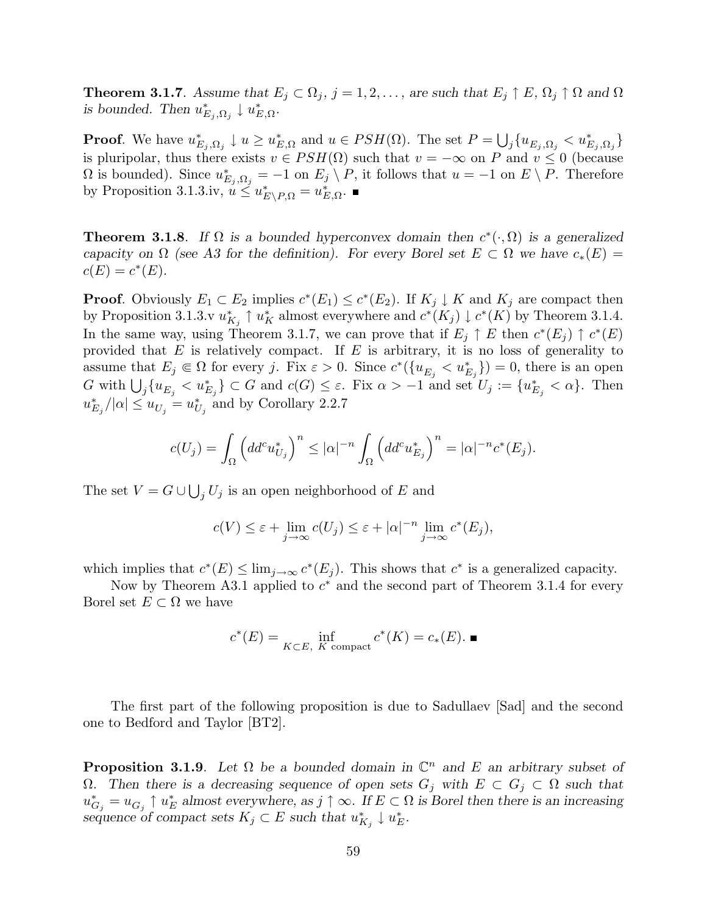**Theorem 3.1.7.** Assume that  $E_j \subset \Omega_j$ ,  $j = 1, 2, \ldots$ , are such that  $E_j \uparrow E$ ,  $\Omega_j \uparrow \Omega$  and  $\Omega$ is bounded. Then  $u_{E_j,\Omega_j}^* \downarrow u_{E,\Omega}^*$ .

**Proof.** We have  $u_{E_j,\Omega_j}^* \downarrow u \geq u_{E,\Omega}^*$  and  $u \in PSH(\Omega)$ . The set  $P =$ S  $_{j} \{ u_{E_{j},\Omega_{j}} < u_{E_{j},\Omega_{j}}^{*} \}$ is pluripolar, thus there exists  $v \in PSH(\Omega)$  such that  $v = -\infty$  on P and  $v \le 0$  (because  $\Omega$  is bounded). Since  $u_{E_j,\Omega_j}^* = -1$  on  $E_j \setminus P$ , it follows that  $u = -1$  on  $E \setminus P$ . Therefore by Proposition 3.1.3.iv,  $u \leq u_{E\setminus P,\Omega}^* = u_{E,\Omega}^*$ .

**Theorem 3.1.8**. If  $\Omega$  is a bounded hyperconvex domain then  $c^*(\cdot, \Omega)$  is a generalized capacity on  $\Omega$  (see A3 for the definition). For every Borel set  $E \subset \Omega$  we have  $c_*(E) =$  $c(E) = c^*(E).$ 

**Proof.** Obviously  $E_1 \subset E_2$  implies  $c^*(E_1) \leq c^*(E_2)$ . If  $K_j \downarrow K$  and  $K_j$  are compact then by Proposition 3.1.3.v  $u_{K_j}^* \uparrow u_K^*$  almost everywhere and  $c^*(K_j) \downarrow c^*(K)$  by Theorem 3.1.4. In the same way, using Theorem 3.1.7, we can prove that if  $E_j \uparrow E$  then  $c^*(E_j) \uparrow c^*(E)$ provided that  $E$  is relatively compact. If  $E$  is arbitrary, it is no loss of generality to assume that  $E_j \in \Omega$  for every j. Fix  $\varepsilon > 0$ . Since  $c^*({u_{E_j} < u_{E_j}^*}) = 0$ , there is an open G with  $\bigcup_j \{u_{E_j} < u_{E_j}^* \} \subset G$  and  $c(G) \leq \varepsilon$ . Fix  $\alpha > -1$  and set  $U_j := \{u_{E_j}^* < \alpha\}$ . Then  $u_{E_j}^*/|\alpha| \leq u_{U_j}^* = u_{U_j}^*$  and by Corollary 2.2.7

$$
c(U_j) = \int_{\Omega} \left( dd^c u_{U_j}^* \right)^n \leq |\alpha|^{-n} \int_{\Omega} \left( dd^c u_{E_j}^* \right)^n = |\alpha|^{-n} c^*(E_j).
$$

The set  $V = G \cup$ S  $j U_j$  is an open neighborhood of E and

$$
c(V) \leq \varepsilon + \lim_{j \to \infty} c(U_j) \leq \varepsilon + |\alpha|^{-n} \lim_{j \to \infty} c^*(E_j),
$$

which implies that  $c^*(E) \leq \lim_{j \to \infty} c^*(E_j)$ . This shows that  $c^*$  is a generalized capacity.

Now by Theorem A3.1 applied to  $c^*$  and the second part of Theorem 3.1.4 for every Borel set  $E \subset \Omega$  we have

$$
c^*(E) = \inf_{K \subset E, K \text{ compact}} c^*(K) = c_*(E). \blacksquare
$$

The first part of the following proposition is due to Sadullaev [Sad] and the second one to Bedford and Taylor [BT2].

**Proposition 3.1.9**. Let  $\Omega$  be a bounded domain in  $\mathbb{C}^n$  and E an arbitrary subset of Ω. Then there is a decreasing sequence of open sets  $G_j$  with  $E \subset G_j$  ⊂ Ω such that  $u_{G_j}^* = u_{G_j} \uparrow u_E^*$  almost everywhere, as  $j \uparrow \infty$ . If  $E \subset \Omega$  is Borel then there is an increasing sequence of compact sets  $K_j \subset E$  such that  $u_{K_j}^* \downarrow u_E^*$ .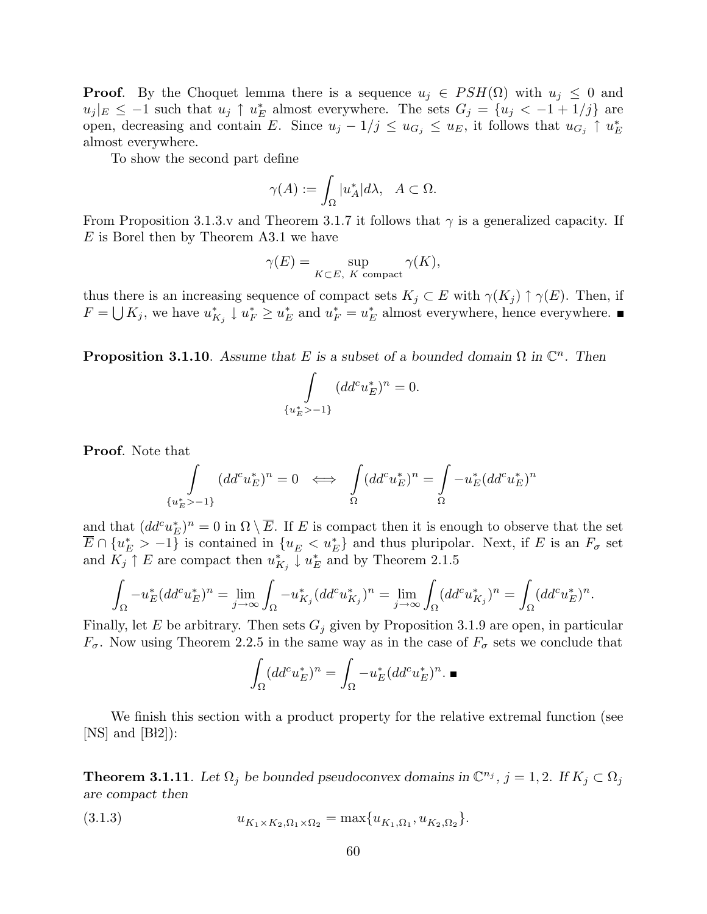**Proof.** By the Choquet lemma there is a sequence  $u_j \in PSH(\Omega)$  with  $u_j \leq 0$  and  $|u_j|_E \leq -1$  such that  $u_j \uparrow u_E^*$  almost everywhere. The sets  $G_j = \{u_j < -1 + 1/j\}$  are open, decreasing and contain E. Since  $u_j - 1/j \le u_{G_j} \le u_E$ , it follows that  $u_{G_j} \uparrow u_E^*$ almost everywhere.

To show the second part define

$$
\gamma(A) := \int_{\Omega} |u_A^*| d\lambda, \quad A \subset \Omega.
$$

From Proposition 3.1.3.v and Theorem 3.1.7 it follows that  $\gamma$  is a generalized capacity. If E is Borel then by Theorem A3.1 we have

$$
\gamma(E) = \sup_{K \subset E, K \text{ compact}} \gamma(K),
$$

thus there is an increasing sequence of compact sets  $K_j \subset E$  with  $\gamma(K_j) \uparrow \gamma(E)$ . Then, if  $F = \bigcup K_j$ , we have  $u_{K_j}^* \downarrow u_F^* \geq u_E^*$  and  $u_F^* = u_E^*$  almost everywhere, hence everywhere.

**Proposition 3.1.10**. Assume that E is a subset of a bounded domain  $\Omega$  in  $\mathbb{C}^n$ . Then

$$
\int_{\{u_E^*>-1\}} (dd^c u_E^*)^n = 0.
$$

**Proof.** Note that

$$
\int_{\{u_E^*>-1\}} (dd^c u_E^*)^n = 0 \iff \int_{\Omega} (dd^c u_E^*)^n = \int_{\Omega} -u_E^* (dd^c u_E^*)^n
$$

and that  $(dd^cu_E^*)^n=0$  in  $\Omega\setminus\overline{E}$ . If E is compact then it is enough to observe that the set  $\overline{E} \cap \{u_E^* > -1\}$  is contained in  $\{u_E < u_E^*\}$  and thus pluripolar. Next, if E is an  $F_{\sigma}$  set and  $K_j \uparrow E$  are compact then  $u_{K_j}^* \downarrow u_E^*$  and by Theorem 2.1.5

$$
\int_{\Omega} -u_E^* (dd^c u_E^*)^n = \lim_{j \to \infty} \int_{\Omega} -u_{K_j}^* (dd^c u_{K_j}^*)^n = \lim_{j \to \infty} \int_{\Omega} (dd^c u_{K_j}^*)^n = \int_{\Omega} (dd^c u_E^*)^n.
$$

Finally, let E be arbitrary. Then sets  $G_j$  given by Proposition 3.1.9 are open, in particular  $F_{\sigma}$ . Now using Theorem 2.2.5 in the same way as in the case of  $F_{\sigma}$  sets we conclude that

$$
\int_{\Omega} (dd^c u_E^*)^n = \int_{\Omega} -u_E^* (dd^c u_E^*)^n. \blacksquare
$$

We finish this section with a product property for the relative extremal function (see  $[NS]$  and  $[BI2]$ :

**Theorem 3.1.11**. Let  $\Omega_j$  be bounded pseudoconvex domains in  $\mathbb{C}^{n_j}$ ,  $j = 1, 2$ . If  $K_j \subset \Omega_j$ are compact then

(3.1.3) 
$$
u_{K_1 \times K_2, \Omega_1 \times \Omega_2} = \max\{u_{K_1, \Omega_1}, u_{K_2, \Omega_2}\}.
$$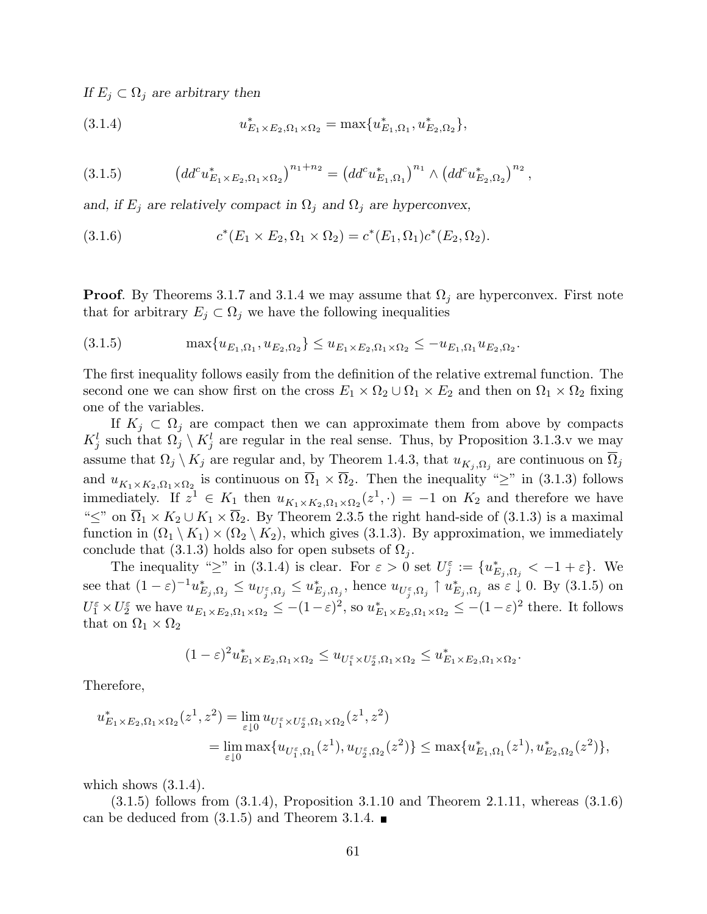If  $E_i \subset \Omega_i$  are arbitrary then

(3.1.4) 
$$
u_{E_1 \times E_2, \Omega_1 \times \Omega_2}^* = \max \{ u_{E_1, \Omega_1}^*, u_{E_2, \Omega_2}^* \},
$$

(3.1.5) 
$$
\left(dd^c u^*_{E_1\times E_2,\Omega_1\times\Omega_2}\right)^{n_1+n_2} = \left(dd^c u^*_{E_1,\Omega_1}\right)^{n_1} \wedge \left(dd^c u^*_{E_2,\Omega_2}\right)^{n_2},
$$

and, if  $E_j$  are relatively compact in  $\Omega_j$  and  $\Omega_j$  are hyperconvex,

(3.1.6) 
$$
c^*(E_1 \times E_2, \Omega_1 \times \Omega_2) = c^*(E_1, \Omega_1)c^*(E_2, \Omega_2).
$$

**Proof.** By Theorems 3.1.7 and 3.1.4 we may assume that  $\Omega_j$  are hyperconvex. First note that for arbitrary  $E_j \subset \Omega_j$  we have the following inequalities

$$
(3.1.5) \qquad \qquad \max\{u_{E_1,\Omega_1},u_{E_2,\Omega_2}\} \le u_{E_1\times E_2,\Omega_1\times\Omega_2} \le -u_{E_1,\Omega_1}u_{E_2,\Omega_2}.
$$

The first inequality follows easily from the definition of the relative extremal function. The second one we can show first on the cross  $E_1 \times \Omega_2 \cup \Omega_1 \times E_2$  and then on  $\Omega_1 \times \Omega_2$  fixing one of the variables.

If  $K_j \,\subset \Omega_j$  are compact then we can approximate them from above by compacts  $K_j^l$  such that  $\Omega_j \setminus K_j^l$  are regular in the real sense. Thus, by Proposition 3.1.3.v we may assume that  $\Omega_j \setminus K_j$  are regular and, by Theorem 1.4.3, that  $u_{K_j, \Omega_j}$  are continuous on  $\overline{\Omega}_j$ and  $u_{K_1\times K_2,\Omega_1\times\Omega_2}$  is continuous on  $\overline{\Omega}_1\times\overline{\Omega}_2$ . Then the inequality "≥" in (3.1.3) follows immediately. If  $z^1 \in K_1$  then  $u_{K_1 \times K_2, \Omega_1 \times \Omega_2}(z^1, \cdot) = -1$  on  $K_2$  and therefore we have " $\leq$ " on  $\overline{\Omega}_1 \times K_2 \cup K_1 \times \overline{\Omega}_2$ . By Theorem 2.3.5 the right hand-side of (3.1.3) is a maximal function in  $(\Omega_1 \setminus K_1) \times (\Omega_2 \setminus K_2)$ , which gives (3.1.3). By approximation, we immediately conclude that (3.1.3) holds also for open subsets of  $\Omega_i$ .

The inequality " $\geq$ " in (3.1.4) is clear. For  $\varepsilon > 0$  set  $U_j^{\varepsilon} := \{u_{E_j, \Omega_j}^* < -1 + \varepsilon\}$ . We see that  $(1-\varepsilon)^{-1}u_{E_j,\Omega_j}^* \leq u_{U_j^{\varepsilon},\Omega_j}^* \leq u_{E_j,\Omega_j}^*$ , hence  $u_{U_j^{\varepsilon},\Omega_j} \uparrow u_{E_j,\Omega_j}^*$  as  $\varepsilon \downarrow 0$ . By  $(3.1.5)$  on  $U_1^{\varepsilon} \times U_2^{\varepsilon}$  we have  $u_{E_1 \times E_2, \Omega_1 \times \Omega_2} \le -(1-\varepsilon)^2$ , so  $u_{E_1 \times E_2, \Omega_1 \times \Omega_2}^* \le -(1-\varepsilon)^2$  there. It follows that on  $\Omega_1 \times \Omega_2$ 

$$
(1-\varepsilon)^2 u_{E_1 \times E_2, \Omega_1 \times \Omega_2}^* \leq u_{U_1^{\varepsilon} \times U_2^{\varepsilon}, \Omega_1 \times \Omega_2} \leq u_{E_1 \times E_2, \Omega_1 \times \Omega_2}^*.
$$

Therefore,

$$
u_{E_1 \times E_2, \Omega_1 \times \Omega_2}^*(z^1, z^2) = \lim_{\varepsilon \downarrow 0} u_{U_1^{\varepsilon} \times U_2^{\varepsilon}, \Omega_1 \times \Omega_2}(z^1, z^2)
$$
  
= 
$$
\lim_{\varepsilon \downarrow 0} \max \{ u_{U_1^{\varepsilon}, \Omega_1}(z^1), u_{U_2^{\varepsilon}, \Omega_2}(z^2) \} \le \max \{ u_{E_1, \Omega_1}^*(z^1), u_{E_2, \Omega_2}^*(z^2) \},
$$

which shows  $(3.1.4)$ .

(3.1.5) follows from (3.1.4), Proposition 3.1.10 and Theorem 2.1.11, whereas (3.1.6) can be deduced from  $(3.1.5)$  and Theorem 3.1.4.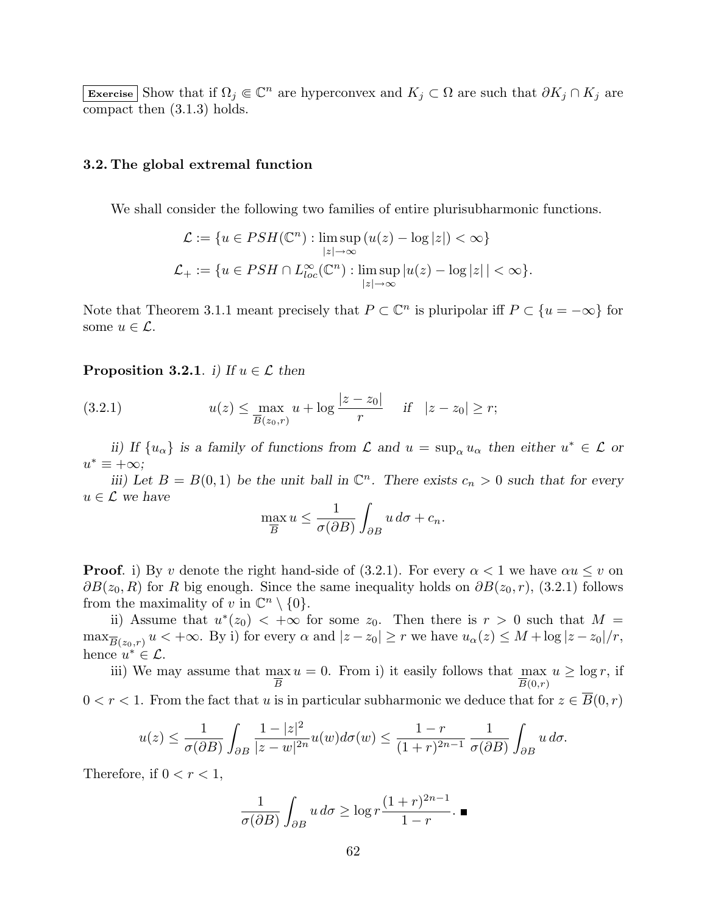Exercise Show that if  $\Omega_j \subseteq \mathbb{C}^n$  are hyperconvex and  $K_j \subset \Omega$  are such that  $\partial K_j \cap K_j$  are compact then (3.1.3) holds.

## 3.2. The global extremal function

We shall consider the following two families of entire plurisubharmonic functions.

$$
\mathcal{L} := \{ u \in PSH(\mathbb{C}^n) : \limsup_{|z| \to \infty} (u(z) - \log|z|) < \infty \}
$$
\n
$$
\mathcal{L}_+ := \{ u \in PSH \cap L_{loc}^{\infty}(\mathbb{C}^n) : \limsup_{|z| \to \infty} |u(z) - \log|z| < \infty \}.
$$

Note that Theorem 3.1.1 meant precisely that  $P \subset \mathbb{C}^n$  is pluripolar iff  $P \subset \{u = -\infty\}$  for some  $u \in \mathcal{L}$ .

## **Proposition 3.2.1.** i) If  $u \in \mathcal{L}$  then

(3.2.1) 
$$
u(z) \le \max_{\overline{B}(z_0,r)} u + \log \frac{|z - z_0|}{r} \quad \text{if} \quad |z - z_0| \ge r;
$$

ii) If  $\{u_{\alpha}\}\)$  is a family of functions from  $\mathcal L$  and  $u = \sup_{\alpha} u_{\alpha}$  then either  $u^* \in \mathcal L$  or  $u^* \equiv +\infty;$ 

iii) Let  $B = B(0,1)$  be the unit ball in  $\mathbb{C}^n$ . There exists  $c_n > 0$  such that for every  $u \in \mathcal{L}$  we have

$$
\max_{\overline{B}} u \le \frac{1}{\sigma(\partial B)} \int_{\partial B} u \, d\sigma + c_n.
$$

**Proof.** i) By v denote the right hand-side of (3.2.1). For every  $\alpha < 1$  we have  $\alpha u \leq v$  on  $\partial B(z_0, R)$  for R big enough. Since the same inequality holds on  $\partial B(z_0, r)$ , (3.2.1) follows from the maximality of v in  $\mathbb{C}^n \setminus \{0\}.$ 

ii) Assume that  $u^*(z_0) < +\infty$  for some  $z_0$ . Then there is  $r > 0$  such that  $M =$  $\max_{\overline{B}(z_0,r)} u < +\infty$ . By i) for every  $\alpha$  and  $|z - z_0| \ge r$  we have  $u_\alpha(z) \le M + \log|z - z_0|/r$ , hence  $u^* \in \mathcal{L}$ .

iii) We may assume that max B  $u = 0$ . From i) it easily follows that max  $u \geq \log r$ , if  $\overline{B}(0,r)$  $0 < r < 1$ . From the fact that u is in particular subharmonic we deduce that for  $z \in B(0,r)$ 

$$
u(z) \le \frac{1}{\sigma(\partial B)} \int_{\partial B} \frac{1 - |z|^2}{|z - w|^{2n}} u(w) d\sigma(w) \le \frac{1 - r}{(1 + r)^{2n - 1}} \frac{1}{\sigma(\partial B)} \int_{\partial B} u \, d\sigma.
$$

Therefore, if  $0 < r < 1$ ,

$$
\frac{1}{\sigma(\partial B)} \int_{\partial B} u \, d\sigma \ge \log r \frac{(1+r)^{2n-1}}{1-r} . \blacksquare
$$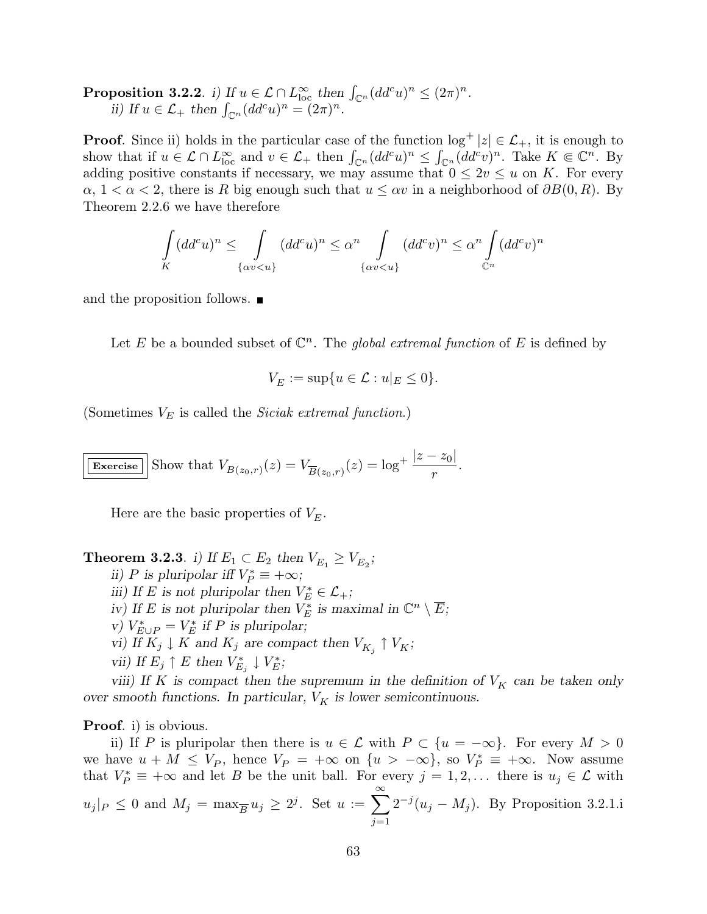**Proposition 3.2.2.** i) If  $u \in \mathcal{L} \cap L^{\infty}_{loc}$  then  $\int_{\mathbb{C}^n} (dd^c u)^n \leq (2\pi)^n$ . position 3.2.2. i) if  $u \in \mathcal{L} \cap L_{\text{loc}}$  then<br>ii) If  $u \in \mathcal{L}_+$  then  $\int_{\mathbb{C}^n} (dd^c u)^n = (2\pi)^n$ .

**Proof.** Since ii) holds in the particular case of the function  $\log^+ |z| \in \mathcal{L}_+$ , it is enough to **Proof.** Since if notes in the particular case of the function  $\log^+ |z| \in \mathcal{L}_+$ , it is enough to show that if  $u \in \mathcal{L} \cap L^{\infty}_{\text{loc}}$  and  $v \in \mathcal{L}_+$  then  $\int_{\mathbb{C}^n} (dd^c u)^n \leq \int_{\mathbb{C}^n} (dd^c v)^n$ . Take  $K \in \mathbb{C}^n$ adding positive constants if necessary, we may assume that  $0 \leq 2v \leq u$  on K. For every  $\alpha$ ,  $1 < \alpha < 2$ , there is R big enough such that  $u \leq \alpha v$  in a neighborhood of  $\partial B(0,R)$ . By Theorem 2.2.6 we have therefore

$$
\int\limits_K (dd^c u)^n \leq \int\limits_{\{\alpha v < u\}} (dd^c u)^n \leq \alpha^n \int\limits_{\{\alpha v < u\}} (dd^c v)^n \leq \alpha^n \int\limits_{\mathbb{C}^n} (dd^c v)^n
$$

and the proposition follows.

Let E be a bounded subset of  $\mathbb{C}^n$ . The global extremal function of E is defined by

$$
V_E := \sup\{u \in \mathcal{L} : u|_E \le 0\}.
$$

(Sometimes  $V_E$  is called the *Siciak extremal function.*)

**Exercise** Show that 
$$
V_{B(z_0,r)}(z) = V_{\overline{B}(z_0,r)}(z) = \log^+ \frac{|z - z_0|}{r}
$$
.

Here are the basic properties of  $V<sub>E</sub>$ .

**Theorem 3.2.3**. i) If  $E_1 \subset E_2$  then  $V_{E_1} \geq V_{E_2}$ ; ii) P is pluripolar iff  $V_P^* \equiv +\infty$ ; iii) If E is not pluripolar then  $V_E^* \in \mathcal{L}_+$ ; iv) If E is not pluripolar then  $V_E^*$  is maximal in  $\mathbb{C}^n \setminus \overline{E}$ ;

- v)  $V_{E\cup P}^* = V_E^*$  if P is pluripolar;
- vi) If  $K_j \downarrow K$  and  $K_j$  are compact then  $V_{K_j} \uparrow V_K$ ;
- vii) If  $E_j \uparrow E$  then  $V_{E_j}^* \downarrow V_E^*$ ;

viii) If K is compact then the supremum in the definition of  $V_K$  can be taken only over smooth functions. In particular,  $V_K$  is lower semicontinuous.

Proof. i) is obvious.

ii) If P is pluripolar then there is  $u \in \mathcal{L}$  with  $P \subset \{u = -\infty\}$ . For every  $M > 0$ we have  $u + M \leq V_P$ , hence  $V_P = +\infty$  on  $\{u > -\infty\}$ , so  $V_P^* \equiv +\infty$ . Now assume that  $V_P^* \equiv +\infty$  and let B be the unit ball. For every  $j = 1, 2, \ldots$  there is  $u_j \in \mathcal{L}$  with  $|u_j|_P \leq 0$  and  $M_j = \max_{\overline{B}} u_j \geq 2^j$ . Set  $u := \sum_{i=1}^{\infty}$  $j=1$  $2^{-j}(u_j - M_j)$ . By Proposition 3.2.1.i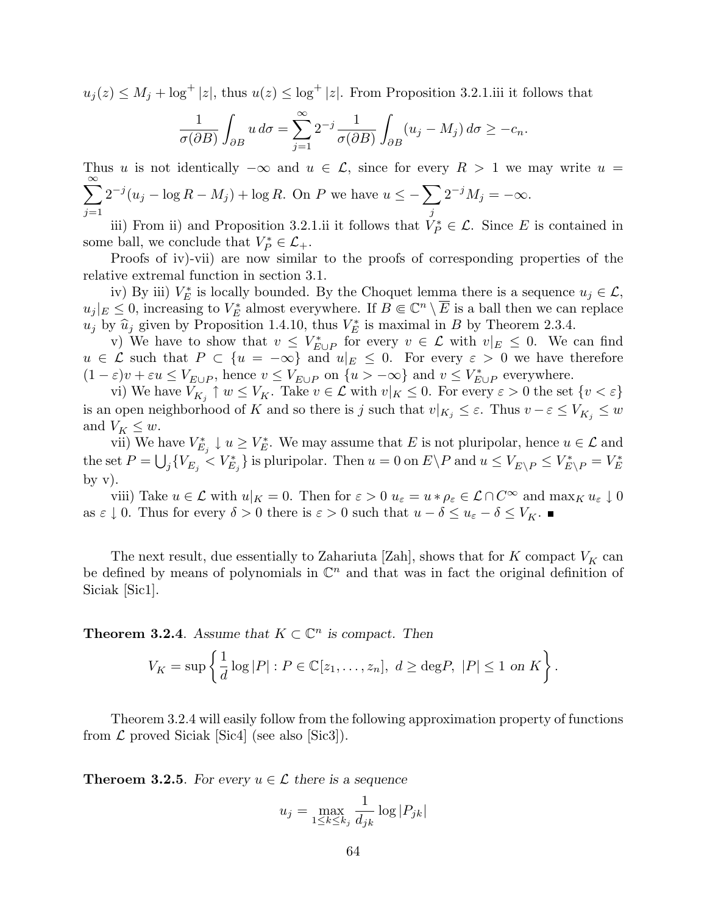$u_j(z) \leq M_j + \log^+ |z|$ , thus  $u(z) \leq \log^+ |z|$ . From Proposition 3.2.1.iii it follows that

$$
\frac{1}{\sigma(\partial B)} \int_{\partial B} u \, d\sigma = \sum_{j=1}^{\infty} 2^{-j} \frac{1}{\sigma(\partial B)} \int_{\partial B} (u_j - M_j) \, d\sigma \ge -c_n.
$$

Thus u is not identically  $-\infty$  and  $u \in \mathcal{L}$ , since for every  $R > 1$  we may write  $u =$  $\frac{\infty}{\sqrt{2}}$  $j=1$  $2^{-j}(u_j - \log R - M_j) + \log R$ . On P we have  $u \leq -\sum$ j  $2^{-j}M_j = -\infty.$ 

iii) From ii) and Proposition 3.2.1.ii it follows that  $V_P^* \in \mathcal{L}$ . Since E is contained in some ball, we conclude that  $V_P^* \in \mathcal{L}_+$ .

Proofs of iv)-vii) are now similar to the proofs of corresponding properties of the relative extremal function in section 3.1.

iv) By iii)  $V_E^*$  is locally bounded. By the Choquet lemma there is a sequence  $u_j \in \mathcal{L}$ ,  $u_j|_E \leq 0$ , increasing to  $V_E^*$  almost everywhere. If  $B \in \mathbb{C}^n \setminus \overline{E}$  is a ball then we can replace  $u_j$  by  $\widehat{u}_j$  given by Proposition 1.4.10, thus  $V_E^*$  is maximal in B by Theorem 2.3.4.

v) We have to show that  $v \leq V^*_{E \cup P}$  for every  $v \in \mathcal{L}$  with  $v|_E \leq 0$ . We can find  $u \in \mathcal{L}$  such that  $P \subset \{u = -\infty\}$  and  $u|_E \leq 0$ . For every  $\varepsilon > 0$  we have therefore  $(1-\varepsilon)v + \varepsilon u \leq V_{E \cup P}$ , hence  $v \leq V_{E \cup P}$  on  $\{u > -\infty\}$  and  $v \leq V_{E \cup P}^*$  everywhere.

vi) We have  $V_{K_j} \uparrow w \leq V_K$ . Take  $v \in \mathcal{L}$  with  $v|_K \leq 0$ . For every  $\varepsilon > 0$  the set  $\{v < \varepsilon\}$ is an open neighborhood of K and so there is j such that  $v|_{K_j} \leq \varepsilon$ . Thus  $v - \varepsilon \leq V_{K_j} \leq w$ and  $V_K \leq w$ .

vii) We have  $V_{E_j}^* \downarrow u \geq V_E^*$ . We may assume that E is not pluripolar, hence  $u \in \mathcal{L}$  and the set  $P = \bigcup_j \{V_{E_j} < V_{E_j}^*\}$  is pluripolar. Then  $u = 0$  on  $E \setminus P$  and  $u \le V_{E \setminus P} \le V_{E \setminus P}^* = V_E^*$ by  $v$ ).

viii) Take  $u \in \mathcal{L}$  with  $u|_K = 0$ . Then for  $\varepsilon > 0$   $u_{\varepsilon} = u * \rho_{\varepsilon} \in \mathcal{L} \cap C^{\infty}$  and  $\max_K u_{\varepsilon} \downarrow 0$ as  $\varepsilon \downarrow 0$ . Thus for every  $\delta > 0$  there is  $\varepsilon > 0$  such that  $u - \delta \leq u_{\varepsilon} - \delta \leq V_K$ .

The next result, due essentially to Zahariuta [Zah], shows that for  $K$  compact  $V_K$  can be defined by means of polynomials in  $\mathbb{C}^n$  and that was in fact the original definition of Siciak [Sic1].

**Theorem 3.2.4.** Assume that  $K \subset \mathbb{C}^n$  is compact. Then

$$
V_K = \sup \left\{ \frac{1}{d} \log |P| : P \in \mathbb{C}[z_1, \dots, z_n], \ d \ge \text{deg} P, \ |P| \le 1 \text{ on } K \right\}.
$$

Theorem 3.2.4 will easily follow from the following approximation property of functions from  $\mathcal L$  proved Siciak [Sic4] (see also [Sic3]).

**Theroem 3.2.5**. For every  $u \in \mathcal{L}$  there is a sequence

$$
u_j = \max_{1 \leq k \leq k_j} \frac{1}{d_{jk}} \log |P_{jk}|
$$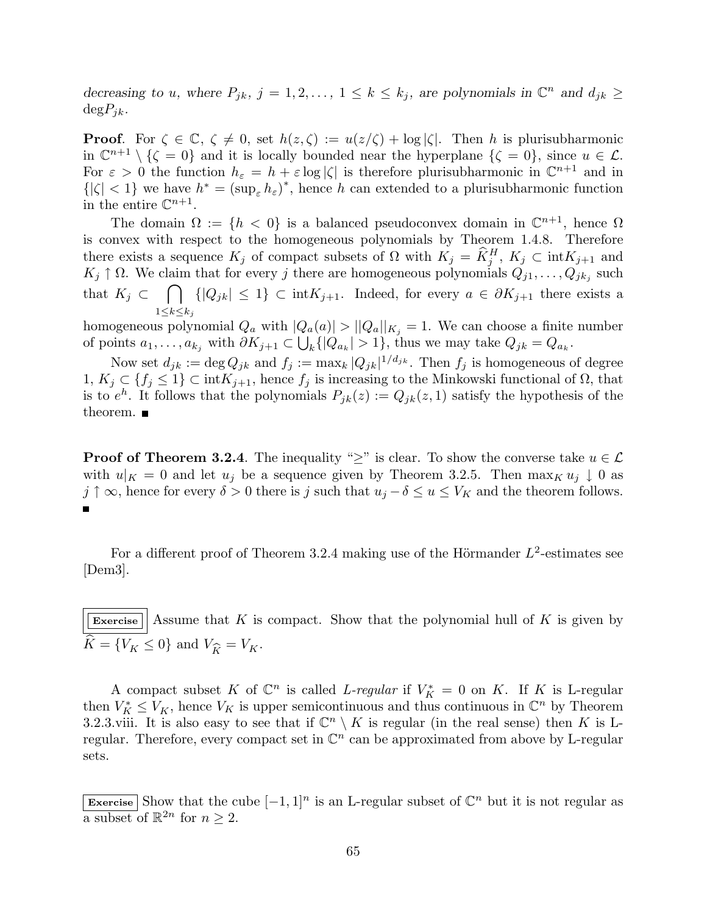decreasing to u, where  $P_{jk}$ ,  $j = 1, 2, ..., 1 \le k \le k_j$ , are polynomials in  $\mathbb{C}^n$  and  $d_{jk} \ge k_j$  $\text{deg}P_{ik}$ .

**Proof.** For  $\zeta \in \mathbb{C}$ ,  $\zeta \neq 0$ , set  $h(z, \zeta) := u(z/\zeta) + \log |\zeta|$ . Then h is plurisubharmonic in  $\mathbb{C}^{n+1} \setminus {\zeta = 0}$  and it is locally bounded near the hyperplane  ${\zeta = 0}$ , since  $u \in \mathcal{L}$ . For  $\varepsilon > 0$  the function  $h_{\varepsilon} = h + \varepsilon \log |\zeta|$  is therefore plurisubharmonic in  $\mathbb{C}^{n+1}$  and in  ${|\zeta| < 1}$  we have  $h^* = (\sup_{\varepsilon} h_{\varepsilon})^*$ , hence h can extended to a plurisubharmonic function in the entire  $\mathbb{C}^{n+1}$ .

The domain  $\Omega := \{h < 0\}$  is a balanced pseudoconvex domain in  $\mathbb{C}^{n+1}$ , hence  $\Omega$ is convex with respect to the homogeneous polynomials by Theorem 1.4.8. Therefore there exists a sequence  $K_j$  of compact subsets of  $\Omega$  with  $K_j = \widehat{K}_j^H$ ,  $K_j \subset \text{int}K_{j+1}$  and  $K_j \uparrow \Omega$ . We claim that for every j there are homogeneous polynomials  $Q_{j1}, \ldots, Q_{jk_j}$  such that  $K_j \subset \{ |Q_{jk}| \leq 1 \} \subset \text{int} K_{j+1}$ . Indeed, for every  $a \in \partial K_{j+1}$  there exists a  $1\leq k\leq k_j$ 

homogeneous polynomial  $Q_a$  with  $|Q_a(a)| > |Q_a||_{K_j} = 1$ . We can choose a finite number of points  $a_1, \ldots, a_{k_j}$  with  $\partial K_{j+1} \subset \bigcup_k \{|Q_{a_k}| > 1\}$ , thus we may take  $Q_{jk} = Q_{a_k}$ .

Now set  $d_{jk} := \deg Q_{jk}$  and  $f_j := \max_k |Q_{jk}|^{1/d_{jk}}$ . Then  $f_j$  is homogeneous of degree 1,  $K_j$  ⊂ { $f_j$  ≤ 1} ⊂ int $K_{j+1}$ , hence  $f_j$  is increasing to the Minkowski functional of Ω, that is to  $e^h$ . It follows that the polynomials  $P_{jk}(z) := Q_{jk}(z, 1)$  satisfy the hypothesis of the theorem.  $\blacksquare$ 

**Proof of Theorem 3.2.4.** The inequality ">" is clear. To show the converse take  $u \in \mathcal{L}$ with  $u|_K = 0$  and let  $u_i$  be a sequence given by Theorem 3.2.5. Then  $\max_K u_i \downarrow 0$  as  $j \uparrow \infty$ , hence for every  $\delta > 0$  there is j such that  $u_j - \delta \le u \le V_K$  and the theorem follows.

For a different proof of Theorem 3.2.4 making use of the Hörmander  $L^2$ -estimates see [Dem3].

Exercise  $\vert$  Assume that K is compact. Show that the polynomial hull of K is given by  $\widehat{K} = \{V_K \le 0\}$  and  $V_{\widehat{K}} = V_K$ .

A compact subset K of  $\mathbb{C}^n$  is called L-regular if  $V_K^* = 0$  on K. If K is L-regular then  $V_K^* \leq V_K$ , hence  $V_K$  is upper semicontinuous and thus continuous in  $\mathbb{C}^n$  by Theorem 3.2.3.viii. It is also easy to see that if  $\mathbb{C}^n \setminus K$  is regular (in the real sense) then K is Lregular. Therefore, every compact set in  $\mathbb{C}^n$  can be approximated from above by L-regular sets.

Exercise Show that the cube  $[-1,1]^n$  is an L-regular subset of  $\mathbb{C}^n$  but it is not regular as a subset of  $\mathbb{R}^{2n}$  for  $n \geq 2$ .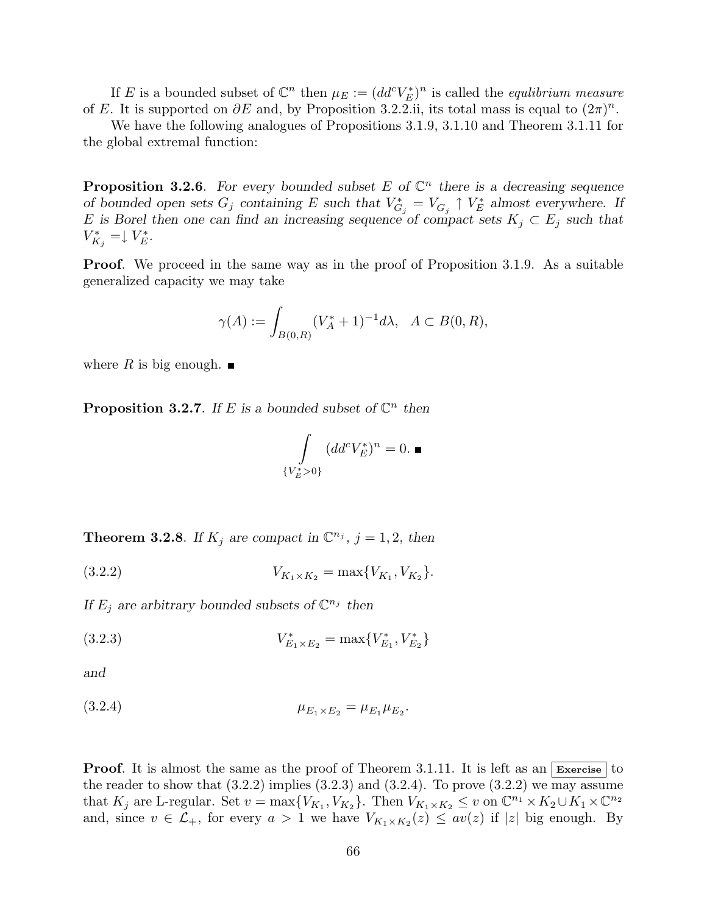If E is a bounded subset of  $\mathbb{C}^n$  then  $\mu_E := (dd^c V_E^*)^n$  is called the *equlibrium measure* of E. It is supported on  $\partial E$  and, by Proposition 3.2.2.ii, its total mass is equal to  $(2\pi)^n$ .

We have the following analogues of Propositions 3.1.9, 3.1.10 and Theorem 3.1.11 for the global extremal function:

**Proposition 3.2.6**. For every bounded subset E of  $\mathbb{C}^n$  there is a decreasing sequence of bounded open sets  $G_j$  containing E such that  $V_{G_j}^* = V_{G_j} \uparrow V_E^*$  almost everywhere. If E is Borel then one can find an increasing sequence of compact sets  $K_j \subset E_j$  such that  $V_{K_j}^* = \downarrow V_E^*.$ 

**Proof.** We proceed in the same way as in the proof of Proposition 3.1.9. As a suitable generalized capacity we may take

$$
\gamma(A) := \int_{B(0,R)} (V_A^* + 1)^{-1} d\lambda, \ \ A \subset B(0,R),
$$

where R is big enough.  $\blacksquare$ 

**Proposition 3.2.7.** If E is a bounded subset of  $\mathbb{C}^n$  then

$$
\int\limits_{\{V_E^*>0\}} (dd^c V_E^*)^n = 0. \blacksquare
$$

**Theorem 3.2.8**. If  $K_j$  are compact in  $\mathbb{C}^{n_j}$ ,  $j = 1, 2$ , then

(3.2.2) 
$$
V_{K_1 \times K_2} = \max \{ V_{K_1}, V_{K_2} \}.
$$

If  $E_j$  are arbitrary bounded subsets of  $\mathbb{C}^{n_j}$  then

(3.2.3) 
$$
V_{E_1 \times E_2}^* = \max \{ V_{E_1}^*, V_{E_2}^* \}
$$

and

(3.2.4) 
$$
\mu_{E_1 \times E_2} = \mu_{E_1} \mu_{E_2}.
$$

**Proof.** It is almost the same as the proof of Theorem 3.1.11. It is left as an  $\overline{\text{Exercise}}$  to the reader to show that  $(3.2.2)$  implies  $(3.2.3)$  and  $(3.2.4)$ . To prove  $(3.2.2)$  we may assume that  $K_j$  are L-regular. Set  $v = \max\{V_{K_1}, V_{K_2}\}\$ . Then  $V_{K_1 \times K_2} \leq v$  on  $\mathbb{C}^{n_1} \times K_2 \cup K_1 \times \mathbb{C}^{n_2}$ and, since  $v \in \mathcal{L}_+$ , for every  $a > 1$  we have  $V_{K_1 \times K_2}(z) \leq av(z)$  if  $|z|$  big enough. By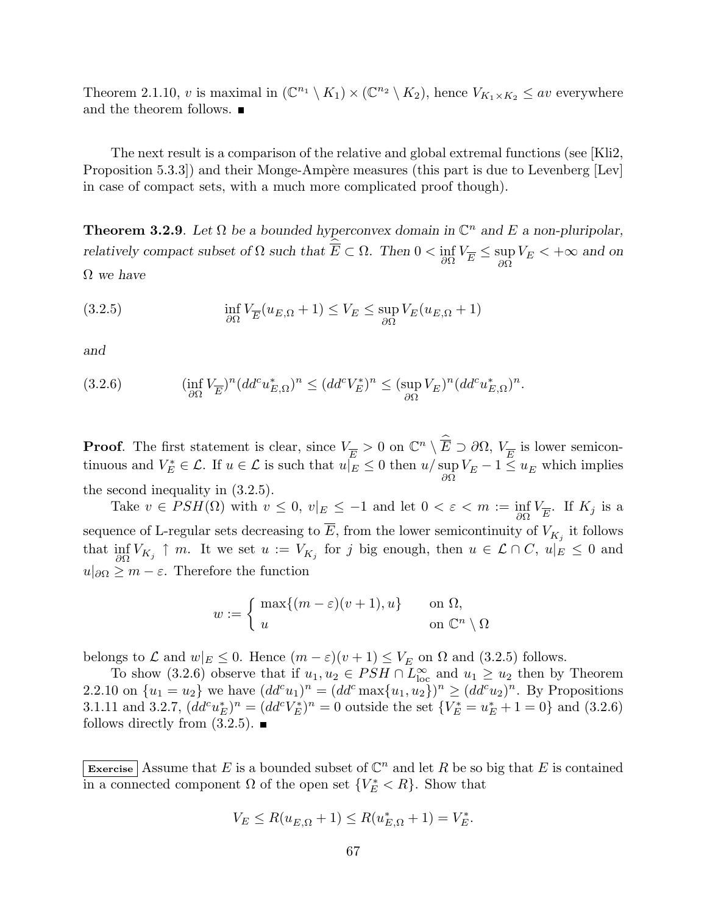Theorem 2.1.10, v is maximal in  $(\mathbb{C}^{n_1} \setminus K_1) \times (\mathbb{C}^{n_2} \setminus K_2)$ , hence  $V_{K_1 \times K_2} \leq av$  everywhere and the theorem follows.

The next result is a comparison of the relative and global extremal functions (see [Kli2, Proposition 5.3.3) and their Monge-Ampère measures (this part is due to Levenberg  $[Lev]$ in case of compact sets, with a much more complicated proof though).

**Theorem 3.2.9**. Let  $\Omega$  be a bounded hyperconvex domain in  $\mathbb{C}^n$  and E a non-pluripolar, relatively compact subset of  $\Omega$  such that  $\hat{\overline{E}} \subset \Omega$ . Then  $0 < \inf_{\partial \Omega} V_{\overline{E}} \leq \sup_{\partial \Omega}$  $\sup_{\partial\Omega} V_E < +\infty$  and on

 $\Omega$  we have

(3.2.5) 
$$
\inf_{\partial\Omega} V_{\overline{E}}(u_{E,\Omega}+1) \leq V_E \leq \sup_{\partial\Omega} V_E(u_{E,\Omega}+1)
$$

and

(3.2.6) 
$$
(\inf_{\partial\Omega} V_{\overline{E}})^n (dd^c u_{E,\Omega}^*)^n \leq (dd^c V_E^*)^n \leq (\sup_{\partial\Omega} V_E)^n (dd^c u_{E,\Omega}^*)^n.
$$

**Proof.** The first statement is clear, since  $V_{\overline{E}} > 0$  on  $\mathbb{C}^n \setminus \widehat{\overline{E}} \supset \partial\Omega$ ,  $V_{\overline{E}}$  is lower semicontinuous and  $V_E^* \in \mathcal{L}$ . If  $u \in \mathcal{L}$  is such that  $u \mid_E \leq 0$  then  $u / \sup_{\partial \Omega} V_E - 1 \leq u_E$  which implies the second inequality in (3.2.5).

Take  $v \in PSH(\Omega)$  with  $v \leq 0$ ,  $v|_E \leq -1$  and let  $0 < \varepsilon < m := \inf_{\partial \Omega} V_{\overline{E}}$ . If  $K_j$  is a sequence of L-regular sets decreasing to  $\overline{E}$ , from the lower semicontinuity of  $V_{K_j}$  it follows that  $\inf_{\partial\Omega} V_{K_j} \uparrow m$ . It we set  $u := V_{K_j}$  for j big enough, then  $u \in \mathcal{L} \cap C$ ,  $u|_E \leq 0$  and  $u|_{\partial\Omega} \geq m - \varepsilon$ . Therefore the function

$$
w := \begin{cases} \max\{(m-\varepsilon)(v+1), u\} & \text{on } \Omega, \\ u & \text{on } \mathbb{C}^n \setminus \Omega \end{cases}
$$

belongs to  $\mathcal L$  and  $w|_E \leq 0$ . Hence  $(m - \varepsilon)(v + 1) \leq V_E$  on  $\Omega$  and  $(3.2.5)$  follows.

To show (3.2.6) observe that if  $u_1, u_2 \in PSH \cap L^{\infty}_{loc}$  and  $u_1 \geq u_2$  then by Theorem 2.2.10 on  $\{u_1 = u_2\}$  we have  $(dd^c u_1)^n = (dd^c \max\{u_1, u_2\})^n \geq (dd^c u_2)^n$ . By Propositions 3.1.11 and 3.2.7,  $(dd^c u_E^*)^n = (dd^c V_E^*)^n = 0$  outside the set  ${V_E^* = u_E^* + 1 = 0}$  and (3.2.6) follows directly from  $(3.2.5)$ .

Exercise Assume that E is a bounded subset of  $\mathbb{C}^n$  and let R be so big that E is contained in a connected component  $\Omega$  of the open set  $\{V_E^* \leq R\}$ . Show that

$$
V_E \le R(u_{E,\Omega} + 1) \le R(u_{E,\Omega}^* + 1) = V_E^*.
$$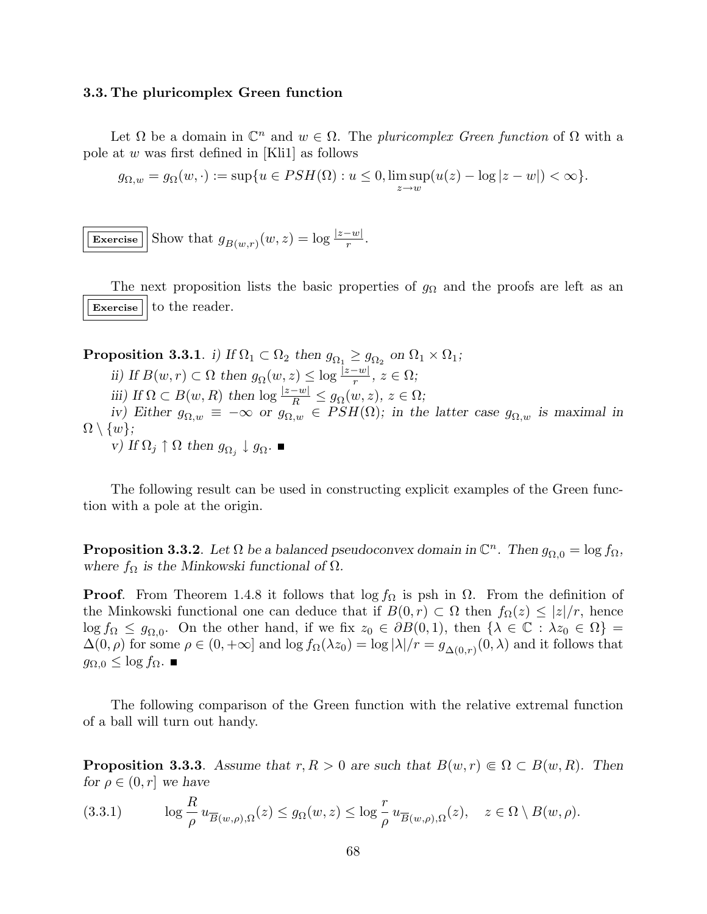## 3.3. The pluricomplex Green function

Let  $\Omega$  be a domain in  $\mathbb{C}^n$  and  $w \in \Omega$ . The pluricomplex Green function of  $\Omega$  with a pole at w was first defined in [Kli1] as follows

$$
g_{\Omega,w} = g_{\Omega}(w, \cdot) := \sup\{u \in PSH(\Omega) : u \le 0, \limsup_{z \to w} (u(z) - \log|z - w|) < \infty\}.
$$

Exercise Show that  $g_{B(w,r)}(w,z) = \log \frac{|z-w|}{r}$ .

The next proposition lists the basic properties of  $g_{\Omega}$  and the proofs are left as an  $\overline{\text{Exercise}}$  to the reader.

Proposition 3.3.1. i) If  $\Omega_1 \subset \Omega_2$  then  $g_{\Omega_1} \geq g_{\Omega_2}$  on  $\Omega_1 \times \Omega_1;$ ii) If  $B(w,r) \subset \Omega$  then  $g_{\Omega}(w,z) \leq \log \frac{|z-w|}{r}, z \in \Omega;$ iii) If  $\Omega \subset B(w, R)$  then  $\log \frac{|z-w|}{R} \leq g_{\Omega}(w, z), z \in \Omega;$ iv) Either  $g_{\Omega,w} \equiv -\infty$  or  $g_{\Omega,w} \in PSH(\Omega)$ ; in the latter case  $g_{\Omega,w}$  is maximal in  $\Omega \setminus \{w\};$ v) If  $\Omega_j \uparrow \Omega$  then  $g_{\Omega_j} \downarrow g_{\Omega}$ .

The following result can be used in constructing explicit examples of the Green function with a pole at the origin.

**Proposition 3.3.2**. Let  $\Omega$  be a balanced pseudoconvex domain in  $\mathbb{C}^n$ . Then  $g_{\Omega,0} = \log f_{\Omega}$ , where  $f_{\Omega}$  is the Minkowski functional of  $\Omega$ .

**Proof.** From Theorem 1.4.8 it follows that  $\log f_{\Omega}$  is psh in  $\Omega$ . From the definition of the Minkowski functional one can deduce that if  $B(0,r) \subset \Omega$  then  $f_{\Omega}(z) \leq |z|/r$ , hence  $\log f_{\Omega} \leq g_{\Omega,0}$ . On the other hand, if we fix  $z_0 \in \partial B(0,1)$ , then  $\{\lambda \in \mathbb{C} : \lambda z_0 \in \Omega\}$  $\Delta(0, \rho)$  for some  $\rho \in (0, +\infty]$  and  $\log f_{\Omega}(\lambda z_0) = \log |\lambda|/r = g_{\Delta(0,r)}(0, \lambda)$  and it follows that  $g_{Ω,0} \leq \log f_{Ω}$ . ■

The following comparison of the Green function with the relative extremal function of a ball will turn out handy.

**Proposition 3.3.3.** Assume that  $r, R > 0$  are such that  $B(w, r) \in \Omega \subset B(w, R)$ . Then for  $\rho \in (0, r]$  we have

(3.3.1) 
$$
\log \frac{R}{\rho} u_{\overline{B}(w,\rho),\Omega}(z) \le g_{\Omega}(w,z) \le \log \frac{r}{\rho} u_{\overline{B}(w,\rho),\Omega}(z), \quad z \in \Omega \setminus B(w,\rho).
$$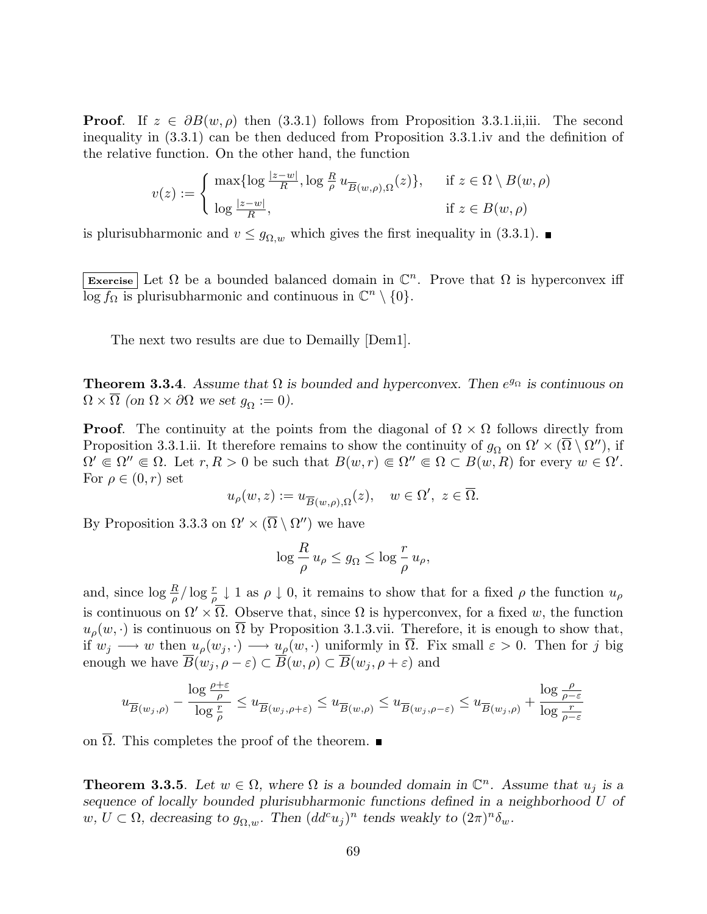**Proof.** If  $z \in \partial B(w, \rho)$  then (3.3.1) follows from Proposition 3.3.1.ii,iii. The second inequality in (3.3.1) can be then deduced from Proposition 3.3.1.iv and the definition of the relative function. On the other hand, the function

$$
v(z) := \begin{cases} \max\{\log\frac{|z-w|}{R}, \log\frac{R}{\rho}u_{\overline{B}(w,\rho),\Omega}(z)\}, & \text{if } z \in \Omega \setminus B(w,\rho) \\ \log\frac{|z-w|}{R}, & \text{if } z \in B(w,\rho) \end{cases}
$$

is plurisubharmonic and  $v \leq g_{\Omega,w}$  which gives the first inequality in (3.3.1).

Exercise Let  $\Omega$  be a bounded balanced domain in  $\mathbb{C}^n$ . Prove that  $\Omega$  is hyperconvex iff  $\overline{\log f_{\Omega}}$  is plurisubharmonic and continuous in  $\mathbb{C}^n \setminus \{0\}.$ 

The next two results are due to Demailly [Dem1].

**Theorem 3.3.4**. Assume that  $\Omega$  is bounded and hyperconvex. Then  $e^{g_{\Omega}}$  is continuous on  $\Omega \times \overline{\Omega}$  (on  $\Omega \times \partial \Omega$  we set  $g_{\Omega} := 0$ ).

**Proof.** The continuity at the points from the diagonal of  $\Omega \times \Omega$  follows directly from Proposition 3.3.1.ii. It therefore remains to show the continuity of  $g_{\Omega}$  on  $\Omega' \times (\overline{\Omega} \setminus \Omega'')$ , if  $\Omega' \in \Omega'' \in \Omega$ . Let  $r, R > 0$  be such that  $B(w, r) \in \Omega'' \in \Omega \subset B(w, R)$  for every  $w \in \Omega'$ . For  $\rho \in (0, r)$  set

$$
u_{\rho}(w, z) := u_{\overline{B}(w, \rho), \Omega}(z), \quad w \in \Omega', \ z \in \overline{\Omega}.
$$

By Proposition 3.3.3 on  $\Omega' \times (\overline{\Omega} \setminus \Omega'')$  we have

$$
\log \frac{R}{\rho} u_{\rho} \le g_{\Omega} \le \log \frac{r}{\rho} u_{\rho},
$$

and, since  $\log \frac{R}{\rho} / \log \frac{r}{\rho} \downarrow 1$  as  $\rho \downarrow 0$ , it remains to show that for a fixed  $\rho$  the function  $u_{\rho}$ is continuous on  $\Omega' \times \overline{\Omega}$ . Observe that, since  $\Omega$  is hyperconvex, for a fixed w, the function  $u_{\rho}(w, \cdot)$  is continuous on  $\overline{\Omega}$  by Proposition 3.1.3.vii. Therefore, it is enough to show that, if  $w_j \longrightarrow w$  then  $u_\rho(w_j, \cdot) \longrightarrow \underline{u}_\rho(w, \cdot)$  uniformly in  $\overline{\Omega}$ . Fix small  $\varepsilon > 0$ . Then for j big enough we have  $\overline{B}(w_j, \rho - \varepsilon) \subset \overline{B}(w, \rho) \subset \overline{B}(w_j, \rho + \varepsilon)$  and

$$
u_{\overline{B}(w_j, \rho)} - \frac{\log \frac{\rho + \varepsilon}{\rho}}{\log \frac{r}{\rho}} \leq u_{\overline{B}(w_j, \rho + \varepsilon)} \leq u_{\overline{B}(w, \rho)} \leq u_{\overline{B}(w_j, \rho - \varepsilon)} \leq u_{\overline{B}(w_j, \rho)} + \frac{\log \frac{\rho}{\rho - \varepsilon}}{\log \frac{r}{\rho - \varepsilon}}
$$

on  $\overline{\Omega}$ . This completes the proof of the theorem. ■

**Theorem 3.3.5.** Let  $w \in \Omega$ , where  $\Omega$  is a bounded domain in  $\mathbb{C}^n$ . Assume that  $u_j$  is a sequence of locally bounded plurisubharmonic functions defined in a neighborhood U of  $w, U \subset \Omega$ , decreasing to  $g_{\Omega,w}$ . Then  $(dd^c u_j)^n$  tends weakly to  $(2\pi)^n \delta_w$ .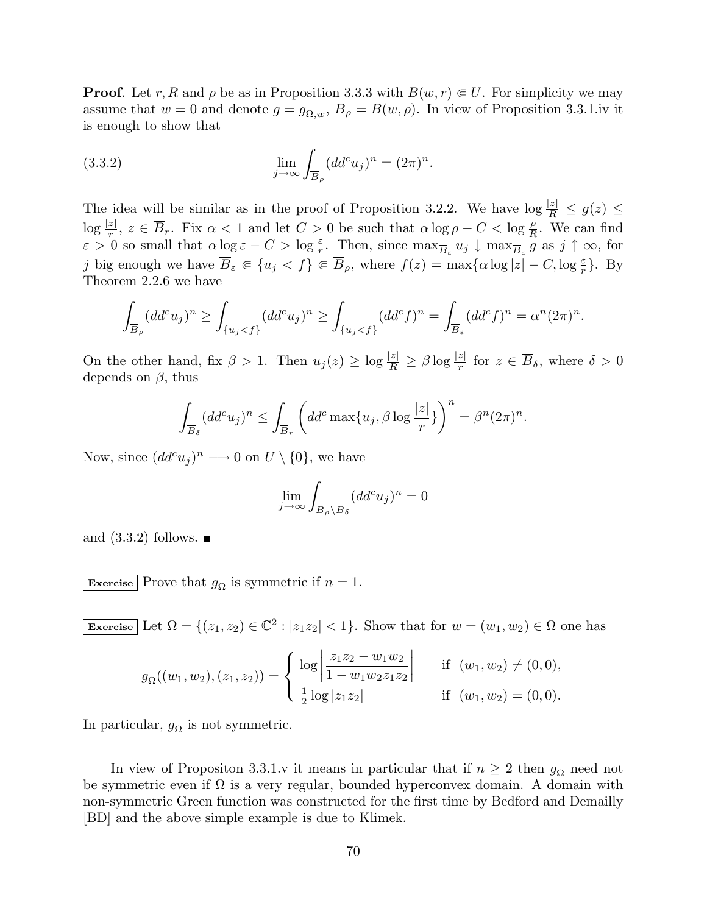**Proof.** Let r, R and  $\rho$  be as in Proposition 3.3.3 with  $B(w, r) \in U$ . For simplicity we may assume that  $w = 0$  and denote  $g = g_{\Omega,w}$ ,  $\overline{B}_{\rho} = \overline{B}(w, \rho)$ . In view of Proposition 3.3.1.iv it is enough to show that

(3.3.2) 
$$
\lim_{j \to \infty} \int_{\overline{B}_{\rho}} (dd^c u_j)^n = (2\pi)^n.
$$

The idea will be similar as in the proof of Proposition 3.2.2. We have  $\log \frac{|z|}{R} \le g(z) \le$  $\log \frac{|z|}{r}, z \in \overline{B}_r$ . Fix  $\alpha < 1$  and let  $C > 0$  be such that  $\alpha \log \rho - C < \log \frac{\rho}{R}$ . We can find  $\varepsilon > 0$  so small that  $\alpha \log \varepsilon - C > \log \frac{\varepsilon}{r}$ . Then, since  $\max_{\overline{B}_{\varepsilon}} u_j \downarrow \max_{\overline{B}_{\varepsilon}} \frac{n}{g}$  as  $j \uparrow \infty$ , for j big enough we have  $\overline{B}_{\varepsilon} \Subset \{u_j < f\} \Subset \overline{B}_{\rho}$ , where  $f(z) = \max\{\alpha \log |z| - C, \log \frac{\varepsilon}{r}\}\.$  By Theorem 2.2.6 we have

$$
\int_{\overline{B}_{\rho}} (dd^c u_j)^n \ge \int_{\{u_j < f\}} (dd^c u_j)^n \ge \int_{\{u_j < f\}} (dd^c f)^n = \int_{\overline{B}_{\varepsilon}} (dd^c f)^n = \alpha^n (2\pi)^n.
$$

On the other hand, fix  $\beta > 1$ . Then  $u_j(z) \ge \log \frac{|z|}{R} \ge \beta \log \frac{|z|}{r}$  for  $z \in \overline{B}_\delta$ , where  $\delta > 0$ depends on  $\beta$ , thus

$$
\int_{\overline{B}_{\delta}} (dd^c u_j)^n \le \int_{\overline{B}_r} \left( dd^c \max\{u_j, \beta \log \frac{|z|}{r} \} \right)^n = \beta^n (2\pi)^n.
$$

Now, since  $(dd^c u_j)^n \longrightarrow 0$  on  $U \setminus \{0\}$ , we have

$$
\lim_{j \to \infty} \int_{\overline{B}_{\rho} \setminus \overline{B}_{\delta}} (dd^c u_j)^n = 0
$$

and  $(3.3.2)$  follows.

Exercise Prove that  $g_{\Omega}$  is symmetric if  $n = 1$ .

Exercise Let  $\Omega = \{(z_1, z_2) \in \mathbb{C}^2 : |z_1 z_2| < 1\}$ . Show that for  $w = (w_1, w_2) \in \Omega$  one has

$$
g_{\Omega}((w_1, w_2), (z_1, z_2)) = \begin{cases} \log \left| \frac{z_1 z_2 - w_1 w_2}{1 - \overline{w}_1 \overline{w}_2 z_1 z_2} \right| & \text{if } (w_1, w_2) \neq (0, 0), \\ \frac{1}{2} \log |z_1 z_2| & \text{if } (w_1, w_2) = (0, 0). \end{cases}
$$

In particular,  $g_{\Omega}$  is not symmetric.

In view of Propositon 3.3.1.v it means in particular that if  $n \geq 2$  then  $g_{\Omega}$  need not be symmetric even if  $\Omega$  is a very regular, bounded hyperconvex domain. A domain with non-symmetric Green function was constructed for the first time by Bedford and Demailly [BD] and the above simple example is due to Klimek.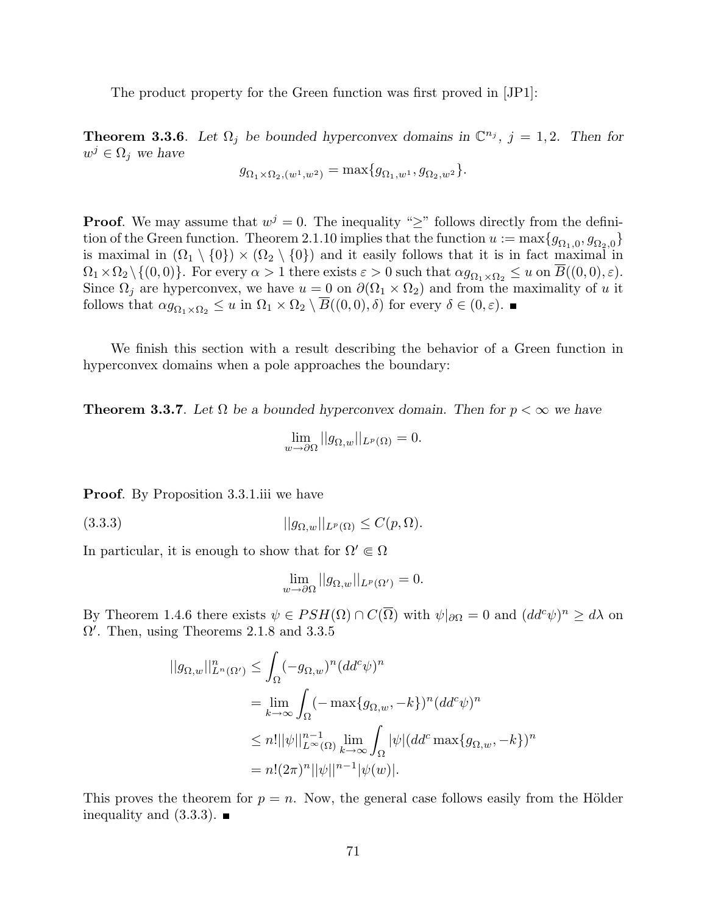The product property for the Green function was first proved in [JP1]:

**Theorem 3.3.6.** Let  $\Omega_j$  be bounded hyperconvex domains in  $\mathbb{C}^{n_j}$ ,  $j = 1, 2$ . Then for  $w^j \in \Omega_j$  we have

$$
g_{\Omega_1 \times \Omega_2, (w^1, w^2)} = \max\{g_{\Omega_1, w^1}, g_{\Omega_2, w^2}\}.
$$

**Proof.** We may assume that  $w^{j} = 0$ . The inequality "≥" follows directly from the definition of the Green function. Theorem 2.1.10 implies that the function  $u := \max\{g_{\Omega_1,0}, g_{\Omega_2,0}\}\$ is maximal in  $(\Omega_1 \setminus \{0\}) \times (\Omega_2 \setminus \{0\})$  and it easily follows that it is in fact maximal in  $\Omega_1 \times \Omega_2 \setminus \{(0,0)\}.$  For every  $\alpha > 1$  there exists  $\varepsilon > 0$  such that  $\alpha g_{\Omega_1 \times \Omega_2} \leq u$  on  $\overline{B}((0,0), \varepsilon)$ . Since  $\Omega_j$  are hyperconvex, we have  $u = 0$  on  $\partial(\Omega_1 \times \Omega_2)$  and from the maximality of u it follows that  $\alpha g_{\Omega_1 \times \Omega_2} \leq u$  in  $\Omega_1 \times \Omega_2 \setminus \overline{B}((0,0), \delta)$  for every  $\delta \in (0, \varepsilon)$ .

We finish this section with a result describing the behavior of a Green function in hyperconvex domains when a pole approaches the boundary:

**Theorem 3.3.7.** Let  $\Omega$  be a bounded hyperconvex domain. Then for  $p < \infty$  we have

$$
\lim_{w \to \partial \Omega} ||g_{\Omega, w}||_{L^p(\Omega)} = 0.
$$

**Proof.** By Proposition 3.3.1.iii we have

(3.3.3)  $||g_{Q,w}||_{L^p(\Omega)} \leq C(p,\Omega).$ 

In particular, it is enough to show that for  $\Omega' \in \Omega$ 

$$
\lim_{w \to \partial \Omega} ||g_{\Omega, w}||_{L^p(\Omega')} = 0.
$$

By Theorem 1.4.6 there exists  $\psi \in PSH(\Omega) \cap C(\overline{\Omega})$  with  $\psi|_{\partial \Omega} = 0$  and  $(dd^c\psi)^n \geq d\lambda$  on  $\Omega'$ . Then, using Theorems 2.1.8 and 3.3.5

$$
||g_{\Omega,w}||_{L^n(\Omega')}^n \le \int_{\Omega} (-g_{\Omega,w})^n (dd^c \psi)^n
$$
  
= 
$$
\lim_{k \to \infty} \int_{\Omega} (-\max\{g_{\Omega,w}, -k\})^n (dd^c \psi)^n
$$
  

$$
\le n! ||\psi||_{L^\infty(\Omega)}^{n-1} \lim_{k \to \infty} \int_{\Omega} |\psi| (dd^c \max\{g_{\Omega,w}, -k\})^n
$$
  
=  $n! (2\pi)^n ||\psi||^{n-1} |\psi(w)|.$ 

This proves the theorem for  $p = n$ . Now, the general case follows easily from the Hölder inequality and  $(3.3.3)$ .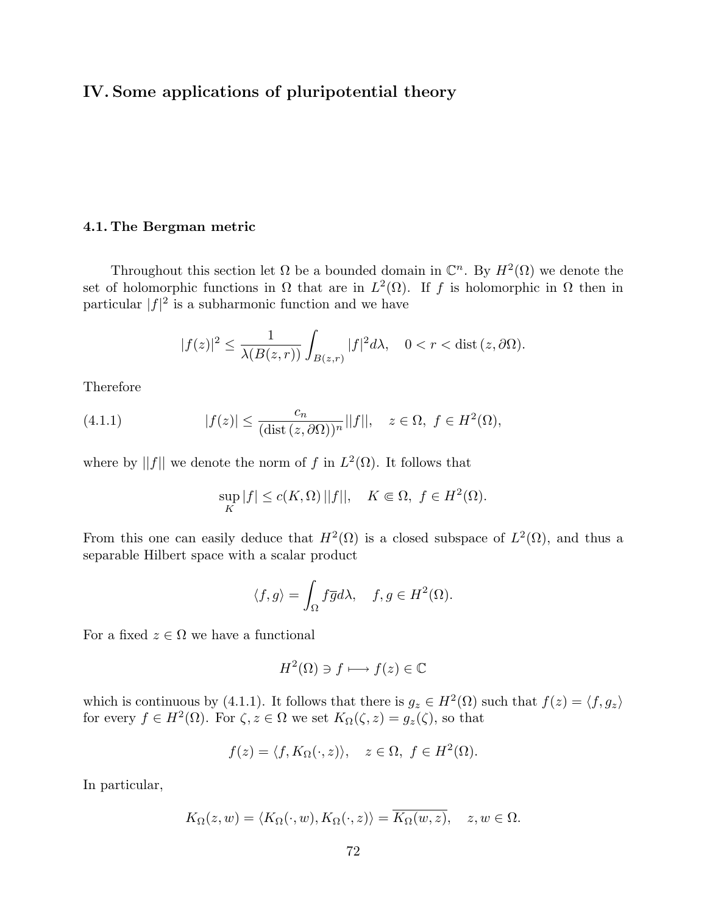# IV. Some applications of pluripotential theory

## 4.1. The Bergman metric

Throughout this section let  $\Omega$  be a bounded domain in  $\mathbb{C}^n$ . By  $H^2(\Omega)$  we denote the set of holomorphic functions in  $\Omega$  that are in  $L^2(\Omega)$ . If f is holomorphic in  $\Omega$  then in particular  $|f|^2$  is a subharmonic function and we have

$$
|f(z)|^2 \le \frac{1}{\lambda(B(z,r))} \int_{B(z,r)} |f|^2 d\lambda, \quad 0 < r < \text{dist}\,(z,\partial\Omega).
$$

Therefore

(4.1.1) 
$$
|f(z)| \leq \frac{c_n}{(\text{dist}(z, \partial \Omega))^n} ||f||, \quad z \in \Omega, \ f \in H^2(\Omega),
$$

where by ||f|| we denote the norm of f in  $L^2(\Omega)$ . It follows that

$$
\sup_{K} |f| \le c(K, \Omega) ||f||, \quad K \Subset \Omega, \ f \in H^{2}(\Omega).
$$

From this one can easily deduce that  $H^2(\Omega)$  is a closed subspace of  $L^2(\Omega)$ , and thus a separable Hilbert space with a scalar product

$$
\langle f, g \rangle = \int_{\Omega} f \overline{g} d\lambda, \quad f, g \in H^2(\Omega).
$$

For a fixed  $z \in \Omega$  we have a functional

$$
H^2(\Omega) \ni f \longmapsto f(z) \in \mathbb{C}
$$

which is continuous by (4.1.1). It follows that there is  $g_z \in H^2(\Omega)$  such that  $f(z) = \langle f, g_z \rangle$ for every  $f \in H^2(\Omega)$ . For  $\zeta, z \in \Omega$  we set  $K_{\Omega}(\zeta, z) = g_z(\zeta)$ , so that

$$
f(z) = \langle f, K_{\Omega}(\cdot, z) \rangle, \quad z \in \Omega, \ f \in H^{2}(\Omega).
$$

In particular,

$$
K_{\Omega}(z, w) = \langle K_{\Omega}(\cdot, w), K_{\Omega}(\cdot, z) \rangle = \overline{K_{\Omega}(w, z)}, \quad z, w \in \Omega.
$$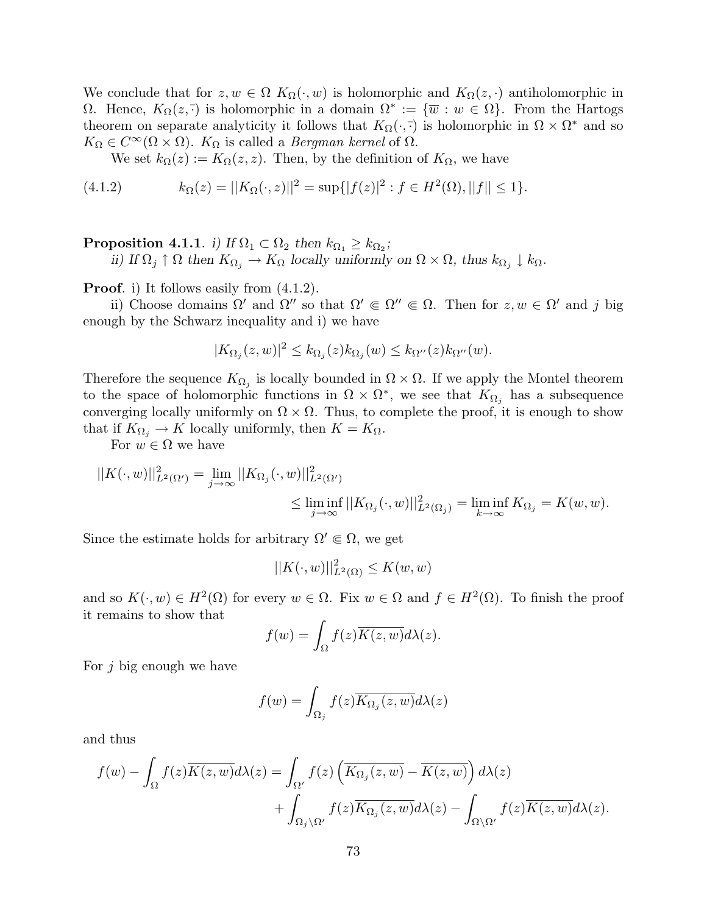We conclude that for  $z, w \in \Omega$   $K_{\Omega}(\cdot, w)$  is holomorphic and  $K_{\Omega}(z, \cdot)$  antiholomorphic in Ω. Hence,  $K_{\Omega}(z, \overline{\cdot})$  is holomorphic in a domain  $\Omega^* := {\overline{w} : w \in \Omega}$ . From the Hartogs theorem on separate analyticity it follows that  $K_{\Omega}(\cdot, \overline{\cdot})$  is holomorphic in  $\Omega \times \Omega^*$  and so  $K_{\Omega} \in C^{\infty}(\Omega \times \Omega)$ .  $K_{\Omega}$  is called a *Bergman kernel* of  $\Omega$ .

We set  $k_{\Omega}(z) := K_{\Omega}(z, z)$ . Then, by the definition of  $K_{\Omega}$ , we have

(4.1.2) 
$$
k_{\Omega}(z) = ||K_{\Omega}(\cdot, z)||^{2} = \sup\{|f(z)|^{2} : f \in H^{2}(\Omega), ||f|| \leq 1\}.
$$

# Proposition 4.1.1. i) If  $\Omega_1 \subset \Omega_2$  then  $k_{\Omega_1} \geq k_{\Omega_2}$ ;

ii) If  $\Omega_j \uparrow \Omega$  then  $K_{\Omega_j} \to K_{\Omega}$  locally uniformly on  $\Omega \times \Omega$ , thus  $k_{\Omega_j} \downarrow k_{\Omega}$ .

**Proof.** i) It follows easily from  $(4.1.2)$ .

ii) Choose domains  $\Omega'$  and  $\Omega''$  so that  $\Omega' \in \Omega'' \in \Omega$ . Then for  $z, w \in \Omega'$  and j big enough by the Schwarz inequality and i) we have

$$
|K_{\Omega_j}(z,w)|^2 \le k_{\Omega_j}(z)k_{\Omega_j}(w) \le k_{\Omega''}(z)k_{\Omega''}(w).
$$

Therefore the sequence  $K_{\Omega_j}$  is locally bounded in  $\Omega \times \Omega$ . If we apply the Montel theorem to the space of holomorphic functions in  $\Omega \times \Omega^*$ , we see that  $K_{\Omega_j}$  has a subsequence converging locally uniformly on  $\Omega \times \Omega$ . Thus, to complete the proof, it is enough to show that if  $K_{\Omega_i} \to K$  locally uniformly, then  $K = K_{\Omega}$ .

For  $w \in \Omega$  we have

$$
||K(\cdot,w)||_{L^2(\Omega')}^2 = \lim_{j \to \infty} ||K_{\Omega_j}(\cdot,w)||_{L^2(\Omega')}^2
$$
  

$$
\leq \liminf_{j \to \infty} ||K_{\Omega_j}(\cdot,w)||_{L^2(\Omega_j)}^2 = \liminf_{k \to \infty} K_{\Omega_j} = K(w,w).
$$

Since the estimate holds for arbitrary  $\Omega' \in \Omega$ , we get

$$
||K(\cdot, w)||_{L^2(\Omega)}^2 \le K(w, w)
$$

and so  $K(\cdot, w) \in H^2(\Omega)$  for every  $w \in \Omega$ . Fix  $w \in \Omega$  and  $f \in H^2(\Omega)$ . To finish the proof it remains to show that

$$
f(w) = \int_{\Omega} f(z)\overline{K(z,w)}d\lambda(z).
$$

For  $j$  big enough we have

$$
f(w) = \int_{\Omega_j} f(z) \overline{K_{\Omega_j}(z, w)} d\lambda(z)
$$

and thus

$$
f(w) - \int_{\Omega} f(z)\overline{K(z,w)}d\lambda(z) = \int_{\Omega'} f(z)\left(\overline{K_{\Omega_j}(z,w)} - \overline{K(z,w)}\right)d\lambda(z) + \int_{\Omega_j\backslash\Omega'} f(z)\overline{K_{\Omega_j}(z,w)}d\lambda(z) - \int_{\Omega\backslash\Omega'} f(z)\overline{K(z,w)}d\lambda(z).
$$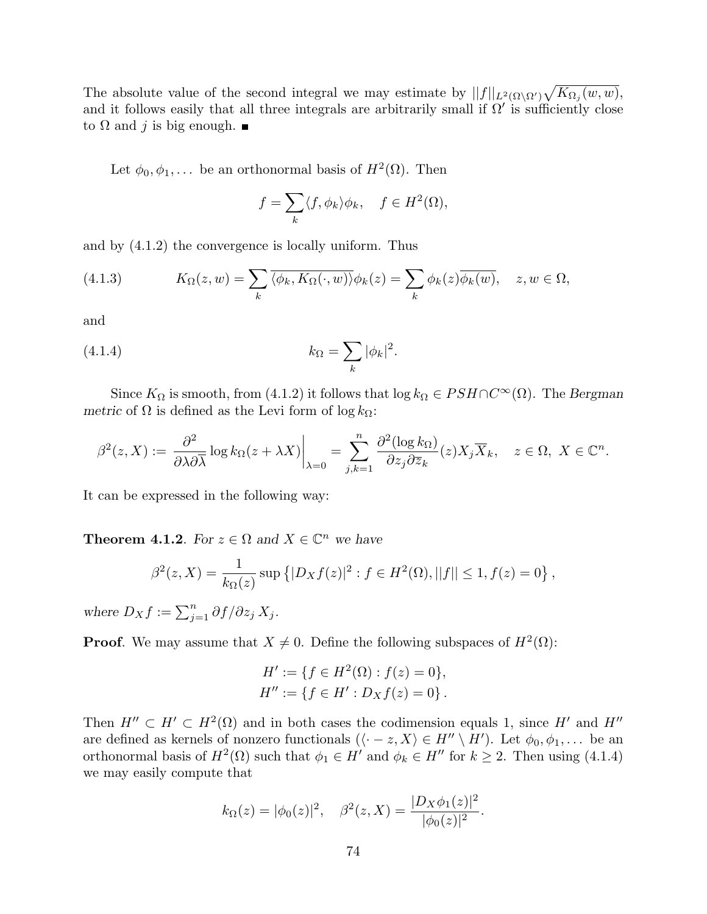The absolute value of the second integral we may estimate by  $||f||_{L^2(\Omega\setminus\Omega')}$  $\overline{p}$  $K_{\Omega_j}(w, w),$ and it follows easily that all three integrals are arbitrarily small if  $\Omega'$  is sufficiently close to  $\Omega$  and j is big enough.  $\blacksquare$ 

Let  $\phi_0, \phi_1, \ldots$  be an orthonormal basis of  $H^2(\Omega)$ . Then

$$
f = \sum_{k} \langle f, \phi_k \rangle \phi_k, \quad f \in H^2(\Omega),
$$

and by (4.1.2) the convergence is locally uniform. Thus

(4.1.3) 
$$
K_{\Omega}(z,w) = \sum_{k} \overline{\langle \phi_k, K_{\Omega}(\cdot, w) \rangle} \phi_k(z) = \sum_{k} \phi_k(z) \overline{\phi_k(w)}, \quad z, w \in \Omega,
$$

and

(4.1.4) 
$$
k_{\Omega} = \sum_{k} |\phi_{k}|^{2}.
$$

Since  $K_{\Omega}$  is smooth, from (4.1.2) it follows that  $\log k_{\Omega} \in PSH \cap C^{\infty}(\Omega)$ . The Bergman metric of  $\Omega$  is defined as the Levi form of log  $k_{\Omega}$ :

$$
\beta^2(z, X) := \left. \frac{\partial^2}{\partial \lambda \partial \overline{\lambda}} \log k_{\Omega}(z + \lambda X) \right|_{\lambda = 0} = \sum_{j,k=1}^n \frac{\partial^2 (\log k_{\Omega})}{\partial z_j \partial \overline{z}_k}(z) X_j \overline{X}_k, \quad z \in \Omega, \ X \in \mathbb{C}^n.
$$

It can be expressed in the following way:

**Theorem 4.1.2**. For  $z \in \Omega$  and  $X \in \mathbb{C}^n$  we have

$$
\beta^2(z, X) = \frac{1}{k_{\Omega}(z)} \sup \left\{ |D_X f(z)|^2 : f \in H^2(\Omega), ||f|| \le 1, f(z) = 0 \right\},\,
$$

where  $D_X f := \sum_{j=1}^n \partial f / \partial z_j X_j$ .

**Proof.** We may assume that  $X \neq 0$ . Define the following subspaces of  $H^2(\Omega)$ :

$$
H' := \{ f \in H^2(\Omega) : f(z) = 0 \},
$$
  

$$
H'' := \{ f \in H' : D_X f(z) = 0 \}.
$$

Then  $H'' \subset H' \subset H^2(\Omega)$  and in both cases the codimension equals 1, since H' and H'' are defined as kernels of nonzero functionals  $(\langle -z, X \rangle \in H'' \setminus H')$ . Let  $\phi_0, \phi_1, \ldots$  be an orthonormal basis of  $H^2(\Omega)$  such that  $\phi_1 \in H'$  and  $\phi_k \in H''$  for  $k \geq 2$ . Then using (4.1.4) we may easily compute that

$$
k_{\Omega}(z) = |\phi_0(z)|^2
$$
,  $\beta^2(z, X) = \frac{|D_X \phi_1(z)|^2}{|\phi_0(z)|^2}$ .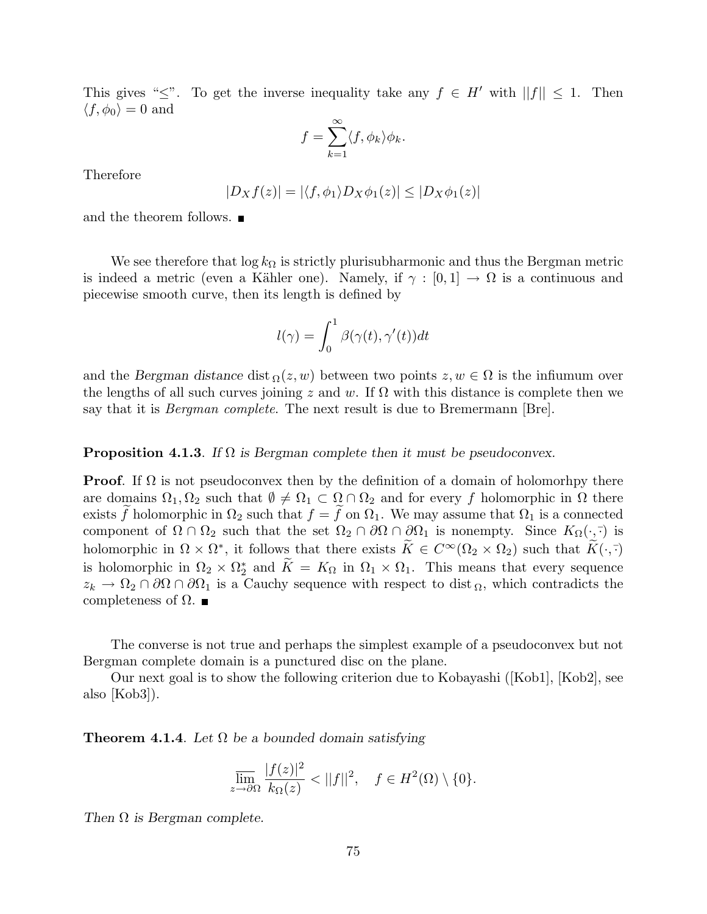This gives " $\leq$ ". To get the inverse inequality take any  $f \in H'$  with  $||f|| \leq 1$ . Then  $\langle f, \phi_0 \rangle = 0$  and

$$
f = \sum_{k=1}^{\infty} \langle f, \phi_k \rangle \phi_k.
$$

Therefore

$$
|D_Xf(z)| = |\langle f, \phi_1 \rangle D_X \phi_1(z)| \le |D_X \phi_1(z)|
$$

and the theorem follows.

We see therefore that  $\log k_{\Omega}$  is strictly plurisubharmonic and thus the Bergman metric is indeed a metric (even a Kähler one). Namely, if  $\gamma : [0,1] \to \Omega$  is a continuous and piecewise smooth curve, then its length is defined by

$$
l(\gamma) = \int_0^1 \beta(\gamma(t), \gamma'(t)) dt
$$

and the Bergman distance dist  $\Omega(z, w)$  between two points  $z, w \in \Omega$  is the infiumum over the lengths of all such curves joining z and w. If  $\Omega$  with this distance is complete then we say that it is *Bergman complete*. The next result is due to Bremermann [Bre].

### **Proposition 4.1.3.** If  $\Omega$  is Bergman complete then it must be pseudoconvex.

**Proof.** If  $\Omega$  is not pseudoconvex then by the definition of a domain of holomorhpy there are domains  $\Omega_1, \Omega_2$  such that  $\emptyset \neq \Omega_1 \subset \Omega \cap \Omega_2$  and for every f holomorphic in  $\Omega$  there exists  $\tilde{f}$  holomorphic in  $\Omega_2$  such that  $f = \tilde{f}$  on  $\Omega_1$ . We may assume that  $\Omega_1$  is a connected component of  $\Omega \cap \Omega_2$  such that the set  $\Omega_2 \cap \partial \Omega \cap \partial \Omega_1$  is nonempty. Since  $K_{\Omega}(\cdot, \overline{\cdot})$  is holomorphic in  $\Omega \times \Omega^*$ , it follows that there exists  $\widetilde{K} \in C^{\infty}(\Omega_2 \times \Omega_2)$  such that  $\widetilde{K}(\cdot, \overline{\cdot})$ is holomorphic in  $\Omega_2 \times \Omega_2^*$  and  $\widetilde{K} = K_{\Omega}$  in  $\Omega_1 \times \Omega_1$ . This means that every sequence  $z_k \to \Omega_2 \cap \partial \Omega \cap \partial \Omega_1$  is a Cauchy sequence with respect to dist  $\Omega$ , which contradicts the completeness of  $\Omega$ .

The converse is not true and perhaps the simplest example of a pseudoconvex but not Bergman complete domain is a punctured disc on the plane.

Our next goal is to show the following criterion due to Kobayashi ([Kob1], [Kob2], see also [Kob3]).

**Theorem 4.1.4**. Let  $\Omega$  be a bounded domain satisfying

$$
\overline{\lim}_{z \to \partial \Omega} \frac{|f(z)|^2}{k_{\Omega}(z)} < ||f||^2, \quad f \in H^2(\Omega) \setminus \{0\}.
$$

Then  $\Omega$  is Bergman complete.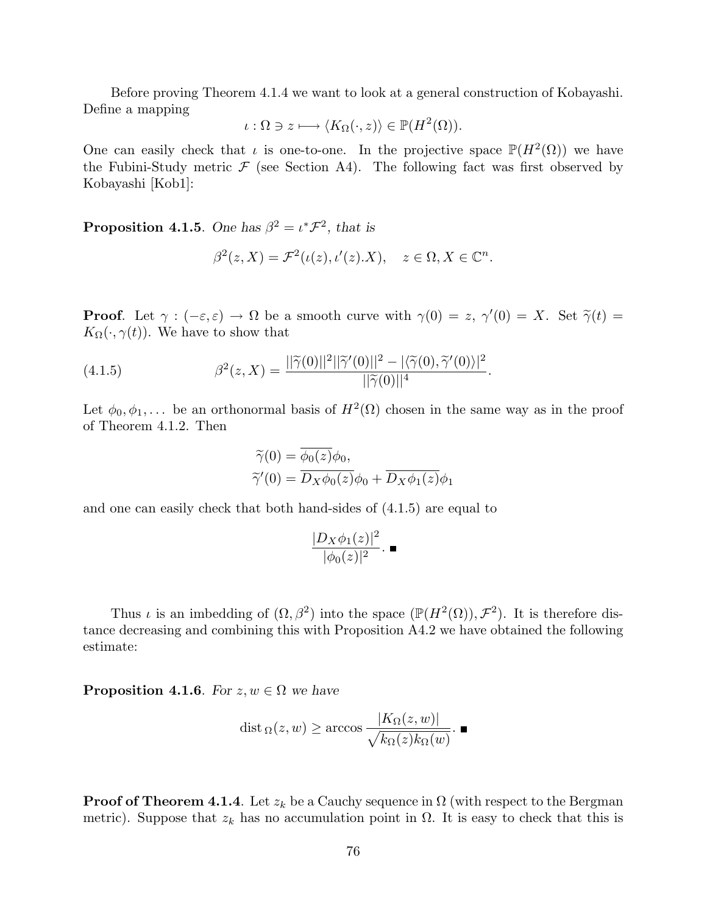Before proving Theorem 4.1.4 we want to look at a general construction of Kobayashi. Define a mapping

$$
\iota : \Omega \ni z \longmapsto \langle K_{\Omega}(\cdot, z) \rangle \in \mathbb{P}(H^2(\Omega)).
$$

One can easily check that  $\iota$  is one-to-one. In the projective space  $\mathbb{P}(H^2(\Omega))$  we have the Fubini-Study metric  $\mathcal F$  (see Section A4). The following fact was first observed by Kobayashi [Kob1]:

**Proposition 4.1.5.** One has  $\beta^2 = \iota^* \mathcal{F}^2$ , that is

$$
\beta^{2}(z, X) = \mathcal{F}^{2}(\iota(z), \iota'(z).X), \quad z \in \Omega, X \in \mathbb{C}^{n}.
$$

**Proof.** Let  $\gamma : (-\varepsilon, \varepsilon) \to \Omega$  be a smooth curve with  $\gamma(0) = z$ ,  $\gamma'(0) = X$ . Set  $\tilde{\gamma}(t) =$  $K_{\Omega}(\cdot, \gamma(t))$ . We have to show that

(4.1.5) 
$$
\beta^{2}(z, X) = \frac{||\widetilde{\gamma}(0)||^{2}||\widetilde{\gamma}'(0)||^{2} - |\langle \widetilde{\gamma}(0), \widetilde{\gamma}'(0)\rangle|^{2}}{||\widetilde{\gamma}(0)||^{4}}.
$$

Let  $\phi_0, \phi_1, \ldots$  be an orthonormal basis of  $H^2(\Omega)$  chosen in the same way as in the proof of Theorem 4.1.2. Then

$$
\widetilde{\gamma}(0) = \phi_0(z)\phi_0,
$$
  

$$
\widetilde{\gamma}'(0) = \overline{D_X\phi_0(z)}\phi_0 + \overline{D_X\phi_1(z)}\phi_1
$$

and one can easily check that both hand-sides of (4.1.5) are equal to

$$
\frac{|D_X\phi_1(z)|^2}{|\phi_0(z)|^2}.\blacksquare
$$

Thus *i* is an imbedding of  $(\Omega, \beta^2)$  into the space  $(\mathbb{P}(H^2(\Omega)), \mathcal{F}^2)$ . It is therefore distance decreasing and combining this with Proposition A4.2 we have obtained the following estimate:

**Proposition 4.1.6.** For  $z, w \in \Omega$  we have

dist<sub>\Omega</sub>(z, w) 
$$
\geq
$$
 arccos  $\frac{|K_{\Omega}(z, w)|}{\sqrt{k_{\Omega}(z)k_{\Omega}(w)}}$ .

**Proof of Theorem 4.1.4**. Let  $z_k$  be a Cauchy sequence in  $\Omega$  (with respect to the Bergman metric). Suppose that  $z_k$  has no accumulation point in  $\Omega$ . It is easy to check that this is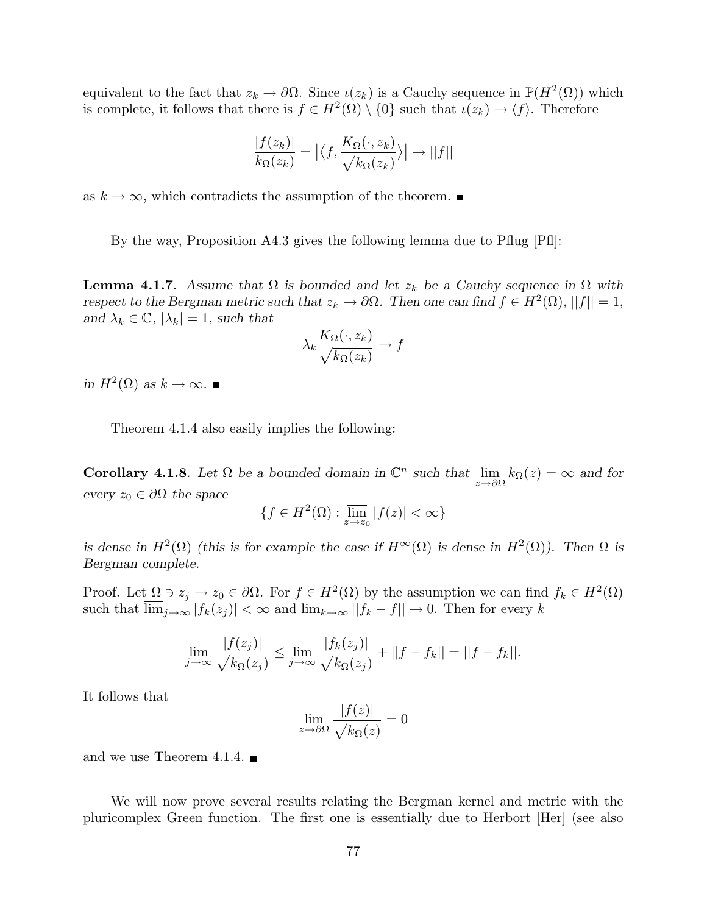equivalent to the fact that  $z_k \to \partial\Omega$ . Since  $\iota(z_k)$  is a Cauchy sequence in  $\mathbb{P}(H^2(\Omega))$  which is complete, it follows that there is  $f \in H^2(\Omega) \setminus \{0\}$  such that  $\iota(z_k) \to \langle f \rangle$ . Therefore

$$
\frac{|f(z_k)|}{k_\Omega(z_k)} = \left| \left\langle f, \frac{K_\Omega(\cdot, z_k)}{\sqrt{k_\Omega(z_k)}} \right\rangle \right| \rightarrow ||f||
$$

as  $k \to \infty$ , which contradicts the assumption of the theorem. ■

By the way, Proposition A4.3 gives the following lemma due to Pflug [Pfl]:

**Lemma 4.1.7**. Assume that  $\Omega$  is bounded and let  $z_k$  be a Cauchy sequence in  $\Omega$  with respect to the Bergman metric such that  $z_k \to \partial \Omega$ . Then one can find  $f \in H^2(\Omega)$ ,  $||f|| = 1$ , and  $\lambda_k \in \mathbb{C}$ ,  $|\lambda_k| = 1$ , such that

$$
\lambda_k \frac{K_{\Omega}(\cdot, z_k)}{\sqrt{k_{\Omega}(z_k)}} \to f
$$

in  $H^2(\Omega)$  as  $k \to \infty$ .

Theorem 4.1.4 also easily implies the following:

**Corollary 4.1.8**. Let  $\Omega$  be a bounded domain in  $\mathbb{C}^n$  such that  $\lim_{z\to\partial\Omega} k_{\Omega}(z) = \infty$  and for every  $z_0 \in \partial \Omega$  the space

$$
\{f \in H^2(\Omega) : \overline{\lim}_{z \to z_0} |f(z)| < \infty\}
$$

is dense in  $H^2(\Omega)$  (this is for example the case if  $H^{\infty}(\Omega)$  is dense in  $H^2(\Omega)$ ). Then  $\Omega$  is Bergman complete.

Proof. Let  $\Omega \ni z_j \to z_0 \in \partial \Omega$ . For  $f \in H^2(\Omega)$  by the assumption we can find  $f_k \in H^2(\Omega)$ such that  $\lim_{j\to\infty} |f_k(z_j)| < \infty$  and  $\lim_{k\to\infty} |f_k - f|| \to 0$ . Then for every k

$$
\overline{\lim_{j\to\infty}}\frac{|f(z_j)|}{\sqrt{k_{\Omega}(z_j)}} \le \overline{\lim_{j\to\infty}}\frac{|f_k(z_j)|}{\sqrt{k_{\Omega}(z_j)}} + ||f - f_k|| = ||f - f_k||.
$$

It follows that

$$
\lim_{z \to \partial \Omega} \frac{|f(z)|}{\sqrt{k_{\Omega}(z)}} = 0
$$

and we use Theorem 4.1.4.  $\blacksquare$ 

We will now prove several results relating the Bergman kernel and metric with the pluricomplex Green function. The first one is essentially due to Herbort [Her] (see also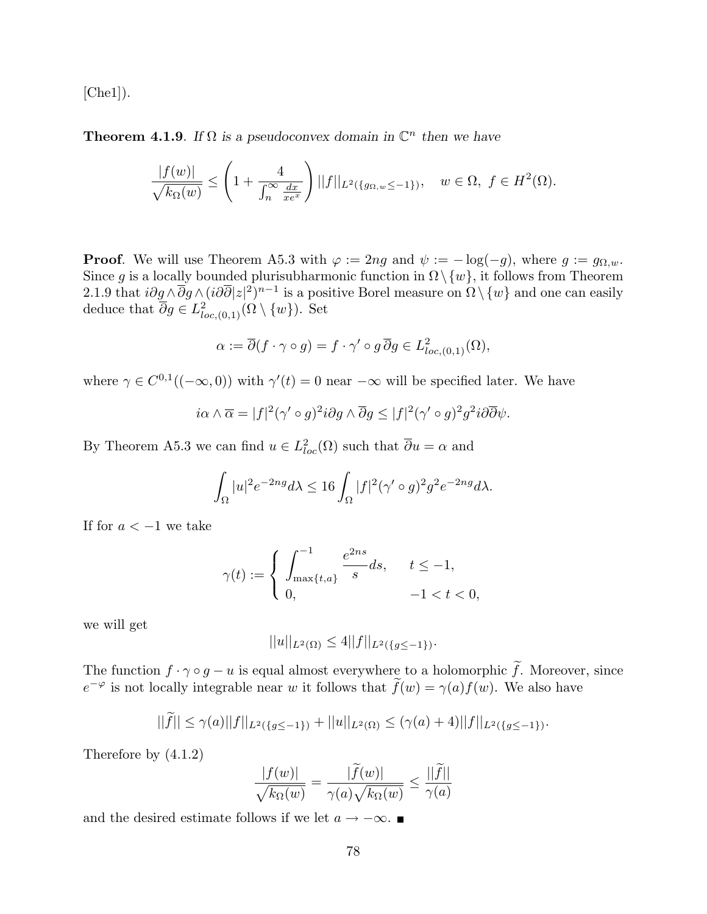[Che1]).

**Theorem 4.1.9**. If  $\Omega$  is a pseudoconvex domain in  $\mathbb{C}^n$  then we have

$$
\frac{|f(w)|}{\sqrt{k_{\Omega}(w)}} \le \left(1 + \frac{4}{\int_{n}^{\infty} \frac{dx}{xe^x}}\right) ||f||_{L^2(\{g_{\Omega, w} \le -1\})}, \quad w \in \Omega, \ f \in H^2(\Omega).
$$

**Proof.** We will use Theorem A5.3 with  $\varphi := 2ng$  and  $\psi := -\log(-g)$ , where  $g := g_{\Omega,w}$ . Since g is a locally bounded plurisubharmonic function in  $\Omega \setminus \{w\}$ , it follows from Theorem 2.1.9 that  $i\partial g \wedge \overline{\partial} g \wedge (i\partial \overline{\partial}|z|^2)^{n-1}$  is a positive Borel measure on  $\Omega \setminus \{w\}$  and one can easily deduce that  $\overline{\partial}g \in L^2_{loc,(0,1)}(\Omega \setminus \{w\})$ . Set

$$
\alpha := \overline{\partial}(f \cdot \gamma \circ g) = f \cdot \gamma' \circ g \overline{\partial} g \in L^2_{loc,(0,1)}(\Omega),
$$

where  $\gamma \in C^{0,1}((-\infty,0))$  with  $\gamma'(t) = 0$  near  $-\infty$  will be specified later. We have

$$
i\alpha \wedge \overline{\alpha} = |f|^2(\gamma' \circ g)^2 i\partial g \wedge \overline{\partial} g \leq |f|^2(\gamma' \circ g)^2 g^2 i\partial \overline{\partial} \psi.
$$

By Theorem A5.3 we can find  $u \in L^2_{loc}(\Omega)$  such that  $\overline{\partial} u = \alpha$  and

$$
\int_{\Omega} |u|^2 e^{-2ng} d\lambda \le 16 \int_{\Omega} |f|^2 (\gamma' \circ g)^2 g^2 e^{-2ng} d\lambda.
$$

If for  $a < -1$  we take

$$
\gamma(t):=\left\{\begin{array}{ll}\displaystyle\int_{\max\{t,a\}}^{-1}\frac{e^{2ns}}{s}ds, & \quad t\leq -1,\\ 0, & \quad -1
$$

we will get

$$
||u||_{L^{2}(\Omega)} \le 4||f||_{L^{2}(\{g \le -1\})}.
$$

The function  $f \cdot \gamma \circ g - u$  is equal almost everywhere to a holomorphic  $\tilde{f}$ . Moreover, since  $e^{-\varphi}$  is not locally integrable near w it follows that  $\tilde{f}(w) = \gamma(a) f(w)$ . We also have

$$
||\widetilde{f}|| \leq \gamma(a)||f||_{L^2(\{g \leq -1\})} + ||u||_{L^2(\Omega)} \leq (\gamma(a)+4)||f||_{L^2(\{g \leq -1\})}.
$$

Therefore by (4.1.2)

$$
\frac{|f(w)|}{\sqrt{k_{\Omega}(w)}} = \frac{|\widetilde{f}(w)|}{\gamma(a)\sqrt{k_{\Omega}(w)}} \le \frac{||\widetilde{f}||}{\gamma(a)}
$$

and the desired estimate follows if we let  $a \rightarrow -\infty$ .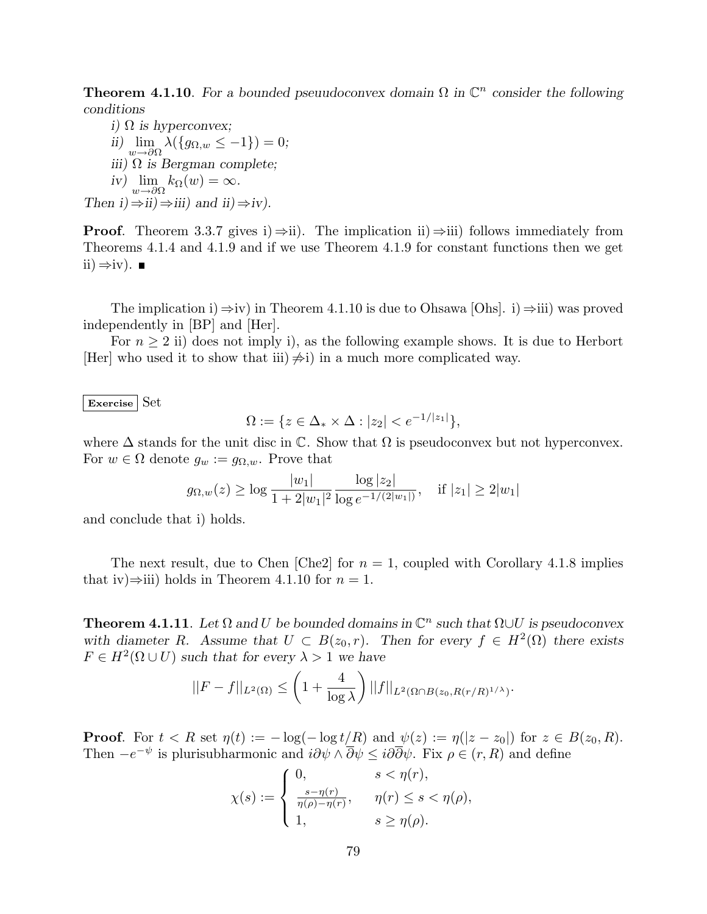**Theorem 4.1.10**. For a bounded pseuudoconvex domain  $\Omega$  in  $\mathbb{C}^n$  consider the following conditions

i)  $\Omega$  is hyperconvex; ii)  $\lim_{w \to \partial \Omega} \lambda(\{g_{\Omega,w} \leq -1\}) = 0;$ iii)  $\Omega$  is Bergman complete; iv)  $\lim_{w \to \partial \Omega} k_{\Omega}(w) = \infty$ . Then  $i) \Rightarrow ii) \Rightarrow iii)$  and  $ii) \Rightarrow iv$ ).

**Proof.** Theorem 3.3.7 gives i)  $\Rightarrow$  ii). The implication ii)  $\Rightarrow$  iii) follows immediately from Theorems 4.1.4 and 4.1.9 and if we use Theorem 4.1.9 for constant functions then we get ii)  $\Rightarrow$ iv). ■

The implication i)  $\Rightarrow$ iv) in Theorem 4.1.10 is due to Ohsawa [Ohs]. i)  $\Rightarrow$ iii) was proved independently in [BP] and [Her].

For  $n \geq 2$  ii) does not imply i), as the following example shows. It is due to Herbort [Her] who used it to show that iii)  $\neq$ i) in a much more complicated way.

Exercise Set

$$
\Omega := \{ z \in \Delta_* \times \Delta : |z_2| < e^{-1/|z_1|} \},
$$

where  $\Delta$  stands for the unit disc in  $\mathbb C$ . Show that  $\Omega$  is pseudoconvex but not hyperconvex. For  $w \in \Omega$  denote  $g_w := g_{\Omega,w}$ . Prove that

$$
g_{\Omega,w}(z) \ge \log \frac{|w_1|}{1 + 2|w_1|^2} \frac{\log |z_2|}{\log e^{-1/(2|w_1|)}},
$$
 if  $|z_1| \ge 2|w_1|$ 

and conclude that i) holds.

The next result, due to Chen [Che2] for  $n = 1$ , coupled with Corollary 4.1.8 implies that iv) $\Rightarrow$ iii) holds in Theorem 4.1.10 for  $n = 1$ .

**Theorem 4.1.11**. Let  $\Omega$  and U be bounded domains in  $\mathbb{C}^n$  such that  $\Omega \cup U$  is pseudoconvex with diameter R. Assume that  $U \subset B(z_0, r)$ . Then for every  $f \in H^2(\Omega)$  there exists  $F \in H^2(\Omega \cup U)$  such that for every  $\lambda > 1$  we have  $\ddot{\phantom{1}}$  $\bar{a}$ 

$$
||F - f||_{L^2(\Omega)} \le \left(1 + \frac{4}{\log \lambda}\right) ||f||_{L^2(\Omega \cap B(z_0, R(r/R)^{1/\lambda}))}.
$$

**Proof.** For  $t < R$  set  $\eta(t) := -\log(-\log t/R)$  and  $\psi(z) := \eta(|z - z_0|)$  for  $z \in B(z_0, R)$ . Then  $-e^{-\psi}$  is plurisubharmonic and  $i\partial\psi \wedge \overline{\partial}\psi \leq i\partial\overline{\partial}\psi$ . Fix  $\rho \in (r, R)$  and define

$$
\chi(s) := \begin{cases} 0, & s < \eta(r), \\ \frac{s - \eta(r)}{\eta(\rho) - \eta(r)}, & \eta(r) \le s < \eta(\rho), \\ 1, & s \ge \eta(\rho). \end{cases}
$$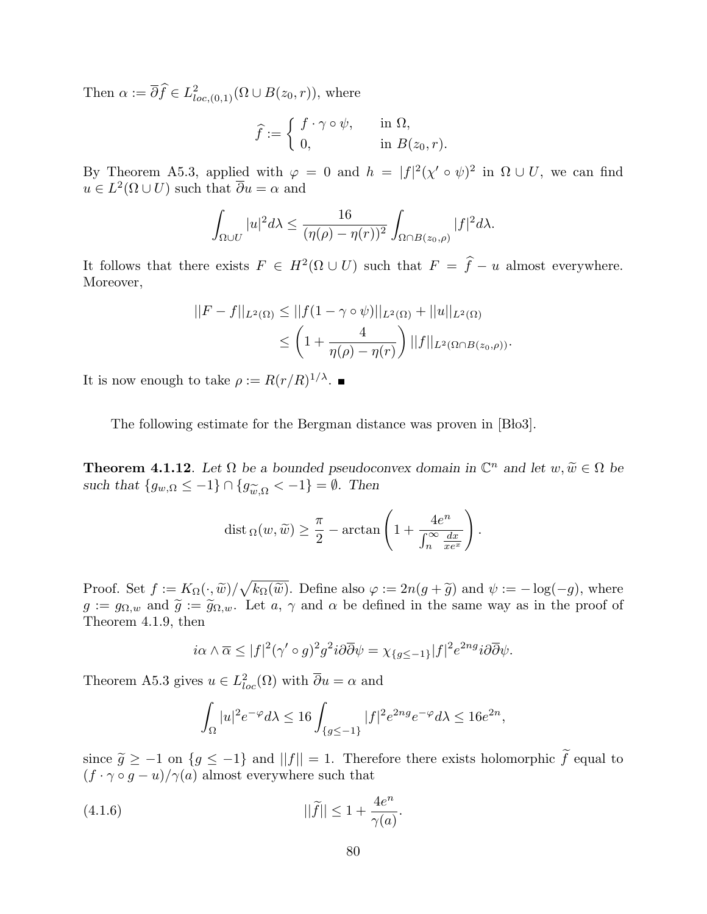Then  $\alpha := \overline{\partial} \widehat{f} \in L^2_{loc,(0,1)}(\Omega \cup B(z_0,r))$ , where

$$
\widehat{f} := \begin{cases} f \cdot \gamma \circ \psi, & \text{in } \Omega, \\ 0, & \text{in } B(z_0, r). \end{cases}
$$

By Theorem A5.3, applied with  $\varphi = 0$  and  $h = |f|^2(\chi' \circ \psi)^2$  in  $\Omega \cup U$ , we can find  $u \in L^2(\Omega \cup U)$  such that  $\overline{\partial} u = \alpha$  and

$$
\int_{\Omega \cup U} |u|^2 d\lambda \le \frac{16}{(\eta(\rho) - \eta(r))^2} \int_{\Omega \cap B(z_0, \rho)} |f|^2 d\lambda.
$$

It follows that there exists  $F \in H^2(\Omega \cup U)$  such that  $F = \hat{f} - u$  almost everywhere. Moreover,

$$
||F - f||_{L^{2}(\Omega)} \le ||f(1 - \gamma \circ \psi)||_{L^{2}(\Omega)} + ||u||_{L^{2}(\Omega)}
$$
  
 
$$
\le \left(1 + \frac{4}{\eta(\rho) - \eta(r)}\right) ||f||_{L^{2}(\Omega \cap B(z_{0}, \rho))}.
$$

It is now enough to take  $\rho := R(r/R)^{1/\lambda}$ .

The following estimate for the Bergman distance was proven in [Blo3].

**Theorem 4.1.12**. Let  $\Omega$  be a bounded pseudoconvex domain in  $\mathbb{C}^n$  and let  $w, \widetilde{w} \in \Omega$  be such that  $\{g_{w,\Omega} \leq -1\} \cap \{g_{\widetilde{w},\Omega} < -1\} = \emptyset$ . Then

$$
\operatorname{dist}_{\Omega}(w, \widetilde{w}) \ge \frac{\pi}{2} - \arctan\left(1 + \frac{4e^n}{\int_{n}^{\infty} \frac{dx}{xe^x}}\right).
$$

Proof. Set  $f := K_{\Omega}(\cdot, \widetilde{w})/$ p  $k_{\Omega}(\widetilde{w})$ . Define also  $\varphi := 2n(g + \widetilde{g})$  and  $\psi := -\log(-g)$ , where  $g := g_{\Omega,w}$  and  $\tilde{g} := \tilde{g}_{\Omega,w}$ . Let  $a, \gamma$  and  $\alpha$  be defined in the same way as in the proof of Theorem 4.1.9, then

$$
i\alpha \wedge \overline{\alpha} \le |f|^2 (\gamma' \circ g)^2 g^2 i \partial \overline{\partial} \psi = \chi_{\{g \le -1\}} |f|^2 e^{2ng} i \partial \overline{\partial} \psi.
$$

Theorem A5.3 gives  $u \in L^2_{loc}(\Omega)$  with  $\overline{\partial}u = \alpha$  and

$$
\int_{\Omega}|u|^2e^{-\varphi}d\lambda\leq 16\int_{\{g\leq -1\}}|f|^2e^{2ng}e^{-\varphi}d\lambda\leq 16e^{2n},
$$

since  $\tilde{g} \geq -1$  on  $\{g \leq -1\}$  and  $||f|| = 1$ . Therefore there exists holomorphic  $\tilde{f}$  equal to  $(f \cdot \gamma \circ g - u)/\gamma(a)$  almost everywhere such that

(4.1.6) 
$$
||\widetilde{f}|| \leq 1 + \frac{4e^n}{\gamma(a)}.
$$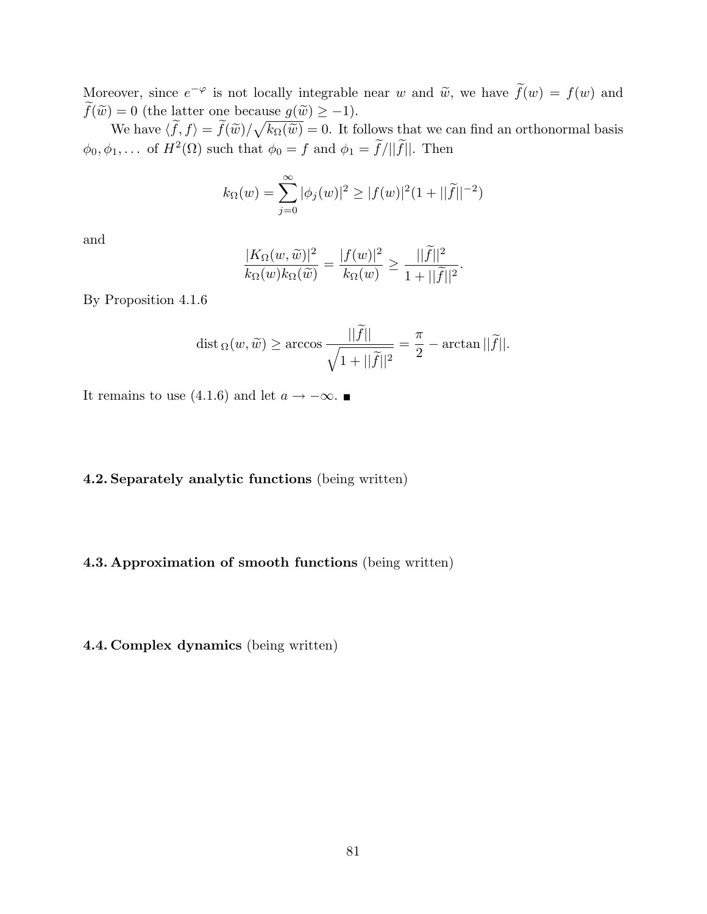Moreover, since  $e^{-\varphi}$  is not locally integrable near w and  $\tilde{w}$ , we have  $\tilde{f}(w) = f(w)$  and  $\widetilde{f}(\widetilde{w}) = 0$  (the latter one because  $g(\widetilde{w}) \ge -1$ ).

We have  $\langle \tilde{f}, f \rangle = \tilde{f}(\tilde{w})/\sqrt{k_{\Omega}(\tilde{w})} = 0$ . It follows that we can find an orthonormal basis  $\phi_0, \phi_1, \ldots$  of  $H^2(\Omega)$  such that  $\phi_0 = f$  and  $\phi_1 = \tilde{f}/\|\tilde{f}\|$ . Then

$$
k_{\Omega}(w) = \sum_{j=0}^{\infty} |\phi_j(w)|^2 \ge |f(w)|^2 (1 + ||\widetilde{f}||^{-2})
$$

and

$$
\frac{|K_{\Omega}(w,\widetilde{w})|^2}{k_{\Omega}(w)k_{\Omega}(\widetilde{w})}=\frac{|f(w)|^2}{k_{\Omega}(w)}\geq \frac{||\widetilde{f}||^2}{1+||\widetilde{f}||^2}.
$$

By Proposition 4.1.6

$$
\operatorname{dist}_{\Omega}(w, \widetilde{w}) \ge \arccos \frac{||\widetilde{f}||}{\sqrt{1 + ||\widetilde{f}||^2}} = \frac{\pi}{2} - \arctan ||\widetilde{f}||.
$$

It remains to use (4.1.6) and let  $a \rightarrow -\infty$ . ■

### 4.2. Separately analytic functions (being written)

### 4.3. Approximation of smooth functions (being written)

4.4. Complex dynamics (being written)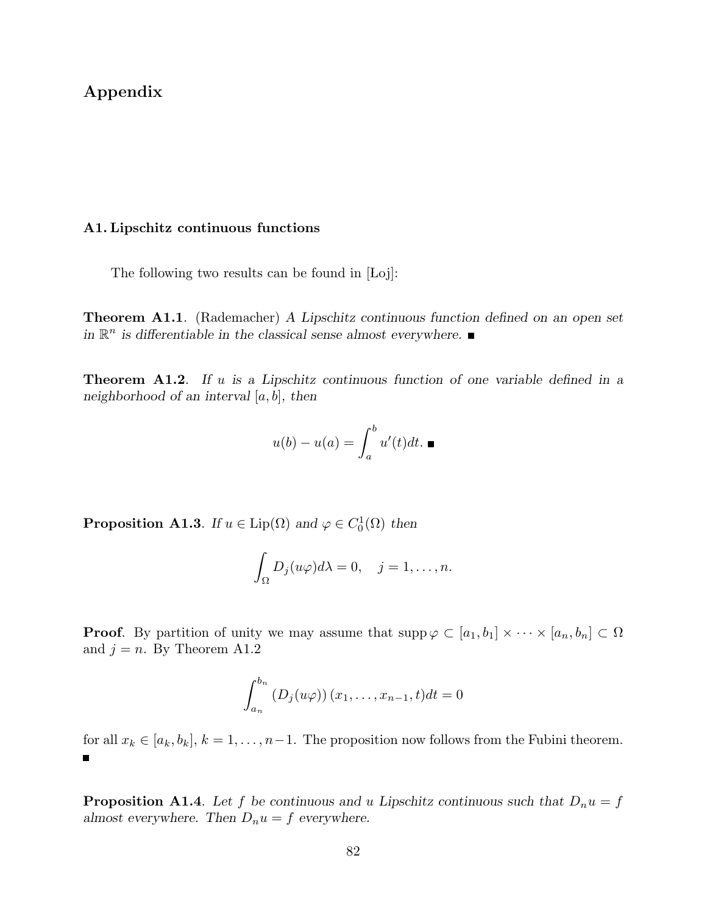# Appendix

### A1. Lipschitz continuous functions

The following two results can be found in  $[Lo]$ :

Theorem A1.1. (Rademacher) A Lipschitz continuous function defined on an open set in  $\mathbb{R}^n$  is differentiable in the classical sense almost everywhere.

**Theorem A1.2.** If  $u$  is a Lipschitz continuous function of one variable defined in a neighborhood of an interval  $[a, b]$ , then

$$
u(b) - u(a) = \int_a^b u'(t)dt. \blacksquare
$$

**Proposition A1.3**. If  $u \in \text{Lip}(\Omega)$  and  $\varphi \in C_0^1(\Omega)$  then

$$
\int_{\Omega} D_j(u\varphi)d\lambda = 0, \quad j = 1, \dots, n.
$$

**Proof.** By partition of unity we may assume that  $\text{supp}\,\varphi\subset[a_1,b_1]\times\cdots\times[a_n,b_n]\subset\Omega$ and  $j = n$ . By Theorem A1.2

$$
\int_{a_n}^{b_n} (D_j(u\varphi)) (x_1, \ldots, x_{n-1}, t) dt = 0
$$

for all  $x_k \in [a_k, b_k]$ ,  $k = 1, \ldots, n-1$ . The proposition now follows from the Fubini theorem. Ħ

**Proposition A1.4.** Let f be continuous and u Lipschitz continuous such that  $D_n u = f$ almost everywhere. Then  $D_n u = f$  everywhere.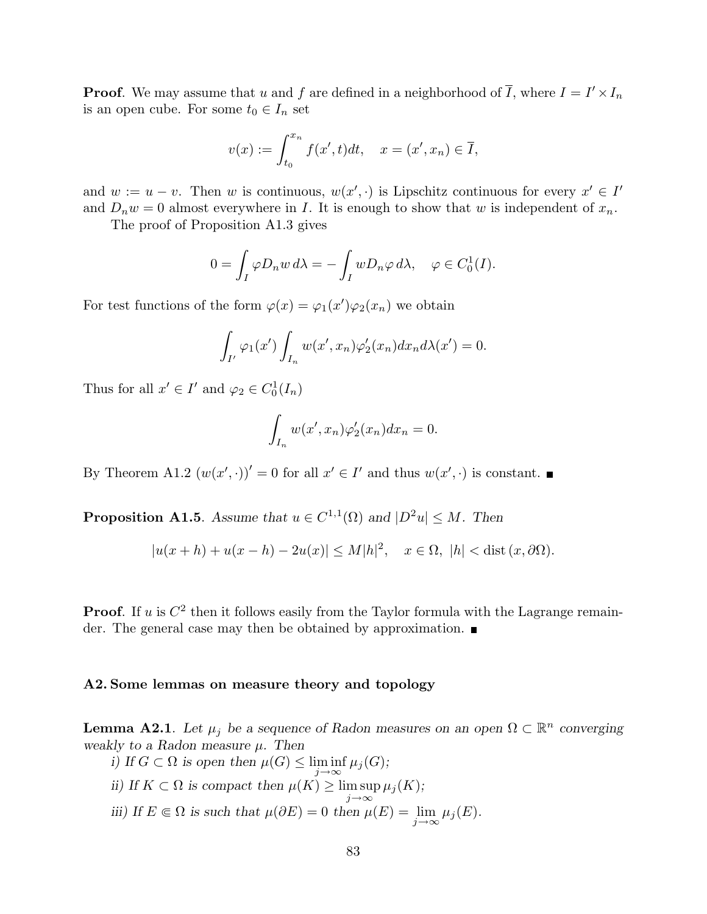**Proof.** We may assume that u and f are defined in a neighborhood of  $\overline{I}$ , where  $I = I' \times I_n$ is an open cube. For some  $t_0 \in I_n$  set

$$
v(x) := \int_{t_0}^{x_n} f(x', t) dt, \quad x = (x', x_n) \in \overline{I},
$$

and  $w := u - v$ . Then w is continuous,  $w(x', \cdot)$  is Lipschitz continuous for every  $x' \in I'$ and  $D_n w = 0$  almost everywhere in I. It is enough to show that w is independent of  $x_n$ .

The proof of Proposition A1.3 gives

$$
0 = \int_I \varphi D_n w \, d\lambda = -\int_I w D_n \varphi \, d\lambda, \quad \varphi \in C_0^1(I).
$$

For test functions of the form  $\varphi(x) = \varphi_1(x')\varphi_2(x_n)$  we obtain

$$
\int_{I'} \varphi_1(x') \int_{I_n} w(x',x_n) \varphi_2'(x_n) dx_n d\lambda(x') = 0.
$$

Thus for all  $x' \in I'$  and  $\varphi_2 \in C_0^1(I_n)$ 

$$
\int_{I_n} w(x',x_n)\varphi_2'(x_n)dx_n = 0.
$$

By Theorem A1.2  $(w(x', \cdot))' = 0$  for all  $x' \in I'$  and thus  $w(x', \cdot)$  is constant.

**Proposition A1.5**. Assume that  $u \in C^{1,1}(\Omega)$  and  $|D^2u| \leq M$ . Then

$$
|u(x+h) + u(x-h) - 2u(x)| \le M|h|^2, \quad x \in \Omega, \ |h| < \text{dist}(x, \partial\Omega).
$$

**Proof.** If u is  $C^2$  then it follows easily from the Taylor formula with the Lagrange remainder. The general case may then be obtained by approximation.

#### A2. Some lemmas on measure theory and topology

**Lemma A2.1**. Let  $\mu_j$  be a sequence of Radon measures on an open  $\Omega \subset \mathbb{R}^n$  converging weakly to a Radon measure  $\mu$ . Then

\n- i) If 
$$
G \subset \Omega
$$
 is open then  $\mu(G) \leq \liminf_{j \to \infty} \mu_j(G)$ ;
\n- ii) If  $K \subset \Omega$  is compact then  $\mu(K) \geq \limsup_{j \to \infty} \mu_j(K)$ ;
\n- iii) If  $E \Subset \Omega$  is such that  $\mu(\partial E) = 0$  then  $\mu(E) = \lim_{j \to \infty} \mu_j(E)$ .
\n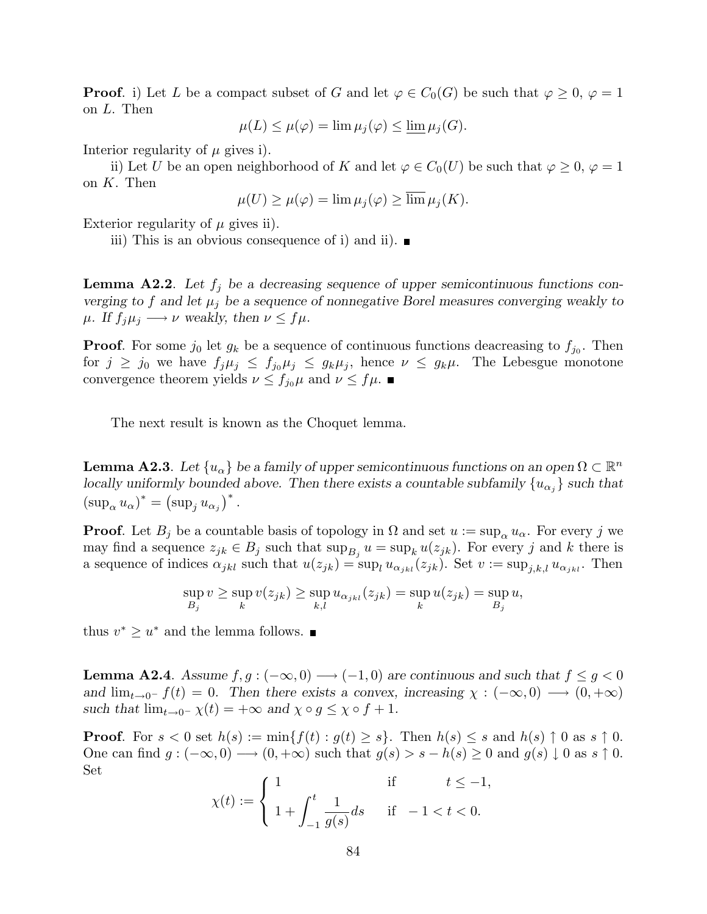**Proof.** i) Let L be a compact subset of G and let  $\varphi \in C_0(G)$  be such that  $\varphi \geq 0$ ,  $\varphi = 1$ on L. Then

$$
\mu(L) \le \mu(\varphi) = \lim \mu_j(\varphi) \le \underline{\lim} \mu_j(G).
$$

Interior regularity of  $\mu$  gives i).

ii) Let U be an open neighborhood of K and let  $\varphi \in C_0(U)$  be such that  $\varphi \geq 0$ ,  $\varphi = 1$ on  $K$ . Then

$$
\mu(U) \ge \mu(\varphi) = \lim \mu_j(\varphi) \ge \overline{\lim \mu_j(K)}.
$$

Exterior regularity of  $\mu$  gives ii).

iii) This is an obvious consequence of i) and ii).  $\blacksquare$ 

**Lemma A2.2**. Let  $f_i$  be a decreasing sequence of upper semicontinuous functions converging to f and let  $\mu_j$  be a sequence of nonnegative Borel measures converging weakly to  $\mu$ . If  $f_i\mu_i \longrightarrow \nu$  weakly, then  $\nu \leq f\mu$ .

**Proof.** For some  $j_0$  let  $g_k$  be a sequence of continuous functions deacreasing to  $f_{j_0}$ . Then for  $j \ge j_0$  we have  $f_j \mu_j \le f_{j_0} \mu_j \le g_k \mu_j$ , hence  $\nu \le g_k \mu$ . The Lebesgue monotone convergence theorem yields  $\nu \leq f_{j_0}\mu$  and  $\nu \leq f\mu$ .

The next result is known as the Choquet lemma.

**Lemma A2.3**. Let  $\{u_\alpha\}$  be a family of upper semicontinuous functions on an open  $\Omega \subset \mathbb{R}^n$ locally uniformly bounded above. Then there exists a countable subfamily  $\{u_{\alpha_j}\}$  such that  $(\sup_{\alpha} u_{\alpha})^* = (\sup_{j} u_{\alpha_j})^*$ .

**Proof.** Let  $B_j$  be a countable basis of topology in  $\Omega$  and set  $u := \sup_{\alpha} u_{\alpha}$ . For every j we may find a sequence  $z_{jk} \in B_j$  such that  $\sup_{B_j} u = \sup_k u(z_{jk})$ . For every j and k there is a sequence of indices  $\alpha_{jkl}$  such that  $u(z_{jk}) = \sup_l u_{\alpha_{jkl}}(z_{jk})$ . Set  $v := \sup_{j,k,l} u_{\alpha_{jkl}}$ . Then

$$
\sup_{B_j} v \ge \sup_k v(z_{jk}) \ge \sup_{k,l} u_{\alpha_{jkl}}(z_{jk}) = \sup_k u(z_{jk}) = \sup_{B_j} u,
$$

thus  $v^* \geq u^*$  and the lemma follows.

**Lemma A2.4.** Assume  $f, g: (-\infty, 0) \longrightarrow (-1, 0)$  are continuous and such that  $f \leq g < 0$ and  $\lim_{t\to 0^-} f(t) = 0$ . Then there exists a convex, increasing  $\chi : (-\infty, 0) \longrightarrow (0, +\infty)$ such that  $\lim_{t\to 0^-} \chi(t) = +\infty$  and  $\chi \circ g \leq \chi \circ f + 1$ .

**Proof.** For  $s < 0$  set  $h(s) := \min\{f(t) : g(t) \geq s\}$ . Then  $h(s) \leq s$  and  $h(s) \uparrow 0$  as  $s \uparrow 0$ . One can find  $g: (-\infty, 0) \longrightarrow (0, +\infty)$  such that  $g(s) > s - h(s) \geq 0$  and  $g(s) \downarrow 0$  as  $s \uparrow 0$ . Set  $\overline{a}$ 

$$
\chi(t) := \begin{cases} 1 & \text{if } t \le -1, \\ 1 + \int_{-1}^{t} \frac{1}{g(s)} ds & \text{if } -1 < t < 0. \end{cases}
$$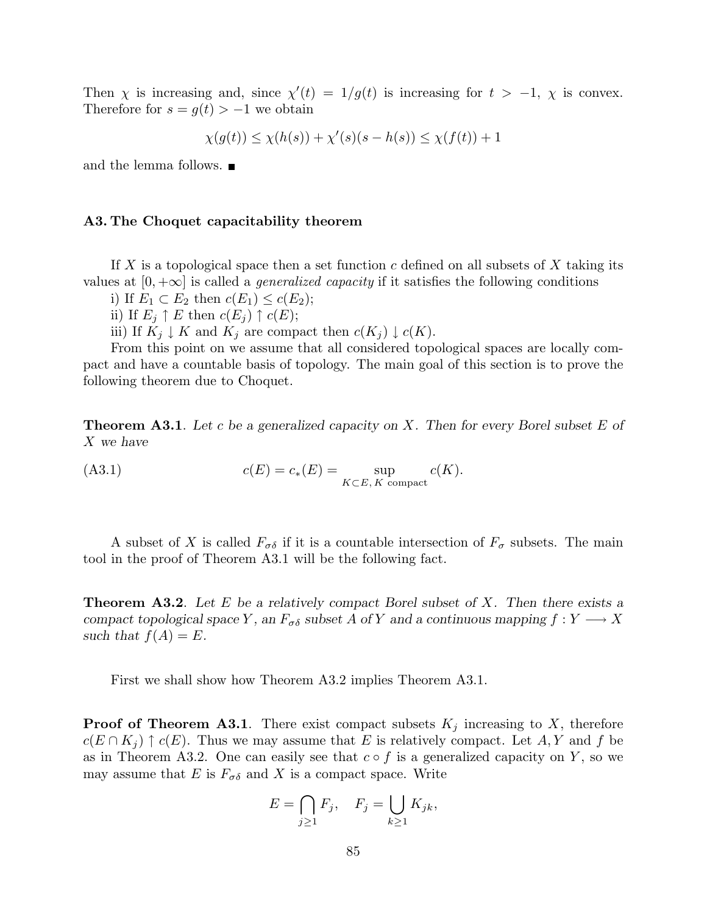Then  $\chi$  is increasing and, since  $\chi'(t) = 1/g(t)$  is increasing for  $t > -1$ ,  $\chi$  is convex. Therefore for  $s = g(t) > -1$  we obtain

$$
\chi(g(t)) \le \chi(h(s)) + \chi'(s)(s - h(s)) \le \chi(f(t)) + 1
$$

and the lemma follows.  $\blacksquare$ 

#### A3. The Choquet capacitability theorem

If X is a topological space then a set function c defined on all subsets of X taking its values at  $[0, +\infty]$  is called a *generalized capacity* if it satisfies the following conditions

i) If  $E_1 \subset E_2$  then  $c(E_1) \leq c(E_2)$ ;

ii) If  $E_j \uparrow E$  then  $c(E_j) \uparrow c(E)$ ;

iii) If  $K_j \downarrow K$  and  $K_j$  are compact then  $c(K_j) \downarrow c(K)$ .

From this point on we assume that all considered topological spaces are locally compact and have a countable basis of topology. The main goal of this section is to prove the following theorem due to Choquet.

**Theorem A3.1**. Let c be a generalized capacity on X. Then for every Borel subset E of X we have

$$
(A3.1) \t c(E) = c_*(E) = \sup_{K \subset E, K \text{ compact}} c(K).
$$

A subset of X is called  $F_{\sigma\delta}$  if it is a countable intersection of  $F_{\sigma}$  subsets. The main tool in the proof of Theorem A3.1 will be the following fact.

**Theorem A3.2.** Let E be a relatively compact Borel subset of X. Then there exists a compact topological space Y, an  $F_{\sigma\delta}$  subset A of Y and a continuous mapping  $f: Y \longrightarrow X$ such that  $f(A) = E$ .

First we shall show how Theorem A3.2 implies Theorem A3.1.

**Proof of Theorem A3.1**. There exist compact subsets  $K_j$  increasing to X, therefore  $c(E \cap K_i) \uparrow c(E)$ . Thus we may assume that E is relatively compact. Let A, Y and f be as in Theorem A3.2. One can easily see that  $c \circ f$  is a generalized capacity on Y, so we may assume that E is  $F_{\sigma\delta}$  and X is a compact space. Write

$$
E = \bigcap_{j \ge 1} F_j, \quad F_j = \bigcup_{k \ge 1} K_{jk},
$$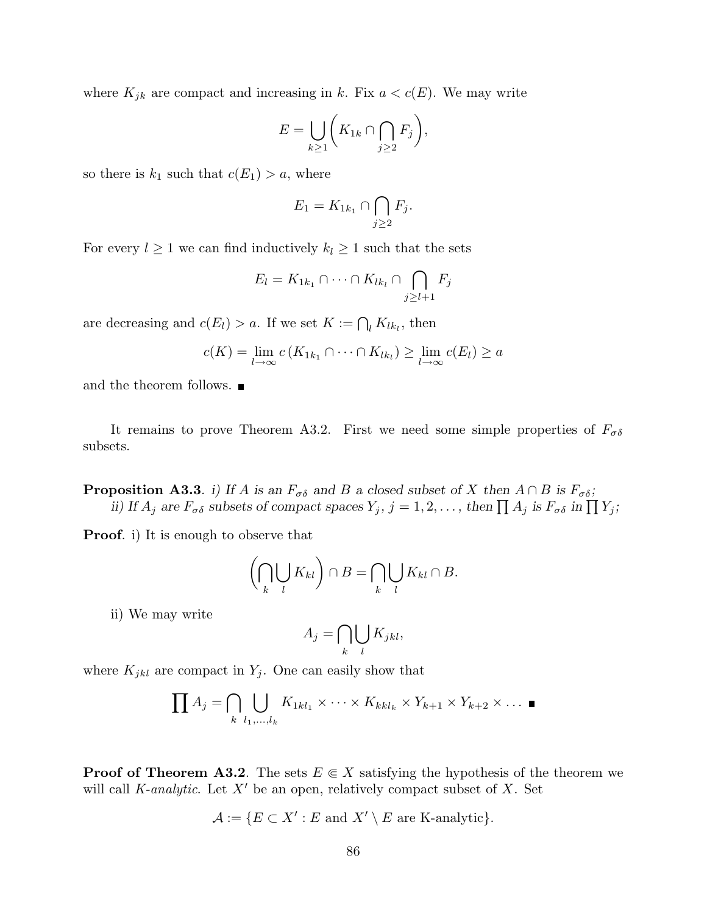where  $K_{jk}$  are compact and increasing in k. Fix  $a < c(E)$ . We may write

$$
E = \bigcup_{k \ge 1} \bigg( K_{1k} \cap \bigcap_{j \ge 2} F_j \bigg),
$$

so there is  $k_1$  such that  $c(E_1) > a$ , where

$$
E_1 = K_{1k_1} \cap \bigcap_{j \ge 2} F_j.
$$

For every  $l \geq 1$  we can find inductively  $k_l \geq 1$  such that the sets

$$
E_l = K_{1k_1} \cap \dots \cap K_{lk_l} \cap \bigcap_{j \geq l+1} F_j
$$

are decreasing and  $c(E_l) > a$ . If we set  $K := \bigcap_l K_{lk_l}$ , then

$$
c(K) = \lim_{l \to \infty} c(K_{1k_1} \cap \dots \cap K_{lk_l}) \ge \lim_{l \to \infty} c(E_l) \ge a
$$

and the theorem follows.  $\blacksquare$ 

It remains to prove Theorem A3.2. First we need some simple properties of  $F_{\sigma\delta}$ subsets.

**Proposition A3.3**. i) If A is an  $F_{\sigma\delta}$  and B a closed subset of X then  $A \cap B$  is  $F_{\sigma\delta}$ ; **position AS.S.** *i*) If A is an  $r_{\sigma\delta}$  and B a closed subset of A then  $A \cap B$  is  $r_{\sigma\delta}$ ;<br>ii) If  $A_j$  are  $F_{\sigma\delta}$  subsets of compact spaces  $Y_j$ ,  $j = 1, 2, \ldots$ , then  $\prod A_j$  is  $F_{\sigma\delta}$  in  $\prod Y_j$ ;

Proof. i) It is enough to observe that

$$
\left(\bigcap_k \bigcup_l K_{kl}\right) \cap B = \bigcap_k \bigcup_l K_{kl} \cap B.
$$

ii) We may write

$$
A_j = \bigcap_k \bigcup_l K_{jkl},
$$

where  $K_{jkl}$  are compact in  $Y_j$ . One can easily show that

$$
\prod A_j = \bigcap_{k} \bigcup_{l_1, \dots, l_k} K_{1kl_1} \times \dots \times K_{kkl_k} \times Y_{k+1} \times Y_{k+2} \times \dots \blacksquare
$$

**Proof of Theorem A3.2**. The sets  $E \in X$  satisfying the hypothesis of the theorem we will call *K*-analytic. Let  $X'$  be an open, relatively compact subset of X. Set

$$
\mathcal{A} := \{ E \subset X' : E \text{ and } X' \setminus E \text{ are K-analytic} \}.
$$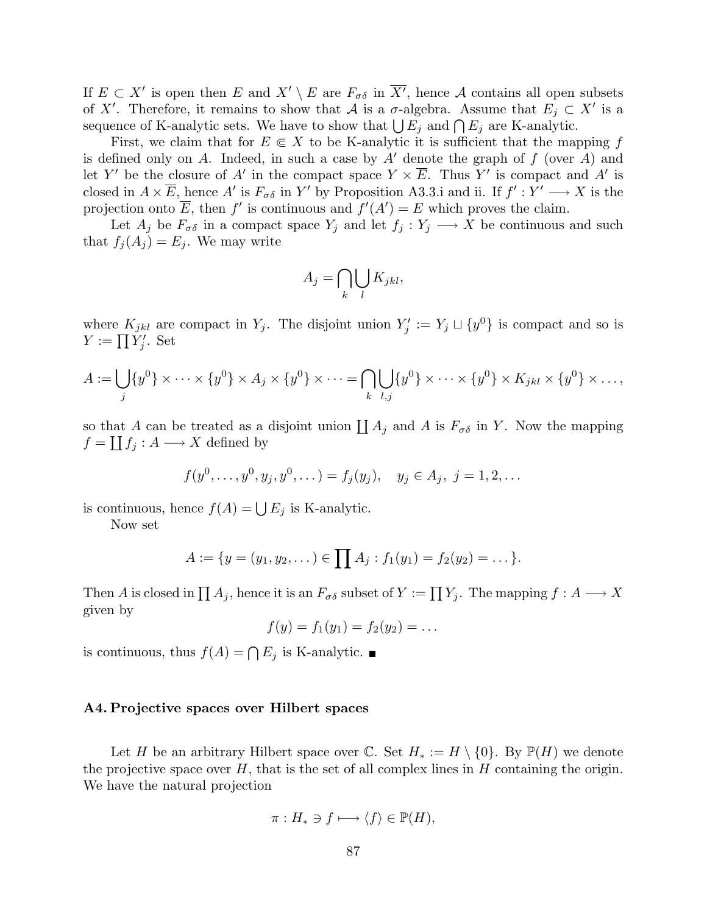If  $E \subset X'$  is open then E and  $X' \setminus E$  are  $F_{\sigma \delta}$  in  $\overline{X'}$ , hence A contains all open subsets of X'. Therefore, it remains to show that A is a  $\sigma$ -algebra. Assume that  $E_j \subset X'$  is a or  $\Lambda$ . Therefore, it remains to show that  $\mathcal{A}$  is a *o*-algebra. Assume that  $E_j \subset$  sequence of K-analytic sets. We have to show that  $\bigcup E_j$  and  $\bigcap E_j$  are K-analytic.

First, we claim that for  $E \in X$  to be K-analytic it is sufficient that the mapping f is defined only on A. Indeed, in such a case by  $A'$  denote the graph of f (over A) and let Y' be the closure of A' in the compact space  $Y \times \overline{E}$ . Thus Y' is compact and A' is closed in  $A \times \overline{E}$ , hence A' is  $F_{\sigma\delta}$  in Y' by Proposition A3.3.i and ii. If  $f' : Y' \longrightarrow X$  is the projection onto  $\overline{E}$ , then f' is continuous and  $f'(A') = E$  which proves the claim.

Let  $A_j$  be  $F_{\sigma\delta}$  in a compact space  $Y_j$  and let  $f_j : Y_j \longrightarrow X$  be continuous and such that  $f_j(A_j) = E_j$ . We may write

$$
A_j = \bigcap_k \bigcup_l K_{jkl},
$$

where  $K_{jkl}$  are compact in  $Y_j$ . The disjoint union  $Y'_j := Y_j \sqcup \{y^0\}$  is compact and so is where  $N_{jkl}$  are<br> $Y := \prod Y'_j$ . Set

$$
A := \bigcup_j \{y^0\} \times \cdots \times \{y^0\} \times A_j \times \{y^0\} \times \cdots = \bigcap_k \bigcup_{l,j} \{y^0\} \times \cdots \times \{y^0\} \times K_{jkl} \times \{y^0\} \times \ldots,
$$

so that A can be treated as a disjoint union  $\prod A_j$  and A is  $F_{\sigma\delta}$  in Y. Now the mapping  $f = \coprod f_j : A \longrightarrow X$  defined by

$$
f(y^0, ..., y^0, y_j, y^0, ...)=f_j(y_j), y_j \in A_j, j=1,2,...
$$

is continuous, hence  $f(A) = \bigcup E_j$  is K-analytic.

Now set

$$
A := \{y = (y_1, y_2, \dots) \in \prod A_j : f_1(y_1) = f_2(y_2) = \dots\}.
$$

Then A is closed in  $\prod A_j$ , hence it is an  $F_{\sigma\delta}$  subset of  $Y := \prod Y_j$ . The mapping  $f : A \longrightarrow X$ given by

$$
f(y) = f_1(y_1) = f_2(y_2) = \dots
$$

is continuous, thus  $f(A) = \bigcap E_j$  is K-analytic.

#### A4. Projective spaces over Hilbert spaces

Let H be an arbitrary Hilbert space over  $\mathbb{C}$ . Set  $H_* := H \setminus \{0\}$ . By  $\mathbb{P}(H)$  we denote the projective space over  $H$ , that is the set of all complex lines in  $H$  containing the origin. We have the natural projection

$$
\pi: H_* \ni f \longmapsto \langle f \rangle \in \mathbb{P}(H),
$$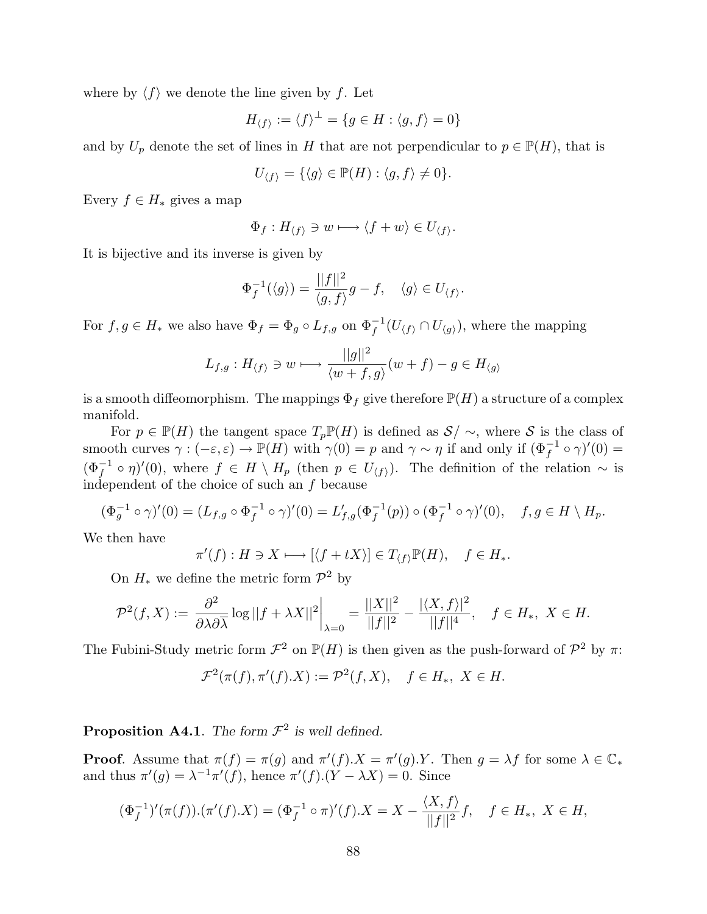where by  $\langle f \rangle$  we denote the line given by f. Let

$$
H_{\langle f \rangle} := \langle f \rangle^{\perp} = \{ g \in H : \langle g, f \rangle = 0 \}
$$

and by  $U_p$  denote the set of lines in H that are not perpendicular to  $p \in \mathbb{P}(H)$ , that is

$$
U_{\langle f \rangle} = \{ \langle g \rangle \in \mathbb{P}(H) : \langle g, f \rangle \neq 0 \}.
$$

Every  $f \in H_*$  gives a map

$$
\Phi_f: H_{\langle f \rangle} \ni w \longmapsto \langle f + w \rangle \in U_{\langle f \rangle}.
$$

It is bijective and its inverse is given by

$$
\Phi_f^{-1}(\langle g \rangle) = \frac{||f||^2}{\langle g, f \rangle}g - f, \quad \langle g \rangle \in U_{\langle f \rangle}.
$$

For  $f, g \in H_*$  we also have  $\Phi_f = \Phi_g \circ L_{f,g}$  on  $\Phi_f^{-1}(U_{\langle f \rangle} \cap U_{\langle g \rangle})$ , where the mapping

$$
L_{f,g}: H_{\langle f \rangle} \ni w \longmapsto \frac{||g||^2}{\langle w+f, g \rangle}(w+f) - g \in H_{\langle g \rangle}
$$

is a smooth diffeomorphism. The mappings  $\Phi_f$  give therefore  $\mathbb{P}(H)$  a structure of a complex manifold.

For  $p \in \mathbb{P}(H)$  the tangent space  $T_p\mathbb{P}(H)$  is defined as  $\mathcal{S}/\sim$ , where  $\mathcal S$  is the class of smooth curves  $\gamma : (-\varepsilon, \varepsilon) \to \mathbb{P}(H)$  with  $\gamma(0) = p$  and  $\gamma \sim \eta$  if and only if  $(\Phi_f^{-1} \circ \gamma)'(0) =$  $(\Phi_f^{-1} \circ \eta)'(0)$ , where  $f \in H \setminus H_p$  (then  $p \in U_{\langle f \rangle}$ ). The definition of the relation  $\sim$  is independent of the choice of such an f because

$$
(\Phi_g^{-1} \circ \gamma)'(0) = (L_{f,g} \circ \Phi_f^{-1} \circ \gamma)'(0) = L'_{f,g}(\Phi_f^{-1}(p)) \circ (\Phi_f^{-1} \circ \gamma)'(0), \quad f, g \in H \setminus H_p.
$$

We then have

$$
\pi'(f) : H \ni X \longmapsto [\langle f + tX \rangle] \in T_{\langle f \rangle} \mathbb{P}(H), \quad f \in H_*.
$$

On  $H_*$  we define the metric form  $\mathcal{P}^2$  by

$$
\mathcal{P}^2(f,X):=\left.\frac{\partial^2}{\partial \lambda \partial \overline{\lambda}}\log||f+\lambda X||^2\right|_{\lambda=0}=\frac{||X||^2}{||f||^2}-\frac{|\langle X,f\rangle|^2}{||f||^4},\quad f\in H_*,\;X\in H.
$$

The Fubini-Study metric form  $\mathcal{F}^2$  on  $\mathbb{P}(H)$  is then given as the push-forward of  $\mathcal{P}^2$  by  $\pi$ :

$$
\mathcal{F}^2(\pi(f), \pi'(f).X) := \mathcal{P}^2(f, X), \quad f \in H_*, \ X \in H.
$$

**Proposition A4.1**. The form  $\mathcal{F}^2$  is well defined.

**Proof.** Assume that  $\pi(f) = \pi(g)$  and  $\pi'(f) \cdot X = \pi'(g) \cdot Y$ . Then  $g = \lambda f$  for some  $\lambda \in \mathbb{C}_*$ and thus  $\pi'(g) = \lambda^{-1} \pi'(f)$ , hence  $\pi'(f)(Y - \lambda X) = 0$ . Since

$$
(\Phi_f^{-1})'(\pi(f)).(\pi'(f).X) = (\Phi_f^{-1} \circ \pi)'(f).X = X - \frac{\langle X, f \rangle}{||f||^2}f, \quad f \in H_*, \ X \in H,
$$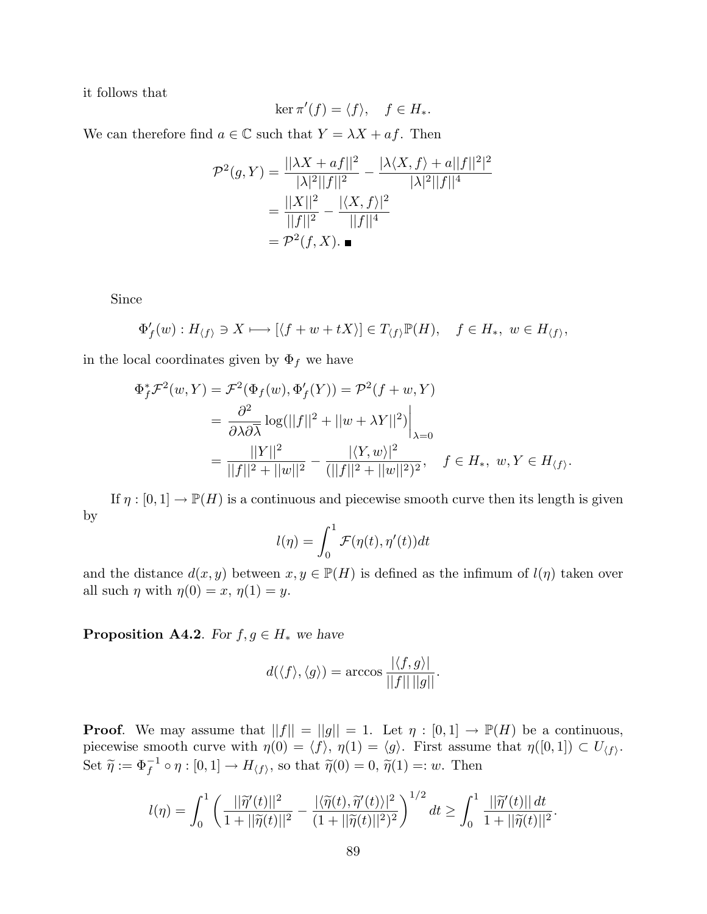it follows that

$$
\ker \pi'(f) = \langle f \rangle, \quad f \in H_*.
$$

We can therefore find  $a \in \mathbb{C}$  such that  $Y = \lambda X + af$ . Then

$$
\mathcal{P}^{2}(g, Y) = \frac{||\lambda X + af||^{2}}{|\lambda|^{2}||f||^{2}} - \frac{|\lambda \langle X, f \rangle + a||f||^{2}|^{2}}{|\lambda|^{2}||f||^{4}}
$$

$$
= \frac{||X||^{2}}{||f||^{2}} - \frac{|\langle X, f \rangle|^{2}}{||f||^{4}}
$$

$$
= \mathcal{P}^{2}(f, X). \blacksquare
$$

Since

$$
\Phi'_{f}(w) : H_{\langle f \rangle} \ni X \longmapsto [\langle f + w + tX \rangle] \in T_{\langle f \rangle} \mathbb{P}(H), \quad f \in H_{*}, \ w \in H_{\langle f \rangle},
$$

in the local coordinates given by  $\Phi_f$  we have

$$
\Phi_f^* \mathcal{F}^2(w, Y) = \mathcal{F}^2(\Phi_f(w), \Phi_f'(Y)) = \mathcal{P}^2(f + w, Y)
$$
  
= 
$$
\frac{\partial^2}{\partial \lambda \partial \overline{\lambda}} \log(||f||^2 + ||w + \lambda Y||^2) \Big|_{\lambda = 0}
$$
  
= 
$$
\frac{||Y||^2}{||f||^2 + ||w||^2} - \frac{|\langle Y, w \rangle|^2}{(||f||^2 + ||w||^2)^2}, \quad f \in H_*, w, Y \in H_{\langle f \rangle}.
$$

If  $\eta : [0,1] \to \mathbb{P}(H)$  is a continuous and piecewise smooth curve then its length is given by

$$
l(\eta) = \int_0^1 \mathcal{F}(\eta(t), \eta'(t)) dt
$$

and the distance  $d(x, y)$  between  $x, y \in \mathbb{P}(H)$  is defined as the infimum of  $l(\eta)$  taken over all such  $\eta$  with  $\eta(0) = x, \eta(1) = y$ .

**Proposition A4.2.** For  $f, g \in H_*$  we have

$$
d(\langle f \rangle, \langle g \rangle) = \arccos \frac{|\langle f, g \rangle|}{||f|| ||g||}.
$$

**Proof.** We may assume that  $||f|| = ||g|| = 1$ . Let  $\eta : [0,1] \to \mathbb{P}(H)$  be a continuous, piecewise smooth curve with  $\eta(0) = \langle f \rangle$ ,  $\eta(1) = \langle g \rangle$ . First assume that  $\eta([0, 1]) \subset U_{\langle f \rangle}$ . Set  $\widetilde{\eta} := \Phi_f^{-1} \circ \eta : [0, 1] \to H_{\langle f \rangle}$ , so that  $\widetilde{\eta}(0) = 0$ ,  $\widetilde{\eta}(1) =: w$ . Then

$$
l(\eta) = \int_0^1 \left( \frac{||\widetilde{\eta}'(t)||^2}{1 + ||\widetilde{\eta}(t)||^2} - \frac{|\langle \widetilde{\eta}(t), \widetilde{\eta}'(t) \rangle|^2}{(1 + ||\widetilde{\eta}(t)||^2)^2} \right)^{1/2} dt \ge \int_0^1 \frac{||\widetilde{\eta}'(t)|| dt}{1 + ||\widetilde{\eta}(t)||^2}.
$$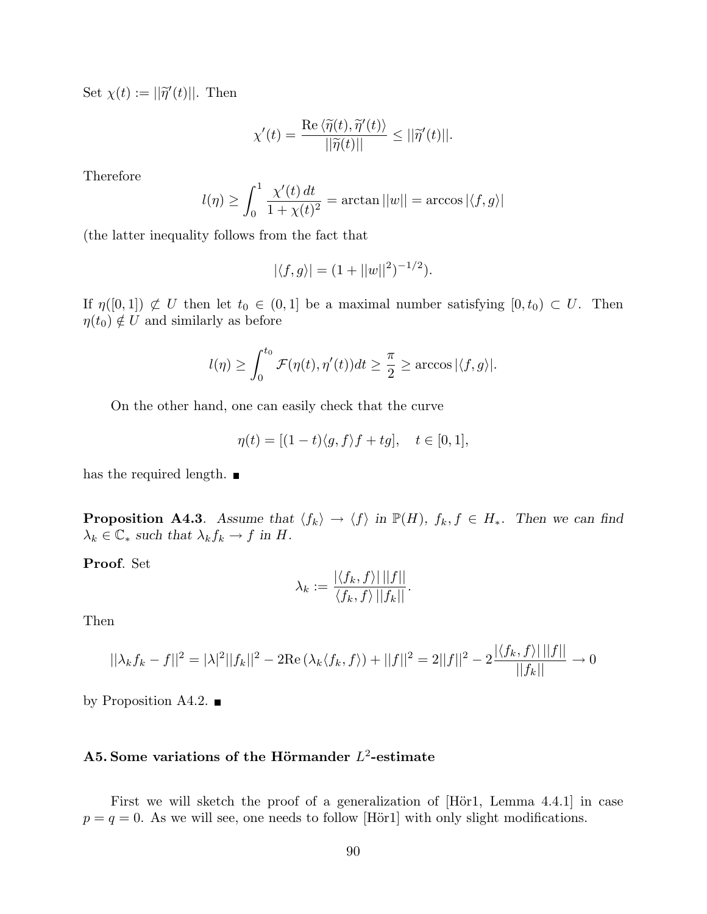Set  $\chi(t) := ||\widetilde{\eta}'(t)||$ . Then

$$
\chi'(t) = \frac{\operatorname{Re}\langle \widetilde{\eta}(t), \widetilde{\eta}'(t) \rangle}{||\widetilde{\eta}(t)||} \le ||\widetilde{\eta}'(t)||.
$$

Therefore

$$
l(\eta) \geq \int_0^1 \frac{\chi'(t)\,dt}{1+\chi(t)^2} = \arctan ||w|| = \arccos |\langle f, g \rangle|
$$

(the latter inequality follows from the fact that

$$
|\langle f, g \rangle| = (1 + ||w||^2)^{-1/2}).
$$

If  $\eta([0,1]) \not\subset U$  then let  $t_0 \in (0,1]$  be a maximal number satisfying  $[0,t_0) \subset U$ . Then  $\eta(t_0) \notin U$  and similarly as before

$$
l(\eta) \ge \int_0^{t_0} \mathcal{F}(\eta(t), \eta'(t)) dt \ge \frac{\pi}{2} \ge \arccos |\langle f, g \rangle|.
$$

On the other hand, one can easily check that the curve

$$
\eta(t) = [(1-t)\langle g, f \rangle f + tg], \quad t \in [0,1],
$$

has the required length.  $\blacksquare$ 

**Proposition A4.3.** Assume that  $\langle f_k \rangle \to \langle f \rangle$  in  $\mathbb{P}(H)$ ,  $f_k, f \in H_*$ . Then we can find  $\lambda_k \in \mathbb{C}_* \text{ such that } \lambda_k f_k \to f \text{ in } H.$ 

Proof. Set

$$
\lambda_k := \frac{|\langle f_k, f \rangle| \, ||f||}{\langle f_k, f \rangle \, ||f_k||}.
$$

Then

$$
||\lambda_k f_k - f||^2 = |\lambda|^2 ||f_k||^2 - 2\text{Re}(\lambda_k \langle f_k, f \rangle) + ||f||^2 = 2||f||^2 - 2\frac{|\langle f_k, f \rangle| ||f||}{||f_k||} \to 0
$$

by Proposition A4.2.  $\blacksquare$ 

## A5. Some variations of the Hörmander  $L^2$ -estimate

First we will sketch the proof of a generalization of [Hör1, Lemma 4.4.1] in case  $p = q = 0$ . As we will see, one needs to follow [Hör1] with only slight modifications.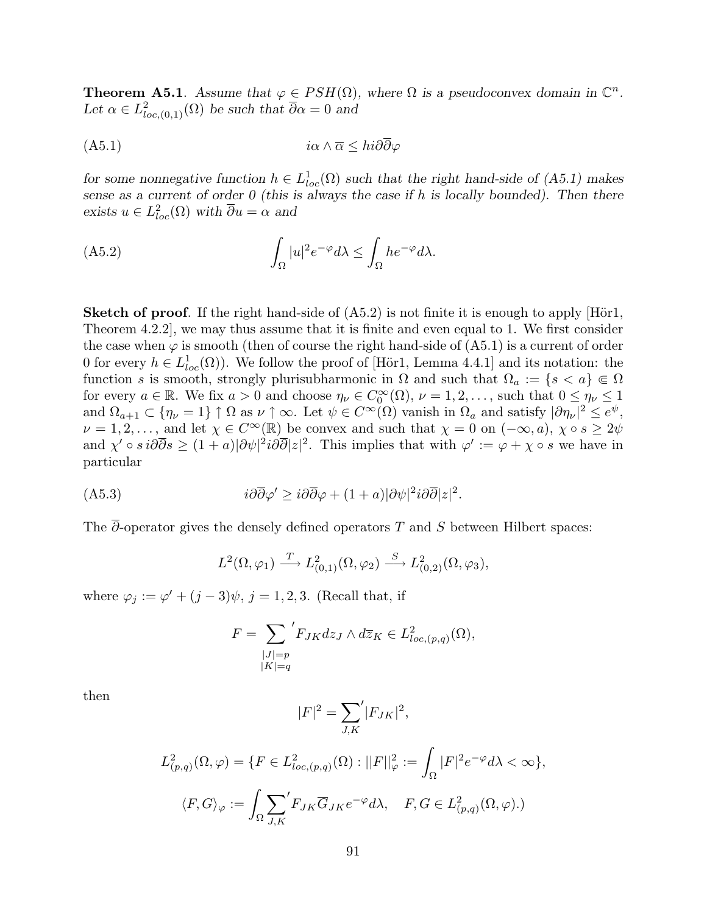**Theorem A5.1.** Assume that  $\varphi \in PSH(\Omega)$ , where  $\Omega$  is a pseudoconvex domain in  $\mathbb{C}^n$ . Let  $\alpha \in L^2_{loc,(0,1)}(\Omega)$  be such that  $\overline{\partial}\alpha = 0$  and

(A5.1) iα ∧ α ≤ hi∂∂ϕ

for some nonnegative function  $h \in L^1_{loc}(\Omega)$  such that the right hand-side of (A5.1) makes sense as a current of order  $0$  (this is always the case if h is locally bounded). Then there exists  $u \in L^2_{loc}(\Omega)$  with  $\overline{\partial} u = \alpha$  and

(A5.2) 
$$
\int_{\Omega} |u|^2 e^{-\varphi} d\lambda \leq \int_{\Omega} h e^{-\varphi} d\lambda.
$$

**Sketch of proof.** If the right hand-side of  $(A5.2)$  is not finite it is enough to apply  $[\text{Hör1},]$ Theorem 4.2.2], we may thus assume that it is finite and even equal to 1. We first consider the case when  $\varphi$  is smooth (then of course the right hand-side of  $(A5.1)$ ) is a current of order 0 for every  $h \in L^1_{loc}(\Omega)$ ). We follow the proof of [Hör1, Lemma 4.4.1] and its notation: the function s is smooth, strongly plurisubharmonic in  $\Omega$  and such that  $\Omega_a := \{s < a\} \in \Omega$ for every  $a \in \mathbb{R}$ . We fix  $a > 0$  and choose  $\eta_{\nu} \in C_0^{\infty}(\Omega)$ ,  $\nu = 1, 2, \ldots$ , such that  $0 \leq \eta_{\nu} \leq 1$ and  $\Omega_{a+1} \subset \{\eta_{\nu} = 1\} \uparrow \Omega$  as  $\nu \uparrow \infty$ . Let  $\psi \in C^{\infty}(\Omega)$  vanish in  $\Omega_a$  and satisfy  $|\partial \eta_{\nu}|^2 \leq e^{\psi}$ ,  $\nu = 1, 2, \ldots$ , and let  $\chi \in C^{\infty}(\mathbb{R})$  be convex and such that  $\chi = 0$  on  $(-\infty, a)$ ,  $\chi \circ s \geq 2\psi$ and  $\chi' \circ s \, i\partial\overline{\partial}s \geq (1+a)|\partial\psi|^2 i\partial\overline{\partial}|z|^2$ . This implies that with  $\varphi' := \varphi + \chi \circ s$  we have in particular

$$
(A5.3) \t\t\t\ti\partial\overline{\partial}\varphi' \geq i\partial\overline{\partial}\varphi + (1+a)|\partial\psi|^2 i\partial\overline{\partial}|z|^2.
$$

The  $\overline{\partial}$ -operator gives the densely defined operators T and S between Hilbert spaces:

$$
L^2(\Omega, \varphi_1) \xrightarrow{T} L^2_{(0,1)}(\Omega, \varphi_2) \xrightarrow{S} L^2_{(0,2)}(\Omega, \varphi_3),
$$

where  $\varphi_j := \varphi' + (j-3)\psi$ ,  $j = 1, 2, 3$ . (Recall that, if

$$
F = \sum_{\substack{|J|=p \\ |K|=q}} 'F_{JK}dz_J \wedge d\overline{z}_K \in L^2_{loc, (p,q)}(\Omega),
$$

then

$$
|F|^2 = \sum_{J,K}^{\prime} |F_{JK}|^2,
$$

$$
L^2_{(p,q)}(\Omega,\varphi) = \{ F \in L^2_{loc,(p,q)}(\Omega) : ||F||^2_{\varphi} := \int_{\Omega} |F|^2 e^{-\varphi} d\lambda < \infty \},
$$
  

$$
\langle F, G \rangle_{\varphi} := \int_{\Omega} \sum_{J,K} 'F_{JK} \overline{G}_{JK} e^{-\varphi} d\lambda, \quad F, G \in L^2_{(p,q)}(\Omega, \varphi).
$$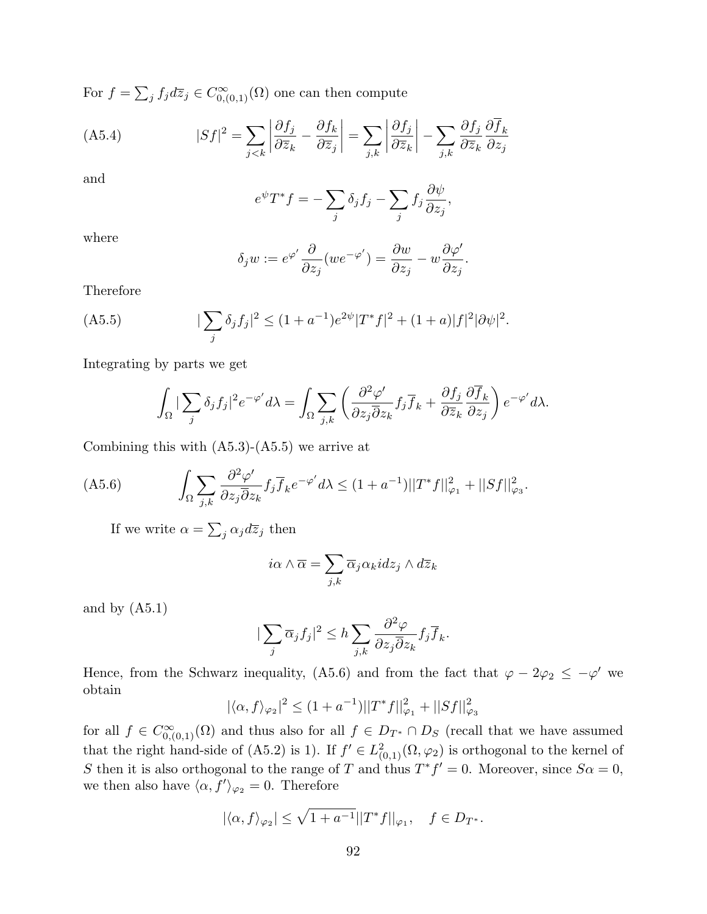For  $f =$  $\overline{ }$  $j f_j d\overline{z}_j \in C^{\infty}_{0,(0,1)}(\Omega)$  one can then compute

(A5.4) 
$$
|Sf|^2 = \sum_{j < k} \left| \frac{\partial f_j}{\partial \overline{z}_k} - \frac{\partial f_k}{\partial \overline{z}_j} \right| = \sum_{j,k} \left| \frac{\partial f_j}{\partial \overline{z}_k} \right| - \sum_{j,k} \frac{\partial f_j}{\partial \overline{z}_k} \frac{\partial \overline{f}_k}{\partial z_j}
$$

and

$$
e^{\psi}T^*f = -\sum_j \delta_j f_j - \sum_j f_j \frac{\partial \psi}{\partial z_j},
$$

where

$$
\delta_j w := e^{\varphi'} \frac{\partial}{\partial z_j} (w e^{-\varphi'}) = \frac{\partial w}{\partial z_j} - w \frac{\partial \varphi'}{\partial z_j}.
$$

Therefore

(A5.5) 
$$
|\sum_{j} \delta_j f_j|^2 \le (1+a^{-1})e^{2\psi} |T^*f|^2 + (1+a)|f|^2 |\partial \psi|^2.
$$

Integrating by parts we get

$$
\int_{\Omega} |\sum_{j} \delta_{j} f_{j}|^{2} e^{-\varphi'} d\lambda = \int_{\Omega} \sum_{j,k} \left( \frac{\partial^{2} \varphi'}{\partial z_{j} \overline{\partial} z_{k}} f_{j} \overline{f}_{k} + \frac{\partial f_{j}}{\partial \overline{z}_{k}} \frac{\partial \overline{f}_{k}}{\partial z_{j}} \right) e^{-\varphi'} d\lambda.
$$

Combining this with  $(A5.3)-(A5.5)$  we arrive at

$$
(A5.6)\qquad \qquad \int_{\Omega}\sum_{j,k}\frac{\partial^2\varphi'}{\partial z_j\overline{\partial} z_k}f_j\overline{f}_ke^{-\varphi'}d\lambda\leq (1+a^{-1})||T^*f||^2_{\varphi_1}+||Sf||^2_{\varphi_3}.
$$

If we write  $\alpha =$  $\overline{ }$  $j \alpha_j d\overline{z}_j$  then

$$
i\alpha \wedge \overline{\alpha} = \sum_{j,k} \overline{\alpha}_j \alpha_k idz_j \wedge d\overline{z}_k
$$

and by  $(A5.1)$ 

$$
|\sum_{j} \overline{\alpha}_{j} f_{j}|^{2} \leq h \sum_{j,k} \frac{\partial^{2} \varphi}{\partial z_{j} \overline{\partial} z_{k}} f_{j} \overline{f}_{k}.
$$

Hence, from the Schwarz inequality, (A5.6) and from the fact that  $\varphi - 2\varphi_2 \leq -\varphi'$  we obtain

$$
|\langle \alpha, f \rangle_{\varphi_2}|^2 \le (1 + a^{-1}) ||T^* f||_{\varphi_1}^2 + ||Sf||_{\varphi_3}^2
$$

for all  $f \in C^{\infty}_{0,(0,1)}(\Omega)$  and thus also for all  $f \in D_{T^*} \cap D_S$  (recall that we have assumed that the right hand-side of (A5.2) is 1). If  $f' \in L^2_{(0,1)}(\Omega, \varphi_2)$  is orthogonal to the kernel of S then it is also orthogonal to the range of T and thus  $T^*f' = 0$ . Moreover, since  $S\alpha = 0$ , we then also have  $\langle \alpha, f' \rangle_{\varphi_2} = 0$ . Therefore

$$
|\langle \alpha, f \rangle_{\varphi_2}| \le \sqrt{1 + a^{-1}} ||T^* f||_{\varphi_1}, \quad f \in D_{T^*}.
$$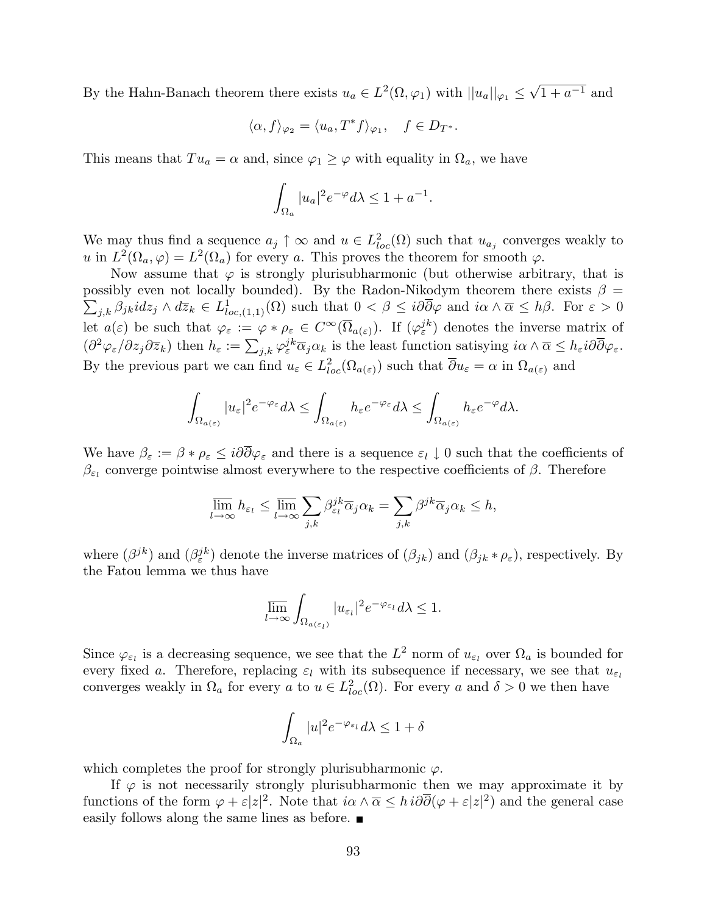By the Hahn-Banach theorem there exists  $u_a \in L^2(\Omega, \varphi_1)$  with  $||u_a||_{\varphi_1} \leq$ √  $\overline{1+a^{-1}}$  and

$$
\langle \alpha, f \rangle_{\varphi_2} = \langle u_a, T^* f \rangle_{\varphi_1}, \quad f \in D_{T^*}.
$$

This means that  $Tu_a = \alpha$  and, since  $\varphi_1 \geq \varphi$  with equality in  $\Omega_a$ , we have

$$
\int_{\Omega_a} |u_a|^2 e^{-\varphi} d\lambda \le 1 + a^{-1}.
$$

We may thus find a sequence  $a_j \uparrow \infty$  and  $u \in L^2_{loc}(\Omega)$  such that  $u_{a_j}$  converges weakly to u in  $L^2(\Omega_a, \varphi) = L^2(\Omega_a)$  for every a. This proves the theorem for smooth  $\varphi$ .

Now assume that  $\varphi$  is strongly plurisubharmonic (but otherwise arbitrary, that is possibly even not locally bounded). By the Radon-Nikodym theorem there exists  $\beta =$  $j,k$   $\beta_{jk}$ id $z_j \wedge d\overline{z}_k \in L^1_{loc,(1,1)}(\Omega)$  such that  $0 < \beta \leq i\partial\overline{\partial}\varphi$  and  $i\alpha \wedge \overline{\alpha} \leq h\beta$ . For  $\varepsilon > 0$ let  $a(\varepsilon)$  be such that  $\varphi_{\varepsilon} := \varphi * \rho_{\varepsilon} \in C^{\infty}(\overline{\Omega}_{a(\varepsilon)})$ . If  $(\varphi_{\varepsilon}^{jk})$  denotes the inverse matrix of  $(\partial^2 \varphi_{\varepsilon}/\partial z_j \partial \overline{z}_k)$  then  $h_{\varepsilon} := \sum_{j,k} \varphi_{\varepsilon}^{jk} \overline{\alpha}_j \alpha_k$  is the least function satisying  $i\alpha \wedge \overline{\alpha} \leq h_{\varepsilon} i\partial \overline{\partial} \varphi_{\varepsilon}$ . By the previous part we can find  $u_{\varepsilon} \in L^2_{loc}(\Omega_{a(\varepsilon)})$  such that  $\overline{\partial} u_{\varepsilon} = \alpha$  in  $\Omega_{a(\varepsilon)}$  and

$$
\int_{\Omega_{a(\varepsilon)}} |u_{\varepsilon}|^2 e^{-\varphi_{\varepsilon}} d\lambda \le \int_{\Omega_{a(\varepsilon)}} h_{\varepsilon} e^{-\varphi_{\varepsilon}} d\lambda \le \int_{\Omega_{a(\varepsilon)}} h_{\varepsilon} e^{-\varphi} d\lambda.
$$

We have  $\beta_{\varepsilon} := \beta * \rho_{\varepsilon} \leq i\partial \overline{\partial} \varphi_{\varepsilon}$  and there is a sequence  $\varepsilon_l \downarrow 0$  such that the coefficients of  $\beta_{\varepsilon_l}$  converge pointwise almost everywhere to the respective coefficients of  $\beta$ . Therefore

$$
\overline{\lim}_{l\to\infty}h_{\varepsilon_l}\leq \overline{\lim}_{l\to\infty}\sum_{j,k}\beta_{\varepsilon_l}^{jk}\overline{\alpha}_j\alpha_k=\sum_{j,k}\beta^{jk}\overline{\alpha}_j\alpha_k\leq h,
$$

where  $(\beta^{jk})$  and  $(\beta^{jk}_{\varepsilon})$  denote the inverse matrices of  $(\beta_{jk})$  and  $(\beta_{jk} * \rho_{\varepsilon})$ , respectively. By the Fatou lemma we thus have

$$
\overline{\lim_{l\to\infty}}\int_{\Omega_{a(\varepsilon_l)}}|u_{\varepsilon_l}|^2e^{-\varphi_{\varepsilon_l}}d\lambda\leq 1.
$$

Since  $\varphi_{\varepsilon_l}$  is a decreasing sequence, we see that the  $L^2$  norm of  $u_{\varepsilon_l}$  over  $\Omega_a$  is bounded for every fixed a. Therefore, replacing  $\varepsilon_l$  with its subsequence if necessary, we see that  $u_{\varepsilon_l}$ converges weakly in  $\Omega_a$  for every a to  $u \in L^2_{loc}(\Omega)$ . For every a and  $\delta > 0$  we then have

$$
\int_{\Omega_a} |u|^2 e^{-\varphi_{\varepsilon_l}} d\lambda \le 1 + \delta
$$

which completes the proof for strongly plurisubharmonic  $\varphi$ .

If  $\varphi$  is not necessarily strongly plurisubharmonic then we may approximate it by functions of the form  $\varphi + \varepsilon |z|^2$ . Note that  $i\alpha \wedge \overline{\alpha} \leq h i\partial \overline{\partial}(\varphi + \varepsilon |z|^2)$  and the general case easily follows along the same lines as before.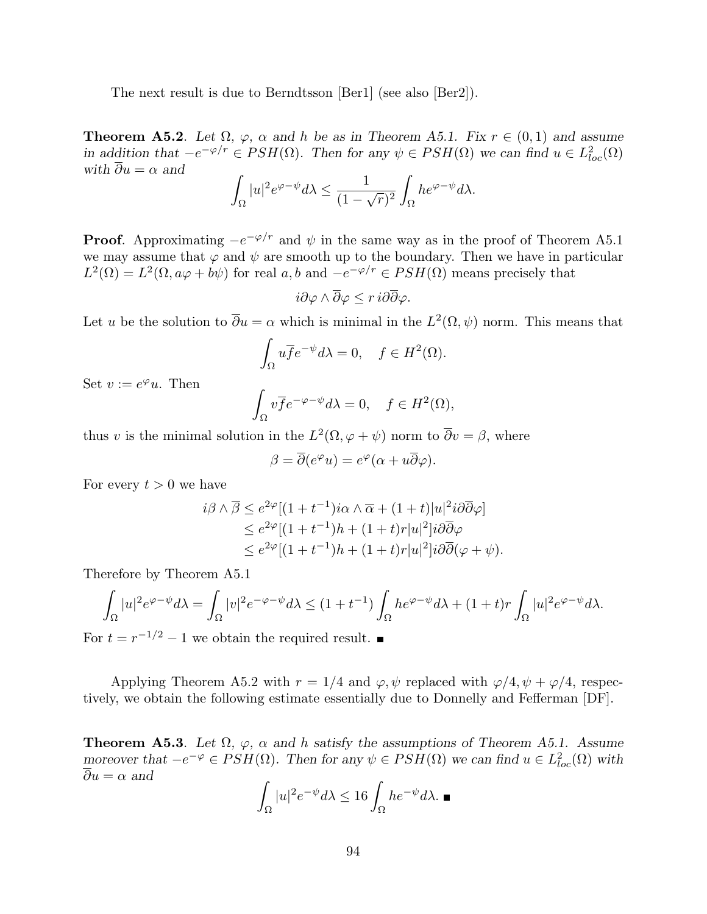The next result is due to Berndtsson [Ber1] (see also [Ber2]).

**Theorem A5.2**. Let  $\Omega$ ,  $\varphi$ ,  $\alpha$  and  $h$  be as in Theorem A5.1. Fix  $r \in (0,1)$  and assume in addition that  $-e^{-\varphi/r} \in PSH(\Omega)$ . Then for any  $\psi \in PSH(\Omega)$  we can find  $u \in L^2_{loc}(\Omega)$ with  $\overline{\partial} u = \alpha$  and

$$
\int_{\Omega} |u|^2 e^{\varphi - \psi} d\lambda \le \frac{1}{(1 - \sqrt{r})^2} \int_{\Omega} h e^{\varphi - \psi} d\lambda.
$$

**Proof.** Approximating  $-e^{-\varphi/r}$  and  $\psi$  in the same way as in the proof of Theorem A5.1 we may assume that  $\varphi$  and  $\psi$  are smooth up to the boundary. Then we have in particular  $L^2(\Omega) = L^2(\Omega, a\varphi + b\psi)$  for real  $a, b$  and  $-e^{-\varphi/r} \in PSH(\Omega)$  means precisely that

$$
i\partial\varphi\wedge\overline{\partial}\varphi\leq r\,i\partial\overline{\partial}\varphi.
$$

Let u be the solution to  $\overline{\partial}u = \alpha$  which is minimal in the  $L^2(\Omega, \psi)$  norm. This means that

$$
\int_{\Omega} u \overline{f} e^{-\psi} d\lambda = 0, \quad f \in H^2(\Omega).
$$

Set  $v := e^{\varphi}u$ . Then

$$
\int_{\Omega} v \overline{f} e^{-\varphi - \psi} d\lambda = 0, \quad f \in H^{2}(\Omega),
$$

thus v is the minimal solution in the  $L^2(\Omega, \varphi + \psi)$  norm to  $\overline{\partial}v = \beta$ , where

$$
\beta = \overline{\partial}(e^{\varphi}u) = e^{\varphi}(\alpha + u\overline{\partial}\varphi).
$$

For every  $t > 0$  we have

$$
i\beta \wedge \overline{\beta} \le e^{2\varphi} [(1+t^{-1})i\alpha \wedge \overline{\alpha} + (1+t)|u|^2 i\partial \overline{\partial} \varphi]
$$
  
\n
$$
\le e^{2\varphi} [(1+t^{-1})h + (1+t)r|u|^2] i\partial \overline{\partial} \varphi
$$
  
\n
$$
\le e^{2\varphi} [(1+t^{-1})h + (1+t)r|u|^2] i\partial \overline{\partial} (\varphi + \psi).
$$

Therefore by Theorem A5.1

$$
\int_{\Omega} |u|^2 e^{\varphi - \psi} d\lambda = \int_{\Omega} |v|^2 e^{-\varphi - \psi} d\lambda \le (1 + t^{-1}) \int_{\Omega} h e^{\varphi - \psi} d\lambda + (1 + t) r \int_{\Omega} |u|^2 e^{\varphi - \psi} d\lambda.
$$

For  $t = r^{-1/2} - 1$  we obtain the required result.

Applying Theorem A5.2 with  $r = 1/4$  and  $\varphi, \psi$  replaced with  $\varphi/4, \psi + \varphi/4$ , respectively, we obtain the following estimate essentially due to Donnelly and Fefferman [DF].

**Theorem A5.3.** Let  $\Omega$ ,  $\varphi$ ,  $\alpha$  and h satisfy the assumptions of Theorem A5.1. Assume moreover that  $-e^{-\varphi} \in PSH(\Omega)$ . Then for any  $\psi \in PSH(\Omega)$  we can find  $u \in L^2_{loc}(\Omega)$  with  $\overline{\partial} u = \alpha$  and

$$
\int_{\Omega} |u|^2 e^{-\psi} d\lambda \le 16 \int_{\Omega} h e^{-\psi} d\lambda. \blacksquare
$$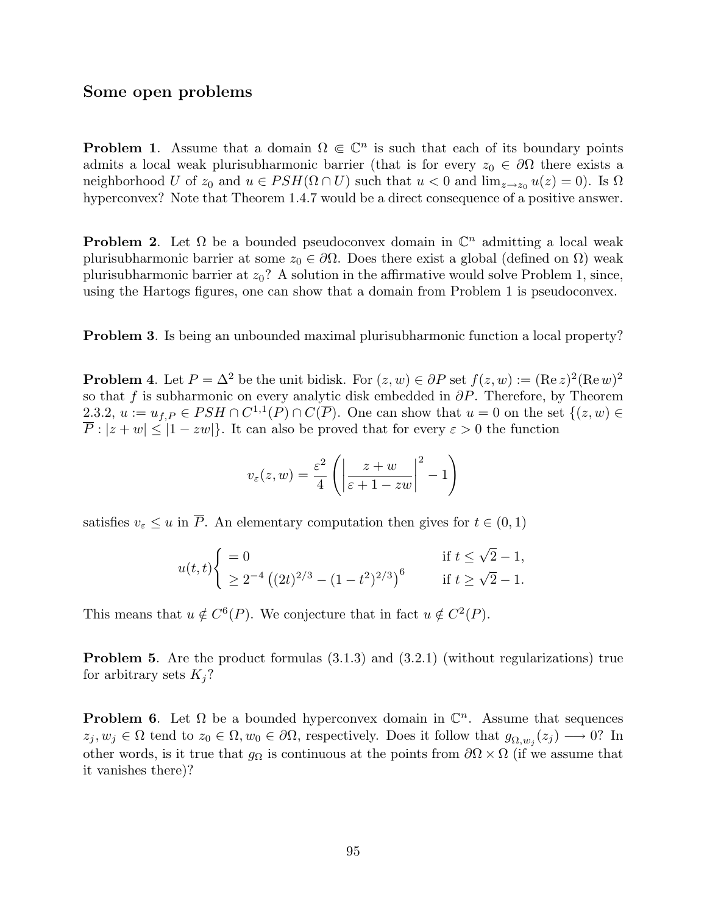## Some open problems

**Problem 1.** Assume that a domain  $\Omega \in \mathbb{C}^n$  is such that each of its boundary points admits a local weak plurisubharmonic barrier (that is for every  $z_0 \in \partial\Omega$  there exists a neighborhood U of  $z_0$  and  $u \in PSH(\Omega \cap U)$  such that  $u < 0$  and  $\lim_{z\to z_0} u(z) = 0$ . Is  $\Omega$ hyperconvex? Note that Theorem 1.4.7 would be a direct consequence of a positive answer.

**Problem 2.** Let  $\Omega$  be a bounded pseudoconvex domain in  $\mathbb{C}^n$  admitting a local weak plurisubharmonic barrier at some  $z_0 \in \partial\Omega$ . Does there exist a global (defined on  $\Omega$ ) weak plurisubharmonic barrier at  $z_0$ ? A solution in the affirmative would solve Problem 1, since, using the Hartogs figures, one can show that a domain from Problem 1 is pseudoconvex.

Problem 3. Is being an unbounded maximal plurisubharmonic function a local property?

**Problem 4.** Let  $P = \Delta^2$  be the unit bidisk. For  $(z, w) \in \partial P$  set  $f(z, w) := (\text{Re } z)^2 (\text{Re } w)^2$ so that f is subharmonic on every analytic disk embedded in  $\partial P$ . Therefore, by Theorem 2.3.2,  $u := u_{f,P} \in PSH \cap C^{1,1}(P) \cap C(\overline{P})$ . One can show that  $u = 0$  on the set  $\{(z,w) \in$  $\overline{P}$  :  $|z+w| \leq |1-zw|$ . It can also be proved that for every  $\varepsilon > 0$  the function

$$
v_{\varepsilon}(z,w) = \frac{\varepsilon^2}{4} \left( \left| \frac{z+w}{\varepsilon+1-zw} \right|^2 - 1 \right)
$$

satisfies  $v_{\varepsilon} \leq u$  in  $\overline{P}$ . An elementary computation then gives for  $t \in (0,1)$ 

$$
u(t,t)\begin{cases} = 0 & \text{if } t \le \sqrt{2} - 1, \\ \ge 2^{-4} \left( (2t)^{2/3} - (1 - t^2)^{2/3} \right)^6 & \text{if } t \ge \sqrt{2} - 1. \end{cases}
$$

This means that  $u \notin C^{6}(P)$ . We conjecture that in fact  $u \notin C^{2}(P)$ .

Problem 5. Are the product formulas (3.1.3) and (3.2.1) (without regularizations) true for arbitrary sets  $K_j$ ?

**Problem 6.** Let  $\Omega$  be a bounded hyperconvex domain in  $\mathbb{C}^n$ . Assume that sequences  $z_j, w_j \in \Omega$  tend to  $z_0 \in \Omega, w_0 \in \partial\Omega$ , respectively. Does it follow that  $g_{\Omega, w_j}(z_j) \longrightarrow 0$ ? In other words, is it true that  $g_{\Omega}$  is continuous at the points from  $\partial\Omega \times \Omega$  (if we assume that it vanishes there)?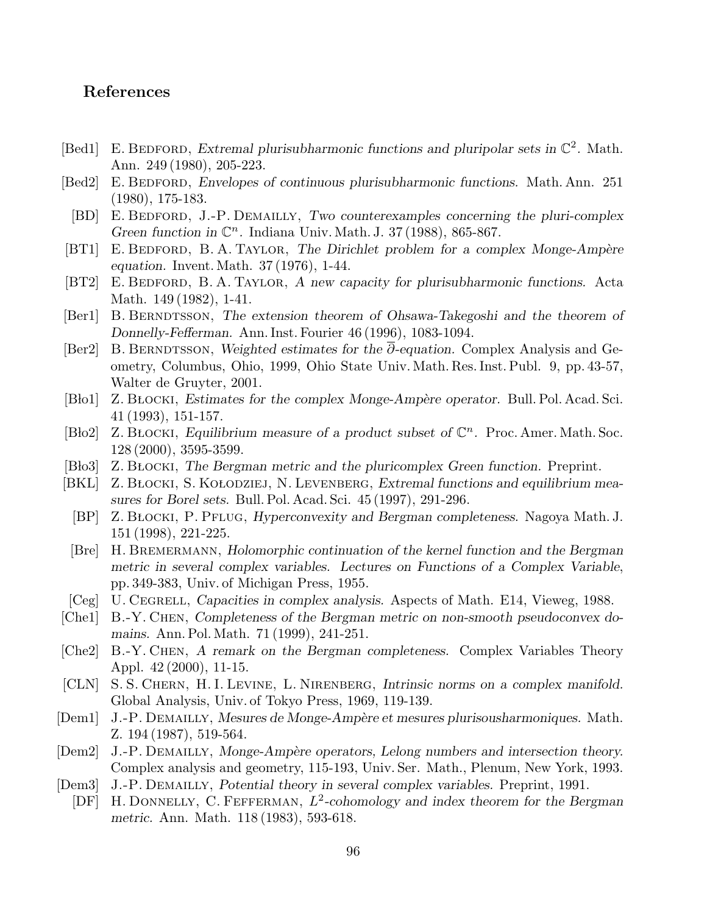# References

- [Bed1] E. BEDFORD, Extremal plurisubharmonic functions and pluripolar sets in  $\mathbb{C}^2$ . Math. Ann. 249 (1980), 205-223.
- [Bed2] E. BEDFORD, Envelopes of continuous plurisubharmonic functions. Math. Ann. 251 (1980), 175-183.
	- [BD] E. BEDFORD, J.-P. DEMAILLY, Two counterexamples concerning the pluri-complex Green function in  $\mathbb{C}^n$ . Indiana Univ. Math. J. 37 (1988), 865-867.
- [BT1] E. BEDFORD, B. A. TAYLOR, The Dirichlet problem for a complex Monge-Ampère equation. Invent. Math. 37 (1976), 1-44.
- [BT2] E. BEDFORD, B. A. TAYLOR, A new capacity for plurisubharmonic functions. Acta Math. 149 (1982), 1-41.
- [Ber1] B. BERNDTSSON, The extension theorem of Ohsawa-Takegoshi and the theorem of Donnelly-Fefferman. Ann. Inst. Fourier 46 (1996), 1083-1094.
- [Ber2] B. BERNDTSSON, Weighted estimates for the  $\overline{\partial}$ -equation. Complex Analysis and Geometry, Columbus, Ohio, 1999, Ohio State Univ. Math. Res. Inst. Publ. 9, pp. 43-57, Walter de Gruyter, 2001.
- [Bło1] Z. BŁOCKI, Estimates for the complex Monge-Ampère operator. Bull. Pol. Acad. Sci. 41 (1993), 151-157.
- [Bło2] Z. BŁOCKI, Equilibrium measure of a product subset of  $\mathbb{C}^n$ . Proc. Amer. Math. Soc. 128 (2000), 3595-3599.
- [Blo3] Z. BŁOCKI, The Bergman metric and the pluricomplex Green function. Preprint.
- [BKL] Z. BŁOCKI, S. KOŁODZIEJ, N. LEVENBERG, Extremal functions and equilibrium measures for Borel sets. Bull. Pol. Acad. Sci. 45 (1997), 291-296.
	- [BP] Z. BŁOCKI, P. PFLUG, Hyperconvexity and Bergman completeness. Nagoya Math. J. 151 (1998), 221-225.
- [Bre] H. BREMERMANN, Holomorphic continuation of the kernel function and the Bergman metric in several complex variables. Lectures on Functions of a Complex Variable, pp. 349-383, Univ. of Michigan Press, 1955.
- [Ceg] U. CEGRELL, Capacities in complex analysis. Aspects of Math. E14, Vieweg, 1988.
- [Che1] B.-Y. Chen, Completeness of the Bergman metric on non-smooth pseudoconvex domains. Ann. Pol. Math. 71 (1999), 241-251.
- [Che2] B.-Y. Chen, A remark on the Bergman completeness. Complex Variables Theory Appl. 42 (2000), 11-15.
- [CLN] S. S. CHERN, H. I. LEVINE, L. NIRENBERG, Intrinsic norms on a complex manifold. Global Analysis, Univ. of Tokyo Press, 1969, 119-139.
- [Dem1] J.-P. DEMAILLY, Mesures de Monge-Ampère et mesures plurisousharmoniques. Math. Z. 194 (1987), 519-564.
- [Dem2] J.-P. DEMAILLY, Monge-Ampère operators, Lelong numbers and intersection theory. Complex analysis and geometry, 115-193, Univ. Ser. Math., Plenum, New York, 1993.
- [Dem3] J.-P. DEMAILLY, Potential theory in several complex variables. Preprint, 1991.
- [DF] H. DONNELLY, C. FEFFERMAN,  $L^2$ -cohomology and index theorem for the Bergman metric. Ann. Math. 118 (1983), 593-618.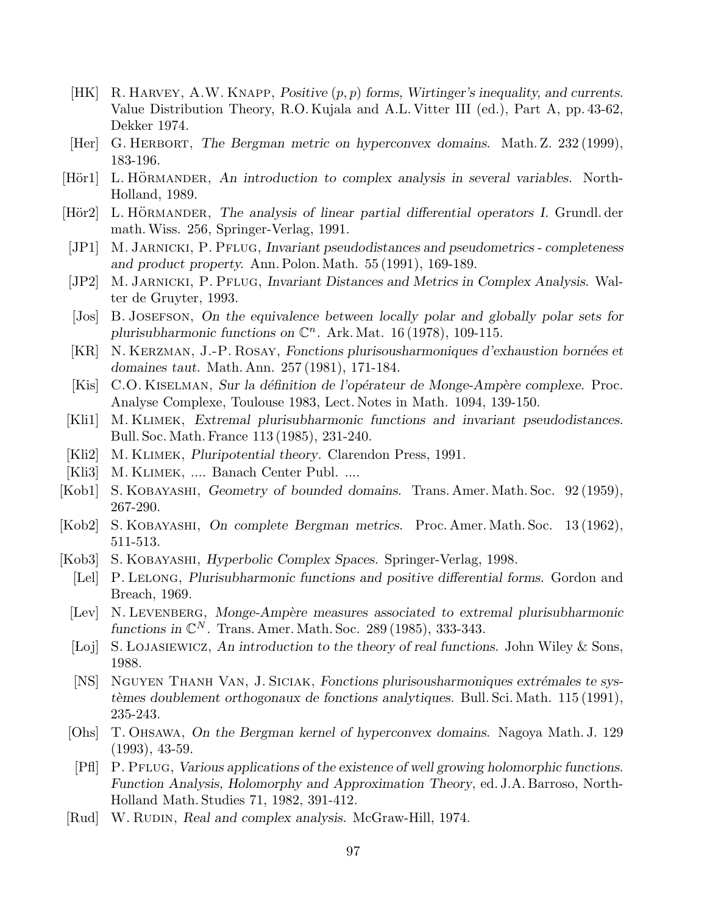- [HK] R. HARVEY, A.W. KNAPP, Positive  $(p, p)$  forms, Wirtinger's inequality, and currents. Value Distribution Theory, R.O. Kujala and A.L. Vitter III (ed.), Part A, pp. 43-62, Dekker 1974.
- [Her] G. HERBORT, The Bergman metric on hyperconvex domains. Math. Z. 232 (1999), 183-196.
- [Hör1] L. HÖRMANDER, An introduction to complex analysis in several variables. North-Holland, 1989.
- [Hör2] L. HÖRMANDER, The analysis of linear partial differential operators I. Grundl. der math.Wiss. 256, Springer-Verlag, 1991.
- [JP1] M. JARNICKI, P. PFLUG, Invariant pseudodistances and pseudometrics completeness and product property. Ann. Polon. Math. 55 (1991), 169-189.
- [JP2] M. JARNICKI, P. PFLUG, Invariant Distances and Metrics in Complex Analysis. Walter de Gruyter, 1993.
- [Jos] B. JOSEFSON, On the equivalence between locally polar and globally polar sets for plurisubharmonic functions on  $\mathbb{C}^n$ . Ark. Mat. 16 (1978), 109-115.
- [KR] N. KERZMAN, J.-P. ROSAY, Fonctions plurisousharmoniques d'exhaustion bornées et domaines taut. Math. Ann. 257 (1981), 171-184.
- [Kis] C.O. KISELMAN, Sur la définition de l'opérateur de Monge-Ampère complexe. Proc. Analyse Complexe, Toulouse 1983, Lect. Notes in Math. 1094, 139-150.
- [Kli1] M. Klimek, Extremal plurisubharmonic functions and invariant pseudodistances. Bull. Soc. Math. France 113 (1985), 231-240.
- [Kli2] M. KLIMEK, *Pluripotential theory*. Clarendon Press, 1991.
- [Kli3] M. KLIMEK, .... Banach Center Publ. ....
- [Kob1] S. Kobayashi, Geometry of bounded domains. Trans. Amer. Math. Soc. 92 (1959), 267-290.
- [Kob2] S. Kobayashi, On complete Bergman metrics. Proc. Amer. Math. Soc. 13 (1962), 511-513.
- [Kob3] S. Kobayashi, Hyperbolic Complex Spaces. Springer-Verlag, 1998.
	- [Lel] P. LELONG, Plurisubharmonic functions and positive differential forms. Gordon and Breach, 1969.
	- [Lev] N. LEVENBERG, Monge-Ampère measures associated to extremal plurisubharmonic functions in  $\mathbb{C}^N$ . Trans. Amer. Math. Soc. 289 (1985), 333-343.
	- [Loj] S. LOJASIEWICZ, An introduction to the theory of real functions. John Wiley & Sons, 1988.
	- [NS] NGUYEN THANH VAN, J. SICIAK, Fonctions plurisousharmoniques extrémales te systèmes doublement orthogonaux de fonctions analytiques. Bull. Sci. Math. 115 (1991), 235-243.
	- [Ohs] T. Ohsawa, On the Bergman kernel of hyperconvex domains. Nagoya Math. J. 129 (1993), 43-59.
	- [Pfl] P. PFLUG, Various applications of the existence of well growing holomorphic functions. Function Analysis, Holomorphy and Approximation Theory, ed. J.A. Barroso, North-Holland Math. Studies 71, 1982, 391-412.
- [Rud] W. RUDIN, Real and complex analysis. McGraw-Hill, 1974.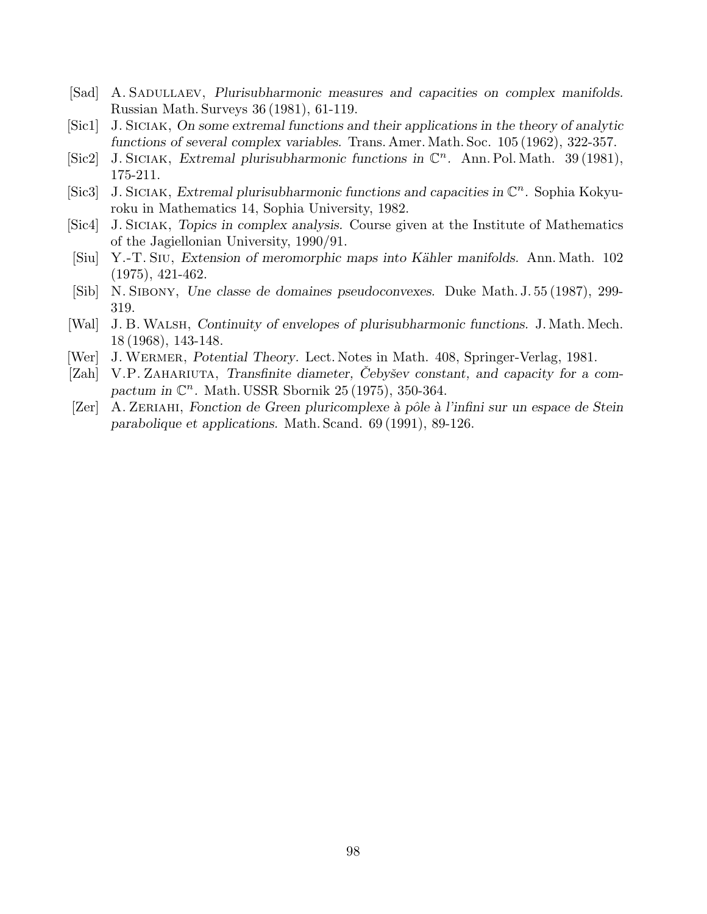- [Sad] A. SADULLAEV, Plurisubharmonic measures and capacities on complex manifolds. Russian Math. Surveys 36 (1981), 61-119.
- [Sic1] J. Siciak, On some extremal functions and their applications in the theory of analytic functions of several complex variables. Trans. Amer. Math. Soc. 105 (1962), 322-357.
- [Sic2] J. SICIAK, Extremal plurisubharmonic functions in  $\mathbb{C}^n$ . Ann. Pol. Math. 39 (1981), 175-211.
- [Sic3] J. SICIAK, Extremal plurisubharmonic functions and capacities in  $\mathbb{C}^n$ . Sophia Kokyuroku in Mathematics 14, Sophia University, 1982.
- [Sic4] J. Siciak, Topics in complex analysis. Course given at the Institute of Mathematics of the Jagiellonian University, 1990/91.
- [Siu] Y.-T. Siu, Extension of meromorphic maps into K¨ahler manifolds. Ann. Math. 102 (1975), 421-462.
- [Sib] N. Sibony, Une classe de domaines pseudoconvexes. Duke Math. J. 55 (1987), 299- 319.
- [Wal] J. B.Walsh, Continuity of envelopes of plurisubharmonic functions. J. Math. Mech. 18 (1968), 143-148.
- [Wer] J. WERMER, Potential Theory. Lect. Notes in Math. 408, Springer-Verlag, 1981.
- [Zah] V.P. ZAHARIUTA, Transfinite diameter, Cebyšev constant, and capacity for a compactum in  $\mathbb{C}^n$ . Math. USSR Sbornik 25 (1975), 350-364.
- $\operatorname{Zer}$  A. ZERIAHI, Fonction de Green pluricomplexe à pôle à l'infini sur un espace de Stein parabolique et applications. Math. Scand. 69 (1991), 89-126.